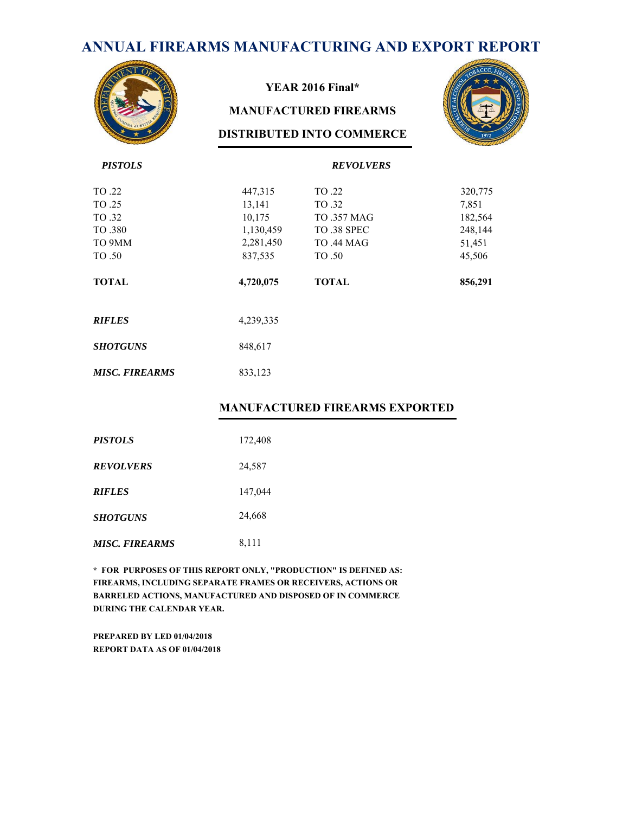# **ANNUAL FIREARMS MANUFACTURING AND EXPORT REPORT**



#### **YEAR 2016 Final\***

#### **MANUFACTURED FIREARMS**

#### **DISTRIBUTED INTO COMMERCE**



| <b>PISTOLS</b>        |           | <b>REVOLVERS</b>   |         |
|-----------------------|-----------|--------------------|---------|
| TO .22                | 447,315   | TO .22             | 320,775 |
| TO .25                | 13,141    | TO 32              | 7,851   |
| TO .32                | 10,175    | <b>TO .357 MAG</b> | 182,564 |
| TO .380               | 1,130,459 | TO 38 SPEC         | 248,144 |
| TO 9MM                | 2,281,450 | <b>TO .44 MAG</b>  | 51,451  |
| TO .50                | 837,535   | TO .50             | 45,506  |
| <b>TOTAL</b>          | 4,720,075 | <b>TOTAL</b>       | 856,291 |
| <b>RIFLES</b>         | 4,239,335 |                    |         |
| <b>SHOTGUNS</b>       | 848,617   |                    |         |
| <b>MISC. FIREARMS</b> | 833,123   |                    |         |

#### **MANUFACTURED FIREARMS EXPORTED**

| <b>PISTOLS</b>        | 172,408 |
|-----------------------|---------|
| <b>REVOLVERS</b>      | 24,587  |
| <b>RIFLES</b>         | 147,044 |
| <b>SHOTGUNS</b>       | 24,668  |
| <b>MISC. FIREARMS</b> | 8,111   |

**\* FOR PURPOSES OF THIS REPORT ONLY, "PRODUCTION" IS DEFINED AS: FIREARMS, INCLUDING SEPARATE FRAMES OR RECEIVERS, ACTIONS OR BARRELED ACTIONS, MANUFACTURED AND DISPOSED OF IN COMMERCE DURING THE CALENDAR YEAR.**

**PREPARED BY LED 01/04/2018 REPORT DATA AS OF 01/04/2018**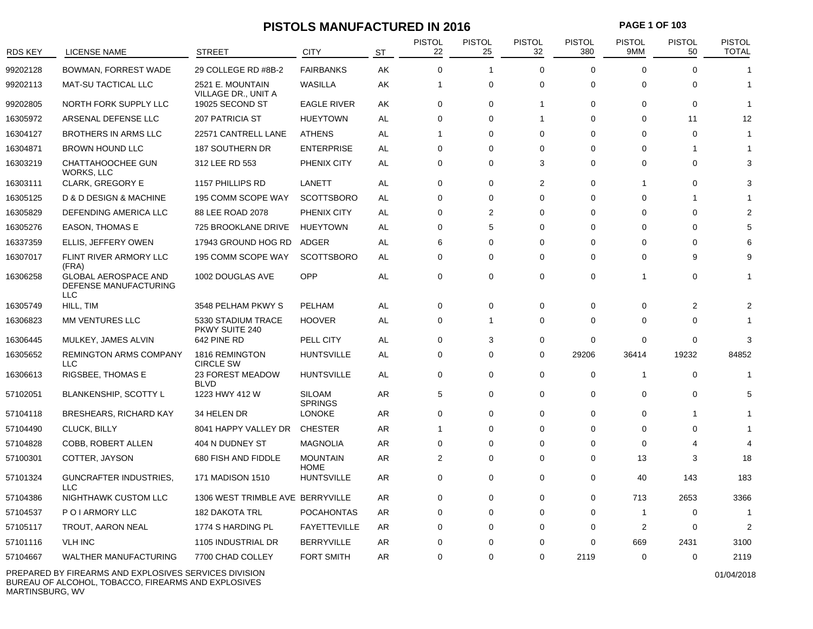### **PISTOLS MANUFACTURED IN 2016 PAGE 1 OF 103**

| <b>RDS KEY</b> | <b>LICENSE NAME</b>                                                | <b>STREET</b>                          | <b>CITY</b>                     | <b>ST</b> | <b>PISTOL</b><br>22 | <b>PISTOL</b><br>25 | <b>PISTOL</b><br>32 | <b>PISTOL</b><br>380 | <b>PISTOL</b><br>9MM | <b>PISTOL</b><br>50 | <b>PISTOL</b><br><b>TOTAL</b> |
|----------------|--------------------------------------------------------------------|----------------------------------------|---------------------------------|-----------|---------------------|---------------------|---------------------|----------------------|----------------------|---------------------|-------------------------------|
| 99202128       | BOWMAN, FORREST WADE                                               | 29 COLLEGE RD #8B-2                    | <b>FAIRBANKS</b>                | AK        | $\Omega$            | 1                   | $\Omega$            | $\Omega$             | $\Omega$             | $\Omega$            |                               |
| 99202113       | <b>MAT-SU TACTICAL LLC</b>                                         | 2521 E. MOUNTAIN                       | <b>WASILLA</b>                  | AK        | $\mathbf 1$         | 0                   | $\Omega$            | $\mathbf 0$          | $\Omega$             | $\Omega$            | 1                             |
| 99202805       | NORTH FORK SUPPLY LLC                                              | VILLAGE DR., UNIT A<br>19025 SECOND ST | <b>EAGLE RIVER</b>              | AK        | 0                   | $\Omega$            | $\mathbf{1}$        | $\Omega$             | $\Omega$             | $\Omega$            | 1                             |
| 16305972       | ARSENAL DEFENSE LLC                                                | <b>207 PATRICIA ST</b>                 | <b>HUEYTOWN</b>                 | AL        | $\Omega$            | $\Omega$            | $\overline{1}$      | $\Omega$             | $\Omega$             | 11                  | 12                            |
| 16304127       | <b>BROTHERS IN ARMS LLC</b>                                        | 22571 CANTRELL LANE                    | <b>ATHENS</b>                   | AL        | 1                   | $\Omega$            | $\Omega$            | $\Omega$             | $\Omega$             | $\Omega$            | 1                             |
| 16304871       | <b>BROWN HOUND LLC</b>                                             | 187 SOUTHERN DR                        | <b>ENTERPRISE</b>               | AL        | 0                   | 0                   | $\mathbf 0$         | $\Omega$             | $\Omega$             |                     |                               |
| 16303219       | CHATTAHOOCHEE GUN<br>WORKS, LLC                                    | 312 LEE RD 553                         | PHENIX CITY                     | AL        | $\Omega$            | $\Omega$            | 3                   | $\Omega$             | $\Omega$             | $\Omega$            | 3                             |
| 16303111       | <b>CLARK, GREGORY E</b>                                            | 1157 PHILLIPS RD                       | LANETT                          | AL        | 0                   | 0                   | $\overline{2}$      | 0                    | 1                    | $\Omega$            | 3                             |
| 16305125       | D & D DESIGN & MACHINE                                             | 195 COMM SCOPE WAY                     | <b>SCOTTSBORO</b>               | AL        | $\Omega$            | $\Omega$            | $\Omega$            | $\Omega$             | $\Omega$             | -1                  |                               |
| 16305829       | DEFENDING AMERICA LLC                                              | 88 LEE ROAD 2078                       | PHENIX CITY                     | AL        | $\Omega$            | $\overline{2}$      | $\Omega$            | $\Omega$             | $\Omega$             | $\Omega$            |                               |
| 16305276       | <b>EASON, THOMAS E</b>                                             | 725 BROOKLANE DRIVE                    | <b>HUEYTOWN</b>                 | AL        | 0                   | 5                   | $\mathbf 0$         | $\Omega$             | $\Omega$             | $\Omega$            |                               |
| 16337359       | ELLIS, JEFFERY OWEN                                                | 17943 GROUND HOG RD                    | ADGER                           | AL        | 6                   | $\Omega$            | $\mathbf 0$         | 0                    | $\Omega$             | $\Omega$            |                               |
| 16307017       | FLINT RIVER ARMORY LLC<br>(FRA)                                    | 195 COMM SCOPE WAY                     | <b>SCOTTSBORO</b>               | AL        | $\Omega$            | 0                   | $\Omega$            | $\Omega$             | 0                    | 9                   |                               |
| 16306258       | <b>GLOBAL AEROSPACE AND</b><br>DEFENSE MANUFACTURING<br><b>LLC</b> | 1002 DOUGLAS AVE                       | OPP                             | AL        | $\mathbf 0$         | $\Omega$            | $\mathbf 0$         | 0                    |                      | 0                   |                               |
| 16305749       | HILL, TIM                                                          | 3548 PELHAM PKWY S                     | PELHAM                          | AL        | $\mathbf 0$         | $\Omega$            | $\mathbf 0$         | 0                    | $\Omega$             | $\overline{2}$      |                               |
| 16306823       | MM VENTURES LLC                                                    | 5330 STADIUM TRACE<br>PKWY SUITE 240   | <b>HOOVER</b>                   | AL        | 0                   | $\mathbf{1}$        | $\mathbf 0$         | 0                    | 0                    | $\Omega$            |                               |
| 16306445       | MULKEY, JAMES ALVIN                                                | 642 PINE RD                            | PELL CITY                       | AL        | $\mathbf 0$         | 3                   | $\mathbf 0$         | $\mathbf 0$          | 0                    | $\mathbf 0$         | 3                             |
| 16305652       | <b>REMINGTON ARMS COMPANY</b><br><b>LLC</b>                        | 1816 REMINGTON<br><b>CIRCLE SW</b>     | <b>HUNTSVILLE</b>               | AL        | $\mathbf 0$         | $\Omega$            | $\mathbf 0$         | 29206                | 36414                | 19232               | 84852                         |
| 16306613       | RIGSBEE, THOMAS E                                                  | 23 FOREST MEADOW<br><b>BLVD</b>        | <b>HUNTSVILLE</b>               | AL        | $\mathbf 0$         | 0                   | $\Omega$            | 0                    | 1                    | $\Omega$            | 1                             |
| 57102051       | BLANKENSHIP, SCOTTY L                                              | 1223 HWY 412 W                         | <b>SILOAM</b><br><b>SPRINGS</b> | AR        | 5                   | 0                   | $\Omega$            | $\Omega$             | $\Omega$             | $\Omega$            | 5                             |
| 57104118       | <b>BRESHEARS, RICHARD KAY</b>                                      | 34 HELEN DR                            | <b>LONOKE</b>                   | AR        | $\mathbf 0$         | $\Omega$            | $\mathbf 0$         | 0                    | 0                    |                     |                               |
| 57104490       | CLUCK, BILLY                                                       | 8041 HAPPY VALLEY DR                   | <b>CHESTER</b>                  | AR        | -1                  | $\Omega$            | $\Omega$            | $\Omega$             | $\Omega$             | $\Omega$            |                               |
| 57104828       | COBB, ROBERT ALLEN                                                 | 404 N DUDNEY ST                        | <b>MAGNOLIA</b>                 | AR        | $\mathbf 0$         | $\Omega$            | $\Omega$            | $\Omega$             | $\Omega$             | 4                   | 4                             |
| 57100301       | COTTER, JAYSON                                                     | 680 FISH AND FIDDLE                    | <b>MOUNTAIN</b><br><b>HOME</b>  | AR        | $\overline{2}$      | 0                   | $\Omega$            | $\mathbf 0$          | 13                   | 3                   | 18                            |
| 57101324       | <b>GUNCRAFTER INDUSTRIES,</b><br><b>LLC</b>                        | 171 MADISON 1510                       | <b>HUNTSVILLE</b>               | AR        | $\Omega$            | 0                   | $\Omega$            | $\Omega$             | 40                   | 143                 | 183                           |
| 57104386       | NIGHTHAWK CUSTOM LLC                                               | 1306 WEST TRIMBLE AVE BERRYVILLE       |                                 | AR        | 0                   | 0                   | $\mathbf 0$         | 0                    | 713                  | 2653                | 3366                          |
| 57104537       | P O I ARMORY LLC                                                   | 182 DAKOTA TRL                         | <b>POCAHONTAS</b>               | AR        | $\Omega$            | $\Omega$            | $\Omega$            | $\Omega$             | -1                   | 0                   | 1                             |
| 57105117       | TROUT, AARON NEAL                                                  | 1774 S HARDING PL                      | <b>FAYETTEVILLE</b>             | AR        | $\Omega$            | $\Omega$            | $\Omega$            | $\Omega$             | 2                    | $\Omega$            | $\mathcal{P}$                 |
| 57101116       | <b>VLH INC</b>                                                     | 1105 INDUSTRIAL DR                     | <b>BERRYVILLE</b>               | AR        | 0                   | $\Omega$            | $\mathbf 0$         | $\Omega$             | 669                  | 2431                | 3100                          |
| 57104667       | WALTHER MANUFACTURING                                              | 7700 CHAD COLLEY                       | <b>FORT SMITH</b>               | AR        | $\mathbf 0$         | $\Omega$            | $\mathbf 0$         | 2119                 | $\Omega$             | 0                   | 2119                          |

PREPARED BY FIREARMS AND EXPLOSIVES SERVICES DIVISION BUREAU OF ALCOHOL, TOBACCO, FIREARMS AND EXPLOSIVES MARTINSBURG, WV

01/04/2018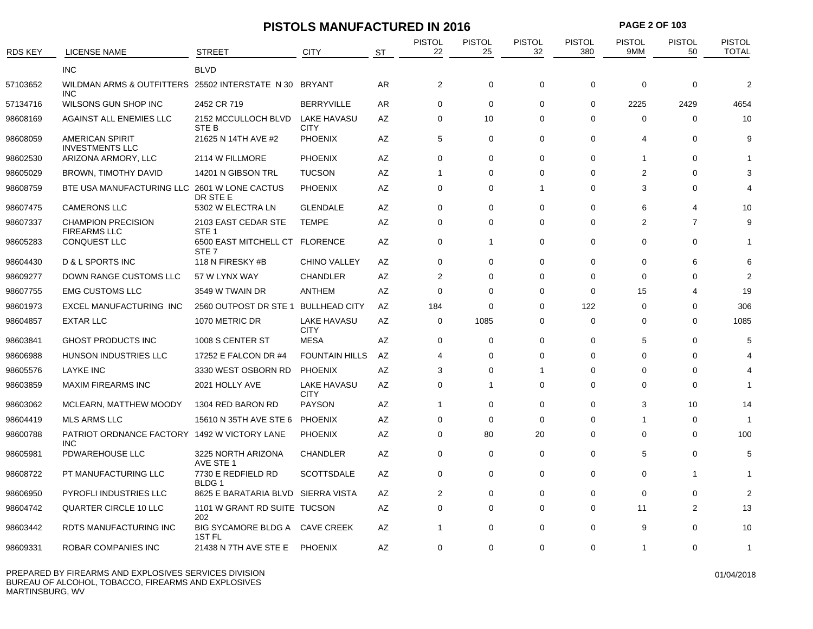|                |                                                                      | <b>PISTOLS MANUFACTURED IN 2016</b>                |                                   |    |                     |                     |                     | <b>PAGE 2 OF 103</b> |                      |                     |                        |  |
|----------------|----------------------------------------------------------------------|----------------------------------------------------|-----------------------------------|----|---------------------|---------------------|---------------------|----------------------|----------------------|---------------------|------------------------|--|
| <b>RDS KEY</b> | <b>LICENSE NAME</b>                                                  | <b>STREET</b>                                      | <b>CITY</b>                       | ST | <b>PISTOL</b><br>22 | <b>PISTOL</b><br>25 | <b>PISTOL</b><br>32 | <b>PISTOL</b><br>380 | <b>PISTOL</b><br>9MM | <b>PISTOL</b><br>50 | PISTOL<br><b>TOTAL</b> |  |
|                | <b>INC</b>                                                           | <b>BLVD</b>                                        |                                   |    |                     |                     |                     |                      |                      |                     |                        |  |
| 57103652       | WILDMAN ARMS & OUTFITTERS 25502 INTERSTATE N 30 BRYANT<br><b>INC</b> |                                                    |                                   | AR | $\overline{2}$      | $\mathbf 0$         | $\mathbf 0$         | 0                    | 0                    | 0                   | $\overline{2}$         |  |
| 57134716       | WILSONS GUN SHOP INC                                                 | 2452 CR 719                                        | <b>BERRYVILLE</b>                 | AR | $\Omega$            | 0                   | $\Omega$            | $\mathbf 0$          | 2225                 | 2429                | 4654                   |  |
| 98608169       | AGAINST ALL ENEMIES LLC                                              | 2152 MCCULLOCH BLVD<br><b>STEB</b>                 | <b>LAKE HAVASU</b><br><b>CITY</b> | AZ | $\mathbf 0$         | 10                  | $\Omega$            | 0                    | $\mathbf 0$          | $\mathbf 0$         | 10                     |  |
| 98608059       | <b>AMERICAN SPIRIT</b><br><b>INVESTMENTS LLC</b>                     | 21625 N 14TH AVE #2                                | <b>PHOENIX</b>                    | AZ | 5                   | 0                   | $\Omega$            | $\Omega$             | 4                    | $\Omega$            | 9                      |  |
| 98602530       | ARIZONA ARMORY, LLC                                                  | 2114 W FILLMORE                                    | <b>PHOENIX</b>                    | AZ | $\Omega$            | $\Omega$            | $\Omega$            | $\Omega$             | $\mathbf{1}$         | $\Omega$            |                        |  |
| 98605029       | <b>BROWN, TIMOTHY DAVID</b>                                          | 14201 N GIBSON TRL                                 | <b>TUCSON</b>                     | AZ | -1                  | $\Omega$            | $\Omega$            | $\Omega$             | $\overline{2}$       | $\Omega$            | 3                      |  |
| 98608759       | BTE USA MANUFACTURING LLC 2601 W LONE CACTUS                         | DR STE E                                           | <b>PHOENIX</b>                    | AZ | $\mathbf 0$         | 0                   | 1                   | $\mathbf 0$          | 3                    | 0                   | 4                      |  |
| 98607475       | <b>CAMERONS LLC</b>                                                  | 5302 W ELECTRA LN                                  | <b>GLENDALE</b>                   | AZ | $\Omega$            | 0                   | $\Omega$            | $\Omega$             | 6                    | 4                   | 10                     |  |
| 98607337       | <b>CHAMPION PRECISION</b><br><b>FIREARMS LLC</b>                     | 2103 EAST CEDAR STE<br>STE <sub>1</sub>            | <b>TEMPE</b>                      | AZ | $\mathbf 0$         | $\mathbf 0$         | $\mathbf 0$         | $\mathbf 0$          | $\overline{2}$       | $\overline{7}$      | 9                      |  |
| 98605283       | CONQUEST LLC                                                         | 6500 EAST MITCHELL CT FLORENCE<br>STE <sub>7</sub> |                                   | AZ | 0                   | $\overline{1}$      | $\Omega$            | $\Omega$             | $\Omega$             | $\Omega$            |                        |  |
| 98604430       | D & L SPORTS INC                                                     | 118 N FIRESKY #B                                   | <b>CHINO VALLEY</b>               | AZ | $\Omega$            | $\Omega$            | $\Omega$            | $\Omega$             | $\Omega$             | 6                   |                        |  |
| 98609277       | DOWN RANGE CUSTOMS LLC                                               | 57 W LYNX WAY                                      | <b>CHANDLER</b>                   | AZ | $\overline{2}$      | $\Omega$            | $\Omega$            | $\Omega$             | $\Omega$             | $\Omega$            | 2                      |  |
| 98607755       | <b>EMG CUSTOMS LLC</b>                                               | 3549 W TWAIN DR                                    | <b>ANTHEM</b>                     | AZ | $\mathbf 0$         | 0                   | $\Omega$            | $\mathbf 0$          | 15                   | 4                   | 19                     |  |
| 98601973       | <b>EXCEL MANUFACTURING INC</b>                                       | 2560 OUTPOST DR STE 1 BULLHEAD CITY                |                                   | AZ | 184                 | $\mathbf 0$         | $\Omega$            | 122                  | 0                    | $\Omega$            | 306                    |  |
| 98604857       | <b>EXTAR LLC</b>                                                     | 1070 METRIC DR                                     | <b>LAKE HAVASU</b><br><b>CITY</b> | AZ | 0                   | 1085                | $\Omega$            | $\mathbf 0$          | $\Omega$             | $\Omega$            | 1085                   |  |
| 98603841       | <b>GHOST PRODUCTS INC</b>                                            | 1008 S CENTER ST                                   | <b>MESA</b>                       | AZ | 0                   | 0                   | $\Omega$            | 0                    | 5                    | $\Omega$            | 5                      |  |
| 98606988       | HUNSON INDUSTRIES LLC                                                | 17252 E FALCON DR #4                               | <b>FOUNTAIN HILLS</b>             | AZ | 4                   | 0                   | $\Omega$            | 0                    | 0                    | $\Omega$            |                        |  |
| 98605576       | <b>LAYKE INC</b>                                                     | 3330 WEST OSBORN RD                                | <b>PHOENIX</b>                    | AZ | 3                   | $\Omega$            | 1                   | $\Omega$             | $\Omega$             | $\Omega$            |                        |  |
| 98603859       | <b>MAXIM FIREARMS INC</b>                                            | 2021 HOLLY AVE                                     | <b>LAKE HAVASU</b><br><b>CITY</b> | AZ | $\Omega$            | -1                  | $\Omega$            | $\Omega$             | $\Omega$             | $\Omega$            |                        |  |
| 98603062       | MCLEARN, MATTHEW MOODY                                               | 1304 RED BARON RD                                  | <b>PAYSON</b>                     | AZ | $\overline{1}$      | 0                   | $\Omega$            | 0                    | 3                    | 10                  | 14                     |  |
| 98604419       | <b>MLS ARMS LLC</b>                                                  | 15610 N 35TH AVE STE 6                             | <b>PHOENIX</b>                    | AZ | 0                   | 0                   | $\mathbf 0$         | $\Omega$             | 1                    | $\Omega$            | 1                      |  |
| 98600788       | PATRIOT ORDNANCE FACTORY 1492 W VICTORY LANE<br><b>INC</b>           |                                                    | <b>PHOENIX</b>                    | AZ | $\Omega$            | 80                  | 20                  | $\Omega$             | $\Omega$             | $\Omega$            | 100                    |  |
| 98605981       | PDWAREHOUSE LLC                                                      | 3225 NORTH ARIZONA<br>AVE STE 1                    | <b>CHANDLER</b>                   | AZ | $\mathbf 0$         | $\mathbf 0$         | $\mathbf 0$         | $\mathbf 0$          | 5                    | $\Omega$            | 5                      |  |
| 98608722       | PT MANUFACTURING LLC                                                 | 7730 E REDFIELD RD<br>BLDG 1                       | <b>SCOTTSDALE</b>                 | AZ | $\Omega$            | $\mathbf 0$         | $\Omega$            | $\mathbf 0$          | $\Omega$             | $\mathbf 1$         |                        |  |
| 98606950       | PYROFLI INDUSTRIES LLC                                               | 8625 E BARATARIA BLVD SIERRA VISTA                 |                                   | AZ | 2                   | 0                   | $\Omega$            | $\Omega$             | $\Omega$             | $\Omega$            | $\overline{2}$         |  |
| 98604742       | <b>QUARTER CIRCLE 10 LLC</b>                                         | 1101 W GRANT RD SUITE TUCSON<br>202                |                                   | AZ | $\Omega$            | 0                   | $\Omega$            | 0                    | 11                   | 2                   | 13                     |  |
| 98603442       | RDTS MANUFACTURING INC                                               | BIG SYCAMORE BLDG A CAVE CREEK<br>1ST FL           |                                   | AZ |                     | $\Omega$            | $\Omega$            | $\Omega$             | 9                    | $\Omega$            | 10                     |  |
| 98609331       | ROBAR COMPANIES INC                                                  | 21438 N 7TH AVE STE E                              | <b>PHOENIX</b>                    | AZ | $\Omega$            | $\Omega$            | $\Omega$            | $\Omega$             | 1                    | $\Omega$            | $\mathbf 1$            |  |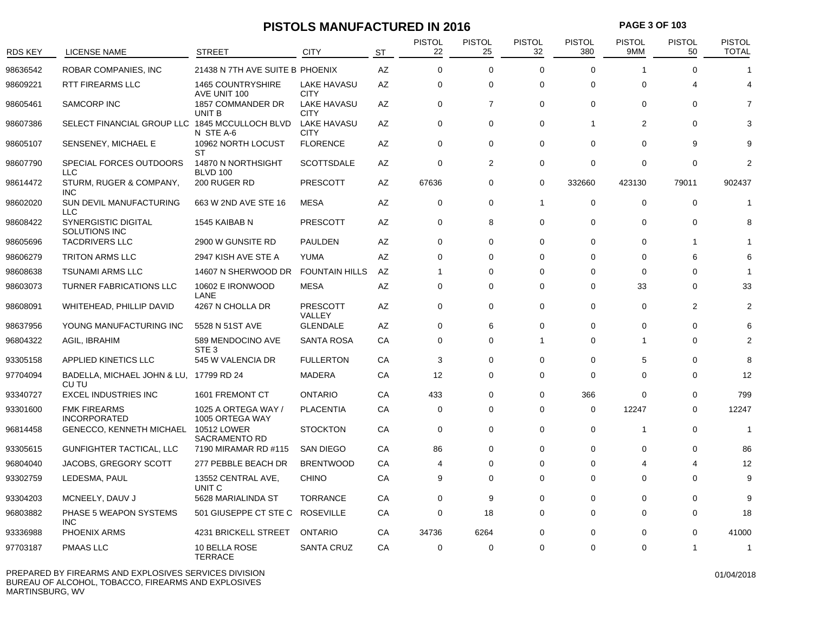### **PISTOLS MANUFACTURED IN 2016 PAGE 3 OF 103**

| <b>RDS KEY</b> | <b>LICENSE NAME</b>                              | <b>STREET</b>                            | CITY                              | <b>ST</b> | <b>PISTOL</b><br>22 | <b>PISTOL</b><br>25 | PISTOL<br>32 | <b>PISTOL</b><br>380 | PISTOL<br>9MM | <b>PISTOL</b><br>50 | PISTOL<br><b>TOTAL</b> |
|----------------|--------------------------------------------------|------------------------------------------|-----------------------------------|-----------|---------------------|---------------------|--------------|----------------------|---------------|---------------------|------------------------|
| 98636542       | ROBAR COMPANIES, INC                             | 21438 N 7TH AVE SUITE B PHOENIX          |                                   | AZ        | $\Omega$            | 0                   | $\Omega$     | $\Omega$             | -1            | $\Omega$            | 1                      |
| 98609221       | <b>RTT FIREARMS LLC</b>                          | <b>1465 COUNTRYSHIRE</b><br>AVE UNIT 100 | <b>LAKE HAVASU</b><br><b>CITY</b> | AZ        | $\mathbf 0$         | 0                   | $\Omega$     | $\Omega$             | $\Omega$      | 4                   | 4                      |
| 98605461       | <b>SAMCORP INC</b>                               | 1857 COMMANDER DR<br>UNIT B              | <b>LAKE HAVASU</b><br><b>CITY</b> | AZ        | $\mathbf 0$         | $\overline{7}$      | $\Omega$     | $\Omega$             | $\Omega$      | $\Omega$            |                        |
| 98607386       | SELECT FINANCIAL GROUP LLC 1845 MCCULLOCH BLVD   | N STE A-6                                | <b>LAKE HAVASU</b><br><b>CITY</b> | AZ        | $\mathbf 0$         | 0                   | $\Omega$     | $\overline{1}$       | 2             | $\Omega$            |                        |
| 98605107       | SENSENEY, MICHAEL E                              | 10962 NORTH LOCUST<br>ST                 | <b>FLORENCE</b>                   | AZ        | $\mathbf 0$         | 0                   | $\mathbf 0$  | $\mathbf 0$          | $\Omega$      | 9                   |                        |
| 98607790       | SPECIAL FORCES OUTDOORS<br>LLC                   | 14870 N NORTHSIGHT<br><b>BLVD 100</b>    | <b>SCOTTSDALE</b>                 | AZ        | $\mathbf 0$         | $\overline{2}$      | $\Omega$     | $\mathbf 0$          | $\Omega$      | $\Omega$            | $\overline{2}$         |
| 98614472       | STURM, RUGER & COMPANY,<br>INC                   | 200 RUGER RD                             | <b>PRESCOTT</b>                   | AZ        | 67636               | 0                   | $\mathbf 0$  | 332660               | 423130        | 79011               | 902437                 |
| 98602020       | <b>SUN DEVIL MANUFACTURING</b><br><b>LLC</b>     | 663 W 2ND AVE STE 16                     | <b>MESA</b>                       | AZ        | $\mathbf 0$         | $\mathbf 0$         | $\mathbf{1}$ | $\mathbf 0$          | $\mathbf 0$   | $\Omega$            | 1                      |
| 98608422       | SYNERGISTIC DIGITAL<br>SOLUTIONS INC             | 1545 KAIBAB N                            | <b>PRESCOTT</b>                   | AZ        | $\mathbf 0$         | 8                   | $\Omega$     | $\mathbf 0$          | $\mathbf 0$   | 0                   | 8                      |
| 98605696       | <b>TACDRIVERS LLC</b>                            | 2900 W GUNSITE RD                        | PAULDEN                           | AZ        | $\mathbf 0$         | 0                   | $\Omega$     | $\mathbf 0$          | $\mathbf 0$   | -1                  |                        |
| 98606279       | <b>TRITON ARMS LLC</b>                           | 2947 KISH AVE STE A                      | <b>YUMA</b>                       | AZ        | $\Omega$            | $\Omega$            | $\Omega$     | $\Omega$             | $\Omega$      | 6                   |                        |
| 98608638       | <b>TSUNAMI ARMS LLC</b>                          | 14607 N SHERWOOD DR                      | <b>FOUNTAIN HILLS</b>             | AZ        | -1                  | 0                   | $\Omega$     | $\Omega$             | $\Omega$      | $\Omega$            |                        |
| 98603073       | <b>TURNER FABRICATIONS LLC</b>                   | 10602 E IRONWOOD<br>LANE                 | <b>MESA</b>                       | AZ        | $\mathbf 0$         | 0                   | $\Omega$     | $\Omega$             | 33            | $\Omega$            | 33                     |
| 98608091       | WHITEHEAD, PHILLIP DAVID                         | 4267 N CHOLLA DR                         | PRESCOTT<br>VALLEY                | AZ        | $\mathbf 0$         | 0                   | $\Omega$     | $\mathbf 0$          | $\Omega$      | 2                   | $\overline{2}$         |
| 98637956       | YOUNG MANUFACTURING INC                          | 5528 N 51ST AVE                          | <b>GLENDALE</b>                   | AZ        | 0                   | 6                   | $\Omega$     | 0                    | 0             | 0                   |                        |
| 96804322       | AGIL, IBRAHIM                                    | 589 MENDOCINO AVE<br>STE <sub>3</sub>    | <b>SANTA ROSA</b>                 | CA        | $\Omega$            | $\Omega$            | 1            | $\Omega$             | 1             | $\Omega$            |                        |
| 93305158       | <b>APPLIED KINETICS LLC</b>                      | 545 W VALENCIA DR                        | <b>FULLERTON</b>                  | CA        | 3                   | 0                   | $\Omega$     | $\mathbf 0$          | 5             | $\Omega$            | 8                      |
| 97704094       | BADELLA, MICHAEL JOHN & LU, 17799 RD 24<br>CU TU |                                          | <b>MADERA</b>                     | CA        | 12                  | 0                   | $\Omega$     | $\mathbf 0$          | 0             | 0                   | 12                     |
| 93340727       | <b>EXCEL INDUSTRIES INC</b>                      | 1601 FREMONT CT                          | <b>ONTARIO</b>                    | CA        | 433                 | 0                   | $\mathbf 0$  | 366                  | $\Omega$      | 0                   | 799                    |
| 93301600       | <b>FMK FIREARMS</b><br><b>INCORPORATED</b>       | 1025 A ORTEGA WAY /<br>1005 ORTEGA WAY   | <b>PLACENTIA</b>                  | CA        | $\mathbf 0$         | 0                   | $\Omega$     | $\mathbf 0$          | 12247         | $\Omega$            | 12247                  |
| 96814458       | <b>GENECCO, KENNETH MICHAEL</b>                  | 10512 LOWER<br><b>SACRAMENTO RD</b>      | <b>STOCKTON</b>                   | СA        | $\mathbf 0$         | 0                   | 0            | $\mathbf 0$          | -1            | 0                   | 1                      |
| 93305615       | GUNFIGHTER TACTICAL, LLC                         | 7190 MIRAMAR RD #115                     | <b>SAN DIEGO</b>                  | CA        | 86                  | 0                   | $\Omega$     | $\mathbf 0$          | $\mathbf 0$   | $\mathbf 0$         | 86                     |
| 96804040       | JACOBS, GREGORY SCOTT                            | 277 PEBBLE BEACH DR                      | <b>BRENTWOOD</b>                  | CA        | 4                   | $\Omega$            | $\Omega$     | $\mathbf 0$          | 4             | 4                   | 12                     |
| 93302759       | LEDESMA, PAUL                                    | 13552 CENTRAL AVE,<br>UNIT C             | <b>CHINO</b>                      | CA        | 9                   | 0                   | $\mathbf 0$  | $\mathbf 0$          | $\Omega$      | $\Omega$            | 9                      |
| 93304203       | MCNEELY, DAUV J                                  | 5628 MARIALINDA ST                       | <b>TORRANCE</b>                   | СA        | $\mathbf 0$         | 9                   | $\Omega$     | $\mathbf 0$          | 0             | $\Omega$            | 9                      |
| 96803882       | PHASE 5 WEAPON SYSTEMS<br>INC.                   | 501 GIUSEPPE CT STE C                    | <b>ROSEVILLE</b>                  | CA        | $\mathbf 0$         | 18                  | $\Omega$     | $\mathbf 0$          | $\Omega$      | $\Omega$            | 18                     |
| 93336988       | PHOENIX ARMS                                     | 4231 BRICKELL STREET                     | <b>ONTARIO</b>                    | CA        | 34736               | 6264                | $\Omega$     | $\Omega$             | $\Omega$      | $\Omega$            | 41000                  |
| 97703187       | PMAAS LLC                                        | 10 BELLA ROSE<br><b>TERRACE</b>          | <b>SANTA CRUZ</b>                 | СA        | $\mathbf 0$         | 0                   | $\Omega$     | $\Omega$             | $\Omega$      | -1                  | -1                     |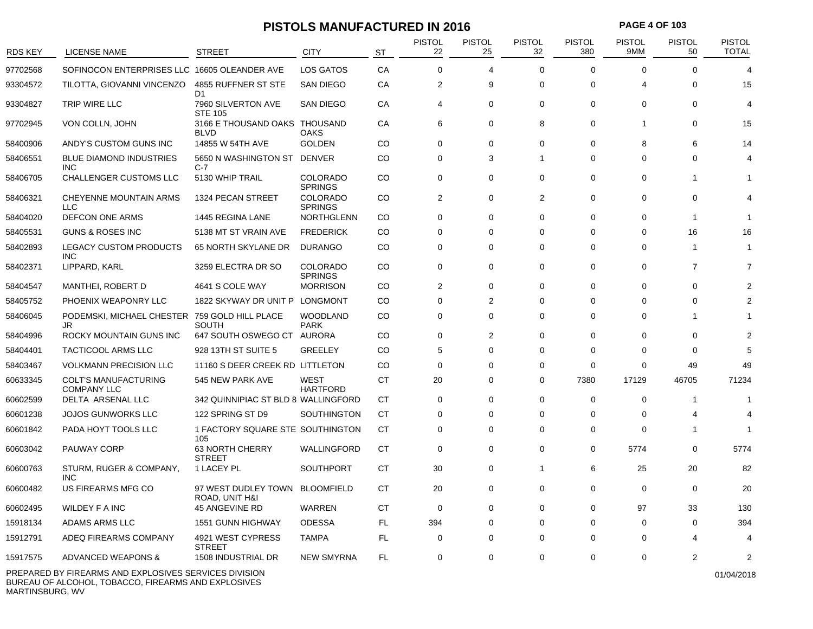### **PISTOLS MANUFACTURED IN 2016 PAGE 4 OF 103**

| <b>RDS KEY</b> | <b>LICENSE NAME</b>                                 | <b>STREET</b>                                          | <b>CITY</b>                       | <b>ST</b> | <b>PISTOL</b><br>22 | <b>PISTOL</b><br>25 | <b>PISTOL</b><br>32 | <b>PISTOL</b><br>380 | <b>PISTOL</b><br>9MM | <b>PISTOL</b><br>50 | <b>PISTOL</b><br><b>TOTAL</b> |
|----------------|-----------------------------------------------------|--------------------------------------------------------|-----------------------------------|-----------|---------------------|---------------------|---------------------|----------------------|----------------------|---------------------|-------------------------------|
| 97702568       | SOFINOCON ENTERPRISES LLC 16605 OLEANDER AVE        |                                                        | LOS GATOS                         | CA        | $\mathbf 0$         | 4                   | $\Omega$            | $\mathbf 0$          | $\Omega$             | 0                   | 4                             |
| 93304572       | TILOTTA, GIOVANNI VINCENZO                          | 4855 RUFFNER ST STE                                    | <b>SAN DIEGO</b>                  | CA        | 2                   | 9                   | 0                   | 0                    | 4                    | 0                   | 15                            |
| 93304827       | TRIP WIRE LLC                                       | D <sub>1</sub><br>7960 SILVERTON AVE<br><b>STE 105</b> | <b>SAN DIEGO</b>                  | СA        | 4                   | 0                   | $\mathbf 0$         | 0                    | 0                    | $\Omega$            | 4                             |
| 97702945       | VON COLLN, JOHN                                     | 3166 E THOUSAND OAKS THOUSAND<br><b>BLVD</b>           | <b>OAKS</b>                       | CA        | 6                   | $\mathbf 0$         | 8                   | 0                    |                      | $\mathbf 0$         | 15                            |
| 58400906       | ANDY'S CUSTOM GUNS INC                              | 14855 W 54TH AVE                                       | <b>GOLDEN</b>                     | CO.       | $\mathbf 0$         | $\mathbf 0$         | $\Omega$            | $\mathbf 0$          | 8                    | 6                   | 14                            |
| 58406551       | <b>BLUE DIAMOND INDUSTRIES</b><br><b>INC</b>        | 5650 N WASHINGTON ST<br>$C-7$                          | <b>DENVER</b>                     | CO        | $\mathbf 0$         | 3                   | $\mathbf 1$         | 0                    | $\Omega$             | $\Omega$            |                               |
| 58406705       | CHALLENGER CUSTOMS LLC                              | 5130 WHIP TRAIL                                        | <b>COLORADO</b><br><b>SPRINGS</b> | CO        | $\Omega$            | $\mathbf 0$         | $\Omega$            | $\Omega$             | $\Omega$             | -1                  |                               |
| 58406321       | <b>CHEYENNE MOUNTAIN ARMS</b><br><b>LLC</b>         | 1324 PECAN STREET                                      | <b>COLORADO</b><br><b>SPRINGS</b> | CO.       | 2                   | 0                   | $\overline{2}$      | 0                    | 0                    | $\Omega$            |                               |
| 58404020       | DEFCON ONE ARMS                                     | 1445 REGINA LANE                                       | <b>NORTHGLENN</b>                 | CO        | $\mathbf 0$         | $\Omega$            | $\Omega$            | $\Omega$             | $\Omega$             | -1                  |                               |
| 58405531       | <b>GUNS &amp; ROSES INC</b>                         | 5138 MT ST VRAIN AVE                                   | <b>FREDERICK</b>                  | CO        | $\Omega$            | $\Omega$            | $\Omega$            | $\Omega$             | $\Omega$             | 16                  | 16                            |
| 58402893       | <b>LEGACY CUSTOM PRODUCTS</b><br><b>INC</b>         | 65 NORTH SKYLANE DR                                    | <b>DURANGO</b>                    | CO        | $\Omega$            | $\Omega$            | $\Omega$            | $\Omega$             | $\Omega$             | -1                  | -1                            |
| 58402371       | LIPPARD, KARL                                       | 3259 ELECTRA DR SO                                     | <b>COLORADO</b><br><b>SPRINGS</b> | CO        | 0                   | $\mathbf 0$         | $\Omega$            | 0                    | $\Omega$             | $\overline{7}$      | 7                             |
| 58404547       | <b>MANTHEI, ROBERT D</b>                            | 4641 S COLE WAY                                        | <b>MORRISON</b>                   | CO        | 2                   | 0                   | 0                   | 0                    | $\Omega$             | $\Omega$            |                               |
| 58405752       | PHOENIX WEAPONRY LLC                                | 1822 SKYWAY DR UNIT P                                  | LONGMONT                          | CO        | 0                   | 2                   | $\Omega$            | 0                    | $\Omega$             | $\Omega$            |                               |
| 58406045       | PODEMSKI, MICHAEL CHESTER 759 GOLD HILL PLACE<br>JR | <b>SOUTH</b>                                           | <b>WOODLAND</b><br><b>PARK</b>    | CO        | 0                   | $\Omega$            | $\Omega$            | 0                    | $\Omega$             |                     |                               |
| 58404996       | ROCKY MOUNTAIN GUNS INC                             | 647 SOUTH OSWEGO CT AURORA                             |                                   | CO        | $\mathbf 0$         | $\overline{2}$      | $\Omega$            | 0                    | $\Omega$             | $\Omega$            |                               |
| 58404401       | <b>TACTICOOL ARMS LLC</b>                           | 928 13TH ST SUITE 5                                    | <b>GREELEY</b>                    | CO        | 5                   | $\Omega$            | $\Omega$            | 0                    | $\Omega$             | $\Omega$            |                               |
| 58403467       | <b>VOLKMANN PRECISION LLC</b>                       | 11160 S DEER CREEK RD LITTLETON                        |                                   | CO        | 0                   | $\Omega$            | 0                   | 0                    | $\Omega$             | 49                  | 49                            |
| 60633345       | <b>COLT'S MANUFACTURING</b><br><b>COMPANY LLC</b>   | 545 NEW PARK AVE                                       | <b>WEST</b><br><b>HARTFORD</b>    | <b>CT</b> | 20                  | 0                   | $\mathbf 0$         | 7380                 | 17129                | 46705               | 71234                         |
| 60602599       | DELTA ARSENAL LLC                                   | 342 QUINNIPIAC ST BLD 8 WALLINGFORD                    |                                   | СT        | $\mathbf 0$         | $\Omega$            | $\Omega$            | $\mathbf 0$          | $\Omega$             | -1                  |                               |
| 60601238       | <b>JOJOS GUNWORKS LLC</b>                           | 122 SPRING ST D9                                       | <b>SOUTHINGTON</b>                | CT        | 0                   | $\Omega$            | $\Omega$            | 0                    | $\Omega$             |                     |                               |
| 60601842       | PADA HOYT TOOLS LLC                                 | 1 FACTORY SQUARE STE SOUTHINGTON<br>105                |                                   | CT        | 0                   | 0                   | $\Omega$            | 0                    | $\Omega$             |                     |                               |
| 60603042       | PAUWAY CORP                                         | 63 NORTH CHERRY<br><b>STREET</b>                       | WALLINGFORD                       | <b>CT</b> | $\mathbf 0$         | $\mathbf 0$         | $\mathbf 0$         | $\mathbf 0$          | 5774                 | $\mathbf 0$         | 5774                          |
| 60600763       | STURM, RUGER & COMPANY,<br><b>INC</b>               | 1 LACEY PL                                             | <b>SOUTHPORT</b>                  | CT        | 30                  | 0                   | $\mathbf 1$         | 6                    | 25                   | 20                  | 82                            |
| 60600482       | US FIREARMS MFG CO                                  | 97 WEST DUDLEY TOWN<br>ROAD, UNIT H&I                  | <b>BLOOMFIELD</b>                 | CT        | 20                  | $\Omega$            | $\Omega$            | $\Omega$             | $\Omega$             | $\Omega$            | 20                            |
| 60602495       | <b>WILDEY F A INC</b>                               | 45 ANGEVINE RD                                         | WARREN                            | <b>CT</b> | $\mathbf 0$         | 0                   | $\Omega$            | 0                    | 97                   | 33                  | 130                           |
| 15918134       | ADAMS ARMS LLC                                      | 1551 GUNN HIGHWAY                                      | <b>ODESSA</b>                     | <b>FL</b> | 394                 | 0                   | $\Omega$            | 0                    | 0                    | 0                   | 394                           |
| 15912791       | ADEQ FIREARMS COMPANY                               | 4921 WEST CYPRESS<br><b>STREET</b>                     | <b>TAMPA</b>                      | <b>FL</b> | 0                   | 0                   | $\Omega$            | 0                    | $\Omega$             |                     |                               |
| 15917575       | ADVANCED WEAPONS &                                  | 1508 INDUSTRIAL DR                                     | <b>NEW SMYRNA</b>                 | <b>FL</b> | 0                   | $\Omega$            | $\Omega$            | $\Omega$             | $\Omega$             | 2                   | 2                             |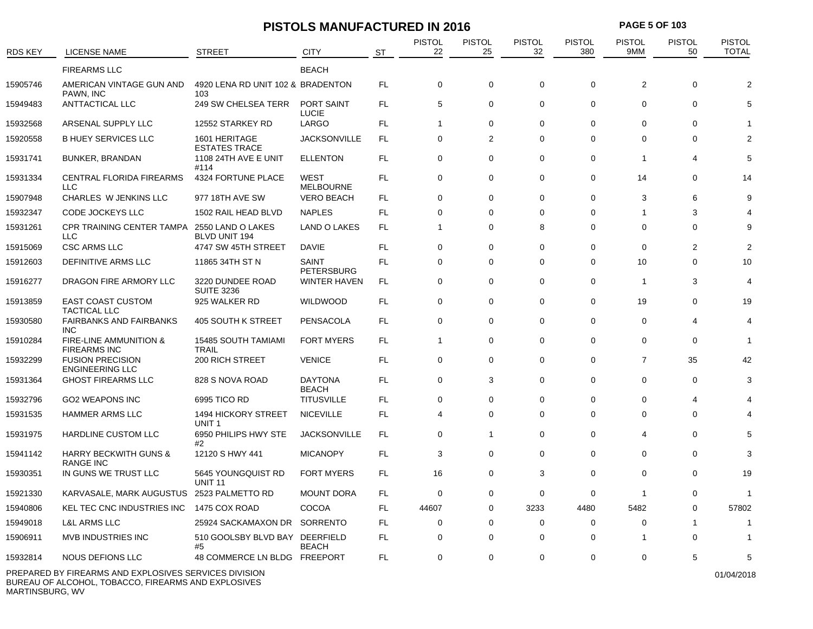## **PISTOLS MANUFACTURED IN 2016 PAGE 5 OF 103**

| <b>RDS KEY</b> | LICENSE NAME                                         | <b>STREET</b>                                   | CITY                              | <b>ST</b> | <b>PISTOL</b><br>22 | PISTOL<br>25   | <b>PISTOL</b><br>32 | <b>PISTOL</b><br>380 | <b>PISTOL</b><br>9MM | <b>PISTOL</b><br>50 | <b>PISTOL</b><br><b>TOTAL</b> |
|----------------|------------------------------------------------------|-------------------------------------------------|-----------------------------------|-----------|---------------------|----------------|---------------------|----------------------|----------------------|---------------------|-------------------------------|
|                | <b>FIREARMS LLC</b>                                  |                                                 | <b>BEACH</b>                      |           |                     |                |                     |                      |                      |                     |                               |
| 15905746       | AMERICAN VINTAGE GUN AND<br>PAWN, INC                | 4920 LENA RD UNIT 102 & BRADENTON<br>103        |                                   | <b>FL</b> | 0                   | 0              | $\mathbf 0$         | 0                    | 2                    | $\mathbf 0$         |                               |
| 15949483       | <b>ANTTACTICAL LLC</b>                               | 249 SW CHELSEA TERR                             | PORT SAINT<br>LUCIE               | <b>FL</b> | 5                   | $\mathbf 0$    | $\mathbf 0$         | $\mathbf 0$          | $\mathbf 0$          | $\mathbf 0$         |                               |
| 15932568       | ARSENAL SUPPLY LLC                                   | 12552 STARKEY RD                                | LARGO                             | <b>FL</b> | $\mathbf{1}$        | $\mathbf 0$    | $\Omega$            | $\Omega$             | $\Omega$             | $\Omega$            |                               |
| 15920558       | <b>B HUEY SERVICES LLC</b>                           | 1601 HERITAGE<br><b>ESTATES TRACE</b>           | <b>JACKSONVILLE</b>               | FL        | 0                   | $\overline{2}$ | $\Omega$            | $\Omega$             | $\Omega$             | 0                   |                               |
| 15931741       | <b>BUNKER, BRANDAN</b>                               | 1108 24TH AVE E UNIT<br>#114                    | <b>ELLENTON</b>                   | <b>FL</b> | $\mathbf 0$         | $\mathbf 0$    | $\mathbf 0$         | 0                    | -1                   | 4                   |                               |
| 15931334       | <b>CENTRAL FLORIDA FIREARMS</b><br><b>LLC</b>        | 4324 FORTUNE PLACE                              | WEST<br><b>MELBOURNE</b>          | FL        | $\mathbf 0$         | 0              | $\mathbf 0$         | 0                    | 14                   | 0                   | 14                            |
| 15907948       | CHARLES W JENKINS LLC                                | 977 18TH AVE SW                                 | <b>VERO BEACH</b>                 | FL        | 0                   | 0              | $\mathbf 0$         | 0                    | 3                    | 6                   |                               |
| 15932347       | CODE JOCKEYS LLC                                     | 1502 RAIL HEAD BLVD                             | <b>NAPLES</b>                     | FL        | 0                   | 0              | $\Omega$            | $\Omega$             | -1                   | 3                   |                               |
| 15931261       | <b>CPR TRAINING CENTER TAMPA</b><br><b>LLC</b>       | 2550 LAND O LAKES<br><b>BLVD UNIT 194</b>       | <b>LAND O LAKES</b>               | FL        | $\mathbf{1}$        | 0              | 8                   | 0                    | 0                    | 0                   |                               |
| 15915069       | <b>CSC ARMS LLC</b>                                  | 4747 SW 45TH STREET                             | DAVIE                             | FL        | 0                   | 0              | $\mathbf 0$         | 0                    | 0                    | 2                   |                               |
| 15912603       | DEFINITIVE ARMS LLC                                  | 11865 34TH ST N                                 | <b>SAINT</b><br><b>PETERSBURG</b> | <b>FL</b> | $\mathbf 0$         | $\mathbf 0$    | $\mathbf 0$         | $\Omega$             | 10                   | $\mathbf 0$         | 10                            |
| 15916277       | DRAGON FIRE ARMORY LLC                               | 3220 DUNDEE ROAD<br><b>SUITE 3236</b>           | <b>WINTER HAVEN</b>               | <b>FL</b> | $\mathbf 0$         | $\mathbf 0$    | $\mathbf 0$         | $\mathbf 0$          | -1                   | 3                   |                               |
| 15913859       | <b>EAST COAST CUSTOM</b><br><b>TACTICAL LLC</b>      | 925 WALKER RD                                   | <b>WILDWOOD</b>                   | <b>FL</b> | $\mathbf 0$         | $\mathbf 0$    | $\Omega$            | $\Omega$             | 19                   | $\mathbf{0}$        | 19                            |
| 15930580       | <b>FAIRBANKS AND FAIRBANKS</b><br><b>INC</b>         | 405 SOUTH K STREET                              | PENSACOLA                         | FL        | $\mathbf 0$         | $\mathbf 0$    | $\Omega$            | $\mathbf 0$          | $\Omega$             | 4                   |                               |
| 15910284       | FIRE-LINE AMMUNITION &<br><b>FIREARMS INC</b>        | <b>15485 SOUTH TAMIAMI</b><br><b>TRAIL</b>      | <b>FORT MYERS</b>                 | FL        | $\mathbf{1}$        | 0              | $\mathbf 0$         | 0                    | 0                    | $\mathbf 0$         | -1                            |
| 15932299       | <b>FUSION PRECISION</b><br><b>ENGINEERING LLC</b>    | 200 RICH STREET                                 | <b>VENICE</b>                     | <b>FL</b> | $\mathbf 0$         | $\mathbf 0$    | $\mathbf 0$         | $\mathbf 0$          | $\overline{7}$       | 35                  | 42                            |
| 15931364       | <b>GHOST FIREARMS LLC</b>                            | 828 S NOVA ROAD                                 | <b>DAYTONA</b><br><b>BEACH</b>    | <b>FL</b> | $\mathbf 0$         | 3              | $\Omega$            | $\mathbf 0$          | $\Omega$             | $\mathbf 0$         |                               |
| 15932796       | <b>GO2 WEAPONS INC</b>                               | 6995 TICO RD                                    | <b>TITUSVILLE</b>                 | <b>FL</b> | $\mathbf 0$         | $\mathbf 0$    | $\mathbf 0$         | 0                    | $\Omega$             | 4                   |                               |
| 15931535       | <b>HAMMER ARMS LLC</b>                               | <b>1494 HICKORY STREET</b><br>UNIT <sub>1</sub> | <b>NICEVILLE</b>                  | <b>FL</b> | 4                   | $\mathbf 0$    | $\Omega$            | $\Omega$             | $\Omega$             | $\Omega$            |                               |
| 15931975       | <b>HARDLINE CUSTOM LLC</b>                           | 6950 PHILIPS HWY STE<br>#2                      | <b>JACKSONVILLE</b>               | FL        | $\mathbf 0$         | $\mathbf{1}$   | $\mathbf 0$         | 0                    | 4                    | $\mathbf 0$         |                               |
| 15941142       | <b>HARRY BECKWITH GUNS &amp;</b><br><b>RANGE INC</b> | 12120 S HWY 441                                 | <b>MICANOPY</b>                   | FL        | 3                   | $\mathbf 0$    | $\mathbf 0$         | 0                    | 0                    | $\mathbf 0$         |                               |
| 15930351       | IN GUNS WE TRUST LLC                                 | 5645 YOUNGQUIST RD<br><b>UNIT 11</b>            | <b>FORT MYERS</b>                 | FL.       | 16                  | $\Omega$       | 3                   | $\Omega$             | $\Omega$             | $\Omega$            | 19                            |
| 15921330       | KARVASALE, MARK AUGUSTUS                             | 2523 PALMETTO RD                                | <b>MOUNT DORA</b>                 | <b>FL</b> | $\mathbf 0$         | 0              | $\mathbf 0$         | $\mathbf 0$          | -1                   | $\mathbf 0$         | -1                            |
| 15940806       | KEL TEC CNC INDUSTRIES INC                           | 1475 COX ROAD                                   | COCOA                             | FL        | 44607               | 0              | 3233                | 4480                 | 5482                 | 0                   | 57802                         |
| 15949018       | <b>L&amp;L ARMS LLC</b>                              | 25924 SACKAMAXON DR                             | <b>SORRENTO</b>                   | FL        | 0                   | $\mathbf 0$    | $\Omega$            | $\Omega$             | $\Omega$             |                     |                               |
| 15906911       | <b>MVB INDUSTRIES INC</b>                            | 510 GOOLSBY BLVD BAY DEERFIELD<br>#5            | <b>BEACH</b>                      | FL        | 0                   | 0              | 0                   | 0                    | -1                   | $\Omega$            |                               |
| 15932814       | NOUS DEFIONS LLC                                     | 48 COMMERCE LN BLDG FREEPORT                    |                                   | FL        | 0                   | $\Omega$       | $\mathbf 0$         | $\Omega$             | $\Omega$             | 5                   | 5                             |

PREPARED BY FIREARMS AND EXPLOSIVES SERVICES DIVISION BUREAU OF ALCOHOL, TOBACCO, FIREARMS AND EXPLOSIVES MARTINSBURG, WV

01/04/2018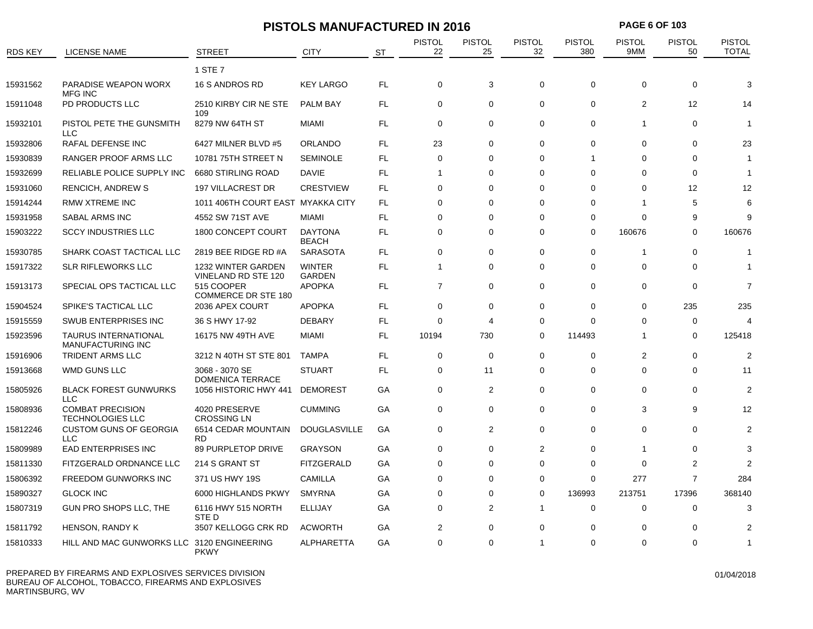|                |                                                    | <b>PISTOLS MANUFACTURED IN 2016</b>       |                                |           |                         |                     |                     | <b>PAGE 6 OF 103</b> |                      |                     |                               |  |
|----------------|----------------------------------------------------|-------------------------------------------|--------------------------------|-----------|-------------------------|---------------------|---------------------|----------------------|----------------------|---------------------|-------------------------------|--|
| <b>RDS KEY</b> | <b>LICENSE NAME</b>                                | <b>STREET</b>                             | <b>CITY</b>                    | <b>ST</b> | <b>PISTOL</b><br>22     | <b>PISTOL</b><br>25 | <b>PISTOL</b><br>32 | <b>PISTOL</b><br>380 | <b>PISTOL</b><br>9MM | <b>PISTOL</b><br>50 | <b>PISTOL</b><br><b>TOTAL</b> |  |
|                |                                                    | 1 STE 7                                   |                                |           |                         |                     |                     |                      |                      |                     |                               |  |
| 15931562       | PARADISE WEAPON WORX<br><b>MFG INC</b>             | 16 S ANDROS RD                            | <b>KEY LARGO</b>               | FL.       | $\mathbf 0$             | 3                   | $\mathbf 0$         | $\mathbf 0$          | $\mathbf 0$          | $\mathbf 0$         | 3                             |  |
| 15911048       | PD PRODUCTS LLC                                    | 2510 KIRBY CIR NE STE<br>109              | <b>PALM BAY</b>                | FL.       | $\mathbf 0$             | 0                   | $\Omega$            | $\mathbf 0$          | $\overline{2}$       | 12                  | 14                            |  |
| 15932101       | PISTOL PETE THE GUNSMITH<br><b>LLC</b>             | 8279 NW 64TH ST                           | <b>MIAMI</b>                   | FL        | $\mathbf 0$             | 0                   | $\mathbf 0$         | $\mathbf 0$          | 1                    | $\mathbf 0$         | 1                             |  |
| 15932806       | <b>RAFAL DEFENSE INC</b>                           | 6427 MILNER BLVD #5                       | <b>ORLANDO</b>                 | FL        | 23                      | 0                   | $\Omega$            | $\Omega$             | $\Omega$             | $\Omega$            | 23                            |  |
| 15930839       | RANGER PROOF ARMS LLC                              | 10781 75TH STREET N                       | <b>SEMINOLE</b>                | FL.       | $\mathbf 0$             | 0                   | $\Omega$            | -1                   | $\Omega$             | $\Omega$            | 1                             |  |
| 15932699       | RELIABLE POLICE SUPPLY INC                         | 6680 STIRLING ROAD                        | DAVIE                          | FL.       | $\mathbf{1}$            | 0                   | $\Omega$            | $\Omega$             | $\Omega$             | $\Omega$            | 1                             |  |
| 15931060       | RENCICH, ANDREW S                                  | <b>197 VILLACREST DR</b>                  | <b>CRESTVIEW</b>               | FL.       | $\Omega$                | $\Omega$            | $\Omega$            | $\Omega$             | $\Omega$             | 12                  | 12                            |  |
| 15914244       | <b>RMW XTREME INC</b>                              | 1011 406TH COURT EAST MYAKKA CITY         |                                | FL.       | $\mathbf 0$             | 0                   | $\Omega$            | $\mathbf 0$          | -1                   | 5                   | 6                             |  |
| 15931958       | SABAL ARMS INC                                     | 4552 SW 71ST AVE                          | <b>MIAMI</b>                   | FL.       | $\mathbf 0$             | 0                   | $\Omega$            | $\Omega$             | $\Omega$             | 9                   | 9                             |  |
| 15903222       | <b>SCCY INDUSTRIES LLC</b>                         | 1800 CONCEPT COURT                        | <b>DAYTONA</b><br><b>BEACH</b> | FL.       | $\mathbf 0$             | 0                   | $\Omega$            | $\mathbf 0$          | 160676               | 0                   | 160676                        |  |
| 15930785       | SHARK COAST TACTICAL LLC                           | 2819 BEE RIDGE RD #A                      | <b>SARASOTA</b>                | FL.       | $\mathbf 0$             | 0                   | $\Omega$            | $\mathbf 0$          | 1                    | $\mathbf 0$         | 1                             |  |
| 15917322       | SLR RIFLEWORKS LLC                                 | 1232 WINTER GARDEN<br>VINELAND RD STE 120 | <b>WINTER</b><br><b>GARDEN</b> | FL        | $\mathbf{1}$            | $\mathbf 0$         | $\Omega$            | $\Omega$             | $\Omega$             | $\Omega$            | 1                             |  |
| 15913173       | SPECIAL OPS TACTICAL LLC                           | 515 COOPER<br><b>COMMERCE DR STE 180</b>  | <b>APOPKA</b>                  | FL        | $\overline{7}$          | 0                   | $\Omega$            | $\Omega$             | $\Omega$             | $\Omega$            | $\overline{7}$                |  |
| 15904524       | SPIKE'S TACTICAL LLC                               | 2036 APEX COURT                           | <b>APOPKA</b>                  | FL        | $\mathbf 0$             | 0                   | $\mathbf 0$         | $\mathbf 0$          | $\mathbf 0$          | 235                 | 235                           |  |
| 15915559       | SWUB ENTERPRISES INC                               | 36 S HWY 17-92                            | <b>DEBARY</b>                  | <b>FL</b> | $\mathbf 0$             | 4                   | $\Omega$            | $\mathbf 0$          | $\Omega$             | $\mathbf 0$         |                               |  |
| 15923596       | TAURUS INTERNATIONAL<br><b>MANUFACTURING INC</b>   | 16175 NW 49TH AVE                         | MIAMI                          | FL        | 10194                   | 730                 | $\Omega$            | 114493               | 1                    | 0                   | 125418                        |  |
| 15916906       | TRIDENT ARMS LLC                                   | 3212 N 40TH ST STE 801                    | <b>TAMPA</b>                   | FL.       | $\mathbf 0$             | 0                   | $\Omega$            | $\mathbf 0$          | $\overline{2}$       | $\Omega$            | $\overline{2}$                |  |
| 15913668       | WMD GUNS LLC                                       | 3068 - 3070 SE<br><b>DOMENICA TERRACE</b> | <b>STUART</b>                  | FL        | 0                       | 11                  | $\Omega$            | $\mathbf 0$          | $\Omega$             | 0                   | 11                            |  |
| 15805926       | <b>BLACK FOREST GUNWURKS</b><br><b>LLC</b>         | 1056 HISTORIC HWY 441                     | <b>DEMOREST</b>                | GA        | $\mathbf 0$             | 2                   | $\Omega$            | $\mathbf 0$          | 0                    | $\Omega$            | $\overline{2}$                |  |
| 15808936       | <b>COMBAT PRECISION</b><br><b>TECHNOLOGIES LLC</b> | 4020 PRESERVE<br><b>CROSSING LN</b>       | <b>CUMMING</b>                 | GA        | $\mathbf 0$             | 0                   | $\Omega$            | $\Omega$             | 3                    | 9                   | 12                            |  |
| 15812246       | <b>CUSTOM GUNS OF GEORGIA</b><br><b>LLC</b>        | 6514 CEDAR MOUNTAIN<br><b>RD</b>          | <b>DOUGLASVILLE</b>            | GA        | $\mathbf 0$             | $\overline{c}$      | 0                   | $\mathbf 0$          | $\Omega$             | $\Omega$            | 2                             |  |
| 15809989       | <b>EAD ENTERPRISES INC</b>                         | 89 PURPLETOP DRIVE                        | <b>GRAYSON</b>                 | GA        | $\mathbf 0$             | 0                   | $\overline{2}$      | $\mathbf 0$          | -1                   | 0                   | 3                             |  |
| 15811330       | FITZGERALD ORDNANCE LLC                            | 214 S GRANT ST                            | <b>FITZGERALD</b>              | GA        | 0                       | 0                   | $\Omega$            | $\mathbf 0$          | 0                    | 2                   |                               |  |
| 15806392       | <b>FREEDOM GUNWORKS INC</b>                        | 371 US HWY 19S                            | <b>CAMILLA</b>                 | GA        | $\mathbf 0$             | $\Omega$            | $\Omega$            | $\mathbf 0$          | 277                  | $\overline{7}$      | 284                           |  |
| 15890327       | <b>GLOCK INC</b>                                   | 6000 HIGHLANDS PKWY                       | <b>SMYRNA</b>                  | GA        | $\mathbf 0$             | 0                   | $\Omega$            | 136993               | 213751               | 17396               | 368140                        |  |
| 15807319       | GUN PRO SHOPS LLC, THE                             | 6116 HWY 515 NORTH<br>STE D               | <b>ELLIJAY</b>                 | GA        | $\mathbf 0$             | 2                   | 1                   | 0                    | 0                    | 0                   | 3                             |  |
| 15811792       | HENSON, RANDY K                                    | 3507 KELLOGG CRK RD                       | <b>ACWORTH</b>                 | GA        | $\overline{\mathbf{c}}$ | 0                   | $\Omega$            | $\mathbf 0$          | 0                    | 0                   |                               |  |
| 15810333       | HILL AND MAC GUNWORKS LLC 3120 ENGINEERING         | <b>PKWY</b>                               | ALPHARETTA                     | GA        | $\mathbf 0$             | 0                   | 1                   | $\mathbf 0$          | $\mathbf 0$          | $\mathbf 0$         |                               |  |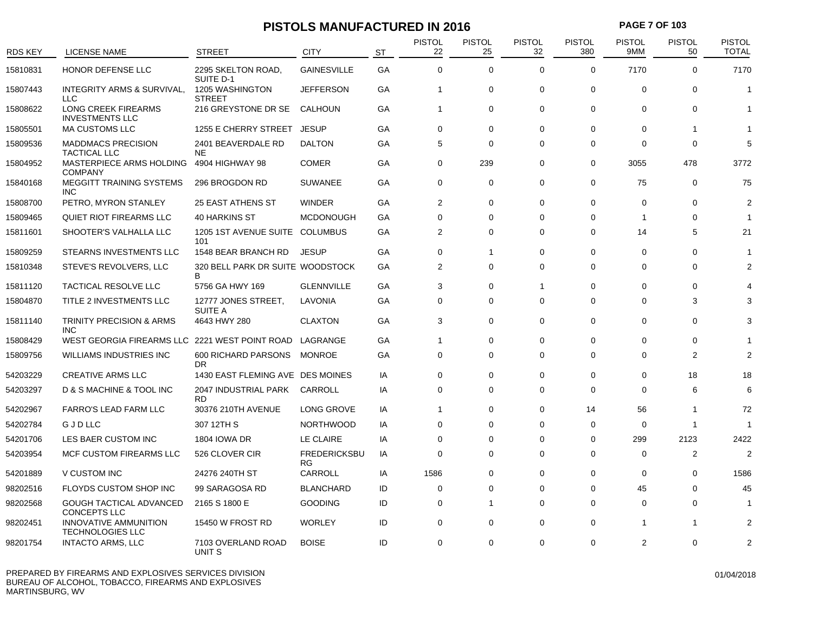### **PISTOLS MANUFACTURED IN 2016 PAGE 7 OF 103**

| <b>RDS KEY</b> |                                                       | <b>STREET</b>                           | <b>CITY</b>                      |           | <b>PISTOL</b><br>22 | <b>PISTOL</b><br>25 | <b>PISTOL</b><br>32 | <b>PISTOL</b><br>380 | <b>PISTOL</b><br>9MM | <b>PISTOL</b><br>50 | <b>PISTOL</b><br><b>TOTAL</b> |
|----------------|-------------------------------------------------------|-----------------------------------------|----------------------------------|-----------|---------------------|---------------------|---------------------|----------------------|----------------------|---------------------|-------------------------------|
|                | <b>LICENSE NAME</b>                                   |                                         |                                  | <b>ST</b> |                     |                     |                     |                      |                      |                     |                               |
| 15810831       | HONOR DEFENSE LLC                                     | 2295 SKELTON ROAD,<br>SUITE D-1         | <b>GAINESVILLE</b>               | GA        | $\mathbf 0$         | $\mathbf 0$         | $\mathbf 0$         | $\mathbf 0$          | 7170                 | $\Omega$            | 7170                          |
| 15807443       | <b>INTEGRITY ARMS &amp; SURVIVAL,</b><br><b>LLC</b>   | <b>1205 WASHINGTON</b><br><b>STREET</b> | <b>JEFFERSON</b>                 | GA        | $\overline{1}$      | 0                   | $\mathbf 0$         | $\Omega$             | $\Omega$             | $\Omega$            | $\overline{1}$                |
| 15808622       | LONG CREEK FIREARMS<br><b>INVESTMENTS LLC</b>         | 216 GREYSTONE DR SE                     | <b>CALHOUN</b>                   | GA        | $\overline{1}$      | $\mathbf 0$         | $\mathbf 0$         | $\mathbf 0$          | $\Omega$             | 0                   |                               |
| 15805501       | <b>MA CUSTOMS LLC</b>                                 | 1255 E CHERRY STREET                    | <b>JESUP</b>                     | GA        | 0                   | 0                   | $\mathbf 0$         | 0                    | $\mathbf 0$          | -1                  |                               |
| 15809536       | <b>MADDMACS PRECISION</b><br><b>TACTICAL LLC</b>      | 2401 BEAVERDALE RD<br><b>NE</b>         | <b>DALTON</b>                    | GA        | 5                   | $\mathbf 0$         | $\Omega$            | $\mathbf 0$          | $\Omega$             | $\Omega$            | 5                             |
| 15804952       | MASTERPIECE ARMS HOLDING<br><b>COMPANY</b>            | 4904 HIGHWAY 98                         | <b>COMER</b>                     | GA        | 0                   | 239                 | $\Omega$            | 0                    | 3055                 | 478                 | 3772                          |
| 15840168       | <b>MEGGITT TRAINING SYSTEMS</b><br><b>INC</b>         | 296 BROGDON RD                          | <b>SUWANEE</b>                   | GA        | $\mathbf 0$         | 0                   | $\mathbf 0$         | $\mathbf 0$          | 75                   | $\mathbf 0$         | 75                            |
| 15808700       | PETRO, MYRON STANLEY                                  | <b>25 EAST ATHENS ST</b>                | <b>WINDER</b>                    | GA        | 2                   | 0                   | $\mathbf 0$         | $\mathbf 0$          | 0                    | 0                   | $\overline{2}$                |
| 15809465       | QUIET RIOT FIREARMS LLC                               | 40 HARKINS ST                           | <b>MCDONOUGH</b>                 | GA        | $\Omega$            | 0                   | $\Omega$            | 0                    | -1                   | $\Omega$            |                               |
| 15811601       | SHOOTER'S VALHALLA LLC                                | 1205 1ST AVENUE SUITE COLUMBUS<br>101   |                                  | GA        | 2                   | 0                   | $\Omega$            | $\mathbf 0$          | 14                   | 5                   | 21                            |
| 15809259       | STEARNS INVESTMENTS LLC                               | 1548 BEAR BRANCH RD                     | <b>JESUP</b>                     | GA        | $\mathbf 0$         | $\mathbf{1}$        | $\mathbf 0$         | $\mathbf 0$          | $\mathbf 0$          | 0                   |                               |
| 15810348       | STEVE'S REVOLVERS, LLC                                | 320 BELL PARK DR SUITE WOODSTOCK<br>B   |                                  | GA        | 2                   | $\mathbf 0$         | $\mathbf 0$         | $\mathbf 0$          | $\Omega$             | $\Omega$            | $\overline{2}$                |
| 15811120       | TACTICAL RESOLVE LLC                                  | 5756 GA HWY 169                         | <b>GLENNVILLE</b>                | GA        | 3                   | $\Omega$            | 1                   | $\Omega$             | $\Omega$             | $\Omega$            |                               |
| 15804870       | TITLE 2 INVESTMENTS LLC                               | 12777 JONES STREET,<br><b>SUITE A</b>   | LAVONIA                          | GA        | $\mathbf 0$         | 0                   | $\mathbf 0$         | $\mathbf 0$          | $\Omega$             | 3                   | З                             |
| 15811140       | <b>TRINITY PRECISION &amp; ARMS</b><br>INC.           | 4643 HWY 280                            | <b>CLAXTON</b>                   | GA        | 3                   | 0                   | $\Omega$            | $\Omega$             | $\Omega$             | $\Omega$            |                               |
| 15808429       | WEST GEORGIA FIREARMS LLC                             | 2221 WEST POINT ROAD                    | LAGRANGE                         | GA        | $\overline{1}$      | 0                   | $\mathbf 0$         | $\Omega$             | $\Omega$             | $\Omega$            |                               |
| 15809756       | WILLIAMS INDUSTRIES INC                               | 600 RICHARD PARSONS<br>DR               | MONROE                           | GA        | $\Omega$            | $\mathbf 0$         | $\Omega$            | $\mathbf 0$          | $\Omega$             | $\overline{2}$      | $\overline{2}$                |
| 54203229       | <b>CREATIVE ARMS LLC</b>                              | 1430 EAST FLEMING AVE DES MOINES        |                                  | IA        | 0                   | 0                   | $\mathbf 0$         | 0                    | $\Omega$             | 18                  | 18                            |
| 54203297       | D & S MACHINE & TOOL INC                              | 2047 INDUSTRIAL PARK<br><b>RD</b>       | CARROLL                          | IA        | $\Omega$            | $\mathbf 0$         | $\Omega$            | $\Omega$             | $\Omega$             | 6                   | 6                             |
| 54202967       | <b>FARRO'S LEAD FARM LLC</b>                          | 30376 210TH AVENUE                      | LONG GROVE                       | IA        | $\overline{1}$      | 0                   | 0                   | 14                   | 56                   | -1                  | 72                            |
| 54202784       | GJDLLC                                                | 307 12TH S                              | <b>NORTHWOOD</b>                 | IA        | $\Omega$            | 0                   | $\Omega$            | $\mathbf 0$          | $\mathbf 0$          | -1                  |                               |
| 54201706       | LES BAER CUSTOM INC                                   | <b>1804 IOWA DR</b>                     | LE CLAIRE                        | IA        | $\Omega$            | $\mathbf 0$         | $\Omega$            | 0                    | 299                  | 2123                | 2422                          |
| 54203954       | MCF CUSTOM FIREARMS LLC                               | 526 CLOVER CIR                          | <b>FREDERICKSBU</b><br><b>RG</b> | IA        | $\Omega$            | $\mathbf 0$         | $\Omega$            | $\mathbf 0$          | $\Omega$             | 2                   | $\overline{2}$                |
| 54201889       | V CUSTOM INC                                          | 24276 240TH ST                          | CARROLL                          | IA        | 1586                | 0                   | $\mathbf 0$         | 0                    | $\mathbf 0$          | $\Omega$            | 1586                          |
| 98202516       | FLOYDS CUSTOM SHOP INC                                | 99 SARAGOSA RD                          | <b>BLANCHARD</b>                 | ID        | $\Omega$            | $\mathbf 0$         | $\Omega$            | 0                    | 45                   | $\Omega$            | 45                            |
| 98202568       | <b>GOUGH TACTICAL ADVANCED</b><br><b>CONCEPTS LLC</b> | 2165 S 1800 E                           | <b>GOODING</b>                   | ID        | 0                   | $\mathbf 1$         | $\mathbf 0$         | $\Omega$             | $\Omega$             | $\Omega$            |                               |
| 98202451       | INNOVATIVE AMMUNITION<br><b>TECHNOLOGIES LLC</b>      | 15450 W FROST RD                        | <b>WORLEY</b>                    | ID        | $\mathbf 0$         | 0                   | $\mathbf 0$         | $\mathbf 0$          |                      | -1                  | $\overline{2}$                |
| 98201754       | <b>INTACTO ARMS, LLC</b>                              | 7103 OVERLAND ROAD<br>UNIT S            | <b>BOISE</b>                     | ID        | 0                   | 0                   | $\mathbf 0$         | 0                    | $\overline{2}$       | 0                   | $\overline{2}$                |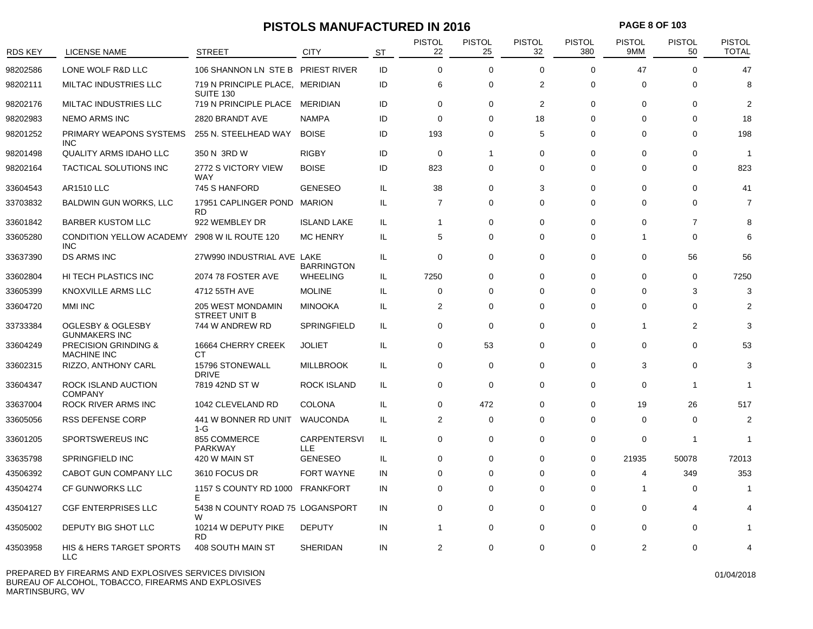### **PISTOLS MANUFACTURED IN 2016 PAGE 8 OF 103**

| <b>RDS KEY</b> | <b>LICENSE NAME</b>                                       | <b>STREET</b>                                       | <b>CITY</b>                | <b>ST</b> | <b>PISTOL</b><br>22 | <b>PISTOL</b><br>25 | <b>PISTOL</b><br>32 | <b>PISTOL</b><br>380 | <b>PISTOL</b><br>9MM | <b>PISTOL</b><br>50 | <b>PISTOL</b><br><b>TOTAL</b> |
|----------------|-----------------------------------------------------------|-----------------------------------------------------|----------------------------|-----------|---------------------|---------------------|---------------------|----------------------|----------------------|---------------------|-------------------------------|
| 98202586       | LONE WOLF R&D LLC                                         | 106 SHANNON LN STE B PRIEST RIVER                   |                            | ID        | $\Omega$            | $\mathbf 0$         | $\Omega$            | $\Omega$             | 47                   | $\Omega$            | 47                            |
| 98202111       | MILTAC INDUSTRIES LLC                                     | 719 N PRINCIPLE PLACE, MERIDIAN<br><b>SUITE 130</b> |                            | ID        | 6                   | $\mathbf 0$         | $\overline{2}$      | $\mathbf 0$          | $\Omega$             | $\Omega$            | 8                             |
| 98202176       | <b>MILTAC INDUSTRIES LLC</b>                              | 719 N PRINCIPLE PLACE MERIDIAN                      |                            | ID        | 0                   | $\Omega$            | 2                   | $\Omega$             | $\mathbf 0$          | $\Omega$            | 2                             |
| 98202983       | <b>NEMO ARMS INC</b>                                      | 2820 BRANDT AVE                                     | <b>NAMPA</b>               | ID        | $\Omega$            | $\Omega$            | 18                  | $\Omega$             | $\Omega$             | $\Omega$            | 18                            |
| 98201252       | PRIMARY WEAPONS SYSTEMS<br><b>INC</b>                     | 255 N. STEELHEAD WAY                                | <b>BOISE</b>               | ID        | 193                 | 0                   | 5                   | $\Omega$             | $\Omega$             | $\Omega$            | 198                           |
| 98201498       | <b>QUALITY ARMS IDAHO LLC</b>                             | 350 N 3RD W                                         | <b>RIGBY</b>               | ID        | $\mathbf 0$         | 1                   | $\mathbf 0$         | 0                    | $\Omega$             | $\Omega$            | -1                            |
| 98202164       | TACTICAL SOLUTIONS INC                                    | 2772 S VICTORY VIEW<br><b>WAY</b>                   | <b>BOISE</b>               | ID        | 823                 | 0                   | $\Omega$            | $\Omega$             | $\Omega$             | $\Omega$            | 823                           |
| 33604543       | <b>AR1510 LLC</b>                                         | 745 S HANFORD                                       | <b>GENESEO</b>             | IL.       | 38                  | $\Omega$            | 3                   | $\Omega$             | $\Omega$             | $\Omega$            | 41                            |
| 33703832       | <b>BALDWIN GUN WORKS, LLC</b>                             | 17951 CAPLINGER POND MARION<br><b>RD</b>            |                            | IL        | $\overline{7}$      | $\Omega$            | $\Omega$            | $\Omega$             | 0                    | $\Omega$            | 7                             |
| 33601842       | <b>BARBER KUSTOM LLC</b>                                  | 922 WEMBLEY DR                                      | <b>ISLAND LAKE</b>         | IL        | $\mathbf{1}$        | 0                   | $\Omega$            | $\Omega$             | $\Omega$             | $\overline{7}$      | 8                             |
| 33605280       | CONDITION YELLOW ACADEMY 2908 WIL ROUTE 120<br><b>INC</b> |                                                     | <b>MC HENRY</b>            | IL.       | 5                   | 0                   | $\Omega$            | $\Omega$             | 1                    | $\Omega$            | 6                             |
| 33637390       | <b>DS ARMS INC</b>                                        | 27W990 INDUSTRIAL AVE LAKE                          | <b>BARRINGTON</b>          | IL.       | 0                   | $\Omega$            | $\mathbf 0$         | 0                    | 0                    | 56                  | 56                            |
| 33602804       | HI TECH PLASTICS INC                                      | 2074 78 FOSTER AVE                                  | <b>WHEELING</b>            | IL.       | 7250                | $\Omega$            | 0                   | 0                    | $\Omega$             | 0                   | 7250                          |
| 33605399       | KNOXVILLE ARMS LLC                                        | 4712 55TH AVE                                       | <b>MOLINE</b>              | IL        | 0                   | 0                   | $\Omega$            | 0                    | $\Omega$             | 3                   | 3                             |
| 33604720       | <b>MMI INC</b>                                            | <b>205 WEST MONDAMIN</b><br>STREET UNIT B           | <b>MINOOKA</b>             | IL.       | $\overline{2}$      | $\Omega$            | $\Omega$            | $\Omega$             | $\Omega$             | $\Omega$            |                               |
| 33733384       | OGLESBY & OGLESBY<br><b>GUNMAKERS INC</b>                 | 744 W ANDREW RD                                     | SPRINGFIELD                | IL.       | 0                   | $\mathbf 0$         | $\mathbf 0$         | 0                    | -1                   | 2                   | З                             |
| 33604249       | <b>PRECISION GRINDING &amp;</b><br><b>MACHINE INC</b>     | 16664 CHERRY CREEK<br><b>CT</b>                     | <b>JOLIET</b>              | IL.       | 0                   | 53                  | $\mathbf 0$         | $\mathbf 0$          | $\Omega$             | $\Omega$            | 53                            |
| 33602315       | RIZZO, ANTHONY CARL                                       | 15796 STONEWALL<br><b>DRIVE</b>                     | <b>MILLBROOK</b>           | IL.       | 0                   | $\mathbf 0$         | $\mathbf 0$         | $\mathbf 0$          | 3                    | 0                   | 3                             |
| 33604347       | ROCK ISLAND AUCTION<br><b>COMPANY</b>                     | 7819 42ND ST W                                      | <b>ROCK ISLAND</b>         | IL.       | $\mathbf 0$         | $\mathbf 0$         | $\Omega$            | $\Omega$             | $\Omega$             | -1                  | 1                             |
| 33637004       | ROCK RIVER ARMS INC                                       | 1042 CLEVELAND RD                                   | <b>COLONA</b>              | IL.       | 0                   | 472                 | $\Omega$            | 0                    | 19                   | 26                  | 517                           |
| 33605056       | <b>RSS DEFENSE CORP</b>                                   | 441 W BONNER RD UNIT<br>$1-G$                       | <b>WAUCONDA</b>            | IL.       | $\overline{2}$      | $\mathbf 0$         | $\Omega$            | $\Omega$             | $\Omega$             | $\Omega$            | $\overline{2}$                |
| 33601205       | SPORTSWEREUS INC                                          | 855 COMMERCE<br><b>PARKWAY</b>                      | <b>CARPENTERSVI</b><br>LLE | IL.       | 0                   | 0                   | $\Omega$            | 0                    | $\Omega$             | -1                  | 1                             |
| 33635798       | SPRINGFIELD INC                                           | 420 W MAIN ST                                       | <b>GENESEO</b>             | IL.       | 0                   | 0                   | 0                   | 0                    | 21935                | 50078               | 72013                         |
| 43506392       | CABOT GUN COMPANY LLC                                     | 3610 FOCUS DR                                       | <b>FORT WAYNE</b>          | IN        | 0                   | $\Omega$            | $\Omega$            | $\Omega$             | 4                    | 349                 | 353                           |
| 43504274       | CF GUNWORKS LLC                                           | 1157 S COUNTY RD 1000<br>Е                          | <b>FRANKFORT</b>           | IN        | 0                   | 0                   | $\Omega$            | $\Omega$             | -1                   | $\Omega$            | 1                             |
| 43504127       | <b>CGF ENTERPRISES LLC</b>                                | 5438 N COUNTY ROAD 75 LOGANSPORT<br>W               |                            | IN        | 0                   | 0                   | $\mathbf 0$         | 0                    | 0                    | 4                   |                               |
| 43505002       | DEPUTY BIG SHOT LLC                                       | 10214 W DEPUTY PIKE<br><b>RD</b>                    | <b>DEPUTY</b>              | IN        | -1                  | 0                   | 0                   | 0                    | $\Omega$             | 0                   |                               |
| 43503958       | HIS & HERS TARGET SPORTS<br><b>LLC</b>                    | 408 SOUTH MAIN ST                                   | <b>SHERIDAN</b>            | IN        | 2                   | $\Omega$            | $\Omega$            | 0                    | 2                    | $\Omega$            |                               |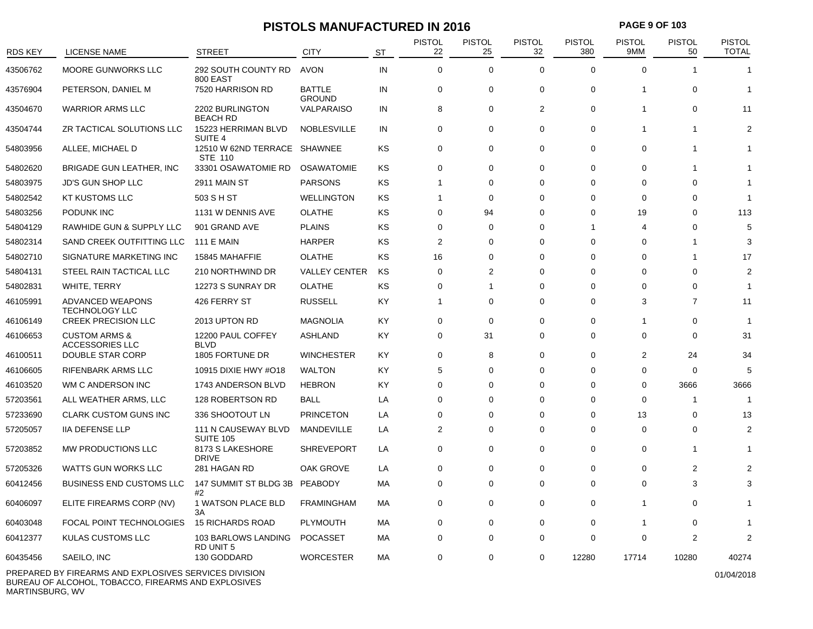### **PISTOLS MANUFACTURED IN 2016 PAGE 9 OF 103**

| <b>RDS KEY</b> | <b>LICENSE NAME</b>                                                                                | <b>STREET</b>                                        | <b>CITY</b>                    | <b>ST</b> | <b>PISTOL</b><br>22 | <b>PISTOL</b><br>25 | <b>PISTOL</b><br>32 | <b>PISTOL</b><br>380     | PISTOL<br>9MM  | <b>PISTOL</b><br>50 | <b>PISTOL</b><br><b>TOTAL</b> |
|----------------|----------------------------------------------------------------------------------------------------|------------------------------------------------------|--------------------------------|-----------|---------------------|---------------------|---------------------|--------------------------|----------------|---------------------|-------------------------------|
| 43506762       | MOORE GUNWORKS LLC                                                                                 | 292 SOUTH COUNTY RD<br>800 EAST                      | <b>AVON</b>                    | IN        | $\Omega$            | $\Omega$            | $\Omega$            | $\Omega$                 | $\Omega$       |                     |                               |
| 43576904       | PETERSON, DANIEL M                                                                                 | 7520 HARRISON RD                                     | <b>BATTLE</b><br><b>GROUND</b> | IN        | $\mathbf 0$         | $\mathbf 0$         | $\mathbf 0$         | $\mathbf 0$              | 1              | $\Omega$            | 1                             |
| 43504670       | <b>WARRIOR ARMS LLC</b>                                                                            | 2202 BURLINGTON<br><b>BEACH RD</b>                   | VALPARAISO                     | IN        | 8                   | $\mathbf 0$         | 2                   | $\mathbf 0$              | 1              | $\mathbf 0$         | 11                            |
| 43504744       | ZR TACTICAL SOLUTIONS LLC                                                                          | 15223 HERRIMAN BLVD<br>SUITE <sub>4</sub>            | <b>NOBLESVILLE</b>             | IN        | $\mathbf 0$         | $\mathbf 0$         | $\mathbf 0$         | 0                        | 1              | 1                   | $\overline{2}$                |
| 54803956       | ALLEE, MICHAEL D                                                                                   | 12510 W 62ND TERRACE SHAWNEE<br>STE 110              |                                | <b>KS</b> | $\mathbf 0$         | $\mathbf 0$         | $\mathbf 0$         | 0                        | 0              |                     |                               |
| 54802620       | BRIGADE GUN LEATHER, INC                                                                           | 33301 OSAWATOMIE RD                                  | <b>OSAWATOMIE</b>              | KS        | $\Omega$            | $\Omega$            | $\Omega$            | $\Omega$                 | $\Omega$       |                     |                               |
| 54803975       | <b>JD'S GUN SHOP LLC</b>                                                                           | 2911 MAIN ST                                         | <b>PARSONS</b>                 | KS        | 1                   | 0                   | $\mathbf 0$         | 0                        | 0              | 0                   |                               |
| 54802542       | <b>KT KUSTOMS LLC</b>                                                                              | 503 S H ST                                           | <b>WELLINGTON</b>              | <b>KS</b> | $\overline{1}$      | 0                   | $\mathbf 0$         | 0                        | $\Omega$       | $\Omega$            | 1                             |
| 54803256       | PODUNK INC                                                                                         | 1131 W DENNIS AVE                                    | <b>OLATHE</b>                  | <b>KS</b> | $\Omega$            | 94                  | $\Omega$            | $\Omega$                 | 19             | $\Omega$            | 113                           |
| 54804129       | RAWHIDE GUN & SUPPLY LLC                                                                           | 901 GRAND AVE                                        | <b>PLAINS</b>                  | <b>KS</b> | $\Omega$            | 0                   | $\Omega$            | $\overline{\phantom{a}}$ | 4              | $\Omega$            | 5                             |
| 54802314       | SAND CREEK OUTFITTING LLC                                                                          | <b>111 E MAIN</b>                                    | <b>HARPER</b>                  | KS        | $\overline{2}$      | $\Omega$            | $\Omega$            | $\Omega$                 | $\Omega$       |                     | 3                             |
| 54802710       | SIGNATURE MARKETING INC                                                                            | 15845 MAHAFFIE                                       | <b>OLATHE</b>                  | <b>KS</b> | 16                  | $\Omega$            | $\Omega$            | $\Omega$                 | $\Omega$       | -1                  | 17                            |
| 54804131       | STEEL RAIN TACTICAL LLC                                                                            | 210 NORTHWIND DR                                     | <b>VALLEY CENTER</b>           | KS        | 0                   | $\overline{2}$      | $\Omega$            | $\Omega$                 | $\Omega$       | $\Omega$            | $\overline{2}$                |
| 54802831       | WHITE, TERRY                                                                                       | 12273 S SUNRAY DR                                    | <b>OLATHE</b>                  | <b>KS</b> | $\mathbf 0$         | $\overline{1}$      | $\mathbf 0$         | 0                        | $\Omega$       | $\Omega$            | 1                             |
| 46105991       | ADVANCED WEAPONS<br><b>TECHNOLOGY LLC</b>                                                          | 426 FERRY ST                                         | <b>RUSSELL</b>                 | KY        | $\overline{1}$      | $\Omega$            | $\mathbf 0$         | 0                        | 3              | $\overline{7}$      | 11                            |
| 46106149       | <b>CREEK PRECISION LLC</b>                                                                         | 2013 UPTON RD                                        | <b>MAGNOLIA</b>                | KY        | $\Omega$            | $\Omega$            | $\Omega$            | $\Omega$                 | 1              | $\Omega$            | 1                             |
| 46106653       | <b>CUSTOM ARMS &amp;</b><br><b>ACCESSORIES LLC</b>                                                 | 12200 PAUL COFFEY<br><b>BLVD</b>                     | <b>ASHLAND</b>                 | KY        | $\mathbf 0$         | 31                  | $\mathbf 0$         | $\mathbf 0$              | $\Omega$       | $\Omega$            | 31                            |
| 46100511       | DOUBLE STAR CORP                                                                                   | 1805 FORTUNE DR                                      | <b>WINCHESTER</b>              | KY        | $\Omega$            | 8                   | $\Omega$            | $\Omega$                 | $\overline{2}$ | 24                  | 34                            |
| 46106605       | <b>RIFENBARK ARMS LLC</b>                                                                          | 10915 DIXIE HWY #O18                                 | <b>WALTON</b>                  | KY        | 5                   | $\mathbf 0$         | $\mathbf 0$         | $\mathbf 0$              | 0              | $\mathbf 0$         | 5                             |
| 46103520       | WM C ANDERSON INC                                                                                  | 1743 ANDERSON BLVD                                   | <b>HEBRON</b>                  | KY        | $\mathbf 0$         | 0                   | $\Omega$            | $\Omega$                 | 0              | 3666                | 3666                          |
| 57203561       | ALL WEATHER ARMS, LLC                                                                              | 128 ROBERTSON RD                                     | <b>BALL</b>                    | LA        | $\mathbf 0$         | $\Omega$            | $\Omega$            | 0                        | $\Omega$       | -1                  | 1                             |
| 57233690       | <b>CLARK CUSTOM GUNS INC</b>                                                                       | 336 SHOOTOUT LN                                      | <b>PRINCETON</b>               | LA        | $\mathbf 0$         | $\Omega$            | $\mathbf 0$         | 0                        | 13             | $\Omega$            | 13                            |
| 57205057       | <b>IIA DEFENSE LLP</b>                                                                             | 111 N CAUSEWAY BLVD                                  | MANDEVILLE                     | LA        | $\overline{2}$      | $\Omega$            | $\Omega$            | $\Omega$                 | $\Omega$       | $\Omega$            | $\mathfrak{p}$                |
| 57203852       | MW PRODUCTIONS LLC                                                                                 | <b>SUITE 105</b><br>8173 S LAKESHORE<br><b>DRIVE</b> | <b>SHREVEPORT</b>              | LA        | $\mathbf 0$         | $\Omega$            | $\Omega$            | $\Omega$                 | $\Omega$       |                     |                               |
| 57205326       | WATTS GUN WORKS LLC                                                                                | 281 HAGAN RD                                         | OAK GROVE                      | LA        | $\mathbf 0$         | $\mathbf 0$         | $\mathbf 0$         | 0                        | 0              | $\overline{2}$      |                               |
| 60412456       | <b>BUSINESS END CUSTOMS LLC</b>                                                                    | 147 SUMMIT ST BLDG 3B<br>#2                          | <b>PEABODY</b>                 | МA        | 0                   | $\Omega$            | $\Omega$            | $\Omega$                 | $\Omega$       | 3                   | 3                             |
| 60406097       | ELITE FIREARMS CORP (NV)                                                                           | 1 WATSON PLACE BLD<br>3A                             | <b>FRAMINGHAM</b>              | МA        | 0                   | 0                   | 0                   | 0                        | 1              | $\Omega$            |                               |
| 60403048       | FOCAL POINT TECHNOLOGIES                                                                           | <b>15 RICHARDS ROAD</b>                              | PLYMOUTH                       | MA        | $\mathbf 0$         | $\mathbf 0$         | $\mathbf 0$         | $\mathbf 0$              | -1             | $\mathbf 0$         |                               |
| 60412377       | KULAS CUSTOMS LLC                                                                                  | 103 BARLOWS LANDING<br><b>RD UNIT 5</b>              | <b>POCASSET</b>                | МA        | 0                   | 0                   | $\mathbf 0$         | 0                        | $\Omega$       | $\overline{2}$      | 2                             |
| 60435456       | SAEILO, INC                                                                                        | 130 GODDARD                                          | <b>WORCESTER</b>               | MA        | $\Omega$            | $\Omega$            | $\Omega$            | 12280                    | 17714          | 10280               | 40274                         |
|                | $\cdots$ $\cdots$ $\cdots$ $\cdots$ $\cdots$ $\cdots$ $\cdots$ $\cdots$ $\cdots$ $\cdots$ $\cdots$ |                                                      |                                |           |                     |                     |                     |                          |                |                     |                               |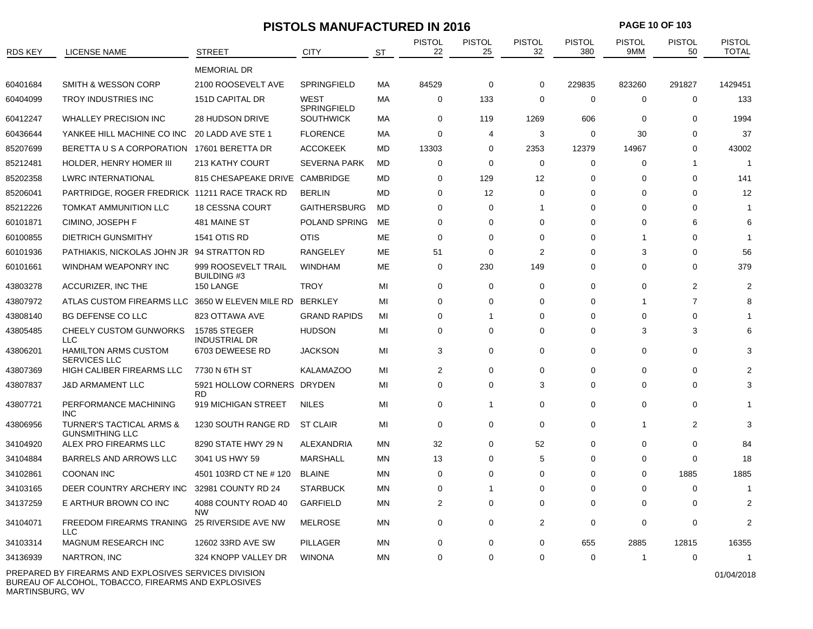| PAGE 10 OF 103<br><b>PISTOLS MANUFACTURED IN 2016</b> |                                                               |                                           |                                   |           |                     |                     |                     |                      |                      |                     |                               |
|-------------------------------------------------------|---------------------------------------------------------------|-------------------------------------------|-----------------------------------|-----------|---------------------|---------------------|---------------------|----------------------|----------------------|---------------------|-------------------------------|
| <b>RDS KEY</b>                                        | <b>LICENSE NAME</b>                                           | <b>STREET</b>                             | <b>CITY</b>                       | ST        | <b>PISTOL</b><br>22 | <b>PISTOL</b><br>25 | <b>PISTOL</b><br>32 | <b>PISTOL</b><br>380 | <b>PISTOL</b><br>9MM | <b>PISTOL</b><br>50 | <b>PISTOL</b><br><b>TOTAL</b> |
|                                                       |                                                               | <b>MEMORIAL DR</b>                        |                                   |           |                     |                     |                     |                      |                      |                     |                               |
| 60401684                                              | <b>SMITH &amp; WESSON CORP</b>                                | 2100 ROOSEVELT AVE                        | <b>SPRINGFIELD</b>                | МA        | 84529               | 0                   | 0                   | 229835               | 823260               | 291827              | 1429451                       |
| 60404099                                              | <b>TROY INDUSTRIES INC</b>                                    | 151D CAPITAL DR                           | <b>WEST</b><br><b>SPRINGFIELD</b> | МA        | 0                   | 133                 | 0                   | 0                    | $\mathbf 0$          | 0                   | 133                           |
| 60412247                                              | <b>WHALLEY PRECISION INC</b>                                  | <b>28 HUDSON DRIVE</b>                    | <b>SOUTHWICK</b>                  | МA        | 0                   | 119                 | 1269                | 606                  | $\Omega$             | $\Omega$            | 1994                          |
| 60436644                                              | YANKEE HILL MACHINE CO INC                                    | 20 LADD AVE STE 1                         | <b>FLORENCE</b>                   | МA        | 0                   | 4                   | 3                   | 0                    | 30                   | $\Omega$            | 37                            |
| 85207699                                              | BERETTA U S A CORPORATION                                     | 17601 BERETTA DR                          | <b>ACCOKEEK</b>                   | MD        | 13303               | 0                   | 2353                | 12379                | 14967                | 0                   | 43002                         |
| 85212481                                              | HOLDER, HENRY HOMER III                                       | 213 KATHY COURT                           | <b>SEVERNA PARK</b>               | MD        | 0                   | 0                   | 0                   | 0                    | 0                    |                     |                               |
| 85202358                                              | <b>LWRC INTERNATIONAL</b>                                     | 815 CHESAPEAKE DRIVE CAMBRIDGE            |                                   | MD        | 0                   | 129                 | 12                  | $\Omega$             | $\Omega$             | $\Omega$            | 141                           |
| 85206041                                              | PARTRIDGE, ROGER FREDRICK 11211 RACE TRACK RD                 |                                           | <b>BERLIN</b>                     | MD        | 0                   | 12                  | 0                   | $\Omega$             | $\Omega$             | $\Omega$            | 12                            |
| 85212226                                              | TOMKAT AMMUNITION LLC                                         | <b>18 CESSNA COURT</b>                    | <b>GAITHERSBURG</b>               | MD        | 0                   | 0                   | 1                   | 0                    | $\Omega$             | $\Omega$            |                               |
| 60101871                                              | CIMINO, JOSEPH F                                              | 481 MAINE ST                              | POLAND SPRING                     | ME        | 0                   | 0                   | 0                   | 0                    | $\Omega$             | 6                   | 6                             |
| 60100855                                              | DIETRICH GUNSMITHY                                            | 1541 OTIS RD                              | <b>OTIS</b>                       | ME        | 0                   | 0                   | 0                   | 0                    |                      | 0                   |                               |
| 60101936                                              | PATHIAKIS, NICKOLAS JOHN JR 94 STRATTON RD                    |                                           | <b>RANGELEY</b>                   | <b>ME</b> | 51                  | 0                   | $\overline{2}$      | $\Omega$             | 3                    | $\Omega$            | 56                            |
| 60101661                                              | <b>WINDHAM WEAPONRY INC</b>                                   | 999 ROOSEVELT TRAIL<br><b>BUILDING #3</b> | <b>WINDHAM</b>                    | <b>ME</b> | 0                   | 230                 | 149                 | $\Omega$             | $\Omega$             | 0                   | 379                           |
| 43803278                                              | ACCURIZER, INC THE                                            | 150 LANGE                                 | <b>TROY</b>                       | MI        | 0                   | 0                   | 0                   | 0                    | 0                    | 2                   | $\overline{2}$                |
| 43807972                                              | ATLAS CUSTOM FIREARMS LLC                                     | 3650 W ELEVEN MILE RD BERKLEY             |                                   | MI        | $\Omega$            | 0                   | 0                   | $\Omega$             |                      | $\overline{7}$      | 8                             |
| 43808140                                              | <b>BG DEFENSE CO LLC</b>                                      | 823 OTTAWA AVE                            | <b>GRAND RAPIDS</b>               | MI        | 0                   |                     | 0                   | $\Omega$             | $\Omega$             | $\Omega$            |                               |
| 43805485                                              | <b>CHEELY CUSTOM GUNWORKS</b><br>LLC                          | 15785 STEGER<br><b>INDUSTRIAL DR</b>      | <b>HUDSON</b>                     | MI        | 0                   | 0                   | 0                   | 0                    | 3                    | 3                   | 6                             |
| 43806201                                              | <b>HAMILTON ARMS CUSTOM</b><br><b>SERVICES LLC</b>            | 6703 DEWEESE RD                           | <b>JACKSON</b>                    | MI        | 3                   | $\mathbf 0$         | 0                   | 0                    | $\Omega$             | $\Omega$            | 3                             |
| 43807369                                              | HIGH CALIBER FIREARMS LLC                                     | 7730 N 6TH ST                             | <b>KALAMAZOO</b>                  | MI        | 2                   | 0                   | 0                   | 0                    | $\Omega$             | $\Omega$            | $\overline{2}$                |
| 43807837                                              | <b>J&amp;D ARMAMENT LLC</b>                                   | 5921 HOLLOW CORNERS DRYDEN<br><b>RD</b>   |                                   | ΜI        | 0                   | 0                   | 3                   | 0                    | $\Omega$             | 0                   | 3                             |
| 43807721                                              | PERFORMANCE MACHINING<br><b>INC</b>                           | 919 MICHIGAN STREET                       | <b>NILES</b>                      | MI        | 0                   | $\mathbf{1}$        | 0                   | 0                    | $\Omega$             | $\Omega$            |                               |
| 43806956                                              | <b>TURNER'S TACTICAL ARMS &amp;</b><br><b>GUNSMITHING LLC</b> | 1230 SOUTH RANGE RD                       | <b>ST CLAIR</b>                   | MI        | 0                   | 0                   | 0                   | 0                    |                      | 2                   | 3                             |
| 34104920                                              | ALEX PRO FIREARMS LLC                                         | 8290 STATE HWY 29 N                       | ALEXANDRIA                        | MN        | 32                  | 0                   | 52                  | 0                    | $\Omega$             | $\Omega$            | 84                            |
| 34104884                                              | BARRELS AND ARROWS LLC                                        | 3041 US HWY 59                            | <b>MARSHALL</b>                   | ΜN        | 13                  | 0                   | 5                   | 0                    | $\Omega$             | 0                   | 18                            |
| 34102861                                              | <b>COONAN INC</b>                                             | 4501 103RD CT NE # 120                    | <b>BLAINE</b>                     | ΜN        | 0                   | 0                   | 0                   | $\Omega$             | $\Omega$             | 1885                | 1885                          |
| 34103165                                              | DEER COUNTRY ARCHERY INC                                      | 32981 COUNTY RD 24                        | <b>STARBUCK</b>                   | MN        | 0                   | $\mathbf{1}$        | 0                   | 0                    | 0                    | 0                   |                               |
| 34137259                                              | E ARTHUR BROWN CO INC                                         | 4088 COUNTY ROAD 40<br><b>NW</b>          | <b>GARFIELD</b>                   | <b>MN</b> | 2                   | 0                   | 0                   | 0                    | 0                    | 0                   | 2                             |
| 34104071                                              | FREEDOM FIREARMS TRANING<br>LLC                               | 25 RIVERSIDE AVE NW                       | <b>MELROSE</b>                    | MN        | 0                   | 0                   | 2                   | 0                    | 0                    | 0                   | 2                             |
| 34103314                                              | MAGNUM RESEARCH INC                                           | 12602 33RD AVE SW                         | PILLAGER                          | MN        | 0                   | 0                   | 0                   | 655                  | 2885                 | 12815               | 16355                         |
| 34136939                                              | NARTRON, INC                                                  | 324 KNOPP VALLEY DR                       | <b>WINONA</b>                     | MN        | $\pmb{0}$           | 0                   | 0                   | 0                    | $\mathbf{1}$         | 0                   | $\mathbf{1}$                  |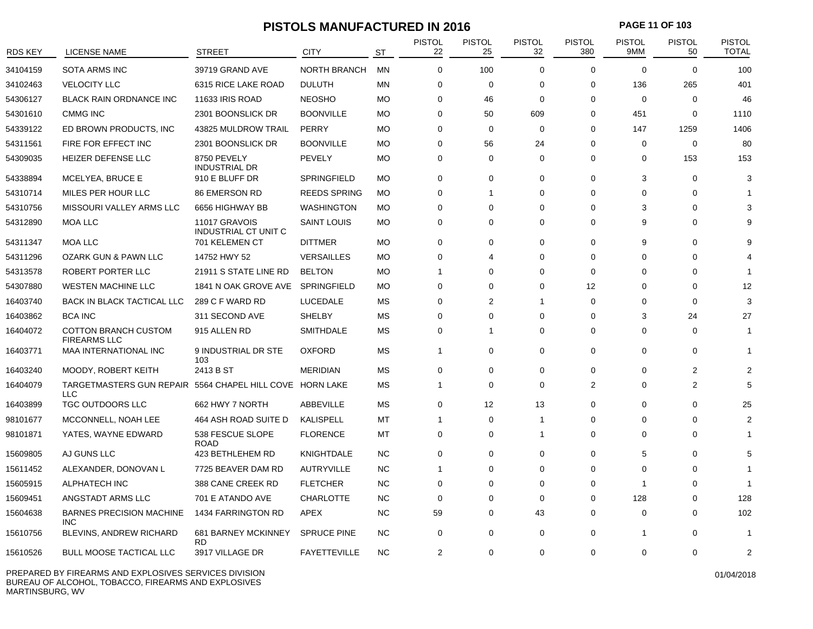### **PISTOLS MANUFACTURED IN 2016 PAGE 11 OF 103**

| RDS KEY  | <b>LICENSE NAME</b>                                                    | <b>STREET</b>                           | <b>CITY</b>         | ST        | <b>PISTOL</b><br>22 | PISTOL<br>25   | <b>PISTOL</b><br>32 | <b>PISTOL</b><br>380 | <b>PISTOL</b><br>9MM | <b>PISTOL</b><br>50 | <b>PISTOL</b><br><b>TOTAL</b> |
|----------|------------------------------------------------------------------------|-----------------------------------------|---------------------|-----------|---------------------|----------------|---------------------|----------------------|----------------------|---------------------|-------------------------------|
| 34104159 | <b>SOTA ARMS INC</b>                                                   | 39719 GRAND AVE                         | <b>NORTH BRANCH</b> | <b>MN</b> | $\Omega$            | 100            | $\Omega$            | $\Omega$             | $\Omega$             | $\Omega$            | 100                           |
| 34102463 | <b>VELOCITY LLC</b>                                                    | 6315 RICE LAKE ROAD                     | <b>DULUTH</b>       | <b>MN</b> | 0                   | 0              | 0                   | 0                    | 136                  | 265                 | 401                           |
| 54306127 | <b>BLACK RAIN ORDNANCE INC</b>                                         | 11633 IRIS ROAD                         | <b>NEOSHO</b>       | <b>MO</b> | 0                   | 46             | $\Omega$            | 0                    | $\mathbf 0$          | 0                   | 46                            |
| 54301610 | <b>CMMG INC</b>                                                        | 2301 BOONSLICK DR                       | <b>BOONVILLE</b>    | <b>MO</b> | 0                   | 50             | 609                 | $\mathbf 0$          | 451                  | $\mathbf 0$         | 1110                          |
| 54339122 | ED BROWN PRODUCTS, INC                                                 | 43825 MULDROW TRAIL                     | PERRY               | <b>MO</b> | $\Omega$            | $\mathbf 0$    | $\Omega$            | 0                    | 147                  | 1259                | 1406                          |
| 54311561 | FIRE FOR EFFECT INC                                                    | 2301 BOONSLICK DR                       | <b>BOONVILLE</b>    | <b>MO</b> | 0                   | 56             | 24                  | 0                    | $\mathbf 0$          | $\mathbf 0$         | 80                            |
| 54309035 | HEIZER DEFENSE LLC                                                     | 8750 PEVELY<br><b>INDUSTRIAL DR</b>     | PEVELY              | <b>MO</b> | 0                   | 0              | $\Omega$            | 0                    | 0                    | 153                 | 153                           |
| 54338894 | MCELYEA, BRUCE E                                                       | 910 E BLUFF DR                          | SPRINGFIELD         | <b>MO</b> | 0                   | 0              | $\Omega$            | 0                    | 3                    | 0                   | 3                             |
| 54310714 | MILES PER HOUR LLC                                                     | 86 EMERSON RD                           | <b>REEDS SPRING</b> | <b>MO</b> | 0                   | 1              | 0                   | 0                    | 0                    | 0                   |                               |
| 54310756 | MISSOURI VALLEY ARMS LLC                                               | 6656 HIGHWAY BB                         | <b>WASHINGTON</b>   | <b>MO</b> | $\Omega$            | $\Omega$       | $\Omega$            | 0                    | 3                    | $\Omega$            |                               |
| 54312890 | <b>MOA LLC</b>                                                         | 11017 GRAVOIS<br>INDUSTRIAL CT UNIT C   | <b>SAINT LOUIS</b>  | <b>MO</b> | $\Omega$            | $\Omega$       | $\Omega$            | $\Omega$             | 9                    | $\Omega$            |                               |
| 54311347 | <b>MOA LLC</b>                                                         | 701 KELEMEN CT                          | <b>DITTMER</b>      | <b>MO</b> | 0                   | $\Omega$       | $\Omega$            | 0                    | 9                    | $\Omega$            |                               |
| 54311296 | OZARK GUN & PAWN LLC                                                   | 14752 HWY 52                            | <b>VERSAILLES</b>   | <b>MO</b> | 0                   |                | $\Omega$            | $\Omega$             | $\Omega$             | $\Omega$            |                               |
| 54313578 | ROBERT PORTER LLC                                                      | 21911 S STATE LINE RD                   | <b>BELTON</b>       | <b>MO</b> | $\mathbf 1$         | $\Omega$       | $\Omega$            | $\Omega$             | $\Omega$             | $\Omega$            |                               |
| 54307880 | <b>WESTEN MACHINE LLC</b>                                              | 1841 N OAK GROVE AVE                    | SPRINGFIELD         | <b>MO</b> | 0                   | $\Omega$       | $\Omega$            | 12                   | 0                    | 0                   | 12                            |
| 16403740 | <b>BACK IN BLACK TACTICAL LLC</b>                                      | 289 C F WARD RD                         | LUCEDALE            | MS        | 0                   | $\overline{2}$ | $\overline{1}$      | $\mathbf 0$          | 0                    | $\mathbf 0$         | 3                             |
| 16403862 | <b>BCA INC</b>                                                         | 311 SECOND AVE                          | <b>SHELBY</b>       | MS        | 0                   | $\Omega$       | $\Omega$            | 0                    | 3                    | 24                  | 27                            |
| 16404072 | <b>COTTON BRANCH CUSTOM</b><br><b>FIREARMS LLC</b>                     | 915 ALLEN RD                            | SMITHDALE           | <b>MS</b> | 0                   | 1              | $\Omega$            | $\mathbf 0$          | $\Omega$             | $\mathbf 0$         |                               |
| 16403771 | <b>MAA INTERNATIONAL INC</b>                                           | 9 INDUSTRIAL DR STE<br>103              | <b>OXFORD</b>       | MS        | $\mathbf{1}$        | 0              | 0                   | 0                    | 0                    | 0                   |                               |
| 16403240 | MOODY, ROBERT KEITH                                                    | 2413 B ST                               | <b>MERIDIAN</b>     | МS        | 0                   | $\Omega$       | $\Omega$            | $\Omega$             | $\Omega$             | 2                   |                               |
| 16404079 | TARGETMASTERS GUN REPAIR 5564 CHAPEL HILL COVE HORN LAKE<br><b>LLC</b> |                                         |                     | MS        | $\overline{1}$      | 0              | 0                   | 2                    | 0                    | $\overline{2}$      | 5                             |
| 16403899 | <b>TGC OUTDOORS LLC</b>                                                | 662 HWY 7 NORTH                         | ABBEVILLE           | МS        | 0                   | 12             | 13                  | $\Omega$             | $\Omega$             | $\Omega$            | 25                            |
| 98101677 | MCCONNELL, NOAH LEE                                                    | 464 ASH ROAD SUITE D                    | <b>KALISPELL</b>    | MT        | 1                   | 0              | -1                  | $\Omega$             | 0                    | $\Omega$            |                               |
| 98101871 | YATES, WAYNE EDWARD                                                    | 538 FESCUE SLOPE<br><b>ROAD</b>         | <b>FLORENCE</b>     | MT        | 0                   | 0              | $\overline{1}$      | 0                    | 0                    | 0                   |                               |
| 15609805 | AJ GUNS LLC                                                            | 423 BETHLEHEM RD                        | <b>KNIGHTDALE</b>   | <b>NC</b> | 0                   | $\Omega$       | $\Omega$            | 0                    | 5                    | $\Omega$            | 5                             |
| 15611452 | ALEXANDER, DONOVAN L                                                   | 7725 BEAVER DAM RD                      | <b>AUTRYVILLE</b>   | <b>NC</b> | $\overline{1}$      | 0              | 0                   | 0                    | 0                    | 0                   |                               |
| 15605915 | ALPHATECH INC                                                          | 388 CANE CREEK RD                       | <b>FLETCHER</b>     | $NC$      | 0                   | $\Omega$       | $\Omega$            | $\mathbf 0$          | -1                   | $\mathbf 0$         |                               |
| 15609451 | ANGSTADT ARMS LLC                                                      | 701 E ATANDO AVE                        | <b>CHARLOTTE</b>    | <b>NC</b> | $\Omega$            | 0              | $\Omega$            | 0                    | 128                  | $\Omega$            | 128                           |
| 15604638 | <b>BARNES PRECISION MACHINE</b><br><b>INC</b>                          | 1434 FARRINGTON RD                      | <b>APEX</b>         | <b>NC</b> | 59                  | $\Omega$       | 43                  | $\Omega$             | $\Omega$             | $\Omega$            | 102                           |
| 15610756 | <b>BLEVINS, ANDREW RICHARD</b>                                         | <b>681 BARNEY MCKINNEY</b><br><b>RD</b> | <b>SPRUCE PINE</b>  | <b>NC</b> | 0                   | $\Omega$       | $\mathbf 0$         | $\Omega$             |                      | $\Omega$            |                               |
| 15610526 | <b>BULL MOOSE TACTICAL LLC</b>                                         | 3917 VILLAGE DR                         | <b>FAYETTEVILLE</b> | <b>NC</b> | $\overline{2}$      | $\Omega$       | $\Omega$            | $\Omega$             | $\Omega$             | $\Omega$            | 2                             |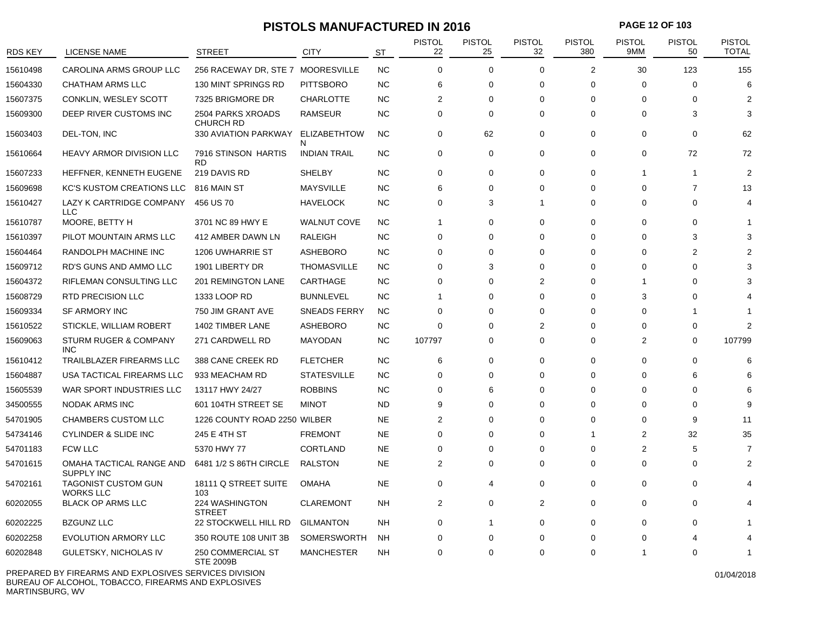### **PISTOLS MANUFACTURED IN 2016 PAGE 12 OF 103**

| RDS KEY  | <b>LICENSE NAME</b>                            | <b>STREET</b>                         | <b>CITY</b>               | <b>ST</b> | <b>PISTOL</b><br>22 | <b>PISTOL</b><br>25 | <b>PISTOL</b><br>32 | <b>PISTOL</b><br>380 | <b>PISTOL</b><br>9MM | <b>PISTOL</b><br>50 | <b>PISTOL</b><br><b>TOTAL</b> |
|----------|------------------------------------------------|---------------------------------------|---------------------------|-----------|---------------------|---------------------|---------------------|----------------------|----------------------|---------------------|-------------------------------|
| 15610498 | CAROLINA ARMS GROUP LLC                        | 256 RACEWAY DR, STE 7 MOORESVILLE     |                           | NC        | $\mathbf 0$         | $\mathbf 0$         | $\mathbf 0$         | $\overline{2}$       | 30                   | 123                 | 155                           |
| 15604330 | <b>CHATHAM ARMS LLC</b>                        | 130 MINT SPRINGS RD                   | <b>PITTSBORO</b>          | NC        | 6                   | $\Omega$            | $\Omega$            | $\mathbf 0$          | $\Omega$             | $\Omega$            | 6                             |
| 15607375 | CONKLIN, WESLEY SCOTT                          | 7325 BRIGMORE DR                      | <b>CHARLOTTE</b>          | <b>NC</b> | $\overline{2}$      | $\Omega$            | $\Omega$            | $\Omega$             | $\Omega$             | $\Omega$            | 2                             |
| 15609300 | DEEP RIVER CUSTOMS INC                         | 2504 PARKS XROADS<br><b>CHURCH RD</b> | <b>RAMSEUR</b>            | NC        | $\mathbf 0$         | 0                   | $\mathbf 0$         | $\mathbf 0$          | 0                    | 3                   | З                             |
| 15603403 | DEL-TON, INC                                   | 330 AVIATION PARKWAY                  | <b>ELIZABETHTOW</b><br>N. | <b>NC</b> | $\mathbf 0$         | 62                  | $\mathbf 0$         | $\mathbf 0$          | 0                    | $\mathbf 0$         | 62                            |
| 15610664 | <b>HEAVY ARMOR DIVISION LLC</b>                | 7916 STINSON HARTIS<br><b>RD</b>      | <b>INDIAN TRAIL</b>       | <b>NC</b> | $\Omega$            | 0                   | $\Omega$            | $\Omega$             | $\Omega$             | 72                  | 72                            |
| 15607233 | HEFFNER, KENNETH EUGENE                        | 219 DAVIS RD                          | <b>SHELBY</b>             | <b>NC</b> | $\Omega$            | $\Omega$            | $\Omega$            | $\Omega$             | -1                   | $\overline{1}$      | $\overline{2}$                |
| 15609698 | <b>KC'S KUSTOM CREATIONS LLC</b>               | 816 MAIN ST                           | <b>MAYSVILLE</b>          | NC        | 6                   | $\Omega$            | $\mathbf 0$         | $\Omega$             | $\Omega$             | $\overline{7}$      | 13                            |
| 15610427 | LAZY K CARTRIDGE COMPANY<br><b>LLC</b>         | 456 US 70                             | <b>HAVELOCK</b>           | <b>NC</b> | 0                   | 3                   | $\mathbf{1}$        | $\Omega$             | $\Omega$             | $\Omega$            | 4                             |
| 15610787 | MOORE, BETTY H                                 | 3701 NC 89 HWY E                      | <b>WALNUT COVE</b>        | <b>NC</b> | 1                   | 0                   | $\mathbf 0$         | 0                    | 0                    | 0                   |                               |
| 15610397 | PILOT MOUNTAIN ARMS LLC                        | 412 AMBER DAWN LN                     | RALEIGH                   | <b>NC</b> | $\mathbf 0$         | 0                   | $\Omega$            | $\Omega$             | $\Omega$             | 3                   |                               |
| 15604464 | RANDOLPH MACHINE INC                           | <b>1206 UWHARRIE ST</b>               | <b>ASHEBORO</b>           | <b>NC</b> | $\Omega$            | $\Omega$            | $\Omega$            | $\Omega$             | $\Omega$             | $\overline{2}$      |                               |
| 15609712 | RD'S GUNS AND AMMO LLC                         | 1901 LIBERTY DR                       | <b>THOMASVILLE</b>        | <b>NC</b> | $\mathbf 0$         | 3                   | $\Omega$            | $\Omega$             | $\Omega$             | $\Omega$            |                               |
| 15604372 | <b>RIFLEMAN CONSULTING LLC</b>                 | 201 REMINGTON LANE                    | CARTHAGE                  | NC        | 0                   | 0                   | 2                   | $\Omega$             | -1                   | $\Omega$            |                               |
| 15608729 | <b>RTD PRECISION LLC</b>                       | 1333 LOOP RD                          | <b>BUNNLEVEL</b>          | <b>NC</b> | $\overline{1}$      | 0                   | $\Omega$            | $\Omega$             | 3                    | $\Omega$            |                               |
| 15609334 | <b>SF ARMORY INC</b>                           | 750 JIM GRANT AVE                     | <b>SNEADS FERRY</b>       | <b>NC</b> | $\mathbf 0$         | $\Omega$            | $\Omega$            | $\Omega$             | $\Omega$             | -1                  |                               |
| 15610522 | STICKLE, WILLIAM ROBERT                        | 1402 TIMBER LANE                      | <b>ASHEBORO</b>           | <b>NC</b> | $\Omega$            | $\Omega$            | $\overline{2}$      | $\Omega$             | $\Omega$             | $\Omega$            | 2                             |
| 15609063 | <b>STURM RUGER &amp; COMPANY</b><br><b>INC</b> | 271 CARDWELL RD                       | MAYODAN                   | <b>NC</b> | 107797              | $\Omega$            | $\mathbf 0$         | $\mathbf 0$          | $\overline{2}$       | $\mathbf 0$         | 107799                        |
| 15610412 | <b>TRAILBLAZER FIREARMS LLC</b>                | 388 CANE CREEK RD                     | <b>FLETCHER</b>           | <b>NC</b> | 6                   | 0                   | 0                   | 0                    | 0                    | 0                   | 6                             |
| 15604887 | USA TACTICAL FIREARMS LLC                      | 933 MEACHAM RD                        | <b>STATESVILLE</b>        | <b>NC</b> | 0                   | $\Omega$            | $\mathbf 0$         | $\Omega$             | $\Omega$             | 6                   | 6                             |
| 15605539 | WAR SPORT INDUSTRIES LLC                       | 13117 HWY 24/27                       | <b>ROBBINS</b>            | <b>NC</b> | 0                   | 6                   | $\Omega$            | 0                    | $\Omega$             | $\Omega$            | 6                             |
| 34500555 | NODAK ARMS INC                                 | 601 104TH STREET SE                   | <b>MINOT</b>              | <b>ND</b> | 9                   | $\Omega$            | $\Omega$            | $\Omega$             | $\Omega$             | $\Omega$            | $\mathbf{Q}$                  |
| 54701905 | <b>CHAMBERS CUSTOM LLC</b>                     | 1226 COUNTY ROAD 2250 WILBER          |                           | <b>NE</b> | $\overline{2}$      | $\Omega$            | $\mathbf 0$         | $\mathbf 0$          | $\Omega$             | 9                   | 11                            |
| 54734146 | <b>CYLINDER &amp; SLIDE INC</b>                | 245 E 4TH ST                          | <b>FREMONT</b>            | NE        | $\mathbf 0$         | $\Omega$            | $\mathbf 0$         | -1                   | 2                    | 32                  | 35                            |
| 54701183 | <b>FCW LLC</b>                                 | 5370 HWY 77                           | <b>CORTLAND</b>           | <b>NE</b> | 0                   | $\Omega$            | $\mathbf 0$         | 0                    | $\overline{2}$       | 5                   | 7                             |
| 54701615 | OMAHA TACTICAL RANGE AND<br><b>SUPPLY INC</b>  | 6481 1/2 S 86TH CIRCLE                | <b>RALSTON</b>            | <b>NE</b> | $\overline{2}$      | 0                   | $\mathbf 0$         | $\mathbf 0$          | $\Omega$             | $\mathbf 0$         | 2                             |
| 54702161 | <b>TAGONIST CUSTOM GUN</b><br><b>WORKS LLC</b> | 18111 Q STREET SUITE<br>103           | <b>OMAHA</b>              | <b>NE</b> | $\mathbf 0$         | 4                   | $\mathbf 0$         | $\mathbf 0$          | 0                    | 0                   |                               |
| 60202055 | <b>BLACK OP ARMS LLC</b>                       | 224 WASHINGTON<br><b>STREET</b>       | <b>CLAREMONT</b>          | <b>NH</b> | $\overline{2}$      | 0                   | 2                   | $\Omega$             | $\Omega$             | $\Omega$            |                               |
| 60202225 | <b>BZGUNZ LLC</b>                              | 22 STOCKWELL HILL RD                  | <b>GILMANTON</b>          | <b>NH</b> | $\mathbf 0$         | 1                   | $\Omega$            | $\mathbf 0$          | $\Omega$             | $\Omega$            |                               |
| 60202258 | <b>EVOLUTION ARMORY LLC</b>                    | 350 ROUTE 108 UNIT 3B                 | <b>SOMERSWORTH</b>        | <b>NH</b> | $\Omega$            | 0                   | $\Omega$            | $\Omega$             | $\Omega$             |                     |                               |
| 60202848 | GULETSKY, NICHOLAS IV                          | 250 COMMERCIAL ST<br><b>STE 2009B</b> | <b>MANCHESTER</b>         | <b>NH</b> | $\Omega$            | $\Omega$            | $\Omega$            | $\Omega$             |                      | $\Omega$            |                               |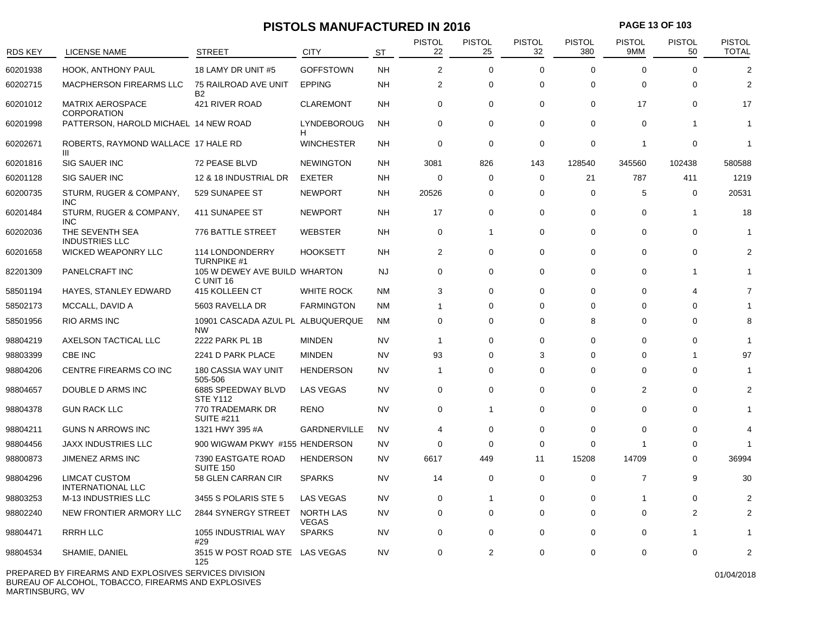### **PISTOLS MANUFACTURED IN 2016 PAGE 13 OF 103**

| <b>RDS KEY</b> | <b>LICENSE NAME</b>                                   | <b>STREET</b>                                  | <b>CITY</b>               | <b>ST</b> | PISTOL<br>22   | <b>PISTOL</b><br>25 | PISTOL<br>32 | <b>PISTOL</b><br>380 | <b>PISTOL</b><br>9MM | <b>PISTOL</b><br>50 | <b>PISTOL</b><br><b>TOTAL</b> |
|----------------|-------------------------------------------------------|------------------------------------------------|---------------------------|-----------|----------------|---------------------|--------------|----------------------|----------------------|---------------------|-------------------------------|
| 60201938       | <b>HOOK, ANTHONY PAUL</b>                             | 18 LAMY DR UNIT #5                             | <b>GOFFSTOWN</b>          | <b>NH</b> | 2              | $\mathbf 0$         | $\mathbf 0$  | $\mathbf 0$          | $\Omega$             | $\Omega$            | $\overline{2}$                |
| 60202715       | MACPHERSON FIREARMS LLC                               | 75 RAILROAD AVE UNIT<br><b>B2</b>              | <b>EPPING</b>             | <b>NH</b> | 2              | 0                   | $\mathbf 0$  | $\mathbf 0$          | $\mathbf 0$          | $\mathbf 0$         | $\overline{2}$                |
| 60201012       | <b>MATRIX AEROSPACE</b><br><b>CORPORATION</b>         | 421 RIVER ROAD                                 | <b>CLAREMONT</b>          | <b>NH</b> | 0              | 0                   | 0            | 0                    | 17                   | $\mathbf 0$         | 17                            |
| 60201998       | PATTERSON, HAROLD MICHAEL 14 NEW ROAD                 |                                                | LYNDEBOROUG<br>H          | <b>NH</b> | $\mathbf 0$    | 0                   | $\mathbf 0$  | $\Omega$             | $\Omega$             | $\overline{1}$      | $\mathbf{1}$                  |
| 60202671       | ROBERTS, RAYMOND WALLACE 17 HALE RD<br>Ш              |                                                | <b>WINCHESTER</b>         | <b>NH</b> | $\mathbf 0$    | 0                   | 0            | $\mathbf 0$          | $\overline{1}$       | $\mathbf 0$         | $\mathbf{1}$                  |
| 60201816       | <b>SIG SAUER INC</b>                                  | 72 PEASE BLVD                                  | <b>NEWINGTON</b>          | <b>NH</b> | 3081           | 826                 | 143          | 128540               | 345560               | 102438              | 580588                        |
| 60201128       | <b>SIG SAUER INC</b>                                  | 12 & 18 INDUSTRIAL DR                          | <b>EXETER</b>             | <b>NH</b> | $\mathbf 0$    | 0                   | $\Omega$     | 21                   | 787                  | 411                 | 1219                          |
| 60200735       | STURM, RUGER & COMPANY,<br><b>INC</b>                 | 529 SUNAPEE ST                                 | <b>NEWPORT</b>            | <b>NH</b> | 20526          | 0                   | $\mathbf 0$  | $\mathbf 0$          | 5                    | $\mathbf 0$         | 20531                         |
| 60201484       | STURM, RUGER & COMPANY,<br><b>INC</b>                 | 411 SUNAPEE ST                                 | <b>NEWPORT</b>            | <b>NH</b> | 17             | 0                   | $\mathbf 0$  | $\Omega$             | $\Omega$             | $\overline{1}$      | 18                            |
| 60202036       | THE SEVENTH SEA<br><b>INDUSTRIES LLC</b>              | 776 BATTLE STREET                              | <b>WEBSTER</b>            | <b>NH</b> | $\mathbf 0$    | $\mathbf{1}$        | $\mathbf 0$  | $\Omega$             | $\mathbf 0$          | $\mathbf 0$         | -1                            |
| 60201658       | WICKED WEAPONRY LLC                                   | 114 LONDONDERRY<br><b>TURNPIKE #1</b>          | <b>HOOKSETT</b>           | <b>NH</b> | $\overline{2}$ | $\mathbf 0$         | $\mathbf 0$  | 0                    | $\mathbf 0$          | $\mathbf 0$         | $\overline{2}$                |
| 82201309       | PANELCRAFT INC                                        | 105 W DEWEY AVE BUILD WHARTON<br>C UNIT 16     |                           | NJ        | $\mathbf 0$    | $\mathbf 0$         | $\mathbf 0$  | $\mathbf 0$          | $\Omega$             | $\overline{1}$      | $\mathbf{1}$                  |
| 58501194       | HAYES, STANLEY EDWARD                                 | 415 KOLLEEN CT                                 | <b>WHITE ROCK</b>         | <b>NM</b> | 3              | 0                   | $\Omega$     | $\mathbf 0$          | $\Omega$             | 4                   | 7                             |
| 58502173       | MCCALL, DAVID A                                       | 5603 RAVELLA DR                                | <b>FARMINGTON</b>         | <b>NM</b> | -1             | 0                   | $\Omega$     | $\Omega$             | $\Omega$             | $\Omega$            |                               |
| 58501956       | RIO ARMS INC                                          | 10901 CASCADA AZUL PL ALBUQUERQUE<br><b>NW</b> |                           | <b>NM</b> | $\Omega$       | 0                   | $\Omega$     | 8                    | $\Omega$             | $\Omega$            | 8                             |
| 98804219       | AXELSON TACTICAL LLC                                  | 2222 PARK PL 1B                                | <b>MINDEN</b>             | NV        | $\mathbf{1}$   | $\mathbf 0$         | $\Omega$     | $\Omega$             | $\Omega$             | $\mathbf 0$         | -1                            |
| 98803399       | CBE INC                                               | 2241 D PARK PLACE                              | <b>MINDEN</b>             | NV        | 93             | 0                   | 3            | $\Omega$             | $\Omega$             | $\mathbf 1$         | 97                            |
| 98804206       | CENTRE FIREARMS CO INC                                | <b>180 CASSIA WAY UNIT</b><br>505-506          | <b>HENDERSON</b>          | <b>NV</b> | $\mathbf{1}$   | 0                   | $\mathbf 0$  | $\mathbf 0$          | $\mathbf 0$          | $\mathbf 0$         | -1                            |
| 98804657       | DOUBLE D ARMS INC                                     | 6885 SPEEDWAY BLVD<br><b>STE Y112</b>          | <b>LAS VEGAS</b>          | <b>NV</b> | 0              | 0                   | 0            | 0                    | 2                    | 0                   | 2                             |
| 98804378       | <b>GUN RACK LLC</b>                                   | 770 TRADEMARK DR<br><b>SUITE #211</b>          | <b>RENO</b>               | <b>NV</b> | $\mathbf 0$    | 1                   | $\mathbf 0$  | $\Omega$             | $\Omega$             | $\Omega$            | $\mathbf{1}$                  |
| 98804211       | <b>GUNS N ARROWS INC</b>                              | 1321 HWY 395 #A                                | GARDNERVILLE              | <b>NV</b> | $\overline{4}$ | 0                   | 0            | $\mathbf 0$          | $\Omega$             | 0                   | 4                             |
| 98804456       | <b>JAXX INDUSTRIES LLC</b>                            | 900 WIGWAM PKWY #155 HENDERSON                 |                           | <b>NV</b> | $\mathbf 0$    | $\mathbf 0$         | $\mathbf 0$  | $\Omega$             | 1                    | $\Omega$            | -1                            |
| 98800873       | JIMENEZ ARMS INC                                      | 7390 EASTGATE ROAD<br><b>SUITE 150</b>         | <b>HENDERSON</b>          | <b>NV</b> | 6617           | 449                 | 11           | 15208                | 14709                | $\mathbf 0$         | 36994                         |
| 98804296       | <b>LIMCAT CUSTOM</b><br><b>INTERNATIONAL LLC</b>      | 58 GLEN CARRAN CIR                             | <b>SPARKS</b>             | <b>NV</b> | 14             | $\mathbf 0$         | $\mathbf 0$  | 0                    | $\overline{7}$       | 9                   | 30                            |
| 98803253       | <b>M-13 INDUSTRIES LLC</b>                            | 3455 S POLARIS STE 5                           | <b>LAS VEGAS</b>          | <b>NV</b> | 0              | $\mathbf{1}$        | $\mathbf 0$  | $\mathbf 0$          | 1                    | $\mathbf 0$         | $\overline{c}$                |
| 98802240       | NEW FRONTIER ARMORY LLC                               | 2844 SYNERGY STREET                            | NORTH LAS<br><b>VEGAS</b> | NV        | $\mathbf 0$    | 0                   | $\mathbf 0$  | $\mathbf 0$          | $\mathbf 0$          | 2                   | $\overline{2}$                |
| 98804471       | RRRH LLC                                              | 1055 INDUSTRIAL WAY<br>#29                     | <b>SPARKS</b>             | <b>NV</b> | 0              | 0                   | 0            | 0                    | $\Omega$             | -1                  | $\mathbf{1}$                  |
| 98804534       | SHAMIE, DANIEL                                        | 3515 W POST ROAD STE LAS VEGAS<br>125          |                           | <b>NV</b> | $\Omega$       | 2                   | $\mathbf 0$  | $\Omega$             | $\Omega$             | $\Omega$            | $\overline{2}$                |
|                | PREPARED BY FIREARMS AND EXPLOSIVES SERVICES DIVISION |                                                |                           |           |                |                     |              |                      |                      |                     | 01/04/2018                    |

BUREAU OF ALCOHOL, TOBACCO, FIREARMS AND EXPLOSIVES MARTINSBURG, WV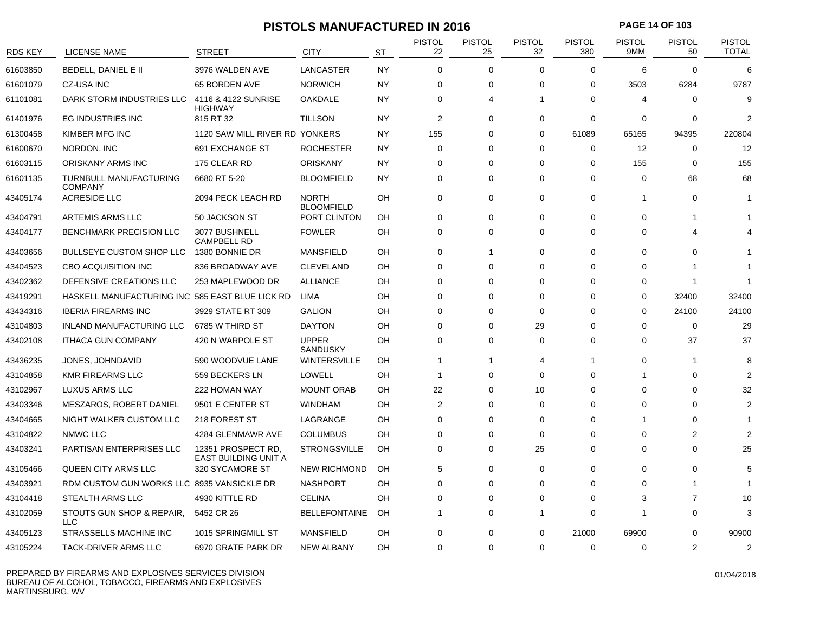### **PISTOLS MANUFACTURED IN 2016 PAGE 14 OF 103**

| RDS KEY  | LICENSE NAME                                    | <b>STREET</b>                              | <b>CITY</b>                       | <b>ST</b> | <b>PISTOL</b><br>22 | <b>PISTOL</b><br>25 | <b>PISTOL</b><br>32 | <b>PISTOL</b><br>380 | <b>PISTOL</b><br>9MM    | <b>PISTOL</b><br>50 | <b>PISTOL</b><br><b>TOTAL</b> |
|----------|-------------------------------------------------|--------------------------------------------|-----------------------------------|-----------|---------------------|---------------------|---------------------|----------------------|-------------------------|---------------------|-------------------------------|
| 61603850 | <b>BEDELL, DANIEL E II</b>                      | 3976 WALDEN AVE                            | LANCASTER                         | <b>NY</b> | $\Omega$            | $\mathbf 0$         | $\Omega$            | $\Omega$             | 6                       | $\Omega$            | 6                             |
| 61601079 | <b>CZ-USA INC</b>                               | 65 BORDEN AVE                              | <b>NORWICH</b>                    | <b>NY</b> | 0                   | 0                   | $\overline{0}$      | 0                    | 3503                    | 6284                | 9787                          |
| 61101081 | DARK STORM INDUSTRIES LLC                       | 4116 & 4122 SUNRISE<br><b>HIGHWAY</b>      | <b>OAKDALE</b>                    | NY        | $\Omega$            | 4                   | 1                   | $\Omega$             | $\overline{4}$          | 0                   | $\mathbf{Q}$                  |
| 61401976 | <b>EG INDUSTRIES INC</b>                        | 815 RT 32                                  | <b>TILLSON</b>                    | <b>NY</b> | 2                   | $\mathbf 0$         | $\mathbf 0$         | $\mathbf 0$          | $\mathbf 0$             | 0                   | 2                             |
| 61300458 | KIMBER MFG INC                                  | 1120 SAW MILL RIVER RD YONKERS             |                                   | NY        | 155                 | 0                   | $\mathbf 0$         | 61089                | 65165                   | 94395               | 220804                        |
| 61600670 | NORDON, INC                                     | 691 EXCHANGE ST                            | <b>ROCHESTER</b>                  | <b>NY</b> | $\mathbf 0$         | 0                   | $\mathbf 0$         | $\mathbf 0$          | 12                      | 0                   | 12                            |
| 61603115 | ORISKANY ARMS INC                               | 175 CLEAR RD                               | <b>ORISKANY</b>                   | <b>NY</b> | 0                   | 0                   | 0                   | 0                    | 155                     | $\mathbf 0$         | 155                           |
| 61601135 | TURNBULL MANUFACTURING<br><b>COMPANY</b>        | 6680 RT 5-20                               | <b>BLOOMFIELD</b>                 | NY        | $\Omega$            | $\mathbf 0$         | $\Omega$            | $\Omega$             | $\Omega$                | 68                  | 68                            |
| 43405174 | <b>ACRESIDE LLC</b>                             | 2094 PECK LEACH RD                         | <b>NORTH</b><br><b>BLOOMFIELD</b> | OH        | $\mathbf 0$         | $\mathbf 0$         | $\mathbf 0$         | $\mathbf 0$          | $\overline{\mathbf{1}}$ | $\Omega$            |                               |
| 43404791 | ARTEMIS ARMS LLC                                | 50 JACKSON ST                              | PORT CLINTON                      | OH        | $\Omega$            | 0                   | $\Omega$            | 0                    | $\Omega$                | -1                  |                               |
| 43404177 | <b>BENCHMARK PRECISION LLC</b>                  | 3077 BUSHNELL<br><b>CAMPBELL RD</b>        | <b>FOWLER</b>                     | OH        | 0                   | 0                   | $\Omega$            | $\Omega$             | $\Omega$                | 4                   |                               |
| 43403656 | <b>BULLSEYE CUSTOM SHOP LLC</b>                 | 1380 BONNIE DR                             | <b>MANSFIELD</b>                  | OH        | $\Omega$            | 1                   | 0                   | $\Omega$             | $\Omega$                | 0                   |                               |
| 43404523 | CBO ACQUISITION INC                             | 836 BROADWAY AVE                           | <b>CLEVELAND</b>                  | OH        | $\Omega$            | 0                   | $\Omega$            | $\Omega$             | $\Omega$                | 1                   |                               |
| 43402362 | DEFENSIVE CREATIONS LLC                         | 253 MAPLEWOOD DR                           | <b>ALLIANCE</b>                   | OH        | $\Omega$            | 0                   | 0                   | $\Omega$             | $\Omega$                | -1                  |                               |
| 43419291 | HASKELL MANUFACTURING INC 585 EAST BLUE LICK RD |                                            | <b>LIMA</b>                       | OH        | $\Omega$            | $\Omega$            | $\Omega$            | $\Omega$             | $\Omega$                | 32400               | 32400                         |
| 43434316 | <b>IBERIA FIREARMS INC</b>                      | 3929 STATE RT 309                          | <b>GALION</b>                     | OH        | $\Omega$            | 0                   | $\Omega$            | $\Omega$             | $\Omega$                | 24100               | 24100                         |
| 43104803 | INLAND MANUFACTURING LLC                        | 6785 W THIRD ST                            | <b>DAYTON</b>                     | OH        | $\Omega$            | 0                   | 29                  | $\Omega$             | $\Omega$                | $\mathbf 0$         | 29                            |
| 43402108 | <b>ITHACA GUN COMPANY</b>                       | 420 N WARPOLE ST                           | <b>UPPER</b><br><b>SANDUSKY</b>   | OH        | $\mathbf 0$         | $\mathbf 0$         | $\mathbf 0$         | $\mathbf 0$          | $\Omega$                | 37                  | 37                            |
| 43436235 | JONES, JOHNDAVID                                | 590 WOODVUE LANE                           | <b>WINTERSVILLE</b>               | OH        | $\overline{1}$      | 1                   | 4                   | -1                   | $\Omega$                | -1                  | 8                             |
| 43104858 | <b>KMR FIREARMS LLC</b>                         | 559 BECKERS LN                             | <b>LOWELL</b>                     | OH        | $\mathbf 1$         | 0                   | $\Omega$            | $\Omega$             |                         | $\Omega$            | $\overline{2}$                |
| 43102967 | <b>LUXUS ARMS LLC</b>                           | 222 HOMAN WAY                              | <b>MOUNT ORAB</b>                 | OH        | 22                  | 0                   | 10                  | $\Omega$             | $\Omega$                | 0                   | 32                            |
| 43403346 | MESZAROS, ROBERT DANIEL                         | 9501 E CENTER ST                           | <b>WINDHAM</b>                    | OH        | 2                   | $\Omega$            | $\Omega$            | $\Omega$             | $\Omega$                | 0                   | $\overline{2}$                |
| 43404665 | NIGHT WALKER CUSTOM LLC                         | 218 FOREST ST                              | LAGRANGE                          | OH        | $\Omega$            | $\Omega$            | $\Omega$            | $\Omega$             |                         | $\Omega$            |                               |
| 43104822 | NMWC LLC                                        | 4284 GLENMAWR AVE                          | <b>COLUMBUS</b>                   | OH        | $\mathbf 0$         | 0                   | $\mathbf 0$         | $\Omega$             | $\Omega$                | $\overline{2}$      | $\overline{2}$                |
| 43403241 | PARTISAN ENTERPRISES LLC                        | 12351 PROSPECT RD.<br>EAST BUILDING UNIT A | <b>STRONGSVILLE</b>               | OH        | $\mathbf 0$         | $\mathbf 0$         | 25                  | $\Omega$             | $\Omega$                | 0                   | 25                            |
| 43105466 | <b>QUEEN CITY ARMS LLC</b>                      | 320 SYCAMORE ST                            | <b>NEW RICHMOND</b>               | OH        | 5                   | $\mathbf 0$         | $\mathbf 0$         | $\Omega$             | $\Omega$                | $\Omega$            | 5                             |
| 43403921 | RDM CUSTOM GUN WORKS LLC 8935 VANSICKLE DR      |                                            | <b>NASHPORT</b>                   | OH        | $\Omega$            | $\mathbf 0$         | $\Omega$            | $\Omega$             | $\Omega$                | 1                   |                               |
| 43104418 | STEALTH ARMS LLC                                | 4930 KITTLE RD                             | <b>CELINA</b>                     | OH        | $\Omega$            | $\mathbf 0$         | $\Omega$            | 0                    | 3                       | $\overline{7}$      | 10                            |
| 43102059 | STOUTS GUN SHOP & REPAIR,<br><b>LLC</b>         | 5452 CR 26                                 | <b>BELLEFONTAINE</b>              | OH        | 1                   | 0                   | 1                   | $\Omega$             |                         | $\Omega$            | 3                             |
| 43405123 | STRASSELLS MACHINE INC                          | 1015 SPRINGMILL ST                         | <b>MANSFIELD</b>                  | OH        | $\Omega$            | 0                   | $\mathbf 0$         | 21000                | 69900                   | 0                   | 90900                         |
| 43105224 | TACK-DRIVER ARMS LLC                            | 6970 GRATE PARK DR                         | <b>NEW ALBANY</b>                 | OH        | $\Omega$            | 0                   | $\Omega$            | $\Omega$             | $\Omega$                | $\overline{2}$      | $\overline{2}$                |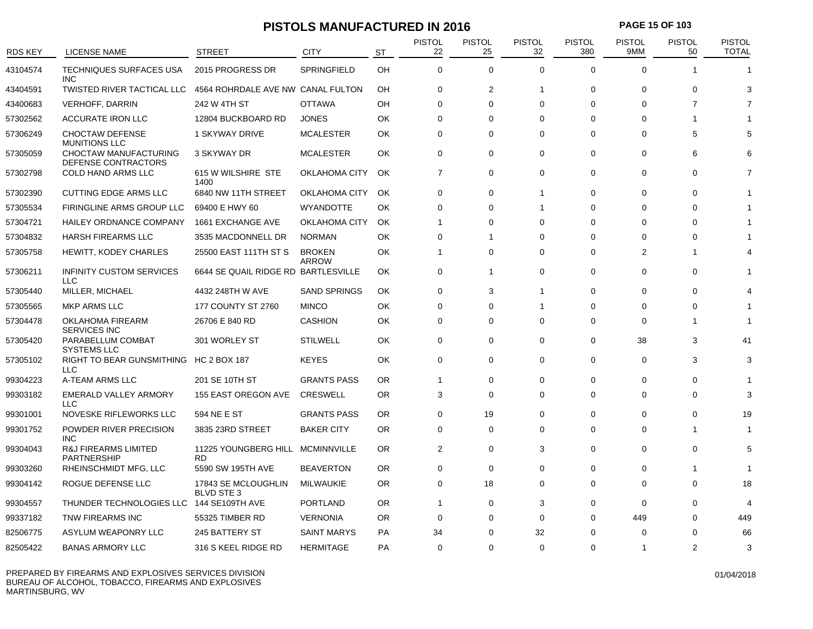### **PISTOLS MANUFACTURED IN 2016 PAGE 15 OF 103**

| <b>RDS KEY</b> | LICENSE NAME                                          | STREET                                   | CITY                          | <b>ST</b> | <b>PISTOL</b><br>22 | <b>PISTOL</b><br>25 | <b>PISTOL</b><br>32 | <b>PISTOL</b><br>380 | <b>PISTOL</b><br>9MM | <b>PISTOL</b><br>50 | <b>PISTOL</b><br><b>TOTAL</b> |
|----------------|-------------------------------------------------------|------------------------------------------|-------------------------------|-----------|---------------------|---------------------|---------------------|----------------------|----------------------|---------------------|-------------------------------|
| 43104574       | <b>TECHNIQUES SURFACES USA</b><br><b>INC</b>          | 2015 PROGRESS DR                         | <b>SPRINGFIELD</b>            | OH        | $\mathbf{0}$        | $\mathbf 0$         | $\Omega$            | $\Omega$             | $\Omega$             | -1                  |                               |
| 43404591       | <b>TWISTED RIVER TACTICAL LLC</b>                     | 4564 ROHRDALE AVE NW CANAL FULTON        |                               | OH        | $\Omega$            | 2                   | 1                   | $\Omega$             | $\Omega$             | $\Omega$            | З                             |
| 43400683       | <b>VERHOFF, DARRIN</b>                                | 242 W 4TH ST                             | <b>OTTAWA</b>                 | OH        | $\Omega$            | $\Omega$            | $\Omega$            | $\Omega$             | $\Omega$             | $\overline{7}$      | 7                             |
| 57302562       | <b>ACCURATE IRON LLC</b>                              | 12804 BUCKBOARD RD                       | <b>JONES</b>                  | OK        | 0                   | 0                   | $\Omega$            | $\Omega$             | $\Omega$             | -1                  |                               |
| 57306249       | <b>CHOCTAW DEFENSE</b><br><b>MUNITIONS LLC</b>        | <b>1 SKYWAY DRIVE</b>                    | <b>MCALESTER</b>              | ОK        | $\Omega$            | $\Omega$            | $\Omega$            | $\Omega$             | $\Omega$             | 5                   | 5                             |
| 57305059       | CHOCTAW MANUFACTURING<br>DEFENSE CONTRACTORS          | 3 SKYWAY DR                              | <b>MCALESTER</b>              | OK        | $\mathbf 0$         | 0                   | $\Omega$            | 0                    | 0                    | 6                   | 6                             |
| 57302798       | COLD HAND ARMS LLC                                    | 615 W WILSHIRE STE<br>1400               | OKLAHOMA CITY                 | <b>OK</b> | $\overline{7}$      | $\mathbf 0$         | $\mathbf 0$         | $\mathbf 0$          | $\Omega$             | $\Omega$            | 7                             |
| 57302390       | <b>CUTTING EDGE ARMS LLC</b>                          | 6840 NW 11TH STREET                      | OKLAHOMA CITY                 | OK.       | $\Omega$            | 0                   | 1                   | $\Omega$             | $\Omega$             | $\Omega$            |                               |
| 57305534       | FIRINGLINE ARMS GROUP LLC                             | 69400 E HWY 60                           | <b>WYANDOTTE</b>              | ОK        | $\Omega$            | $\Omega$            | 1                   | $\Omega$             | $\Omega$             | $\Omega$            |                               |
| 57304721       | <b>HAILEY ORDNANCE COMPANY</b>                        | 1661 EXCHANGE AVE                        | <b>OKLAHOMA CITY</b>          | OK.       | $\mathbf 1$         | 0                   | $\Omega$            | $\Omega$             | $\Omega$             | $\Omega$            |                               |
| 57304832       | <b>HARSH FIREARMS LLC</b>                             | 3535 MACDONNELL DR                       | <b>NORMAN</b>                 | OK        | $\Omega$            | 1                   | $\Omega$            | $\Omega$             | $\Omega$             | $\Omega$            |                               |
| 57305758       | <b>HEWITT, KODEY CHARLES</b>                          | 25500 EAST 111TH ST S                    | <b>BROKEN</b><br><b>ARROW</b> | ОΚ        | $\mathbf{1}$        | $\Omega$            | $\Omega$            | $\Omega$             | 2                    | -1                  |                               |
| 57306211       | <b>INFINITY CUSTOM SERVICES</b><br><b>LLC</b>         | 6644 SE QUAIL RIDGE RD BARTLESVILLE      |                               | OK        | $\mathbf 0$         | -1                  | $\Omega$            | $\mathbf 0$          | $\Omega$             | 0                   |                               |
| 57305440       | MILLER, MICHAEL                                       | 4432 248TH W AVE                         | <b>SAND SPRINGS</b>           | OK        | $\mathbf 0$         | 3                   | 1                   | $\mathbf 0$          | $\Omega$             | $\Omega$            |                               |
| 57305565       | <b>MKP ARMS LLC</b>                                   | 177 COUNTY ST 2760                       | <b>MINCO</b>                  | OK        | $\Omega$            | 0                   | 1                   | $\Omega$             | $\Omega$             | 0                   |                               |
| 57304478       | OKLAHOMA FIREARM<br><b>SERVICES INC</b>               | 26706 E 840 RD                           | <b>CASHION</b>                | ОK        | $\mathbf 0$         | 0                   | $\Omega$            | $\mathbf 0$          | $\Omega$             | -1                  |                               |
| 57305420       | PARABELLUM COMBAT<br><b>SYSTEMS LLC</b>               | 301 WORLEY ST                            | <b>STILWELL</b>               | OK        | $\Omega$            | 0                   | $\Omega$            | 0                    | 38                   | 3                   | 41                            |
| 57305102       | RIGHT TO BEAR GUNSMITHING HC 2 BOX 187<br>LLC         |                                          | <b>KEYES</b>                  | OK        | $\mathbf{0}$        | 0                   | 0                   | 0                    | 0                    | 3                   | 3                             |
| 99304223       | A-TEAM ARMS LLC                                       | 201 SE 10TH ST                           | <b>GRANTS PASS</b>            | <b>OR</b> | $\mathbf{1}$        | 0                   | $\Omega$            | $\Omega$             | $\Omega$             | 0                   |                               |
| 99303182       | <b>EMERALD VALLEY ARMORY</b><br>LLC                   | 155 EAST OREGON AVE                      | <b>CRESWELL</b>               | <b>OR</b> | 3                   | 0                   | $\Omega$            | $\Omega$             | $\Omega$             | $\Omega$            | 3                             |
| 99301001       | NOVESKE RIFLEWORKS LLC                                | 594 NE E ST                              | <b>GRANTS PASS</b>            | <b>OR</b> | $\mathbf{0}$        | 19                  | $\Omega$            | 0                    | $\Omega$             | 0                   | 19                            |
| 99301752       | POWDER RIVER PRECISION<br><b>INC</b>                  | 3835 23RD STREET                         | <b>BAKER CITY</b>             | <b>OR</b> | $\Omega$            | 0                   | $\Omega$            | $\Omega$             | $\Omega$             | 1                   |                               |
| 99304043       | <b>R&amp;J FIREARMS LIMITED</b><br><b>PARTNERSHIP</b> | 11225 YOUNGBERG HILL<br>RD.              | <b>MCMINNVILLE</b>            | <b>OR</b> | $\overline{2}$      | 0                   | 3                   | $\Omega$             | $\Omega$             | $\Omega$            | 5                             |
| 99303260       | RHEINSCHMIDT MFG, LLC                                 | 5590 SW 195TH AVE                        | <b>BEAVERTON</b>              | <b>OR</b> | $\Omega$            | 0                   | $\Omega$            | $\Omega$             | $\Omega$             | -1                  |                               |
| 99304142       | ROGUE DEFENSE LLC                                     | 17843 SE MCLOUGHLIN<br><b>BLVD STE 3</b> | MILWAUKIE                     | <b>OR</b> | $\mathbf 0$         | 18                  | $\Omega$            | $\Omega$             | $\Omega$             | $\Omega$            | 18                            |
| 99304557       | THUNDER TECHNOLOGIES LLC 144 SE109TH AVE              |                                          | <b>PORTLAND</b>               | <b>OR</b> | $\mathbf{1}$        | 0                   | 3                   | 0                    | $\Omega$             | 0                   | $\Delta$                      |
| 99337182       | TNW FIREARMS INC                                      | 55325 TIMBER RD                          | <b>VERNONIA</b>               | <b>OR</b> | 0                   | 0                   | 0                   | 0                    | 449                  | 0                   | 449                           |
| 82506775       | ASYLUM WEAPONRY LLC                                   | 245 BATTERY ST                           | <b>SAINT MARYS</b>            | PA        | 34                  | 0                   | 32                  | O                    | $\Omega$             | $\Omega$            | 66                            |
| 82505422       | <b>BANAS ARMORY LLC</b>                               | 316 S KEEL RIDGE RD                      | <b>HERMITAGE</b>              | PA        | $\mathbf 0$         | 0                   | $\Omega$            | $\Omega$             | -1                   | 2                   | 3                             |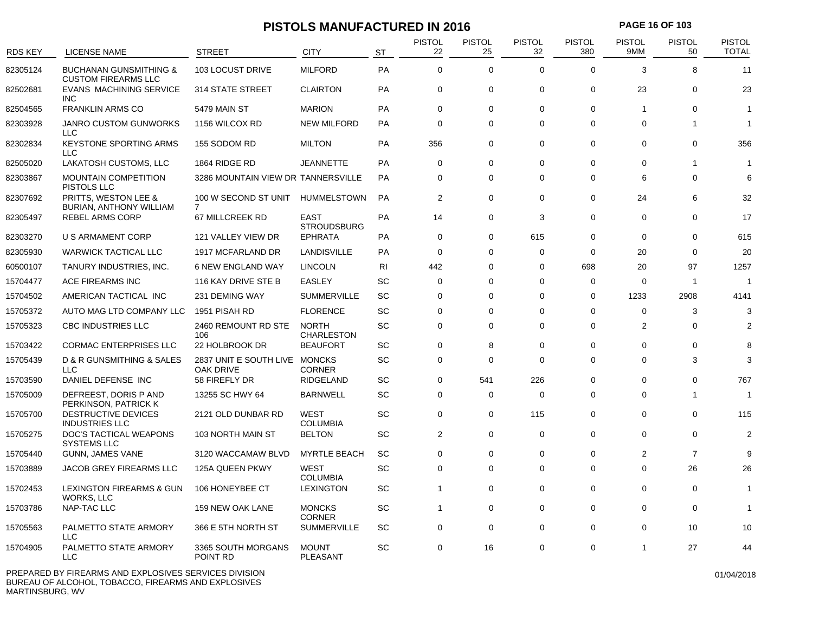### **PISTOLS MANUFACTURED IN 2016 PAGE 16 OF 103**

| <b>RDS KEY</b> | <b>LICENSE NAME</b>                                             | <b>STREET</b>                              | <b>CITY</b>                       | <b>ST</b>      | <b>PISTOL</b><br>22 | <b>PISTOL</b><br>25 | <b>PISTOL</b><br>32 | <b>PISTOL</b><br>380 | <b>PISTOL</b><br>9MM | <b>PISTOL</b><br>50 | <b>PISTOL</b><br><b>TOTAL</b> |
|----------------|-----------------------------------------------------------------|--------------------------------------------|-----------------------------------|----------------|---------------------|---------------------|---------------------|----------------------|----------------------|---------------------|-------------------------------|
| 82305124       | <b>BUCHANAN GUNSMITHING &amp;</b><br><b>CUSTOM FIREARMS LLC</b> | 103 LOCUST DRIVE                           | <b>MILFORD</b>                    | PA             | $\Omega$            | $\mathbf 0$         | $\Omega$            | $\Omega$             | 3                    | 8                   | 11                            |
| 82502681       | <b>EVANS MACHINING SERVICE</b><br><b>INC</b>                    | <b>314 STATE STREET</b>                    | <b>CLAIRTON</b>                   | PA             | $\mathbf 0$         | $\mathbf 0$         | $\mathbf 0$         | 0                    | 23                   | $\mathbf 0$         | 23                            |
| 82504565       | <b>FRANKLIN ARMS CO</b>                                         | 5479 MAIN ST                               | <b>MARION</b>                     | PA             | $\mathbf 0$         | $\mathbf 0$         | $\mathbf 0$         | 0                    | $\overline{1}$       | $\mathbf 0$         | 1                             |
| 82303928       | <b>JANRO CUSTOM GUNWORKS</b><br><b>LLC</b>                      | 1156 WILCOX RD                             | <b>NEW MILFORD</b>                | PA             | $\mathbf 0$         | $\mathbf 0$         | $\Omega$            | 0                    | $\Omega$             | -1                  | 1                             |
| 82302834       | KEYSTONE SPORTING ARMS<br><b>LLC</b>                            | 155 SODOM RD                               | <b>MILTON</b>                     | PA             | 356                 | $\mathbf 0$         | $\mathbf 0$         | 0                    | $\Omega$             | $\Omega$            | 356                           |
| 82505020       | LAKATOSH CUSTOMS, LLC                                           | 1864 RIDGE RD                              | <b>JEANNETTE</b>                  | PA             | $\Omega$            | $\mathbf 0$         | $\Omega$            | $\Omega$             | $\Omega$             | $\mathbf{1}$        | 1                             |
| 82303867       | <b>MOUNTAIN COMPETITION</b><br>PISTOLS LLC                      | 3286 MOUNTAIN VIEW DR TANNERSVILLE         |                                   | PA             | $\mathbf 0$         | 0                   | $\mathbf 0$         | 0                    | 6                    | $\mathbf 0$         | 6                             |
| 82307692       | <b>PRITTS, WESTON LEE &amp;</b><br>BURIAN, ANTHONY WILLIAM      | 100 W SECOND ST UNIT<br>7                  | HUMMELSTOWN                       | PA             | $\overline{2}$      | 0                   | $\mathbf 0$         | 0                    | 24                   | 6                   | 32                            |
| 82305497       | <b>REBEL ARMS CORP</b>                                          | 67 MILLCREEK RD                            | <b>EAST</b><br><b>STROUDSBURG</b> | PA             | 14                  | 0                   | 3                   | 0                    | $\mathbf 0$          | $\mathbf 0$         | 17                            |
| 82303270       | U S ARMAMENT CORP                                               | 121 VALLEY VIEW DR                         | <b>EPHRATA</b>                    | PA             | $\mathbf 0$         | 0                   | 615                 | 0                    | 0                    | 0                   | 615                           |
| 82305930       | <b>WARWICK TACTICAL LLC</b>                                     | 1917 MCFARLAND DR                          | <b>LANDISVILLE</b>                | PA             | $\mathbf 0$         | $\mathbf 0$         | $\mathbf 0$         | $\mathbf 0$          | 20                   | $\Omega$            | 20                            |
| 60500107       | TANURY INDUSTRIES, INC.                                         | <b>6 NEW ENGLAND WAY</b>                   | <b>LINCOLN</b>                    | R <sub>l</sub> | 442                 | 0                   | $\Omega$            | 698                  | 20                   | 97                  | 1257                          |
| 15704477       | ACE FIREARMS INC                                                | 116 KAY DRIVE STE B                        | <b>EASLEY</b>                     | SC             | $\mathbf 0$         | 0                   | $\mathbf 0$         | 0                    | $\mathbf 0$          | $\mathbf{1}$        | $\overline{1}$                |
| 15704502       | AMERICAN TACTICAL INC                                           | 231 DEMING WAY                             | <b>SUMMERVILLE</b>                | SC             | $\Omega$            | $\Omega$            | $\Omega$            | 0                    | 1233                 | 2908                | 4141                          |
| 15705372       | AUTO MAG LTD COMPANY LLC                                        | 1951 PISAH RD                              | <b>FLORENCE</b>                   | SC             | $\mathbf 0$         | 0                   | 0                   | 0                    | $\mathbf 0$          | 3                   | 3                             |
| 15705323       | CBC INDUSTRIES LLC                                              | 2460 REMOUNT RD STE<br>106                 | <b>NORTH</b><br><b>CHARLESTON</b> | SC             | $\mathbf 0$         | $\Omega$            | $\Omega$            | 0                    | 2                    | $\Omega$            | 2                             |
| 15703422       | <b>CORMAC ENTERPRISES LLC</b>                                   | 22 HOLBROOK DR                             | <b>BEAUFORT</b>                   | SC             | $\mathbf 0$         | 8                   | $\Omega$            | 0                    | $\Omega$             | $\Omega$            | 8                             |
| 15705439       | D & R GUNSMITHING & SALES<br>LLC.                               | 2837 UNIT E SOUTH LIVE MONCKS<br>OAK DRIVE | <b>CORNER</b>                     | SC             | $\mathbf 0$         | $\mathbf 0$         | $\mathbf 0$         | $\mathbf 0$          | $\mathbf 0$          | 3                   | 3                             |
| 15703590       | DANIEL DEFENSE INC                                              | 58 FIREFLY DR                              | <b>RIDGELAND</b>                  | SC             | $\mathbf 0$         | 541                 | 226                 | 0                    | $\mathbf 0$          | $\mathbf 0$         | 767                           |
| 15705009       | DEFREEST, DORIS P AND<br>PERKINSON, PATRICK K                   | 13255 SC HWY 64                            | <b>BARNWELL</b>                   | <b>SC</b>      | $\mathbf 0$         | $\mathbf 0$         | $\mathbf 0$         | 0                    | $\Omega$             | $\mathbf{1}$        | -1                            |
| 15705700       | <b>DESTRUCTIVE DEVICES</b><br><b>INDUSTRIES LLC</b>             | 2121 OLD DUNBAR RD                         | <b>WEST</b><br><b>COLUMBIA</b>    | SC             | $\Omega$            | $\mathbf 0$         | 115                 | $\Omega$             | $\Omega$             | $\Omega$            | 115                           |
| 15705275       | DOC'S TACTICAL WEAPONS<br><b>SYSTEMS LLC</b>                    | 103 NORTH MAIN ST                          | <b>BELTON</b>                     | SC             | $\overline{2}$      | 0                   | $\mathbf 0$         | 0                    | $\Omega$             | $\Omega$            | $\overline{2}$                |
| 15705440       | <b>GUNN, JAMES VANE</b>                                         | 3120 WACCAMAW BLVD                         | <b>MYRTLE BEACH</b>               | <b>SC</b>      | $\mathbf 0$         | 0                   | $\mathbf 0$         | 0                    | 2                    | $\overline{7}$      | 9                             |
| 15703889       | JACOB GREY FIREARMS LLC                                         | 125A QUEEN PKWY                            | WEST<br><b>COLUMBIA</b>           | SC             | $\mathbf 0$         | 0                   | $\mathbf 0$         | 0                    | $\mathbf 0$          | 26                  | 26                            |
| 15702453       | LEXINGTON FIREARMS & GUN<br><b>WORKS, LLC</b>                   | 106 HONEYBEE CT                            | <b>LEXINGTON</b>                  | SC             | $\mathbf{1}$        | 0                   | $\Omega$            | $\Omega$             | $\Omega$             | $\Omega$            | 1                             |
| 15703786       | NAP-TAC LLC                                                     | 159 NEW OAK LANE                           | <b>MONCKS</b><br><b>CORNER</b>    | <b>SC</b>      | $\mathbf{1}$        | 0                   | $\Omega$            | $\Omega$             | $\Omega$             | $\Omega$            | 1                             |
| 15705563       | PALMETTO STATE ARMORY<br>LLC                                    | 366 E 5TH NORTH ST                         | <b>SUMMERVILLE</b>                | SC             | $\mathbf 0$         | $\mathbf 0$         | $\mathbf 0$         | $\mathbf 0$          | $\Omega$             | 10                  | 10                            |
| 15704905       | PALMETTO STATE ARMORY<br>LLC                                    | 3365 SOUTH MORGANS<br>POINT RD             | <b>MOUNT</b><br><b>PLEASANT</b>   | <b>SC</b>      | $\Omega$            | 16                  | $\Omega$            | $\Omega$             | $\overline{1}$       | 27                  | 44                            |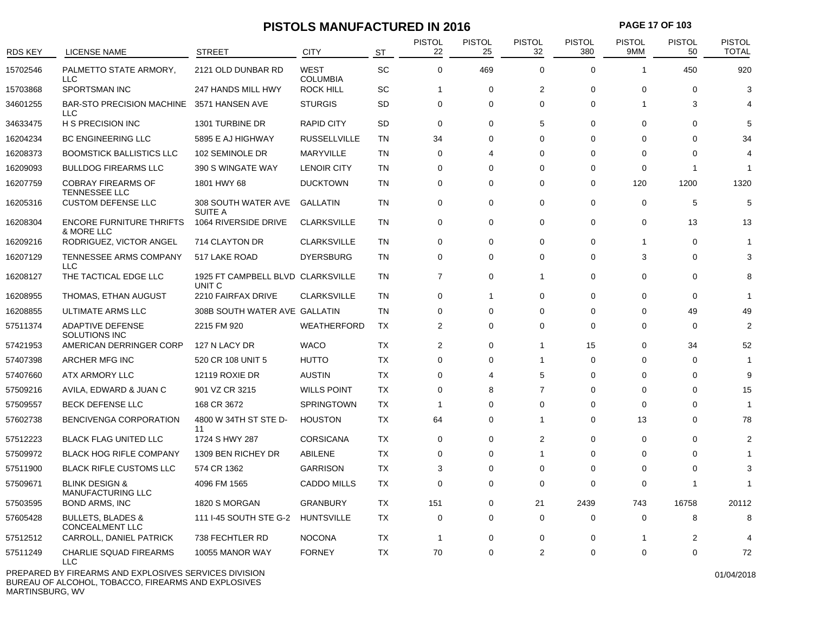### **PISTOLS MANUFACTURED IN 2016 PAGE 17 OF 103**

| <b>RDS KEY</b> | <b>LICENSE NAME</b>                                    | <b>STREET</b>                               | <b>CITY</b>                    | <b>ST</b> | <b>PISTOL</b><br>22 | <b>PISTOL</b><br>25 | <b>PISTOL</b><br>32 | <b>PISTOL</b><br>380 | <b>PISTOL</b><br>9MM | <b>PISTOL</b><br>50 | PISTOL<br><b>TOTAL</b> |
|----------------|--------------------------------------------------------|---------------------------------------------|--------------------------------|-----------|---------------------|---------------------|---------------------|----------------------|----------------------|---------------------|------------------------|
| 15702546       | PALMETTO STATE ARMORY,<br><b>LLC</b>                   | 2121 OLD DUNBAR RD                          | <b>WEST</b><br><b>COLUMBIA</b> | SC        | $\mathbf 0$         | 469                 | $\Omega$            | $\mathbf 0$          | 1                    | 450                 | 920                    |
| 15703868       | <b>SPORTSMAN INC</b>                                   | 247 HANDS MILL HWY                          | <b>ROCK HILL</b>               | SC        |                     | $\mathbf 0$         | $\overline{2}$      | $\mathbf 0$          | $\Omega$             | 0                   | 3                      |
| 34601255       | <b>BAR-STO PRECISION MACHINE</b><br><b>LLC</b>         | 3571 HANSEN AVE                             | <b>STURGIS</b>                 | <b>SD</b> | 0                   | 0                   | $\Omega$            | 0                    | 1                    | 3                   |                        |
| 34633475       | H S PRECISION INC                                      | 1301 TURBINE DR                             | <b>RAPID CITY</b>              | <b>SD</b> | $\mathbf 0$         | $\mathbf 0$         | 5                   | $\mathbf 0$          | $\Omega$             | $\mathbf 0$         |                        |
| 16204234       | <b>BC ENGINEERING LLC</b>                              | 5895 E AJ HIGHWAY                           | <b>RUSSELLVILLE</b>            | <b>TN</b> | 34                  | 0                   | $\Omega$            | 0                    | $\Omega$             | $\Omega$            | 34                     |
| 16208373       | <b>BOOMSTICK BALLISTICS LLC</b>                        | 102 SEMINOLE DR                             | MARYVILLE                      | <b>TN</b> | 0                   | 4                   | $\Omega$            | 0                    | $\Omega$             | $\Omega$            |                        |
| 16209093       | <b>BULLDOG FIREARMS LLC</b>                            | 390 S WINGATE WAY                           | <b>LENOIR CITY</b>             | <b>TN</b> | 0                   | $\Omega$            | $\Omega$            | $\Omega$             | $\Omega$             | -1                  | -1                     |
| 16207759       | <b>COBRAY FIREARMS OF</b><br><b>TENNESSEE LLC</b>      | 1801 HWY 68                                 | <b>DUCKTOWN</b>                | <b>TN</b> | $\Omega$            | $\Omega$            | $\Omega$            | $\Omega$             | 120                  | 1200                | 1320                   |
| 16205316       | <b>CUSTOM DEFENSE LLC</b>                              | 308 SOUTH WATER AVE<br><b>SUITE A</b>       | <b>GALLATIN</b>                | <b>TN</b> | 0                   | 0                   | 0                   | 0                    | $\mathbf 0$          | 5                   | 5                      |
| 16208304       | <b>ENCORE FURNITURE THRIFTS</b><br>& MORE LLC          | 1064 RIVERSIDE DRIVE                        | <b>CLARKSVILLE</b>             | <b>TN</b> | $\mathbf 0$         | $\mathbf 0$         | $\mathbf 0$         | $\mathbf 0$          | $\mathbf 0$          | 13                  | 13                     |
| 16209216       | RODRIGUEZ, VICTOR ANGEL                                | 714 CLAYTON DR                              | <b>CLARKSVILLE</b>             | <b>TN</b> | $\Omega$            | $\Omega$            | $\Omega$            | $\Omega$             | 1                    | $\Omega$            | 1                      |
| 16207129       | TENNESSEE ARMS COMPANY<br><b>LLC</b>                   | 517 LAKE ROAD                               | <b>DYERSBURG</b>               | TN        | $\Omega$            | $\mathbf 0$         | $\Omega$            | $\Omega$             | 3                    | $\Omega$            | 3                      |
| 16208127       | THE TACTICAL EDGE LLC                                  | 1925 FT CAMPBELL BLVD CLARKSVILLE<br>UNIT C |                                | TN        | $\overline{7}$      | 0                   | $\mathbf{1}$        | 0                    | 0                    | 0                   | R                      |
| 16208955       | THOMAS, ETHAN AUGUST                                   | 2210 FAIRFAX DRIVE                          | <b>CLARKSVILLE</b>             | <b>TN</b> | $\mathbf 0$         | $\mathbf{1}$        | $\mathbf 0$         | $\mathbf 0$          | $\Omega$             | $\mathbf 0$         | 1                      |
| 16208855       | ULTIMATE ARMS LLC                                      | 308B SOUTH WATER AVE GALLATIN               |                                | <b>TN</b> | $\mathbf 0$         | $\mathbf 0$         | $\Omega$            | 0                    | $\Omega$             | 49                  | 49                     |
| 57511374       | <b>ADAPTIVE DEFENSE</b><br>SOLUTIONS INC               | 2215 FM 920                                 | <b>WEATHERFORD</b>             | TX        | 2                   | 0                   | $\Omega$            | 0                    | 0                    | 0                   | $\overline{2}$         |
| 57421953       | AMERICAN DERRINGER CORP                                | 127 N LACY DR                               | <b>WACO</b>                    | <b>TX</b> | 2                   | $\mathbf 0$         | $\mathbf{1}$        | 15                   | $\Omega$             | 34                  | 52                     |
| 57407398       | ARCHER MFG INC                                         | 520 CR 108 UNIT 5                           | <b>HUTTO</b>                   | TX        | $\mathbf 0$         | $\mathbf 0$         | $\mathbf 1$         | $\mathbf 0$          | $\Omega$             | 0                   | -1                     |
| 57407660       | ATX ARMORY LLC                                         | <b>12119 ROXIE DR</b>                       | <b>AUSTIN</b>                  | TX        | 0                   | 4                   | 5                   | 0                    | 0                    | 0                   | 9                      |
| 57509216       | AVILA, EDWARD & JUAN C                                 | 901 VZ CR 3215                              | <b>WILLS POINT</b>             | TX        | $\overline{0}$      | 8                   | $\overline{7}$      | $\Omega$             | $\Omega$             | $\Omega$            | 15                     |
| 57509557       | BECK DEFENSE LLC                                       | 168 CR 3672                                 | <b>SPRINGTOWN</b>              | TX        | $\overline{1}$      | $\mathbf 0$         | $\Omega$            | $\mathbf 0$          | $\Omega$             | $\Omega$            | 1                      |
| 57602738       | BENCIVENGA CORPORATION                                 | 4800 W 34TH ST STE D-<br>11                 | <b>HOUSTON</b>                 | TX        | 64                  | 0                   | $\overline{1}$      | $\mathbf 0$          | 13                   | $\mathbf 0$         | 78                     |
| 57512223       | <b>BLACK FLAG UNITED LLC</b>                           | 1724 S HWY 287                              | <b>CORSICANA</b>               | TX        | $\Omega$            | $\Omega$            | $\overline{2}$      | $\mathbf 0$          | $\Omega$             | $\Omega$            | $\mathcal{P}$          |
| 57509972       | <b>BLACK HOG RIFLE COMPANY</b>                         | 1309 BEN RICHEY DR                          | ABILENE                        | TX        | $\Omega$            | $\Omega$            | $\overline{1}$      | $\Omega$             | $\Omega$             | $\Omega$            |                        |
| 57511900       | <b>BLACK RIFLE CUSTOMS LLC</b>                         | 574 CR 1362                                 | <b>GARRISON</b>                | TX        | 3                   | $\mathbf 0$         | $\Omega$            | 0                    | $\Omega$             | $\Omega$            | 3                      |
| 57509671       | <b>BLINK DESIGN &amp;</b><br>MANUFACTURING LLC         | 4096 FM 1565                                | <b>CADDO MILLS</b>             | TX        | $\mathbf 0$         | 0                   | $\Omega$            | 0                    | $\Omega$             | -1                  |                        |
| 57503595       | <b>BOND ARMS, INC</b>                                  | 1820 S MORGAN                               | <b>GRANBURY</b>                | TX        | 151                 | 0                   | 21                  | 2439                 | 743                  | 16758               | 20112                  |
| 57605428       | <b>BULLETS, BLADES &amp;</b><br><b>CONCEALMENT LLC</b> | 111 I-45 SOUTH STE G-2                      | <b>HUNTSVILLE</b>              | TX        | 0                   | $\mathbf 0$         | $\mathbf 0$         | 0                    | 0                    | 8                   | 8                      |
| 57512512       | CARROLL, DANIEL PATRICK                                | 738 FECHTLER RD                             | <b>NOCONA</b>                  | TX        | $\mathbf{1}$        | $\mathbf 0$         | $\Omega$            | 0                    | 1                    | $\overline{c}$      | 4                      |
| 57511249       | <b>CHARLIE SQUAD FIREARMS</b><br><b>LLC</b>            | 10055 MANOR WAY                             | <b>FORNEY</b>                  | ТX        | 70                  | $\mathbf 0$         | $\overline{2}$      | $\Omega$             | $\Omega$             | $\Omega$            | 72                     |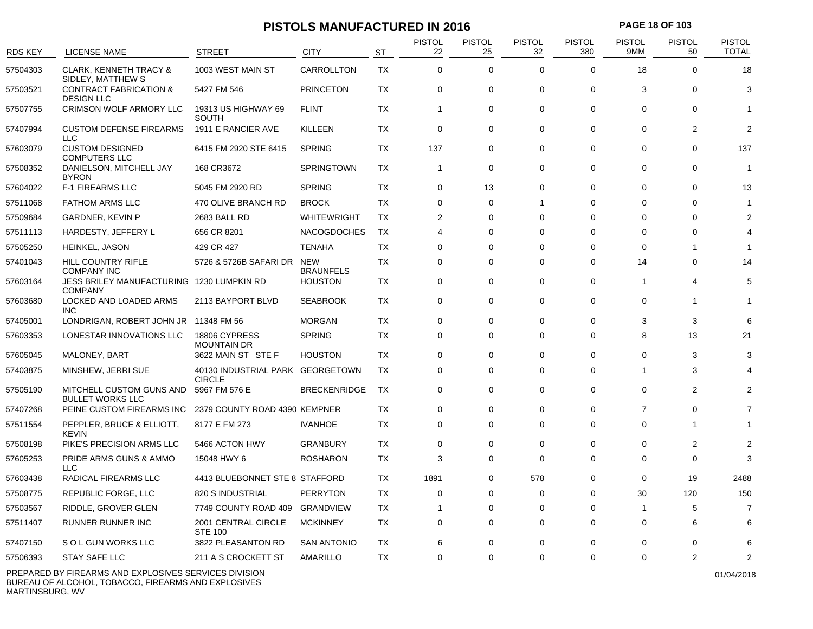### **PISTOLS MANUFACTURED IN 2016 PAGE 18 OF 103**

| <b>RDS KEY</b> | LICENSE NAME                                                                | <b>STREET</b>                                     | <b>CITY</b>                    | <b>ST</b> | <b>PISTOL</b><br>22 | <b>PISTOL</b><br>25 | <b>PISTOL</b><br>32 | <b>PISTOL</b><br>380 | <b>PISTOL</b><br>9MM | <b>PISTOL</b><br>50 | <b>PISTOL</b><br><b>TOTAL</b> |
|----------------|-----------------------------------------------------------------------------|---------------------------------------------------|--------------------------------|-----------|---------------------|---------------------|---------------------|----------------------|----------------------|---------------------|-------------------------------|
| 57504303       | <b>CLARK, KENNETH TRACY &amp;</b>                                           | 1003 WEST MAIN ST                                 | CARROLLTON                     | <b>TX</b> | $\mathbf{0}$        | $\mathbf 0$         | $\Omega$            | $\Omega$             | 18                   | $\Omega$            | 18                            |
| 57503521       | SIDLEY, MATTHEW S<br><b>CONTRACT FABRICATION &amp;</b><br><b>DESIGN LLC</b> | 5427 FM 546                                       | <b>PRINCETON</b>               | TX        | $\mathbf 0$         | 0                   | $\mathbf 0$         | $\mathbf 0$          | 3                    | $\Omega$            | 3                             |
| 57507755       | CRIMSON WOLF ARMORY LLC                                                     | 19313 US HIGHWAY 69<br><b>SOUTH</b>               | <b>FLINT</b>                   | <b>TX</b> | $\mathbf{1}$        | $\mathbf 0$         | $\Omega$            | $\mathbf 0$          | $\Omega$             | $\Omega$            |                               |
| 57407994       | <b>CUSTOM DEFENSE FIREARMS</b><br><b>LLC</b>                                | 1911 E RANCIER AVE                                | <b>KILLEEN</b>                 | TX        | $\mathbf 0$         | 0                   | $\mathbf 0$         | $\mathbf 0$          | 0                    | $\overline{2}$      | $\overline{2}$                |
| 57603079       | <b>CUSTOM DESIGNED</b><br><b>COMPUTERS LLC</b>                              | 6415 FM 2920 STE 6415                             | <b>SPRING</b>                  | TX        | 137                 | 0                   | $\Omega$            | $\Omega$             | $\Omega$             | $\Omega$            | 137                           |
| 57508352       | DANIELSON, MITCHELL JAY<br><b>BYRON</b>                                     | 168 CR3672                                        | <b>SPRINGTOWN</b>              | TX        | $\mathbf{1}$        | $\mathbf 0$         | $\Omega$            | $\Omega$             | $\Omega$             | $\Omega$            | -1                            |
| 57604022       | <b>F-1 FIREARMS LLC</b>                                                     | 5045 FM 2920 RD                                   | <b>SPRING</b>                  | TX        | $\mathbf 0$         | 13                  | $\Omega$            | 0                    | 0                    | 0                   | 13                            |
| 57511068       | <b>FATHOM ARMS LLC</b>                                                      | 470 OLIVE BRANCH RD                               | <b>BROCK</b>                   | TX        | $\Omega$            | 0                   | 1                   | $\Omega$             | $\Omega$             | $\Omega$            |                               |
| 57509684       | <b>GARDNER, KEVIN P</b>                                                     | 2683 BALL RD                                      | <b>WHITEWRIGHT</b>             | TX        | 2                   | $\Omega$            | $\Omega$            | $\Omega$             | $\Omega$             | $\Omega$            | $\overline{2}$                |
| 57511113       | HARDESTY, JEFFERY L                                                         | 656 CR 8201                                       | <b>NACOGDOCHES</b>             | TX        | $\overline{4}$      | 0                   | $\Omega$            | $\Omega$             | $\Omega$             | $\Omega$            | $\Delta$                      |
| 57505250       | HEINKEL, JASON                                                              | 429 CR 427                                        | <b>TENAHA</b>                  | <b>TX</b> | $\mathbf 0$         | 0                   | $\Omega$            | 0                    | $\Omega$             | 1                   |                               |
| 57401043       | <b>HILL COUNTRY RIFLE</b><br><b>COMPANY INC</b>                             | 5726 & 5726B SAFARI DR                            | <b>NEW</b><br><b>BRAUNFELS</b> | <b>TX</b> | $\Omega$            | $\Omega$            | $\Omega$            | $\Omega$             | 14                   | $\Omega$            | 14                            |
| 57603164       | JESS BRILEY MANUFACTURING 1230 LUMPKIN RD<br><b>COMPANY</b>                 |                                                   | <b>HOUSTON</b>                 | TX        | $\mathbf{0}$        | $\mathbf 0$         | $\mathbf 0$         | 0                    | $\mathbf{1}$         | 4                   | 5                             |
| 57603680       | LOCKED AND LOADED ARMS<br><b>INC</b>                                        | 2113 BAYPORT BLVD                                 | <b>SEABROOK</b>                | TX        | $\mathbf 0$         | $\mathbf 0$         | $\Omega$            | $\Omega$             | $\Omega$             | 1                   |                               |
| 57405001       | LONDRIGAN, ROBERT JOHN JR 11348 FM 56                                       |                                                   | <b>MORGAN</b>                  | TX        | $\mathbf 0$         | 0                   | $\Omega$            | $\mathbf 0$          | 3                    | 3                   | 6                             |
| 57603353       | LONESTAR INNOVATIONS LLC                                                    | 18806 CYPRESS<br><b>MOUNTAIN DR</b>               | <b>SPRING</b>                  | TX        | $\mathbf 0$         | 0                   | 0                   | 0                    | 8                    | 13                  | 21                            |
| 57605045       | MALONEY, BART                                                               | 3622 MAIN ST STE F                                | <b>HOUSTON</b>                 | <b>TX</b> | $\Omega$            | 0                   | $\Omega$            | $\Omega$             | $\Omega$             | 3                   | 3                             |
| 57403875       | MINSHEW, JERRI SUE                                                          | 40130 INDUSTRIAL PARK GEORGETOWN<br><b>CIRCLE</b> |                                | TX        | $\mathbf 0$         | 0                   | $\Omega$            | $\Omega$             | $\overline{1}$       | 3                   |                               |
| 57505190       | MITCHELL CUSTOM GUNS AND<br><b>BULLET WORKS LLC</b>                         | 5967 FM 576 E                                     | <b>BRECKENRIDGE</b>            | TX        | $\mathbf 0$         | 0                   | $\Omega$            | $\mathbf 0$          | $\Omega$             | $\overline{2}$      | 2                             |
| 57407268       | PEINE CUSTOM FIREARMS INC                                                   | 2379 COUNTY ROAD 4390 KEMPNER                     |                                | TX        | $\mathbf 0$         | 0                   | $\Omega$            | 0                    | 7                    | 0                   |                               |
| 57511554       | PEPPLER, BRUCE & ELLIOTT,<br><b>KEVIN</b>                                   | 8177 E FM 273                                     | <b>IVANHOE</b>                 | TX        | $\Omega$            | $\Omega$            | $\Omega$            | $\Omega$             | $\Omega$             | -1                  |                               |
| 57508198       | PIKE'S PRECISION ARMS LLC                                                   | 5466 ACTON HWY                                    | <b>GRANBURY</b>                | ТX        | $\mathbf 0$         | 0                   | $\Omega$            | 0                    | $\Omega$             | 2                   | $\overline{2}$                |
| 57605253       | PRIDE ARMS GUNS & AMMO<br>LLC.                                              | 15048 HWY 6                                       | <b>ROSHARON</b>                | TX        | 3                   | $\Omega$            | $\Omega$            | $\Omega$             | $\Omega$             | $\Omega$            | 3                             |
| 57603438       | RADICAL FIREARMS LLC                                                        | 4413 BLUEBONNET STE 8 STAFFORD                    |                                | TX        | 1891                | 0                   | 578                 | 0                    | $\mathbf 0$          | 19                  | 2488                          |
| 57508775       | REPUBLIC FORGE, LLC                                                         | 820 S INDUSTRIAL                                  | <b>PERRYTON</b>                | <b>TX</b> | 0                   | 0                   | 0                   | 0                    | 30                   | 120                 | 150                           |
| 57503567       | RIDDLE, GROVER GLEN                                                         | 7749 COUNTY ROAD 409                              | GRANDVIEW                      | TX        | $\overline{1}$      | $\Omega$            | $\Omega$            | $\Omega$             | $\overline{1}$       | 5                   | $\overline{7}$                |
| 57511407       | RUNNER RUNNER INC                                                           | 2001 CENTRAL CIRCLE<br><b>STE 100</b>             | <b>MCKINNEY</b>                | TX        | $\Omega$            | $\Omega$            | $\Omega$            | $\Omega$             | $\Omega$             | 6                   | 6                             |
| 57407150       | S O L GUN WORKS LLC                                                         | 3822 PLEASANTON RD                                | <b>SAN ANTONIO</b>             | TX        | 6                   | $\Omega$            | $\Omega$            | $\Omega$             | $\Omega$             | $\Omega$            | 6                             |
| 57506393       | STAY SAFE LLC                                                               | 211 A S CROCKETT ST                               | AMARILLO                       | <b>TX</b> | $\Omega$            | $\Omega$            | $\Omega$            | $\Omega$             | $\Omega$             | $\overline{2}$      | $\overline{2}$                |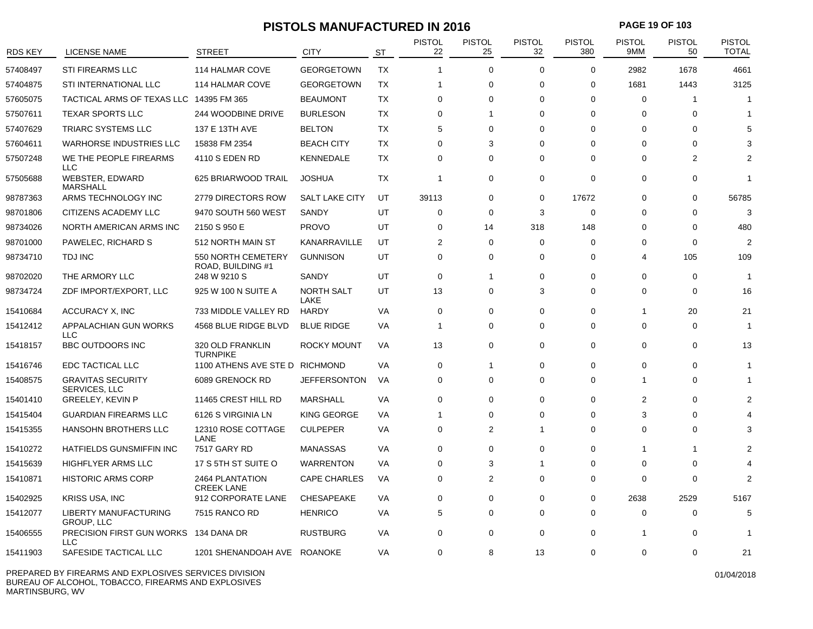### **PISTOLS MANUFACTURED IN 2016 PAGE 19 OF 103**

| <b>RDS KEY</b> | <b>LICENSE NAME</b>                                 | <b>STREET</b>                           | <b>CITY</b>               | <b>ST</b> | <b>PISTOL</b><br>22 | <b>PISTOL</b><br>25 | <b>PISTOL</b><br>32 | <b>PISTOL</b><br>380 | <b>PISTOL</b><br>9MM | <b>PISTOL</b><br>50 | <b>PISTOL</b><br><b>TOTAL</b> |
|----------------|-----------------------------------------------------|-----------------------------------------|---------------------------|-----------|---------------------|---------------------|---------------------|----------------------|----------------------|---------------------|-------------------------------|
| 57408497       | <b>STI FIREARMS LLC</b>                             | 114 HALMAR COVE                         | <b>GEORGETOWN</b>         | <b>TX</b> | 1                   | $\Omega$            | $\Omega$            | $\Omega$             | 2982                 | 1678                | 4661                          |
| 57404875       | STI INTERNATIONAL LLC                               | 114 HALMAR COVE                         | <b>GEORGETOWN</b>         | <b>TX</b> | 1                   | $\mathbf 0$         | $\Omega$            | $\mathbf 0$          | 1681                 | 1443                | 3125                          |
| 57605075       | TACTICAL ARMS OF TEXAS LLC 14395 FM 365             |                                         | <b>BEAUMONT</b>           | <b>TX</b> | $\mathbf 0$         | $\mathbf 0$         | $\Omega$            | $\mathbf 0$          | 0                    | $\mathbf{1}$        | -1                            |
| 57507611       | <b>TEXAR SPORTS LLC</b>                             | 244 WOODBINE DRIVE                      | <b>BURLESON</b>           | <b>TX</b> | 0                   | $\mathbf{1}$        | $\Omega$            | 0                    | $\Omega$             | 0                   | -1                            |
| 57407629       | TRIARC SYSTEMS LLC                                  | 137 E 13TH AVE                          | <b>BELTON</b>             | TX        | 5                   | $\mathbf 0$         | $\Omega$            | $\Omega$             | $\Omega$             | $\Omega$            |                               |
| 57604611       | <b>WARHORSE INDUSTRIES LLC</b>                      | 15838 FM 2354                           | <b>BEACH CITY</b>         | TX        | 0                   | 3                   | $\Omega$            | $\Omega$             | $\Omega$             | $\Omega$            |                               |
| 57507248       | WE THE PEOPLE FIREARMS<br><b>LLC</b>                | 4110 S EDEN RD                          | KENNEDALE                 | TX        | 0                   | $\Omega$            | $\Omega$            | 0                    | 0                    | 2                   |                               |
| 57505688       | WEBSTER, EDWARD<br><b>MARSHALL</b>                  | 625 BRIARWOOD TRAIL                     | <b>JOSHUA</b>             | TX        | $\mathbf{1}$        | $\mathbf 0$         | $\Omega$            | 0                    | 0                    | $\mathbf 0$         | 1                             |
| 98787363       | ARMS TECHNOLOGY INC                                 | 2779 DIRECTORS ROW                      | <b>SALT LAKE CITY</b>     | UT        | 39113               | $\mathbf 0$         | $\Omega$            | 17672                | $\Omega$             | $\Omega$            | 56785                         |
| 98701806       | CITIZENS ACADEMY LLC                                | 9470 SOUTH 560 WEST                     | SANDY                     | UT        | $\mathbf 0$         | $\mathbf 0$         | 3                   | $\mathbf 0$          | $\Omega$             | $\Omega$            | 3                             |
| 98734026       | NORTH AMERICAN ARMS INC                             | 2150 S 950 E                            | <b>PROVO</b>              | UT        | 0                   | 14                  | 318                 | 148                  | 0                    | 0                   | 480                           |
| 98701000       | PAWELEC, RICHARD S                                  | 512 NORTH MAIN ST                       | KANARRAVILLE              | UT        | 2                   | $\mathbf 0$         | $\Omega$            | $\mathbf 0$          | $\Omega$             | $\Omega$            | $\mathfrak{p}$                |
| 98734710       | <b>TDJ INC</b>                                      | 550 NORTH CEMETERY<br>ROAD, BUILDING #1 | <b>GUNNISON</b>           | UT        | $\mathbf 0$         | 0                   | $\Omega$            | 0                    | 4                    | 105                 | 109                           |
| 98702020       | THE ARMORY LLC                                      | 248 W 9210 S                            | SANDY                     | UT        | $\mathbf 0$         | 1                   | $\Omega$            | $\Omega$             | $\Omega$             | $\mathbf 0$         | 1                             |
| 98734724       | ZDF IMPORT/EXPORT, LLC                              | 925 W 100 N SUITE A                     | <b>NORTH SALT</b><br>LAKE | UT        | 13                  | $\mathbf 0$         | 3                   | $\mathbf 0$          | $\Omega$             | $\Omega$            | 16                            |
| 15410684       | <b>ACCURACY X, INC</b>                              | 733 MIDDLE VALLEY RD                    | <b>HARDY</b>              | VA        | $\mathbf 0$         | $\mathbf 0$         | $\Omega$            | $\Omega$             | 1                    | 20                  | 21                            |
| 15412412       | APPALACHIAN GUN WORKS<br><b>LLC</b>                 | 4568 BLUE RIDGE BLVD                    | <b>BLUE RIDGE</b>         | <b>VA</b> | $\mathbf{1}$        | $\mathbf 0$         | $\Omega$            | $\Omega$             | $\Omega$             | $\mathbf 0$         |                               |
| 15418157       | <b>BBC OUTDOORS INC</b>                             | 320 OLD FRANKLIN<br><b>TURNPIKE</b>     | <b>ROCKY MOUNT</b>        | VA        | 13                  | $\Omega$            | $\Omega$            | $\Omega$             | $\Omega$             | $\Omega$            | 13                            |
| 15416746       | EDC TACTICAL LLC                                    | 1100 ATHENS AVE STE D RICHMOND          |                           | VA        | $\mathbf 0$         | 1                   | $\mathbf 0$         | 0                    | 0                    | $\mathbf 0$         |                               |
| 15408575       | <b>GRAVITAS SECURITY</b><br>SERVICES, LLC           | 6089 GRENOCK RD                         | <b>JEFFERSONTON</b>       | VA        | $\Omega$            | $\Omega$            | $\Omega$            | $\Omega$             | 1                    | $\Omega$            |                               |
| 15401410       | <b>GREELEY, KEVIN P</b>                             | 11465 CREST HILL RD                     | <b>MARSHALL</b>           | VA        | $\mathbf 0$         | $\mathbf 0$         | $\mathbf 0$         | 0                    | 2                    | 0                   |                               |
| 15415404       | <b>GUARDIAN FIREARMS LLC</b>                        | 6126 S VIRGINIA LN                      | KING GEORGE               | <b>VA</b> | 1                   | $\Omega$            | $\Omega$            | $\Omega$             | 3                    | $\Omega$            |                               |
| 15415355       | HANSOHN BROTHERS LLC                                | 12310 ROSE COTTAGE<br>LANE              | <b>CULPEPER</b>           | <b>VA</b> | $\mathbf 0$         | 2                   | $\mathbf{1}$        | $\Omega$             | $\Omega$             | $\Omega$            |                               |
| 15410272       | HATFIELDS GUNSMIFFIN INC                            | 7517 GARY RD                            | <b>MANASSAS</b>           | VA        | $\Omega$            | $\Omega$            | $\Omega$            | $\Omega$             | -1                   |                     |                               |
| 15415639       | HIGHFLYER ARMS LLC                                  | 17 S 5TH ST SUITE O                     | <b>WARRENTON</b>          | VA        | $\Omega$            | 3                   | $\overline{1}$      | $\Omega$             | $\Omega$             | $\Omega$            |                               |
| 15410871       | <b>HISTORIC ARMS CORP</b>                           | 2464 PLANTATION<br><b>CREEK LANE</b>    | <b>CAPE CHARLES</b>       | VA        | $\mathbf 0$         | 2                   | $\Omega$            | 0                    | $\Omega$             | $\Omega$            | $\overline{2}$                |
| 15402925       | KRISS USA, INC                                      | 912 CORPORATE LANE                      | <b>CHESAPEAKE</b>         | VA        | $\mathbf 0$         | $\Omega$            | $\Omega$            | $\Omega$             | 2638                 | 2529                | 5167                          |
| 15412077       | <b>LIBERTY MANUFACTURING</b><br><b>GROUP, LLC</b>   | 7515 RANCO RD                           | <b>HENRICO</b>            | VA        | 5                   | $\Omega$            | $\Omega$            | 0                    | 0                    | $\Omega$            | 5                             |
| 15406555       | PRECISION FIRST GUN WORKS 134 DANA DR<br><b>LLC</b> |                                         | <b>RUSTBURG</b>           | VA        | $\mathbf 0$         | $\mathbf 0$         | $\Omega$            | 0                    | 1                    | 0                   |                               |
| 15411903       | SAFESIDE TACTICAL LLC                               | 1201 SHENANDOAH AVE ROANOKE             |                           | <b>VA</b> | $\mathbf 0$         | 8                   | 13                  | $\Omega$             | $\Omega$             | $\Omega$            | 21                            |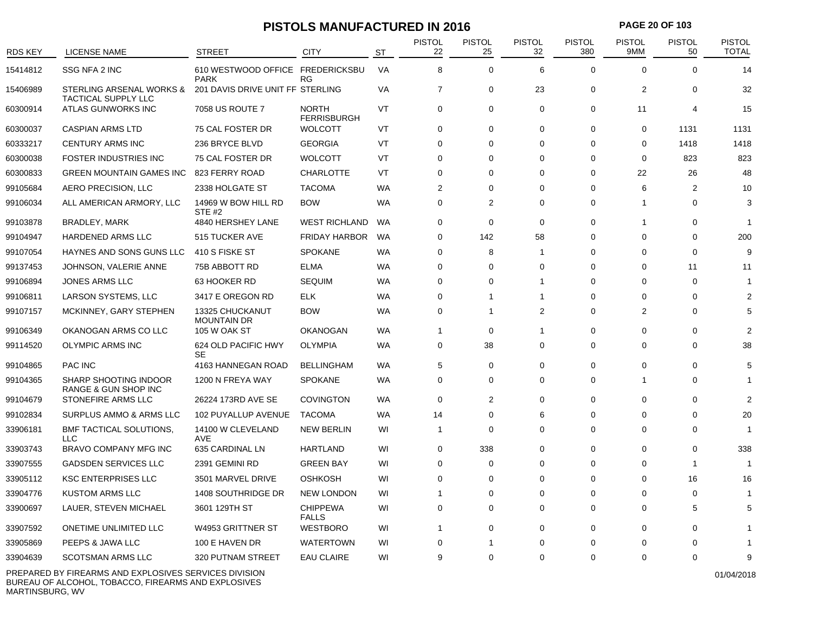### **PISTOLS MANUFACTURED IN 2016 PAGE 20 OF 103**

| <b>RDS KEY</b> | <b>LICENSE NAME</b>                                    | <b>STREET</b>                                   | <b>CITY</b>                        | <b>ST</b> | <b>PISTOL</b><br>22 | PISTOL<br>25   | <b>PISTOL</b><br>32 | <b>PISTOL</b><br>380 | <b>PISTOL</b><br>9MM | <b>PISTOL</b><br>50 | <b>PISTOL</b><br><b>TOTAL</b> |
|----------------|--------------------------------------------------------|-------------------------------------------------|------------------------------------|-----------|---------------------|----------------|---------------------|----------------------|----------------------|---------------------|-------------------------------|
| 15414812       | SSG NFA 2 INC                                          | 610 WESTWOOD OFFICE FREDERICKSBU<br><b>PARK</b> | RG                                 | VA        | 8                   | $\mathbf 0$    | 6                   | $\mathbf 0$          | 0                    | 0                   | 14                            |
| 15406989       | STERLING ARSENAL WORKS &<br><b>TACTICAL SUPPLY LLC</b> | 201 DAVIS DRIVE UNIT FF STERLING                |                                    | VA        | $\overline{7}$      | 0              | 23                  | 0                    | $\overline{2}$       | 0                   | 32                            |
| 60300914       | ATLAS GUNWORKS INC                                     | 7058 US ROUTE 7                                 | <b>NORTH</b><br><b>FERRISBURGH</b> | VT        | 0                   | 0              | $\mathbf 0$         | 0                    | 11                   | 4                   | 15                            |
| 60300037       | <b>CASPIAN ARMS LTD</b>                                | 75 CAL FOSTER DR                                | <b>WOLCOTT</b>                     | VT        | 0                   | 0              | 0                   | 0                    | 0                    | 1131                | 1131                          |
| 60333217       | <b>CENTURY ARMS INC</b>                                | 236 BRYCE BLVD                                  | <b>GEORGIA</b>                     | VT        | 0                   | $\Omega$       | 0                   | 0                    | 0                    | 1418                | 1418                          |
| 60300038       | <b>FOSTER INDUSTRIES INC</b>                           | 75 CAL FOSTER DR                                | <b>WOLCOTT</b>                     | VT        | $\Omega$            | $\Omega$       | $\Omega$            | 0                    | $\Omega$             | 823                 | 823                           |
| 60300833       | <b>GREEN MOUNTAIN GAMES INC</b>                        | 823 FERRY ROAD                                  | <b>CHARLOTTE</b>                   | VT        | 0                   | $\Omega$       | $\Omega$            | 0                    | 22                   | 26                  | 48                            |
| 99105684       | AERO PRECISION, LLC                                    | 2338 HOLGATE ST                                 | <b>TACOMA</b>                      | WA        | 2                   | $\Omega$       | $\Omega$            | 0                    | 6                    | $\overline{2}$      | 10                            |
| 99106034       | ALL AMERICAN ARMORY, LLC                               | 14969 W BOW HILL RD<br><b>STE #2</b>            | <b>BOW</b>                         | WA        | 0                   | 2              | $\Omega$            | 0                    | 1                    | 0                   | 3                             |
| 99103878       | <b>BRADLEY, MARK</b>                                   | 4840 HERSHEY LANE                               | <b>WEST RICHLAND</b>               | WA        | 0                   | $\mathbf 0$    | $\mathbf 0$         | 0                    | -1                   | 0                   |                               |
| 99104947       | <b>HARDENED ARMS LLC</b>                               | 515 TUCKER AVE                                  | <b>FRIDAY HARBOR</b>               | WA        | 0                   | 142            | 58                  | 0                    | $\Omega$             | 0                   | 200                           |
| 99107054       | HAYNES AND SONS GUNS LLC                               | 410 S FISKE ST                                  | <b>SPOKANE</b>                     | WA        | 0                   | 8              | -1                  | 0                    | 0                    | 0                   | 9                             |
| 99137453       | JOHNSON, VALERIE ANNE                                  | 75B ABBOTT RD                                   | <b>ELMA</b>                        | <b>WA</b> | $\Omega$            | $\Omega$       | $\Omega$            | $\Omega$             | $\Omega$             | 11                  | 11                            |
| 99106894       | <b>JONES ARMS LLC</b>                                  | 63 HOOKER RD                                    | <b>SEQUIM</b>                      | <b>WA</b> | 0                   | $\Omega$       | -1                  | $\Omega$             | $\Omega$             | $\mathbf 0$         |                               |
| 99106811       | LARSON SYSTEMS, LLC                                    | 3417 E OREGON RD                                | <b>ELK</b>                         | <b>WA</b> | 0                   | 1              | $\overline{1}$      | 0                    | 0                    | $\Omega$            | 2                             |
| 99107157       | MCKINNEY, GARY STEPHEN                                 | 13325 CHUCKANUT<br><b>MOUNTAIN DR</b>           | <b>BOW</b>                         | WA        | 0                   | 1              | 2                   | 0                    | 2                    | $\Omega$            | 5                             |
| 99106349       | OKANOGAN ARMS CO LLC                                   | <b>105 W OAK ST</b>                             | <b>OKANOGAN</b>                    | WA        | $\overline{1}$      | 0              | $\mathbf{1}$        | 0                    | $\Omega$             | $\Omega$            |                               |
| 99114520       | <b>OLYMPIC ARMS INC</b>                                | 624 OLD PACIFIC HWY<br><b>SE</b>                | <b>OLYMPIA</b>                     | WA        | 0                   | 38             | $\Omega$            | $\Omega$             | 0                    | $\Omega$            | 38                            |
| 99104865       | <b>PAC INC</b>                                         | 4163 HANNEGAN ROAD                              | <b>BELLINGHAM</b>                  | <b>WA</b> | 5                   | $\mathbf 0$    | $\Omega$            | $\mathbf 0$          | $\Omega$             | $\Omega$            | 5                             |
| 99104365       | SHARP SHOOTING INDOOR<br>RANGE & GUN SHOP INC          | 1200 N FREYA WAY                                | <b>SPOKANE</b>                     | WA        | 0                   | 0              | $\Omega$            | $\Omega$             | -1                   | $\Omega$            |                               |
| 99104679       | STONEFIRE ARMS LLC                                     | 26224 173RD AVE SE                              | <b>COVINGTON</b>                   | <b>WA</b> | 0                   | $\overline{2}$ | $\Omega$            | 0                    | $\mathbf 0$          | $\Omega$            | 2                             |
| 99102834       | SURPLUS AMMO & ARMS LLC                                | 102 PUYALLUP AVENUE                             | <b>TACOMA</b>                      | <b>WA</b> | 14                  | $\Omega$       | 6                   | $\Omega$             | $\Omega$             | $\Omega$            | 20                            |
| 33906181       | <b>BMF TACTICAL SOLUTIONS,</b><br>LLC                  | 14100 W CLEVELAND<br><b>AVE</b>                 | <b>NEW BERLIN</b>                  | WI        | $\overline{1}$      | $\Omega$       | $\Omega$            | $\Omega$             | $\Omega$             | $\Omega$            |                               |
| 33903743       | BRAVO COMPANY MFG INC                                  | 635 CARDINAL LN                                 | HARTLAND                           | WI        | 0                   | 338            | $\Omega$            | 0                    | $\Omega$             | 0                   | 338                           |
| 33907555       | <b>GADSDEN SERVICES LLC</b>                            | 2391 GEMINI RD                                  | <b>GREEN BAY</b>                   | WI        | 0                   | $\Omega$       | $\Omega$            | 0                    | $\Omega$             | -1                  | $\overline{1}$                |
| 33905112       | <b>KSC ENTERPRISES LLC</b>                             | 3501 MARVEL DRIVE                               | <b>OSHKOSH</b>                     | WI        | 0                   | $\Omega$       | $\Omega$            | $\Omega$             | $\Omega$             | 16                  | 16                            |
| 33904776       | <b>KUSTOM ARMS LLC</b>                                 | 1408 SOUTHRIDGE DR                              | <b>NEW LONDON</b>                  | WI        | 1                   | 0              | $\Omega$            | 0                    | 0                    | 0                   |                               |
| 33900697       | LAUER, STEVEN MICHAEL                                  | 3601 129TH ST                                   | <b>CHIPPEWA</b><br><b>FALLS</b>    | WI        | 0                   | 0              | 0                   | 0                    | 0                    | 5                   | 5                             |
| 33907592       | <b>ONETIME UNLIMITED LLC</b>                           | W4953 GRITTNER ST                               | <b>WESTBORO</b>                    | WI        | $\mathbf 1$         | $\Omega$       | $\Omega$            | 0                    | 0                    | $\Omega$            |                               |
| 33905869       | PEEPS & JAWA LLC                                       | 100 E HAVEN DR                                  | <b>WATERTOWN</b>                   | WI        | 0                   | 1              | $\Omega$            | 0                    | 0                    | $\Omega$            |                               |
| 33904639       | <b>SCOTSMAN ARMS LLC</b>                               | 320 PUTNAM STREET                               | <b>EAU CLAIRE</b>                  | WI        | 9                   | 0              | 0                   | 0                    | $\Omega$             | 0                   | 9                             |

PREPARED BY FIREARMS AND EXPLOSIVES SERVICES DIVISION BUREAU OF ALCOHOL, TOBACCO, FIREARMS AND EXPLOSIVES MARTINSBURG, WV

01/04/2018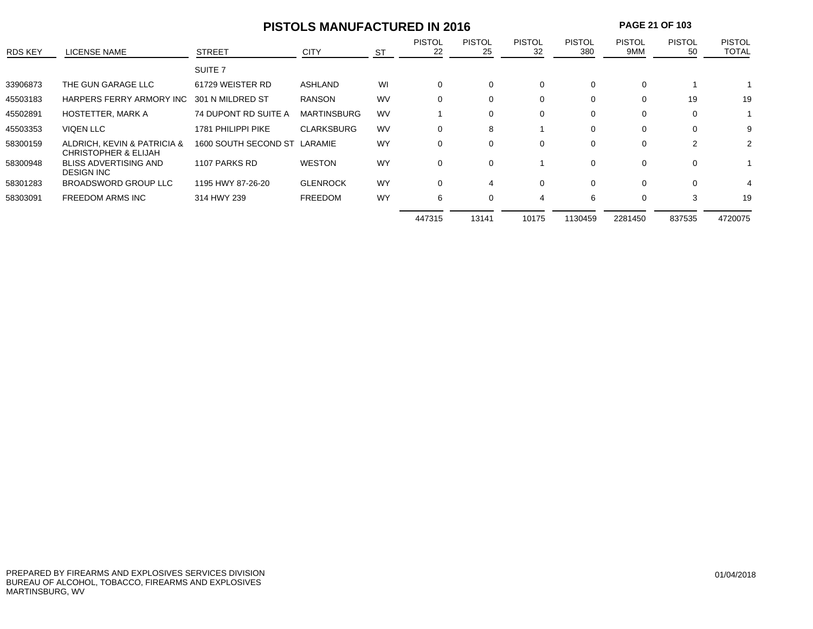|                |                                                                |                      | <b>PISTOLS MANUFACTURED IN 2016</b> |           | <b>PAGE 21 OF 103</b> |                     |                     |                      |                      |                     |                               |
|----------------|----------------------------------------------------------------|----------------------|-------------------------------------|-----------|-----------------------|---------------------|---------------------|----------------------|----------------------|---------------------|-------------------------------|
| <b>RDS KEY</b> | LICENSE NAME                                                   | <b>STREET</b>        | <b>CITY</b>                         | <b>ST</b> | <b>PISTOL</b><br>22   | <b>PISTOL</b><br>25 | <b>PISTOL</b><br>32 | <b>PISTOL</b><br>380 | <b>PISTOL</b><br>9MM | <b>PISTOL</b><br>50 | <b>PISTOL</b><br><b>TOTAL</b> |
|                |                                                                | SUITE <sub>7</sub>   |                                     |           |                       |                     |                     |                      |                      |                     |                               |
| 33906873       | THE GUN GARAGE LLC                                             | 61729 WEISTER RD     | ASHLAND                             | WI        | $\mathbf 0$           | 0                   | $\Omega$            | 0                    | 0                    |                     |                               |
| 45503183       | HARPERS FERRY ARMORY INC                                       | 301 N MILDRED ST     | <b>RANSON</b>                       | <b>WV</b> | $\Omega$              | 0                   | 0                   | 0                    | 0                    | 19                  | 19                            |
| 45502891       | HOSTETTER, MARK A                                              | 74 DUPONT RD SUITE A | <b>MARTINSBURG</b>                  | <b>WV</b> |                       | 0                   | $\Omega$            | $\Omega$             | 0                    | $\Omega$            |                               |
| 45503353       | <b>VIQEN LLC</b>                                               | 1781 PHILIPPI PIKE   | <b>CLARKSBURG</b>                   | <b>WV</b> | $\Omega$              | 8                   |                     | $\Omega$             | $\Omega$             | $\Omega$            |                               |
| 58300159       | ALDRICH, KEVIN & PATRICIA &<br><b>CHRISTOPHER &amp; ELIJAH</b> | 1600 SOUTH SECOND ST | LARAMIE                             | <b>WY</b> | $\Omega$              | 0                   | 0                   | 0                    | $\Omega$             | 2                   | 2                             |
| 58300948       | <b>BLISS ADVERTISING AND</b><br><b>DESIGN INC</b>              | 1107 PARKS RD        | <b>WESTON</b>                       | <b>WY</b> | 0                     | 0                   |                     | 0                    | 0                    | $\Omega$            |                               |
| 58301283       | <b>BROADSWORD GROUP LLC</b>                                    | 1195 HWY 87-26-20    | <b>GLENROCK</b>                     | <b>WY</b> | $\Omega$              | 4                   | $\Omega$            | $\Omega$             | $\Omega$             | $\Omega$            | 4                             |
| 58303091       | <b>FREEDOM ARMS INC</b>                                        | 314 HWY 239          | <b>FREEDOM</b>                      | <b>WY</b> | 6                     | 0                   | 4                   | 6                    | 0                    | 3                   | 19                            |
|                |                                                                |                      |                                     |           | 447315                | 13141               | 10175               | 1130459              | 2281450              | 837535              | 4720075                       |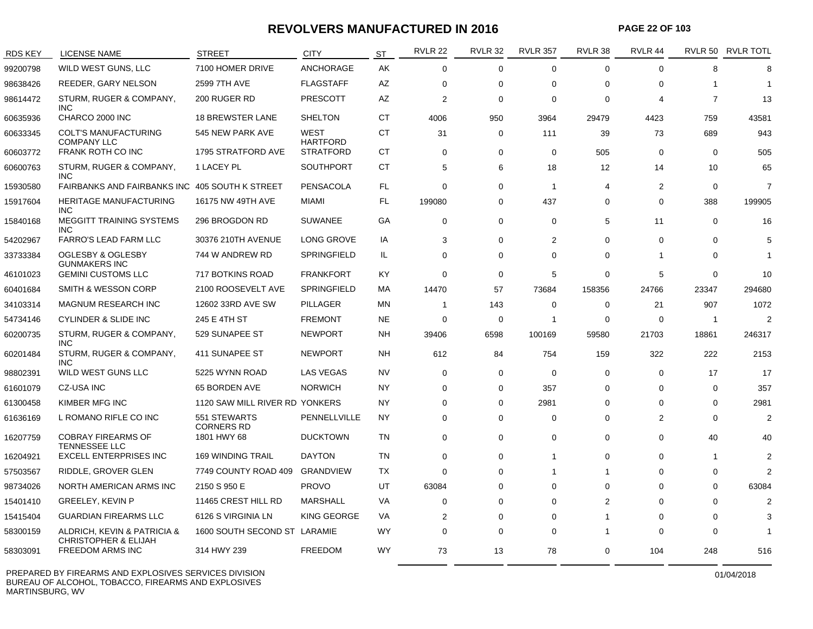#### **REVOLVERS MANUFACTURED IN 2016**

**PAGE 22 OF 103**

| <b>RDS KEY</b> | <b>LICENSE NAME</b>                                            | STREET                            | <b>CITY</b>                         | <b>ST</b> | <b>RVLR 22</b> | <b>RVLR 32</b> | <b>RVLR 357</b> | RVLR 38        | RVLR 44        |                | RVLR 50 RVLR TOTL |
|----------------|----------------------------------------------------------------|-----------------------------------|-------------------------------------|-----------|----------------|----------------|-----------------|----------------|----------------|----------------|-------------------|
| 99200798       | WILD WEST GUNS, LLC                                            | 7100 HOMER DRIVE                  | <b>ANCHORAGE</b>                    | AK        | $\Omega$       | 0              | $\mathbf 0$     | $\mathbf 0$    | $\Omega$       | 8              | 8                 |
| 98638426       | REEDER, GARY NELSON                                            | 2599 7TH AVE                      | <b>FLAGSTAFF</b>                    | <b>AZ</b> | $\Omega$       | 0              | $\mathbf 0$     | $\Omega$       | $\Omega$       | 1              | 1                 |
| 98614472       | STURM, RUGER & COMPANY,<br><b>INC</b>                          | 200 RUGER RD                      | <b>PRESCOTT</b>                     | AZ        | $\overline{2}$ | 0              | $\Omega$        | $\Omega$       | 4              | $\overline{7}$ | 13                |
| 60635936       | CHARCO 2000 INC                                                | <b>18 BREWSTER LANE</b>           | <b>SHELTON</b>                      | СT        | 4006           | 950            | 3964            | 29479          | 4423           | 759            | 43581             |
| 60633345       | <b>COLT'S MANUFACTURING</b>                                    | 545 NEW PARK AVE                  | WEST                                | СT        | 31             | 0              | 111             | 39             | 73             | 689            | 943               |
| 60603772       | <b>COMPANY LLC</b><br>FRANK ROTH CO INC                        | 1795 STRATFORD AVE                | <b>HARTFORD</b><br><b>STRATFORD</b> | СT        | $\Omega$       | 0              | $\mathbf 0$     | 505            | $\Omega$       | $\mathbf 0$    | 505               |
| 60600763       | STURM, RUGER & COMPANY,<br><b>INC</b>                          | 1 LACEY PL                        | <b>SOUTHPORT</b>                    | СT        | 5              | 6              | 18              | 12             | 14             | 10             | 65                |
| 15930580       | <b>FAIRBANKS AND FAIRBANKS INC</b>                             | 405 SOUTH K STREET                | <b>PENSACOLA</b>                    | FL.       | $\Omega$       | 0              | $\overline{1}$  | 4              | $\overline{2}$ | $\mathbf 0$    | $\overline{7}$    |
| 15917604       | <b>HERITAGE MANUFACTURING</b><br><b>INC</b>                    | 16175 NW 49TH AVE                 | MIAMI                               | <b>FL</b> | 199080         | 0              | 437             | $\Omega$       | $\Omega$       | 388            | 199905            |
| 15840168       | <b>MEGGITT TRAINING SYSTEMS</b><br><b>INC</b>                  | 296 BROGDON RD                    | <b>SUWANEE</b>                      | GA        | $\mathbf 0$    | 0              | $\mathbf 0$     | 5              | 11             | $\mathbf 0$    | 16                |
| 54202967       | FARRO'S LEAD FARM LLC                                          | 30376 210TH AVENUE                | LONG GROVE                          | IA        | 3              | 0              | 2               | 0              | $\Omega$       | $\mathbf 0$    | 5                 |
| 33733384       | <b>OGLESBY &amp; OGLESBY</b><br><b>GUNMAKERS INC</b>           | 744 W ANDREW RD                   | SPRINGFIELD                         | IL.       | $\Omega$       | 0              | $\Omega$        | 0              | -1             | 0              | $\mathbf 1$       |
| 46101023       | <b>GEMINI CUSTOMS LLC</b>                                      | 717 BOTKINS ROAD                  | <b>FRANKFORT</b>                    | <b>KY</b> | $\Omega$       | 0              | 5               | $\Omega$       | 5              | $\mathbf 0$    | 10                |
| 60401684       | <b>SMITH &amp; WESSON CORP</b>                                 | 2100 ROOSEVELT AVE                | <b>SPRINGFIELD</b>                  | МA        | 14470          | 57             | 73684           | 158356         | 24766          | 23347          | 294680            |
| 34103314       | <b>MAGNUM RESEARCH INC</b>                                     | 12602 33RD AVE SW                 | <b>PILLAGER</b>                     | MN        | -1             | 143            | 0               | $\Omega$       | 21             | 907            | 1072              |
| 54734146       | <b>CYLINDER &amp; SLIDE INC</b>                                | 245 E 4TH ST                      | <b>FREMONT</b>                      | <b>NE</b> | $\Omega$       | 0              | 1               | $\Omega$       | $\Omega$       | 1              | $\mathcal{P}$     |
| 60200735       | STURM, RUGER & COMPANY,<br><b>INC</b>                          | 529 SUNAPEE ST                    | <b>NEWPORT</b>                      | NΗ        | 39406          | 6598           | 100169          | 59580          | 21703          | 18861          | 246317            |
| 60201484       | STURM, RUGER & COMPANY,<br>INC.                                | 411 SUNAPEE ST                    | <b>NEWPORT</b>                      | NΗ        | 612            | 84             | 754             | 159            | 322            | 222            | 2153              |
| 98802391       | WILD WEST GUNS LLC                                             | 5225 WYNN ROAD                    | <b>LAS VEGAS</b>                    | <b>NV</b> | $\Omega$       | 0              | $\mathbf 0$     | 0              | $\Omega$       | 17             | 17                |
| 61601079       | <b>CZ-USA INC</b>                                              | 65 BORDEN AVE                     | <b>NORWICH</b>                      | <b>NY</b> | $\mathbf 0$    | 0              | 357             | $\Omega$       | $\Omega$       | $\mathbf 0$    | 357               |
| 61300458       | KIMBER MFG INC                                                 | 1120 SAW MILL RIVER RD YONKERS    |                                     | NY.       | 0              | 0              | 2981            | 0              | $\Omega$       | $\mathbf 0$    | 2981              |
| 61636169       | L ROMANO RIFLE CO INC                                          | 551 STEWARTS<br><b>CORNERS RD</b> | PENNELLVILLE                        | NY.       | $\Omega$       | 0              | $\mathbf 0$     | $\Omega$       | $\overline{2}$ | 0              | $\overline{2}$    |
| 16207759       | <b>COBRAY FIREARMS OF</b><br><b>TENNESSEE LLC</b>              | 1801 HWY 68                       | <b>DUCKTOWN</b>                     | TN        | 0              | 0              | 0               | $\Omega$       | $\Omega$       | 40             | 40                |
| 16204921       | <b>EXCELL ENTERPRISES INC</b>                                  | <b>169 WINDING TRAIL</b>          | <b>DAYTON</b>                       | TN        | $\Omega$       | 0              | $\mathbf{1}$    | $\Omega$       | $\Omega$       | 1              | $\overline{2}$    |
| 57503567       | RIDDLE, GROVER GLEN                                            | 7749 COUNTY ROAD 409              | <b>GRANDVIEW</b>                    | ТX        | $\Omega$       | 0              | 1               | 1              | $\Omega$       | $\Omega$       | $\mathfrak{p}$    |
| 98734026       | NORTH AMERICAN ARMS INC                                        | 2150 S 950 E                      | <b>PROVO</b>                        | UT        | 63084          | 0              | $\mathbf 0$     | $\Omega$       | $\Omega$       | 0              | 63084             |
| 15401410       | <b>GREELEY, KEVIN P</b>                                        | 11465 CREST HILL RD               | <b>MARSHALL</b>                     | VA        | $\Omega$       | 0              | $\Omega$        | $\overline{2}$ | $\Omega$       | $\Omega$       | $\overline{2}$    |
| 15415404       | <b>GUARDIAN FIREARMS LLC</b>                                   | 6126 S VIRGINIA LN                | KING GEORGE                         | <b>VA</b> | 2              | 0              | $\Omega$        | 1              | $\Omega$       | $\Omega$       | 3                 |
| 58300159       | ALDRICH, KEVIN & PATRICIA &<br><b>CHRISTOPHER &amp; ELIJAH</b> | 1600 SOUTH SECOND ST LARAMIE      |                                     | <b>WY</b> | $\Omega$       | 0              | $\Omega$        | 1              | $\Omega$       | $\Omega$       | 1                 |
| 58303091       | <b>FREEDOM ARMS INC</b>                                        | 314 HWY 239                       | <b>FREEDOM</b>                      | <b>WY</b> | 73             | 13             | 78              | 0              | 104            | 248            | 516               |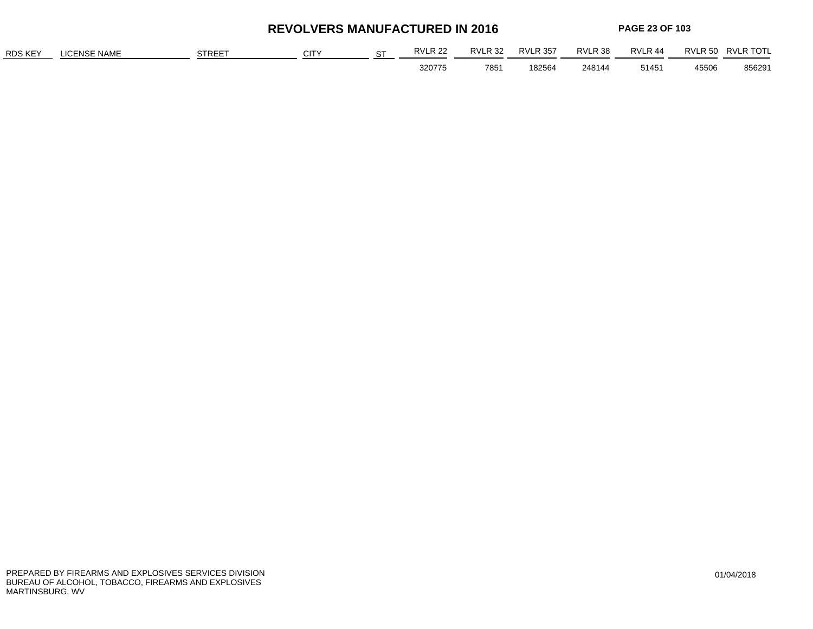**REVOLVERS MANUFACTURED IN 2016**

**PAGE 23 OF 103**

| <b>RDS KEY</b> | <b>ENSE NAME</b> | <b>STREET</b> | <b>CIT</b> | $\sim$ | RVLR <sub>22</sub> | RVLR <sub>32</sub> | <b>RVLR 357</b> | RVLR 38 | <b>RVI R 44</b> | RVLR 50 | RVI R TOTI |
|----------------|------------------|---------------|------------|--------|--------------------|--------------------|-----------------|---------|-----------------|---------|------------|
|                |                  |               |            |        | 320775             | 785'               | 182564          | 248144  | 51451           | 45506   | 856291     |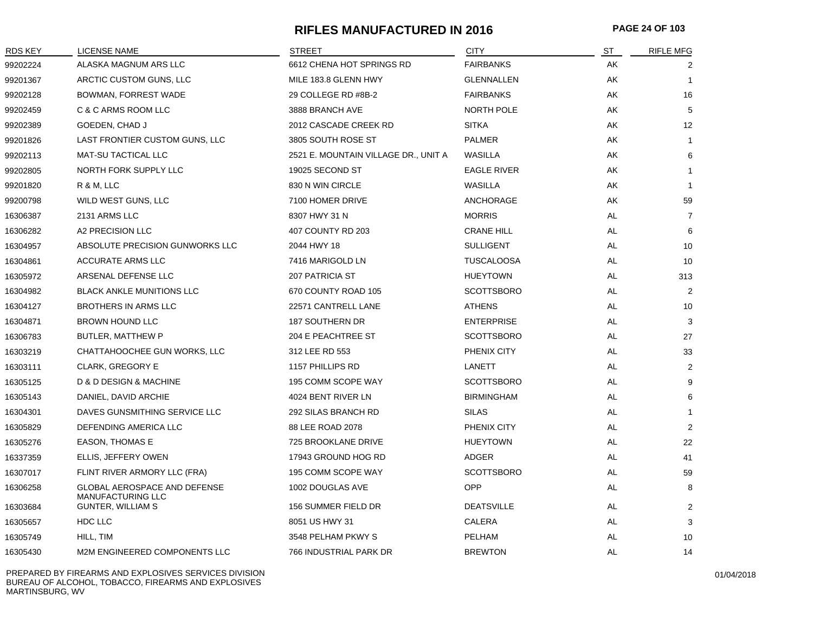#### **RIFLES MANUFACTURED IN 2016 PAGE 24 OF 103**

| <b>RDS KEY</b> | LICENSE NAME                                                    | <b>STREET</b>                        | <b>CITY</b>        | ST        | <b>RIFLE MFG</b> |
|----------------|-----------------------------------------------------------------|--------------------------------------|--------------------|-----------|------------------|
| 99202224       | ALASKA MAGNUM ARS LLC                                           | 6612 CHENA HOT SPRINGS RD            | <b>FAIRBANKS</b>   | AK        | 2                |
| 99201367       | ARCTIC CUSTOM GUNS, LLC                                         | MILE 183.8 GLENN HWY                 | <b>GLENNALLEN</b>  | AK        | $\mathbf{1}$     |
| 99202128       | BOWMAN, FORREST WADE                                            | 29 COLLEGE RD #8B-2                  | <b>FAIRBANKS</b>   | AK        | 16               |
| 99202459       | C & C ARMS ROOM LLC                                             | 3888 BRANCH AVE                      | NORTH POLE         | AK        | 5                |
| 99202389       | GOEDEN, CHAD J                                                  | 2012 CASCADE CREEK RD                | <b>SITKA</b>       | AK        | 12               |
| 99201826       | LAST FRONTIER CUSTOM GUNS, LLC                                  | 3805 SOUTH ROSE ST                   | <b>PALMER</b>      | AK        | 1                |
| 99202113       | <b>MAT-SU TACTICAL LLC</b>                                      | 2521 E. MOUNTAIN VILLAGE DR., UNIT A | WASILLA            | AK        | 6                |
| 99202805       | NORTH FORK SUPPLY LLC                                           | 19025 SECOND ST                      | <b>EAGLE RIVER</b> | AK        | 1                |
| 99201820       | R & M, LLC                                                      | 830 N WIN CIRCLE                     | WASILLA            | AK        | $\mathbf{1}$     |
| 99200798       | WILD WEST GUNS, LLC                                             | 7100 HOMER DRIVE                     | ANCHORAGE          | AK        | 59               |
| 16306387       | 2131 ARMS LLC                                                   | 8307 HWY 31 N                        | <b>MORRIS</b>      | AL        | $\overline{7}$   |
| 16306282       | A2 PRECISION LLC                                                | 407 COUNTY RD 203                    | <b>CRANE HILL</b>  | AL        | 6                |
| 16304957       | ABSOLUTE PRECISION GUNWORKS LLC                                 | 2044 HWY 18                          | <b>SULLIGENT</b>   | AL        | 10               |
| 16304861       | <b>ACCURATE ARMS LLC</b>                                        | 7416 MARIGOLD LN                     | <b>TUSCALOOSA</b>  | AL        | 10               |
| 16305972       | ARSENAL DEFENSE LLC                                             | <b>207 PATRICIA ST</b>               | <b>HUEYTOWN</b>    | AL        | 313              |
| 16304982       | <b>BLACK ANKLE MUNITIONS LLC</b>                                | 670 COUNTY ROAD 105                  | <b>SCOTTSBORO</b>  | AL        | 2                |
| 16304127       | BROTHERS IN ARMS LLC                                            | 22571 CANTRELL LANE                  | <b>ATHENS</b>      | AL        | 10               |
| 16304871       | <b>BROWN HOUND LLC</b>                                          | 187 SOUTHERN DR                      | <b>ENTERPRISE</b>  | AL        | 3                |
| 16306783       | BUTLER, MATTHEW P                                               | 204 E PEACHTREE ST                   | <b>SCOTTSBORO</b>  | AL        | 27               |
| 16303219       | CHATTAHOOCHEE GUN WORKS, LLC                                    | 312 LEE RD 553                       | PHENIX CITY        | AL        | 33               |
| 16303111       | <b>CLARK, GREGORY E</b>                                         | 1157 PHILLIPS RD                     | LANETT             | AL        | 2                |
| 16305125       | D & D DESIGN & MACHINE                                          | 195 COMM SCOPE WAY                   | <b>SCOTTSBORO</b>  | AL        | 9                |
| 16305143       | DANIEL, DAVID ARCHIE                                            | 4024 BENT RIVER LN                   | <b>BIRMINGHAM</b>  | AL        | 6                |
| 16304301       | DAVES GUNSMITHING SERVICE LLC                                   | 292 SILAS BRANCH RD                  | <b>SILAS</b>       | AL        | 1                |
| 16305829       | DEFENDING AMERICA LLC                                           | 88 LEE ROAD 2078                     | PHENIX CITY        | AL        | $\overline{2}$   |
| 16305276       | EASON, THOMAS E                                                 | 725 BROOKLANE DRIVE                  | <b>HUEYTOWN</b>    | AL        | 22               |
| 16337359       | ELLIS, JEFFERY OWEN                                             | 17943 GROUND HOG RD                  | ADGER              | AL        | 41               |
| 16307017       | FLINT RIVER ARMORY LLC (FRA)                                    | 195 COMM SCOPE WAY                   | <b>SCOTTSBORO</b>  | AL        | 59               |
| 16306258       | <b>GLOBAL AEROSPACE AND DEFENSE</b><br><b>MANUFACTURING LLC</b> | 1002 DOUGLAS AVE                     | <b>OPP</b>         | AL        | 8                |
| 16303684       | <b>GUNTER, WILLIAM S</b>                                        | 156 SUMMER FIELD DR                  | <b>DEATSVILLE</b>  | AL        | $\overline{2}$   |
| 16305657       | HDC LLC                                                         | 8051 US HWY 31                       | CALERA             | AL        | 3                |
| 16305749       | HILL, TIM                                                       | 3548 PELHAM PKWY S                   | PELHAM             | AL        | 10               |
| 16305430       | M2M ENGINEERED COMPONENTS LLC                                   | 766 INDUSTRIAL PARK DR               | <b>BREWTON</b>     | <b>AL</b> | 14               |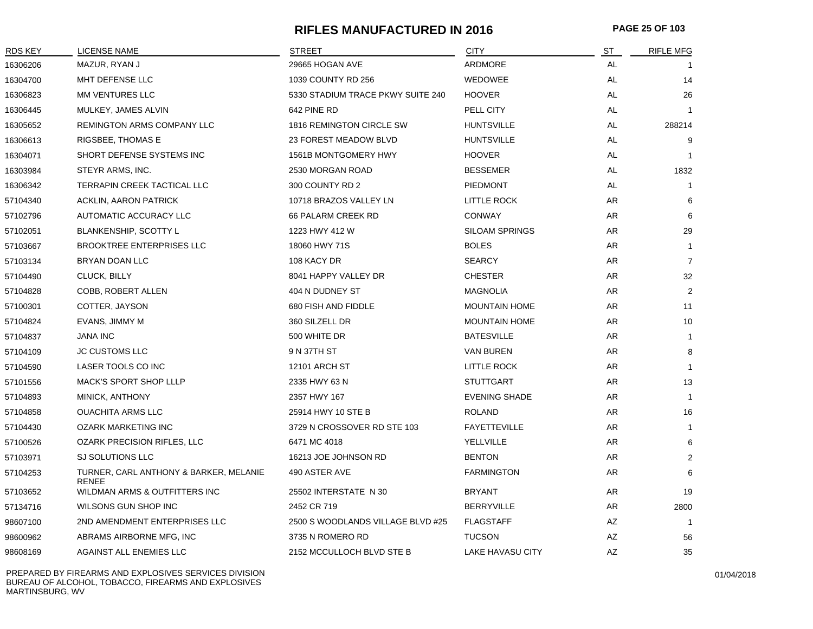#### **RIFLES MANUFACTURED IN 2016 PAGE 25 OF 103**

| RDS KEY  | <b>LICENSE NAME</b>                                    | <b>STREET</b>                     | <b>CITY</b>             | <b>ST</b> | <b>RIFLE MFG</b> |
|----------|--------------------------------------------------------|-----------------------------------|-------------------------|-----------|------------------|
| 16306206 | MAZUR, RYAN J                                          | 29665 HOGAN AVE                   | ARDMORE                 | AL        |                  |
| 16304700 | MHT DEFENSE LLC                                        | 1039 COUNTY RD 256                | <b>WEDOWEE</b>          | <b>AL</b> | 14               |
| 16306823 | MM VENTURES LLC                                        | 5330 STADIUM TRACE PKWY SUITE 240 | <b>HOOVER</b>           | AL        | 26               |
| 16306445 | MULKEY, JAMES ALVIN                                    | 642 PINE RD                       | PELL CITY               | <b>AL</b> |                  |
| 16305652 | <b>REMINGTON ARMS COMPANY LLC</b>                      | 1816 REMINGTON CIRCLE SW          | <b>HUNTSVILLE</b>       | AL.       | 288214           |
| 16306613 | RIGSBEE, THOMAS E                                      | 23 FOREST MEADOW BLVD             | <b>HUNTSVILLE</b>       | AL        | 9                |
| 16304071 | SHORT DEFENSE SYSTEMS INC                              | 1561B MONTGOMERY HWY              | <b>HOOVER</b>           | AL        |                  |
| 16303984 | STEYR ARMS, INC.                                       | 2530 MORGAN ROAD                  | <b>BESSEMER</b>         | AL        | 1832             |
| 16306342 | TERRAPIN CREEK TACTICAL LLC                            | 300 COUNTY RD 2                   | <b>PIEDMONT</b>         | <b>AL</b> | -1               |
| 57104340 | ACKLIN, AARON PATRICK                                  | 10718 BRAZOS VALLEY LN            | LITTLE ROCK             | AR        | 6                |
| 57102796 | AUTOMATIC ACCURACY LLC                                 | <b>66 PALARM CREEK RD</b>         | <b>CONWAY</b>           | AR        | 6                |
| 57102051 | <b>BLANKENSHIP, SCOTTY L</b>                           | 1223 HWY 412 W                    | <b>SILOAM SPRINGS</b>   | AR        | 29               |
| 57103667 | <b>BROOKTREE ENTERPRISES LLC</b>                       | 18060 HWY 71S                     | <b>BOLES</b>            | AR        | $\overline{1}$   |
| 57103134 | BRYAN DOAN LLC                                         | 108 KACY DR                       | <b>SEARCY</b>           | AR        | $\overline{7}$   |
| 57104490 | CLUCK, BILLY                                           | 8041 HAPPY VALLEY DR              | <b>CHESTER</b>          | AR        | 32               |
| 57104828 | COBB, ROBERT ALLEN                                     | 404 N DUDNEY ST                   | <b>MAGNOLIA</b>         | AR        | $\overline{2}$   |
| 57100301 | COTTER, JAYSON                                         | 680 FISH AND FIDDLE               | <b>MOUNTAIN HOME</b>    | AR        | 11               |
| 57104824 | EVANS, JIMMY M                                         | 360 SILZELL DR                    | <b>MOUNTAIN HOME</b>    | AR        | 10               |
| 57104837 | <b>JANA INC</b>                                        | 500 WHITE DR                      | <b>BATESVILLE</b>       | AR        | $\mathbf{1}$     |
| 57104109 | <b>JC CUSTOMS LLC</b>                                  | 9 N 37TH ST                       | <b>VAN BUREN</b>        | AR        | 8                |
| 57104590 | LASER TOOLS CO INC                                     | 12101 ARCH ST                     | <b>LITTLE ROCK</b>      | AR        | $\overline{1}$   |
| 57101556 | <b>MACK'S SPORT SHOP LLLP</b>                          | 2335 HWY 63 N                     | <b>STUTTGART</b>        | AR        | 13               |
| 57104893 | MINICK, ANTHONY                                        | 2357 HWY 167                      | <b>EVENING SHADE</b>    | AR        | $\overline{1}$   |
| 57104858 | <b>OUACHITA ARMS LLC</b>                               | 25914 HWY 10 STE B                | <b>ROLAND</b>           | AR        | 16               |
| 57104430 | <b>OZARK MARKETING INC</b>                             | 3729 N CROSSOVER RD STE 103       | <b>FAYETTEVILLE</b>     | AR        | $\mathbf{1}$     |
| 57100526 | <b>OZARK PRECISION RIFLES, LLC</b>                     | 6471 MC 4018                      | YELLVILLE               | AR        | 6                |
| 57103971 | SJ SOLUTIONS LLC                                       | 16213 JOE JOHNSON RD              | <b>BENTON</b>           | AR        | 2                |
| 57104253 | TURNER, CARL ANTHONY & BARKER, MELANIE<br><b>RENEE</b> | 490 ASTER AVE                     | <b>FARMINGTON</b>       | AR        | 6                |
| 57103652 | WILDMAN ARMS & OUTFITTERS INC                          | 25502 INTERSTATE N 30             | <b>BRYANT</b>           | AR        | 19               |
| 57134716 | WILSONS GUN SHOP INC                                   | 2452 CR 719                       | <b>BERRYVILLE</b>       | AR        | 2800             |
| 98607100 | 2ND AMENDMENT ENTERPRISES LLC                          | 2500 S WOODLANDS VILLAGE BLVD #25 | <b>FLAGSTAFF</b>        | AZ        | $\overline{1}$   |
| 98600962 | ABRAMS AIRBORNE MFG, INC                               | 3735 N ROMERO RD                  | <b>TUCSON</b>           | <b>AZ</b> | 56               |
| 98608169 | AGAINST ALL ENEMIES LLC                                | 2152 MCCULLOCH BLVD STE B         | <b>LAKE HAVASU CITY</b> | AZ        | 35               |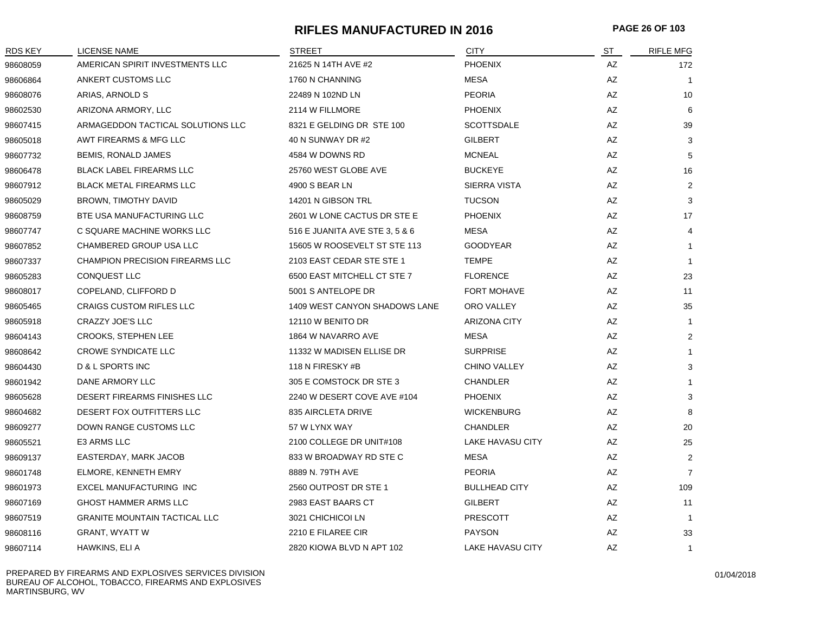#### **RIFLES MANUFACTURED IN 2016 PAGE 26 OF 103**

| RDS KEY  | <b>LICENSE NAME</b>                    | <b>STREET</b>                  | <b>CITY</b>             | ST | <b>RIFLE MFG</b> |
|----------|----------------------------------------|--------------------------------|-------------------------|----|------------------|
| 98608059 | AMERICAN SPIRIT INVESTMENTS LLC        | 21625 N 14TH AVE #2            | <b>PHOENIX</b>          | AZ | 172              |
| 98606864 | ANKERT CUSTOMS LLC                     | 1760 N CHANNING                | <b>MESA</b>             | AZ | $\overline{1}$   |
| 98608076 | ARIAS, ARNOLD S                        | 22489 N 102ND LN               | <b>PEORIA</b>           | AZ | 10               |
| 98602530 | ARIZONA ARMORY, LLC                    | 2114 W FILLMORE                | <b>PHOENIX</b>          | AZ | 6                |
| 98607415 | ARMAGEDDON TACTICAL SOLUTIONS LLC      | 8321 E GELDING DR STE 100      | <b>SCOTTSDALE</b>       | AZ | 39               |
| 98605018 | AWT FIREARMS & MFG LLC                 | 40 N SUNWAY DR #2              | <b>GILBERT</b>          | AZ | 3                |
| 98607732 | BEMIS, RONALD JAMES                    | 4584 W DOWNS RD                | <b>MCNEAL</b>           | AZ | 5                |
| 98606478 | <b>BLACK LABEL FIREARMS LLC</b>        | 25760 WEST GLOBE AVE           | <b>BUCKEYE</b>          | AZ | 16               |
| 98607912 | <b>BLACK METAL FIREARMS LLC</b>        | 4900 S BEAR LN                 | SIERRA VISTA            | AZ | 2                |
| 98605029 | BROWN, TIMOTHY DAVID                   | 14201 N GIBSON TRL             | <b>TUCSON</b>           | AZ | 3                |
| 98608759 | BTE USA MANUFACTURING LLC              | 2601 W LONE CACTUS DR STE E    | <b>PHOENIX</b>          | AZ | 17               |
| 98607747 | C SQUARE MACHINE WORKS LLC             | 516 E JUANITA AVE STE 3, 5 & 6 | <b>MESA</b>             | AZ | 4                |
| 98607852 | CHAMBERED GROUP USA LLC                | 15605 W ROOSEVELT ST STE 113   | <b>GOODYEAR</b>         | AZ | $\mathbf{1}$     |
| 98607337 | <b>CHAMPION PRECISION FIREARMS LLC</b> | 2103 EAST CEDAR STE STE 1      | <b>TEMPE</b>            | AZ | $\overline{1}$   |
| 98605283 | <b>CONQUEST LLC</b>                    | 6500 EAST MITCHELL CT STE 7    | <b>FLORENCE</b>         | AZ | 23               |
| 98608017 | COPELAND, CLIFFORD D                   | 5001 S ANTELOPE DR             | <b>FORT MOHAVE</b>      | AZ | 11               |
| 98605465 | <b>CRAIGS CUSTOM RIFLES LLC</b>        | 1409 WEST CANYON SHADOWS LANE  | ORO VALLEY              | AZ | 35               |
| 98605918 | CRAZZY JOE'S LLC                       | 12110 W BENITO DR              | <b>ARIZONA CITY</b>     | AZ | -1               |
| 98604143 | <b>CROOKS, STEPHEN LEE</b>             | 1864 W NAVARRO AVE             | <b>MESA</b>             | AZ | 2                |
| 98608642 | <b>CROWE SYNDICATE LLC</b>             | 11332 W MADISEN ELLISE DR      | <b>SURPRISE</b>         | AZ |                  |
| 98604430 | <b>D &amp; L SPORTS INC</b>            | 118 N FIRESKY #B               | <b>CHINO VALLEY</b>     | AZ | 3                |
| 98601942 | DANE ARMORY LLC                        | 305 E COMSTOCK DR STE 3        | <b>CHANDLER</b>         | AZ |                  |
| 98605628 | DESERT FIREARMS FINISHES LLC           | 2240 W DESERT COVE AVE #104    | <b>PHOENIX</b>          | AZ | 3                |
| 98604682 | DESERT FOX OUTFITTERS LLC              | 835 AIRCLETA DRIVE             | <b>WICKENBURG</b>       | AZ | 8                |
| 98609277 | DOWN RANGE CUSTOMS LLC                 | 57 W LYNX WAY                  | <b>CHANDLER</b>         | AZ | 20               |
| 98605521 | E3 ARMS LLC                            | 2100 COLLEGE DR UNIT#108       | <b>LAKE HAVASU CITY</b> | AZ | 25               |
| 98609137 | EASTERDAY, MARK JACOB                  | 833 W BROADWAY RD STE C        | <b>MESA</b>             | AZ | $\overline{2}$   |
| 98601748 | ELMORE, KENNETH EMRY                   | 8889 N. 79TH AVE               | <b>PEORIA</b>           | AZ | $\overline{7}$   |
| 98601973 | EXCEL MANUFACTURING INC                | 2560 OUTPOST DR STE 1          | <b>BULLHEAD CITY</b>    | AZ | 109              |
| 98607169 | GHOST HAMMER ARMS LLC                  | 2983 EAST BAARS CT             | <b>GILBERT</b>          | AZ | 11               |
| 98607519 | <b>GRANITE MOUNTAIN TACTICAL LLC</b>   | 3021 CHICHICOI LN              | <b>PRESCOTT</b>         | AZ | $\mathbf{1}$     |
| 98608116 | <b>GRANT, WYATT W</b>                  | 2210 E FILAREE CIR             | <b>PAYSON</b>           | AZ | 33               |
| 98607114 | HAWKINS, ELI A                         | 2820 KIOWA BLVD N APT 102      | LAKE HAVASU CITY        | AZ | $\mathbf{1}$     |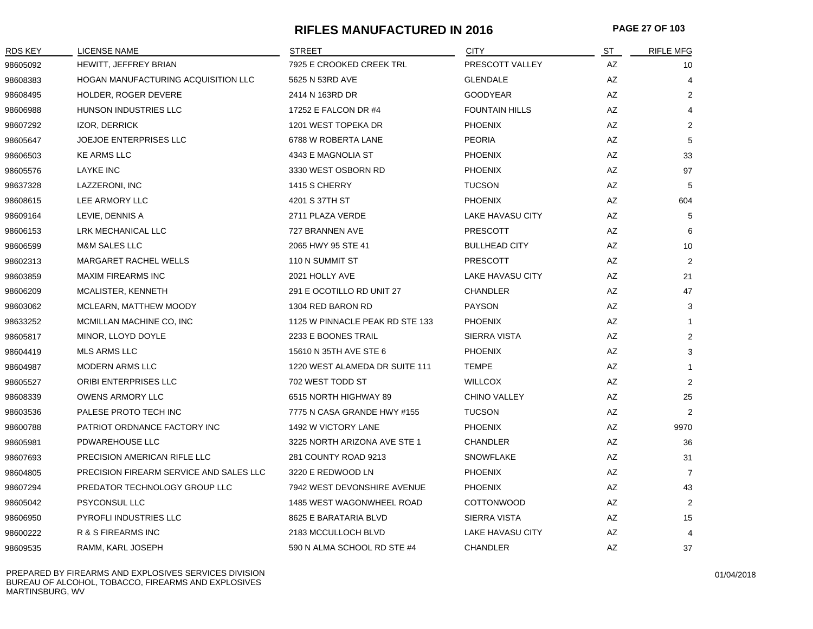#### **RIFLES MANUFACTURED IN 2016 PAGE 27 OF 103**

| RDS KEY  | LICENSE NAME                            | <b>STREET</b>                   | <b>CITY</b>             | ST | <b>RIFLE MFG</b> |
|----------|-----------------------------------------|---------------------------------|-------------------------|----|------------------|
| 98605092 | HEWITT, JEFFREY BRIAN                   | 7925 E CROOKED CREEK TRL        | PRESCOTT VALLEY         | AZ | 10               |
| 98608383 | HOGAN MANUFACTURING ACQUISITION LLC     | 5625 N 53RD AVE                 | <b>GLENDALE</b>         | AZ | 4                |
| 98608495 | HOLDER, ROGER DEVERE                    | 2414 N 163RD DR                 | <b>GOODYEAR</b>         | AZ | $\overline{2}$   |
| 98606988 | HUNSON INDUSTRIES LLC                   | 17252 E FALCON DR #4            | <b>FOUNTAIN HILLS</b>   | AZ | 4                |
| 98607292 | IZOR, DERRICK                           | 1201 WEST TOPEKA DR             | <b>PHOENIX</b>          | AZ | 2                |
| 98605647 | <b>JOEJOE ENTERPRISES LLC</b>           | 6788 W ROBERTA LANE             | <b>PEORIA</b>           | AZ | 5                |
| 98606503 | <b>KE ARMS LLC</b>                      | 4343 E MAGNOLIA ST              | <b>PHOENIX</b>          | AZ | 33               |
| 98605576 | <b>LAYKE INC</b>                        | 3330 WEST OSBORN RD             | <b>PHOENIX</b>          | AZ | 97               |
| 98637328 | LAZZERONI, INC                          | 1415 S CHERRY                   | <b>TUCSON</b>           | AZ | 5                |
| 98608615 | LEE ARMORY LLC                          | 4201 S 37TH ST                  | <b>PHOENIX</b>          | AZ | 604              |
| 98609164 | LEVIE, DENNIS A                         | 2711 PLAZA VERDE                | <b>LAKE HAVASU CITY</b> | AZ | 5                |
| 98606153 | LRK MECHANICAL LLC                      | 727 BRANNEN AVE                 | <b>PRESCOTT</b>         | AZ | 6                |
| 98606599 | M&M SALES LLC                           | 2065 HWY 95 STE 41              | <b>BULLHEAD CITY</b>    | AZ | 10               |
| 98602313 | <b>MARGARET RACHEL WELLS</b>            | 110 N SUMMIT ST                 | <b>PRESCOTT</b>         | AZ | $\overline{2}$   |
| 98603859 | <b>MAXIM FIREARMS INC</b>               | 2021 HOLLY AVE                  | <b>LAKE HAVASU CITY</b> | AZ | 21               |
| 98606209 | MCALISTER, KENNETH                      | 291 E OCOTILLO RD UNIT 27       | <b>CHANDLER</b>         | AZ | 47               |
| 98603062 | MCLEARN, MATTHEW MOODY                  | 1304 RED BARON RD               | <b>PAYSON</b>           | AZ | 3                |
| 98633252 | MCMILLAN MACHINE CO, INC                | 1125 W PINNACLE PEAK RD STE 133 | <b>PHOENIX</b>          | AZ | -1               |
| 98605817 | MINOR, LLOYD DOYLE                      | 2233 E BOONES TRAIL             | <b>SIERRA VISTA</b>     | AZ | 2                |
| 98604419 | <b>MLS ARMS LLC</b>                     | 15610 N 35TH AVE STE 6          | <b>PHOENIX</b>          | AZ | 3                |
| 98604987 | <b>MODERN ARMS LLC</b>                  | 1220 WEST ALAMEDA DR SUITE 111  | <b>TEMPE</b>            | AZ | $\mathbf{1}$     |
| 98605527 | ORIBI ENTERPRISES LLC                   | 702 WEST TODD ST                | <b>WILLCOX</b>          | AZ | $\overline{2}$   |
| 98608339 | <b>OWENS ARMORY LLC</b>                 | 6515 NORTH HIGHWAY 89           | <b>CHINO VALLEY</b>     | AZ | 25               |
| 98603536 | PALESE PROTO TECH INC                   | 7775 N CASA GRANDE HWY #155     | <b>TUCSON</b>           | AZ | $\overline{2}$   |
| 98600788 | PATRIOT ORDNANCE FACTORY INC            | 1492 W VICTORY LANE             | <b>PHOENIX</b>          | AZ | 9970             |
| 98605981 | PDWAREHOUSE LLC                         | 3225 NORTH ARIZONA AVE STE 1    | <b>CHANDLER</b>         | AZ | 36               |
| 98607693 | PRECISION AMERICAN RIFLE LLC            | 281 COUNTY ROAD 9213            | <b>SNOWFLAKE</b>        | AZ | 31               |
| 98604805 | PRECISION FIREARM SERVICE AND SALES LLC | 3220 E REDWOOD LN               | <b>PHOENIX</b>          | AZ | 7                |
| 98607294 | PREDATOR TECHNOLOGY GROUP LLC           | 7942 WEST DEVONSHIRE AVENUE     | <b>PHOENIX</b>          | AZ | 43               |
| 98605042 | PSYCONSUL LLC                           | 1485 WEST WAGONWHEEL ROAD       | <b>COTTONWOOD</b>       | AZ | $\overline{2}$   |
| 98606950 | PYROFLI INDUSTRIES LLC                  | 8625 E BARATARIA BLVD           | SIERRA VISTA            | AZ | 15               |
| 98600222 | R & S FIREARMS INC                      | 2183 MCCULLOCH BLVD             | LAKE HAVASU CITY        | AZ | 4                |
| 98609535 | RAMM, KARL JOSEPH                       | 590 N ALMA SCHOOL RD STE #4     | <b>CHANDLER</b>         | AZ | 37               |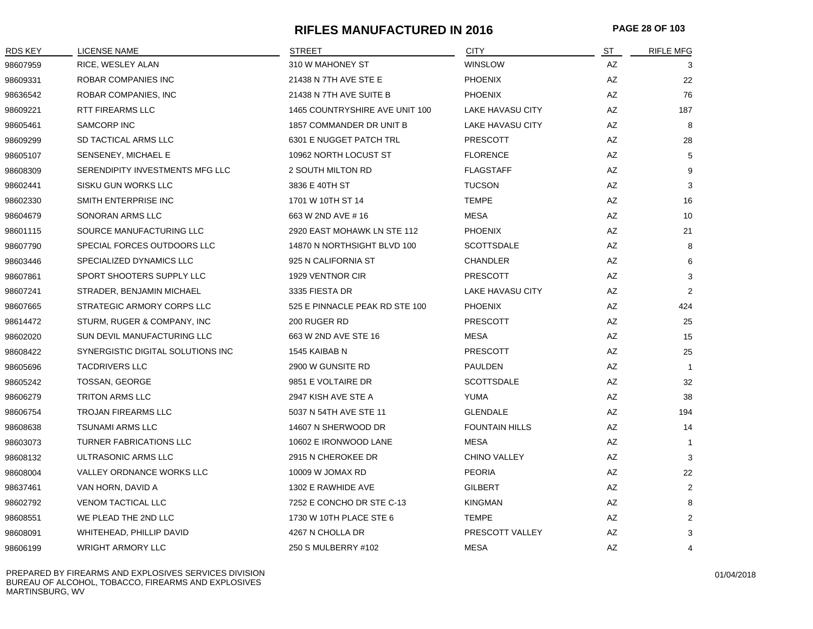#### **RIFLES MANUFACTURED IN 2016 PAGE 28 OF 103**

| <b>RDS KEY</b> | LICENSE NAME                      | <b>STREET</b>                  | <b>CITY</b>           | ST                     | <b>RIFLE MFG</b> |
|----------------|-----------------------------------|--------------------------------|-----------------------|------------------------|------------------|
| 98607959       | RICE, WESLEY ALAN                 | 310 W MAHONEY ST               | <b>WINSLOW</b>        | AZ                     | 3                |
| 98609331       | ROBAR COMPANIES INC               | 21438 N 7TH AVE STE E          | <b>PHOENIX</b>        | AZ                     | 22               |
| 98636542       | ROBAR COMPANIES, INC              | 21438 N 7TH AVE SUITE B        | <b>PHOENIX</b>        | AZ                     | 76               |
| 98609221       | RTT FIREARMS LLC                  | 1465 COUNTRYSHIRE AVE UNIT 100 | LAKE HAVASU CITY      | AZ                     | 187              |
| 98605461       | SAMCORP INC                       | 1857 COMMANDER DR UNIT B       | LAKE HAVASU CITY      | AZ                     | 8                |
| 98609299       | SD TACTICAL ARMS LLC              | 6301 E NUGGET PATCH TRL        | <b>PRESCOTT</b>       | AZ                     | 28               |
| 98605107       | SENSENEY, MICHAEL E               | 10962 NORTH LOCUST ST          | <b>FLORENCE</b>       | AZ                     | 5                |
| 98608309       | SERENDIPITY INVESTMENTS MFG LLC   | 2 SOUTH MILTON RD              | <b>FLAGSTAFF</b>      | AZ                     | 9                |
| 98602441       | SISKU GUN WORKS LLC               | 3836 E 40TH ST                 | <b>TUCSON</b>         | AZ                     | 3                |
| 98602330       | SMITH ENTERPRISE INC              | 1701 W 10TH ST 14              | <b>TEMPE</b>          | AZ                     | 16               |
| 98604679       | SONORAN ARMS LLC                  | 663 W 2ND AVE # 16             | <b>MESA</b>           | AZ                     | 10               |
| 98601115       | SOURCE MANUFACTURING LLC          | 2920 EAST MOHAWK LN STE 112    | <b>PHOENIX</b>        | AZ                     | 21               |
| 98607790       | SPECIAL FORCES OUTDOORS LLC       | 14870 N NORTHSIGHT BLVD 100    | <b>SCOTTSDALE</b>     | AZ                     | 8                |
| 98603446       | SPECIALIZED DYNAMICS LLC          | 925 N CALIFORNIA ST            | CHANDLER              | AZ                     | 6                |
| 98607861       | SPORT SHOOTERS SUPPLY LLC         | 1929 VENTNOR CIR               | <b>PRESCOTT</b>       | AZ                     | 3                |
| 98607241       | STRADER, BENJAMIN MICHAEL         | 3335 FIESTA DR                 | LAKE HAVASU CITY      | AZ                     | $\overline{2}$   |
| 98607665       | STRATEGIC ARMORY CORPS LLC        | 525 E PINNACLE PEAK RD STE 100 | <b>PHOENIX</b>        | AZ                     | 424              |
| 98614472       | STURM, RUGER & COMPANY, INC       | 200 RUGER RD                   | <b>PRESCOTT</b>       | $\mathsf{A}\mathsf{Z}$ | 25               |
| 98602020       | SUN DEVIL MANUFACTURING LLC       | 663 W 2ND AVE STE 16           | MESA                  | AZ                     | 15               |
| 98608422       | SYNERGISTIC DIGITAL SOLUTIONS INC | 1545 KAIBAB N                  | <b>PRESCOTT</b>       | AZ                     | 25               |
| 98605696       | <b>TACDRIVERS LLC</b>             | 2900 W GUNSITE RD              | PAULDEN               | AZ                     | $\mathbf{1}$     |
| 98605242       | TOSSAN, GEORGE                    | 9851 E VOLTAIRE DR             | <b>SCOTTSDALE</b>     | AZ                     | 32               |
| 98606279       | <b>TRITON ARMS LLC</b>            | 2947 KISH AVE STE A            | YUMA                  | AZ                     | 38               |
| 98606754       | <b>TROJAN FIREARMS LLC</b>        | 5037 N 54TH AVE STE 11         | <b>GLENDALE</b>       | AZ                     | 194              |
| 98608638       | <b>TSUNAMI ARMS LLC</b>           | 14607 N SHERWOOD DR            | <b>FOUNTAIN HILLS</b> | AZ                     | 14               |
| 98603073       | <b>TURNER FABRICATIONS LLC</b>    | 10602 E IRONWOOD LANE          | <b>MESA</b>           | AZ                     | $\mathbf{1}$     |
| 98608132       | ULTRASONIC ARMS LLC               | 2915 N CHEROKEE DR             | CHINO VALLEY          | AZ                     | 3                |
| 98608004       | VALLEY ORDNANCE WORKS LLC         | 10009 W JOMAX RD               | <b>PEORIA</b>         | AZ                     | 22               |
| 98637461       | VAN HORN, DAVID A                 | 1302 E RAWHIDE AVE             | <b>GILBERT</b>        | AZ                     | 2                |
| 98602792       | <b>VENOM TACTICAL LLC</b>         | 7252 E CONCHO DR STE C-13      | <b>KINGMAN</b>        | AZ                     | 8                |
| 98608551       | WE PLEAD THE 2ND LLC              | 1730 W 10TH PLACE STE 6        | <b>TEMPE</b>          | AZ                     | $\overline{2}$   |
| 98608091       | WHITEHEAD, PHILLIP DAVID          | 4267 N CHOLLA DR               | PRESCOTT VALLEY       | AZ                     | 3                |
| 98606199       | <b>WRIGHT ARMORY LLC</b>          | 250 S MULBERRY #102            | <b>MESA</b>           | AZ                     | $\overline{4}$   |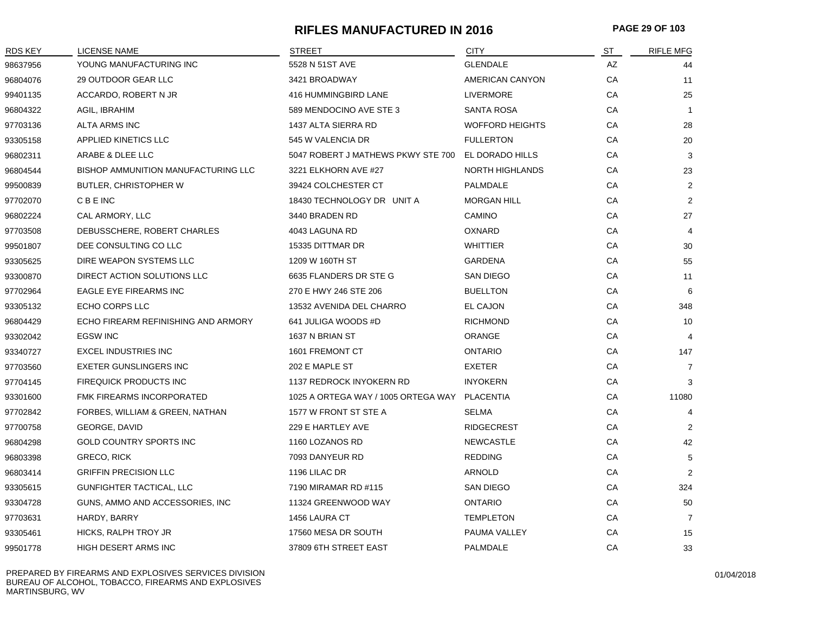#### **RIFLES MANUFACTURED IN 2016 PAGE 29 OF 103**

| <b>RDS KEY</b> | <b>LICENSE NAME</b>                        | STREET                              | <b>CITY</b>            | ST | <b>RIFLE MFG</b> |
|----------------|--------------------------------------------|-------------------------------------|------------------------|----|------------------|
| 98637956       | YOUNG MANUFACTURING INC                    | 5528 N 51ST AVE                     | <b>GLENDALE</b>        | AZ | 44               |
| 96804076       | 29 OUTDOOR GEAR LLC                        | 3421 BROADWAY                       | AMERICAN CANYON        | CA | 11               |
| 99401135       | ACCARDO, ROBERT N JR                       | 416 HUMMINGBIRD LANE                | <b>LIVERMORE</b>       | CA | 25               |
| 96804322       | AGIL, IBRAHIM                              | 589 MENDOCINO AVE STE 3             | <b>SANTA ROSA</b>      | CA | $\overline{1}$   |
| 97703136       | ALTA ARMS INC                              | 1437 ALTA SIERRA RD                 | <b>WOFFORD HEIGHTS</b> | CA | 28               |
| 93305158       | APPLIED KINETICS LLC                       | 545 W VALENCIA DR                   | <b>FULLERTON</b>       | CA | 20               |
| 96802311       | ARABE & DLEE LLC                           | 5047 ROBERT J MATHEWS PKWY STE 700  | EL DORADO HILLS        | CA | 3                |
| 96804544       | <b>BISHOP AMMUNITION MANUFACTURING LLC</b> | 3221 ELKHORN AVE #27                | <b>NORTH HIGHLANDS</b> | CA | 23               |
| 99500839       | BUTLER, CHRISTOPHER W                      | 39424 COLCHESTER CT                 | <b>PALMDALE</b>        | CA | $\overline{2}$   |
| 97702070       | C B E INC                                  | 18430 TECHNOLOGY DR UNIT A          | <b>MORGAN HILL</b>     | CA | 2                |
| 96802224       | CAL ARMORY, LLC                            | 3440 BRADEN RD                      | CAMINO                 | CA | 27               |
| 97703508       | DEBUSSCHERE, ROBERT CHARLES                | 4043 LAGUNA RD                      | <b>OXNARD</b>          | CA | 4                |
| 99501807       | DEE CONSULTING CO LLC                      | 15335 DITTMAR DR                    | <b>WHITTIER</b>        | CA | 30               |
| 93305625       | DIRE WEAPON SYSTEMS LLC                    | 1209 W 160TH ST                     | <b>GARDENA</b>         | CA | 55               |
| 93300870       | DIRECT ACTION SOLUTIONS LLC                | 6635 FLANDERS DR STE G              | SAN DIEGO              | CA | 11               |
| 97702964       | <b>EAGLE EYE FIREARMS INC</b>              | 270 E HWY 246 STE 206               | <b>BUELLTON</b>        | CA | 6                |
| 93305132       | ECHO CORPS LLC                             | 13532 AVENIDA DEL CHARRO            | EL CAJON               | CA | 348              |
| 96804429       | ECHO FIREARM REFINISHING AND ARMORY        | 641 JULIGA WOODS #D                 | <b>RICHMOND</b>        | CA | 10               |
| 93302042       | <b>EGSW INC</b>                            | 1637 N BRIAN ST                     | <b>ORANGE</b>          | CA | 4                |
| 93340727       | <b>EXCEL INDUSTRIES INC</b>                | 1601 FREMONT CT                     | <b>ONTARIO</b>         | CA | 147              |
| 97703560       | <b>EXETER GUNSLINGERS INC</b>              | 202 E MAPLE ST                      | <b>EXETER</b>          | CA | $\overline{7}$   |
| 97704145       | FIREQUICK PRODUCTS INC                     | 1137 REDROCK INYOKERN RD            | <b>INYOKERN</b>        | CA | 3                |
| 93301600       | FMK FIREARMS INCORPORATED                  | 1025 A ORTEGA WAY / 1005 ORTEGA WAY | <b>PLACENTIA</b>       | CA | 11080            |
| 97702842       | FORBES, WILLIAM & GREEN, NATHAN            | 1577 W FRONT ST STE A               | <b>SELMA</b>           | CA | 4                |
| 97700758       | GEORGE, DAVID                              | 229 E HARTLEY AVE                   | <b>RIDGECREST</b>      | CA | 2                |
| 96804298       | GOLD COUNTRY SPORTS INC                    | 1160 LOZANOS RD                     | <b>NEWCASTLE</b>       | CA | 42               |
| 96803398       | <b>GRECO, RICK</b>                         | 7093 DANYEUR RD                     | <b>REDDING</b>         | CA | 5                |
| 96803414       | <b>GRIFFIN PRECISION LLC</b>               | 1196 LILAC DR                       | ARNOLD                 | CA | 2                |
| 93305615       | GUNFIGHTER TACTICAL, LLC                   | 7190 MIRAMAR RD #115                | SAN DIEGO              | CA | 324              |
| 93304728       | GUNS, AMMO AND ACCESSORIES, INC.           | 11324 GREENWOOD WAY                 | <b>ONTARIO</b>         | СA | 50               |
| 97703631       | HARDY, BARRY                               | 1456 LAURA CT                       | <b>TEMPLETON</b>       | CA | $\overline{7}$   |
| 93305461       | HICKS, RALPH TROY JR                       | 17560 MESA DR SOUTH                 | PAUMA VALLEY           | CA | 15               |
| 99501778       | HIGH DESERT ARMS INC                       | 37809 6TH STREET EAST               | <b>PALMDALE</b>        | CA | 33               |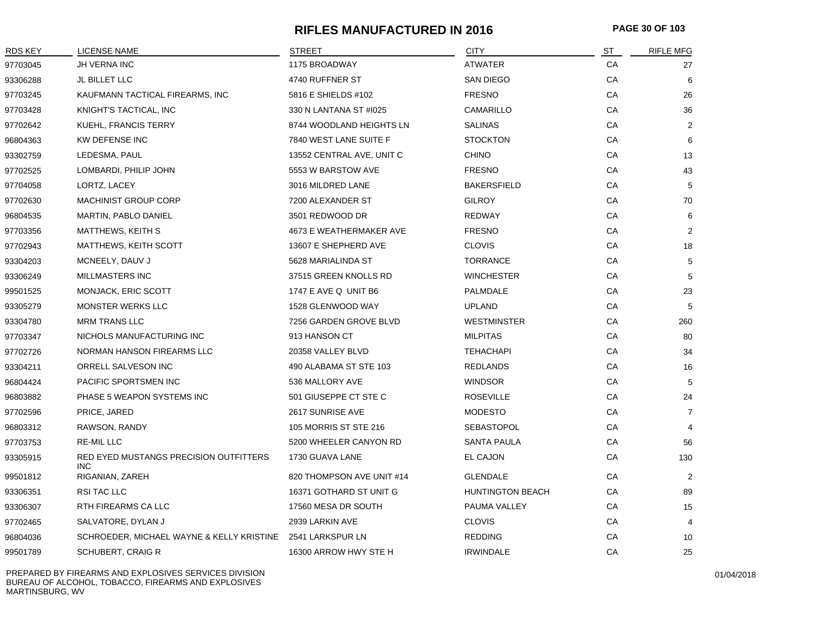#### **RIFLES MANUFACTURED IN 2016 PAGE 30 OF 103**

| <b>RDS KEY</b> | <b>LICENSE NAME</b>                                        | <b>STREET</b>             | <b>CITY</b>             | ST | <b>RIFLE MFG</b> |
|----------------|------------------------------------------------------------|---------------------------|-------------------------|----|------------------|
| 97703045       | JH VERNA INC                                               | 1175 BROADWAY             | ATWATER                 | CA | 27               |
| 93306288       | JL BILLET LLC                                              | 4740 RUFFNER ST           | SAN DIEGO               | СA | 6                |
| 97703245       | KAUFMANN TACTICAL FIREARMS, INC                            | 5816 E SHIELDS #102       | <b>FRESNO</b>           | CA | 26               |
| 97703428       | KNIGHT'S TACTICAL, INC                                     | 330 N LANTANA ST #1025    | CAMARILLO               | CA | 36               |
| 97702642       | KUEHL, FRANCIS TERRY                                       | 8744 WOODLAND HEIGHTS LN  | <b>SALINAS</b>          | CA | 2                |
| 96804363       | <b>KW DEFENSE INC</b>                                      | 7840 WEST LANE SUITE F    | <b>STOCKTON</b>         | CA | 6                |
| 93302759       | LEDESMA, PAUL                                              | 13552 CENTRAL AVE, UNIT C | <b>CHINO</b>            | CA | 13               |
| 97702525       | LOMBARDI, PHILIP JOHN                                      | 5553 W BARSTOW AVE        | <b>FRESNO</b>           | CA | 43               |
| 97704058       | LORTZ, LACEY                                               | 3016 MILDRED LANE         | <b>BAKERSFIELD</b>      | СA | 5                |
| 97702630       | <b>MACHINIST GROUP CORP</b>                                | 7200 ALEXANDER ST         | <b>GILROY</b>           | СA | 70               |
| 96804535       | MARTIN, PABLO DANIEL                                       | 3501 REDWOOD DR           | <b>REDWAY</b>           | СA | 6                |
| 97703356       | <b>MATTHEWS, KEITH S</b>                                   | 4673 E WEATHERMAKER AVE   | <b>FRESNO</b>           | CA | 2                |
| 97702943       | MATTHEWS, KEITH SCOTT                                      | 13607 E SHEPHERD AVE      | <b>CLOVIS</b>           | CA | 18               |
| 93304203       | MCNEELY, DAUV J                                            | 5628 MARIALINDA ST        | <b>TORRANCE</b>         | CA | 5                |
| 93306249       | <b>MILLMASTERS INC</b>                                     | 37515 GREEN KNOLLS RD     | <b>WINCHESTER</b>       | CA | 5                |
| 99501525       | MONJACK, ERIC SCOTT                                        | 1747 E AVE Q UNIT B6      | PALMDALE                | CA | 23               |
| 93305279       | MONSTER WERKS LLC                                          | 1528 GLENWOOD WAY         | <b>UPLAND</b>           | CA | 5                |
| 93304780       | <b>MRM TRANS LLC</b>                                       | 7256 GARDEN GROVE BLVD    | <b>WESTMINSTER</b>      | СA | 260              |
| 97703347       | NICHOLS MANUFACTURING INC                                  | 913 HANSON CT             | <b>MILPITAS</b>         | СA | 80               |
| 97702726       | NORMAN HANSON FIREARMS LLC                                 | 20358 VALLEY BLVD         | <b>TEHACHAPI</b>        | СA | 34               |
| 93304211       | ORRELL SALVESON INC                                        | 490 ALABAMA ST STE 103    | <b>REDLANDS</b>         | СA | 16               |
| 96804424       | PACIFIC SPORTSMEN INC                                      | 536 MALLORY AVE           | <b>WINDSOR</b>          | СA | 5                |
| 96803882       | PHASE 5 WEAPON SYSTEMS INC                                 | 501 GIUSEPPE CT STE C     | <b>ROSEVILLE</b>        | CA | 24               |
| 97702596       | PRICE, JARED                                               | 2617 SUNRISE AVE          | <b>MODESTO</b>          | CA | $\overline{7}$   |
| 96803312       | RAWSON, RANDY                                              | 105 MORRIS ST STE 216     | <b>SEBASTOPOL</b>       | CA | $\overline{4}$   |
| 97703753       | <b>RE-MIL LLC</b>                                          | 5200 WHEELER CANYON RD    | <b>SANTA PAULA</b>      | CA | 56               |
| 93305915       | RED EYED MUSTANGS PRECISION OUTFITTERS<br>INC.             | 1730 GUAVA LANE           | EL CAJON                | CA | 130              |
| 99501812       | RIGANIAN, ZAREH                                            | 820 THOMPSON AVE UNIT #14 | <b>GLENDALE</b>         | СA | $\overline{2}$   |
| 93306351       | RSI TAC LLC                                                | 16371 GOTHARD ST UNIT G   | <b>HUNTINGTON BEACH</b> | СA | 89               |
| 93306307       | RTH FIREARMS CA LLC                                        | 17560 MESA DR SOUTH       | PAUMA VALLEY            | СA | 15               |
| 97702465       | SALVATORE, DYLAN J                                         | 2939 LARKIN AVE           | <b>CLOVIS</b>           | СA | 4                |
| 96804036       | SCHROEDER, MICHAEL WAYNE & KELLY KRISTINE 2541 LARKSPUR LN |                           | <b>REDDING</b>          | CA | 10               |
| 99501789       | <b>SCHUBERT, CRAIG R</b>                                   | 16300 ARROW HWY STE H     | <b>IRWINDALE</b>        | СA | 25               |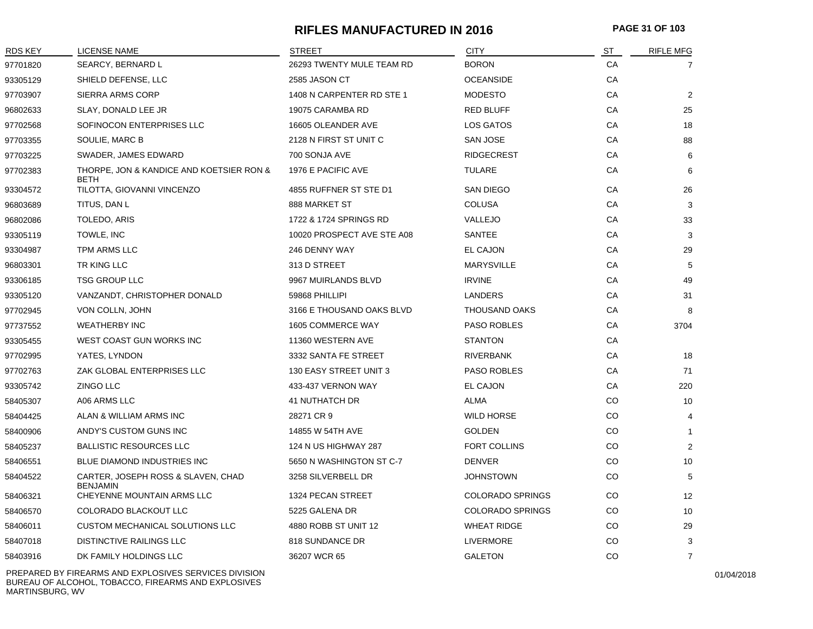#### **RIFLES MANUFACTURED IN 2016 PAGE 31 OF 103**

| <b>RDS KEY</b> | <b>LICENSE NAME</b>                                     | <b>STREET</b>              | <b>CITY</b>             | <u>ST</u> | <b>RIFLE MFG</b> |
|----------------|---------------------------------------------------------|----------------------------|-------------------------|-----------|------------------|
| 97701820       | SEARCY, BERNARD L                                       | 26293 TWENTY MULE TEAM RD  | <b>BORON</b>            | СA        | 7                |
| 93305129       | SHIELD DEFENSE, LLC                                     | 2585 JASON CT              | <b>OCEANSIDE</b>        | CA        |                  |
| 97703907       | SIERRA ARMS CORP                                        | 1408 N CARPENTER RD STE 1  | <b>MODESTO</b>          | CA        | $\overline{2}$   |
| 96802633       | SLAY, DONALD LEE JR                                     | 19075 CARAMBA RD           | <b>RED BLUFF</b>        | CA        | 25               |
| 97702568       | SOFINOCON ENTERPRISES LLC                               | 16605 OLEANDER AVE         | LOS GATOS               | СA        | 18               |
| 97703355       | SOULIE, MARC B                                          | 2128 N FIRST ST UNIT C     | <b>SAN JOSE</b>         | СA        | 88               |
| 97703225       | SWADER, JAMES EDWARD                                    | 700 SONJA AVE              | <b>RIDGECREST</b>       | CA        | 6                |
| 97702383       | THORPE, JON & KANDICE AND KOETSIER RON &<br><b>BETH</b> | 1976 E PACIFIC AVE         | <b>TULARE</b>           | CA        | 6                |
| 93304572       | TILOTTA, GIOVANNI VINCENZO                              | 4855 RUFFNER ST STE D1     | SAN DIEGO               | СA        | 26               |
| 96803689       | TITUS, DAN L                                            | 888 MARKET ST              | <b>COLUSA</b>           | СA        | 3                |
| 96802086       | TOLEDO, ARIS                                            | 1722 & 1724 SPRINGS RD     | VALLEJO                 | CA        | 33               |
| 93305119       | TOWLE, INC                                              | 10020 PROSPECT AVE STE A08 | <b>SANTEE</b>           | <b>CA</b> | 3                |
| 93304987       | TPM ARMS LLC                                            | 246 DENNY WAY              | EL CAJON                | СA        | 29               |
| 96803301       | TR KING LLC                                             | 313 D STREET               | <b>MARYSVILLE</b>       | СA        | 5                |
| 93306185       | <b>TSG GROUP LLC</b>                                    | 9967 MUIRLANDS BLVD        | <b>IRVINE</b>           | СA        | 49               |
| 93305120       | VANZANDT, CHRISTOPHER DONALD                            | 59868 PHILLIPI             | LANDERS                 | СA        | 31               |
| 97702945       | VON COLLN, JOHN                                         | 3166 E THOUSAND OAKS BLVD  | <b>THOUSAND OAKS</b>    | СA        | 8                |
| 97737552       | <b>WEATHERBY INC</b>                                    | 1605 COMMERCE WAY          | PASO ROBLES             | СA        | 3704             |
| 93305455       | WEST COAST GUN WORKS INC                                | 11360 WESTERN AVE          | <b>STANTON</b>          | СA        |                  |
| 97702995       | YATES, LYNDON                                           | 3332 SANTA FE STREET       | <b>RIVERBANK</b>        | СA        | 18               |
| 97702763       | ZAK GLOBAL ENTERPRISES LLC                              | 130 EASY STREET UNIT 3     | <b>PASO ROBLES</b>      | CA        | 71               |
| 93305742       | <b>ZINGO LLC</b>                                        | 433-437 VERNON WAY         | EL CAJON                | CA        | 220              |
| 58405307       | A06 ARMS LLC                                            | <b>41 NUTHATCH DR</b>      | ALMA                    | CO        | 10               |
| 58404425       | ALAN & WILLIAM ARMS INC                                 | 28271 CR 9                 | <b>WILD HORSE</b>       | CO        | 4                |
| 58400906       | ANDY'S CUSTOM GUNS INC                                  | 14855 W 54TH AVE           | <b>GOLDEN</b>           | CO        | $\mathbf{1}$     |
| 58405237       | <b>BALLISTIC RESOURCES LLC</b>                          | 124 N US HIGHWAY 287       | FORT COLLINS            | CO        | $\overline{2}$   |
| 58406551       | BLUE DIAMOND INDUSTRIES INC                             | 5650 N WASHINGTON ST C-7   | <b>DENVER</b>           | CO        | 10               |
| 58404522       | CARTER, JOSEPH ROSS & SLAVEN, CHAD<br><b>BENJAMIN</b>   | 3258 SILVERBELL DR         | <b>JOHNSTOWN</b>        | CO        | 5                |
| 58406321       | CHEYENNE MOUNTAIN ARMS LLC                              | 1324 PECAN STREET          | <b>COLORADO SPRINGS</b> | CO.       | 12               |
| 58406570       | COLORADO BLACKOUT LLC                                   | 5225 GALENA DR             | <b>COLORADO SPRINGS</b> | CO        | 10               |
| 58406011       | CUSTOM MECHANICAL SOLUTIONS LLC                         | 4880 ROBB ST UNIT 12       | <b>WHEAT RIDGE</b>      | CO        | 29               |
| 58407018       | <b>DISTINCTIVE RAILINGS LLC</b>                         | 818 SUNDANCE DR            | <b>LIVERMORE</b>        | CO        | 3                |
| 58403916       | DK FAMILY HOLDINGS LLC                                  | 36207 WCR 65               | <b>GALETON</b>          | CO        | $\overline{7}$   |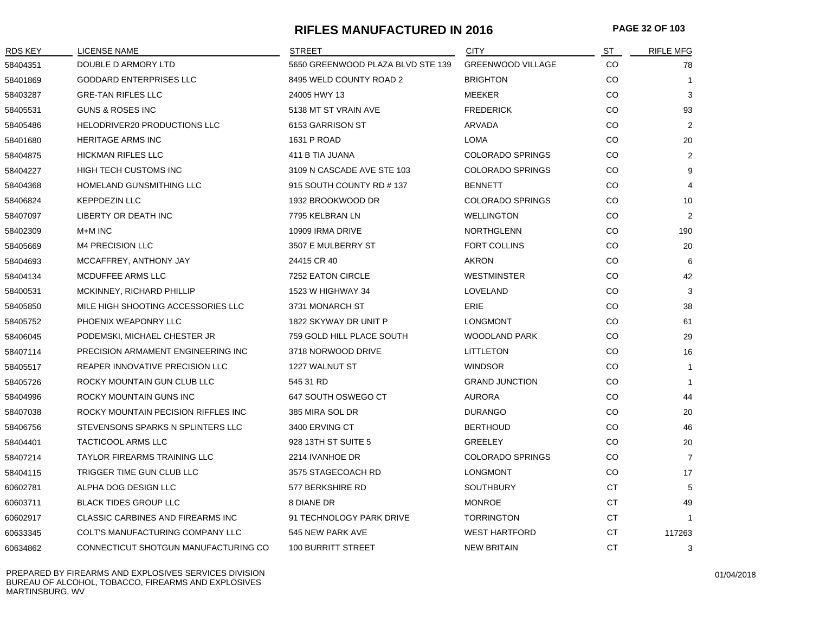#### **RIFLES MANUFACTURED IN 2016 PAGE 32 OF 103**

| RDS KEY  | LICENSE NAME                         | <b>STREET</b>                     | <b>CITY</b>              | ST        | <b>RIFLE MFG</b> |
|----------|--------------------------------------|-----------------------------------|--------------------------|-----------|------------------|
| 58404351 | DOUBLE D ARMORY LTD                  | 5650 GREENWOOD PLAZA BLVD STE 139 | <b>GREENWOOD VILLAGE</b> | <b>CO</b> | 78               |
| 58401869 | <b>GODDARD ENTERPRISES LLC</b>       | 8495 WELD COUNTY ROAD 2           | <b>BRIGHTON</b>          | <b>CO</b> | $\mathbf{1}$     |
| 58403287 | <b>GRE-TAN RIFLES LLC</b>            | 24005 HWY 13                      | <b>MEEKER</b>            | CO        | 3                |
| 58405531 | GUNS & ROSES INC                     | 5138 MT ST VRAIN AVE              | <b>FREDERICK</b>         | CO        | 93               |
| 58405486 | HELODRIVER20 PRODUCTIONS LLC         | 6153 GARRISON ST                  | ARVADA                   | CO        | 2                |
| 58401680 | <b>HERITAGE ARMS INC</b>             | 1631 P ROAD                       | <b>LOMA</b>              | CO        | 20               |
| 58404875 | <b>HICKMAN RIFLES LLC</b>            | 411 B TIA JUANA                   | <b>COLORADO SPRINGS</b>  | CO        | $\overline{2}$   |
| 58404227 | HIGH TECH CUSTOMS INC                | 3109 N CASCADE AVE STE 103        | <b>COLORADO SPRINGS</b>  | CO        | 9                |
| 58404368 | HOMELAND GUNSMITHING LLC             | 915 SOUTH COUNTY RD #137          | <b>BENNETT</b>           | CO        | $\overline{4}$   |
| 58406824 | <b>KEPPDEZIN LLC</b>                 | 1932 BROOKWOOD DR                 | <b>COLORADO SPRINGS</b>  | CO        | 10               |
| 58407097 | LIBERTY OR DEATH INC                 | 7795 KELBRAN LN                   | <b>WELLINGTON</b>        | CO        | 2                |
| 58402309 | M+M INC                              | 10909 IRMA DRIVE                  | <b>NORTHGLENN</b>        | CO        | 190              |
| 58405669 | <b>M4 PRECISION LLC</b>              | 3507 E MULBERRY ST                | <b>FORT COLLINS</b>      | CO        | 20               |
| 58404693 | MCCAFFREY, ANTHONY JAY               | 24415 CR 40                       | AKRON                    | CO        | 6                |
| 58404134 | MCDUFFEE ARMS LLC                    | 7252 EATON CIRCLE                 | <b>WESTMINSTER</b>       | CO        | 42               |
| 58400531 | MCKINNEY, RICHARD PHILLIP            | 1523 W HIGHWAY 34                 | LOVELAND                 | CO        | 3                |
| 58405850 | MILE HIGH SHOOTING ACCESSORIES LLC   | 3731 MONARCH ST                   | <b>ERIE</b>              | CO        | 38               |
| 58405752 | PHOENIX WEAPONRY LLC                 | 1822 SKYWAY DR UNIT P             | <b>LONGMONT</b>          | CO        | 61               |
| 58406045 | PODEMSKI, MICHAEL CHESTER JR         | 759 GOLD HILL PLACE SOUTH         | <b>WOODLAND PARK</b>     | CO        | 29               |
| 58407114 | PRECISION ARMAMENT ENGINEERING INC   | 3718 NORWOOD DRIVE                | <b>LITTLETON</b>         | <b>CO</b> | 16               |
| 58405517 | REAPER INNOVATIVE PRECISION LLC      | 1227 WALNUT ST                    | <b>WINDSOR</b>           | CO        | $\mathbf{1}$     |
| 58405726 | ROCKY MOUNTAIN GUN CLUB LLC          | 545 31 RD                         | <b>GRAND JUNCTION</b>    | CO        | $\mathbf{1}$     |
| 58404996 | ROCKY MOUNTAIN GUNS INC              | 647 SOUTH OSWEGO CT               | <b>AURORA</b>            | CO        | 44               |
| 58407038 | ROCKY MOUNTAIN PECISION RIFFLES INC  | 385 MIRA SOL DR                   | <b>DURANGO</b>           | CO        | 20               |
| 58406756 | STEVENSONS SPARKS N SPLINTERS LLC    | 3400 ERVING CT                    | <b>BERTHOUD</b>          | CO        | 46               |
| 58404401 | <b>TACTICOOL ARMS LLC</b>            | 928 13TH ST SUITE 5               | <b>GREELEY</b>           | CO        | 20               |
| 58407214 | <b>TAYLOR FIREARMS TRAINING LLC</b>  | 2214 IVANHOE DR                   | <b>COLORADO SPRINGS</b>  | CO        | $\overline{7}$   |
| 58404115 | TRIGGER TIME GUN CLUB LLC            | 3575 STAGECOACH RD                | <b>LONGMONT</b>          | CO        | 17               |
| 60602781 | ALPHA DOG DESIGN LLC                 | 577 BERKSHIRE RD                  | <b>SOUTHBURY</b>         | <b>CT</b> | 5                |
| 60603711 | <b>BLACK TIDES GROUP LLC</b>         | 8 DIANE DR                        | <b>MONROE</b>            | CT        | 49               |
| 60602917 | CLASSIC CARBINES AND FIREARMS INC    | 91 TECHNOLOGY PARK DRIVE          | <b>TORRINGTON</b>        | <b>CT</b> | $\mathbf{1}$     |
| 60633345 | COLT'S MANUFACTURING COMPANY LLC     | 545 NEW PARK AVE                  | <b>WEST HARTFORD</b>     | <b>CT</b> | 117263           |
| 60634862 | CONNECTICUT SHOTGUN MANUFACTURING CO | 100 BURRITT STREET                | <b>NEW BRITAIN</b>       | СT        | 3                |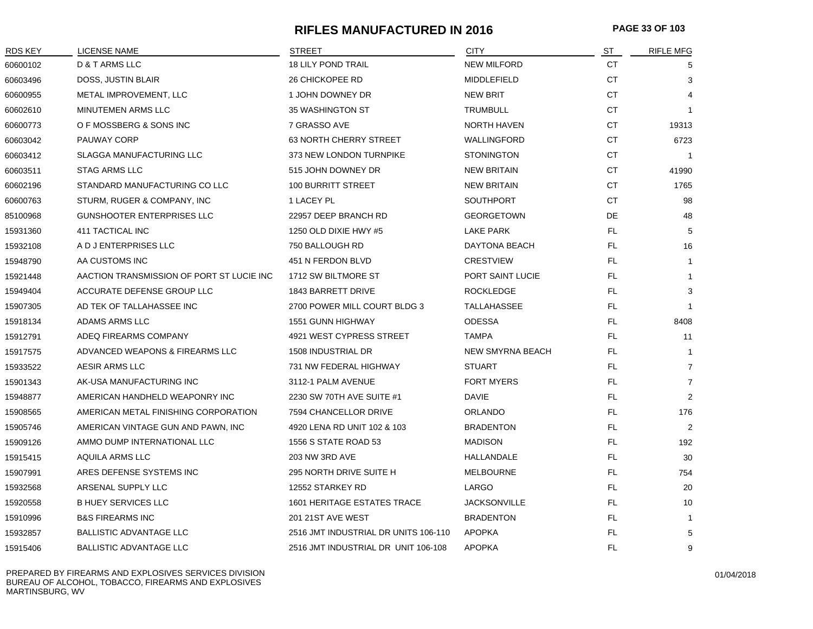#### **RIFLES MANUFACTURED IN 2016 PAGE 33 OF 103**

| <b>RDS KEY</b> | <b>LICENSE NAME</b>                       | <b>STREET</b>                        | <b>CITY</b>             | ST        | <b>RIFLE MFG</b> |
|----------------|-------------------------------------------|--------------------------------------|-------------------------|-----------|------------------|
| 60600102       | D & T ARMS LLC                            | <b>18 LILY POND TRAIL</b>            | <b>NEW MILFORD</b>      | СT        | 5                |
| 60603496       | DOSS, JUSTIN BLAIR                        | 26 CHICKOPEE RD                      | MIDDLEFIELD             | <b>CT</b> | 3                |
| 60600955       | METAL IMPROVEMENT, LLC                    | 1 JOHN DOWNEY DR                     | <b>NEW BRIT</b>         | <b>CT</b> |                  |
| 60602610       | MINUTEMEN ARMS LLC                        | 35 WASHINGTON ST                     | <b>TRUMBULL</b>         | <b>CT</b> |                  |
| 60600773       | O F MOSSBERG & SONS INC                   | 7 GRASSO AVE                         | <b>NORTH HAVEN</b>      | <b>CT</b> | 19313            |
| 60603042       | PAUWAY CORP                               | 63 NORTH CHERRY STREET               | WALLINGFORD             | CT        | 6723             |
| 60603412       | <b>SLAGGA MANUFACTURING LLC</b>           | 373 NEW LONDON TURNPIKE              | <b>STONINGTON</b>       | СT        |                  |
| 60603511       | <b>STAG ARMS LLC</b>                      | 515 JOHN DOWNEY DR                   | <b>NEW BRITAIN</b>      | <b>CT</b> | 41990            |
| 60602196       | STANDARD MANUFACTURING CO LLC             | 100 BURRITT STREET                   | <b>NEW BRITAIN</b>      | CT        | 1765             |
| 60600763       | STURM, RUGER & COMPANY, INC               | 1 LACEY PL                           | <b>SOUTHPORT</b>        | СT        | 98               |
| 85100968       | <b>GUNSHOOTER ENTERPRISES LLC</b>         | 22957 DEEP BRANCH RD                 | <b>GEORGETOWN</b>       | DE        | 48               |
| 15931360       | 411 TACTICAL INC                          | 1250 OLD DIXIE HWY #5                | <b>LAKE PARK</b>        | FL.       | 5                |
| 15932108       | A D J ENTERPRISES LLC                     | 750 BALLOUGH RD                      | DAYTONA BEACH           | FL        | 16               |
| 15948790       | AA CUSTOMS INC                            | 451 N FERDON BLVD                    | <b>CRESTVIEW</b>        | FL.       | $\mathbf{1}$     |
| 15921448       | AACTION TRANSMISSION OF PORT ST LUCIE INC | 1712 SW BILTMORE ST                  | PORT SAINT LUCIE        | FL        | $\mathbf 1$      |
| 15949404       | ACCURATE DEFENSE GROUP LLC                | 1843 BARRETT DRIVE                   | <b>ROCKLEDGE</b>        | FL.       | 3                |
| 15907305       | AD TEK OF TALLAHASSEE INC                 | 2700 POWER MILL COURT BLDG 3         | TALLAHASSEE             | FL.       |                  |
| 15918134       | ADAMS ARMS LLC                            | <b>1551 GUNN HIGHWAY</b>             | ODESSA                  | FL        | 8408             |
| 15912791       | ADEQ FIREARMS COMPANY                     | 4921 WEST CYPRESS STREET             | <b>TAMPA</b>            | FL.       | 11               |
| 15917575       | ADVANCED WEAPONS & FIREARMS LLC           | 1508 INDUSTRIAL DR                   | <b>NEW SMYRNA BEACH</b> | FL.       | -1               |
| 15933522       | AESIR ARMS LLC                            | 731 NW FEDERAL HIGHWAY               | <b>STUART</b>           | FL        | $\overline{7}$   |
| 15901343       | AK-USA MANUFACTURING INC                  | 3112-1 PALM AVENUE                   | <b>FORT MYERS</b>       | FL.       | $\overline{7}$   |
| 15948877       | AMERICAN HANDHELD WEAPONRY INC            | 2230 SW 70TH AVE SUITE #1            | <b>DAVIE</b>            | FL.       | 2                |
| 15908565       | AMERICAN METAL FINISHING CORPORATION      | 7594 CHANCELLOR DRIVE                | ORLANDO                 | FL        | 176              |
| 15905746       | AMERICAN VINTAGE GUN AND PAWN, INC        | 4920 LENA RD UNIT 102 & 103          | <b>BRADENTON</b>        | FL.       | $\overline{2}$   |
| 15909126       | AMMO DUMP INTERNATIONAL LLC               | 1556 S STATE ROAD 53                 | <b>MADISON</b>          | FL.       | 192              |
| 15915415       | AQUILA ARMS LLC                           | 203 NW 3RD AVE                       | HALLANDALE              | FL        | 30               |
| 15907991       | ARES DEFENSE SYSTEMS INC                  | 295 NORTH DRIVE SUITE H              | <b>MELBOURNE</b>        | FL.       | 754              |
| 15932568       | ARSENAL SUPPLY LLC                        | 12552 STARKEY RD                     | LARGO                   | FL.       | 20               |
| 15920558       | <b>B HUEY SERVICES LLC</b>                | <b>1601 HERITAGE ESTATES TRACE</b>   | <b>JACKSONVILLE</b>     | FL        | 10               |
| 15910996       | <b>B&amp;S FIREARMS INC</b>               | 201 21ST AVE WEST                    | <b>BRADENTON</b>        | FL.       | $\mathbf{1}$     |
| 15932857       | <b>BALLISTIC ADVANTAGE LLC</b>            | 2516 JMT INDUSTRIAL DR UNITS 106-110 | <b>APOPKA</b>           | FL.       | 5                |
| 15915406       | <b>BALLISTIC ADVANTAGE LLC</b>            | 2516 JMT INDUSTRIAL DR UNIT 106-108  | <b>APOPKA</b>           | <b>FL</b> | 9                |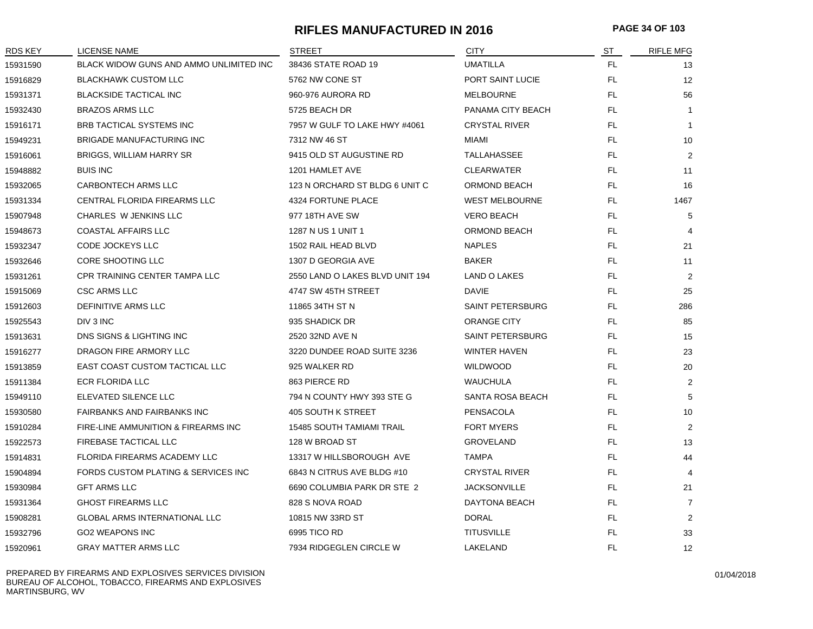#### **RIFLES MANUFACTURED IN 2016 PAGE 34 OF 103**

| RDS KEY  | LICENSE NAME                            | <b>STREET</b>                    | <b>CITY</b>             | ST        | <b>RIFLE MFG</b> |
|----------|-----------------------------------------|----------------------------------|-------------------------|-----------|------------------|
| 15931590 | BLACK WIDOW GUNS AND AMMO UNLIMITED INC | 38436 STATE ROAD 19              | <b>UMATILLA</b>         | <b>FL</b> | 13               |
| 15916829 | <b>BLACKHAWK CUSTOM LLC</b>             | 5762 NW CONE ST                  | PORT SAINT LUCIE        | <b>FL</b> | 12               |
| 15931371 | <b>BLACKSIDE TACTICAL INC</b>           | 960-976 AURORA RD                | <b>MELBOURNE</b>        | <b>FL</b> | 56               |
| 15932430 | <b>BRAZOS ARMS LLC</b>                  | 5725 BEACH DR                    | PANAMA CITY BEACH       | FL.       | $\mathbf{1}$     |
| 15916171 | BRB TACTICAL SYSTEMS INC                | 7957 W GULF TO LAKE HWY #4061    | <b>CRYSTAL RIVER</b>    | FL.       | $\mathbf{1}$     |
| 15949231 | <b>BRIGADE MANUFACTURING INC</b>        | 7312 NW 46 ST                    | MIAMI                   | <b>FL</b> | 10               |
| 15916061 | <b>BRIGGS, WILLIAM HARRY SR</b>         | 9415 OLD ST AUGUSTINE RD         | TALLAHASSEE             | FL.       | $\overline{2}$   |
| 15948882 | <b>BUIS INC</b>                         | 1201 HAMLET AVE                  | <b>CLEARWATER</b>       | FL.       | 11               |
| 15932065 | CARBONTECH ARMS LLC                     | 123 N ORCHARD ST BLDG 6 UNIT C   | <b>ORMOND BEACH</b>     | FL        | 16               |
| 15931334 | CENTRAL FLORIDA FIREARMS LLC            | 4324 FORTUNE PLACE               | <b>WEST MELBOURNE</b>   | FL.       | 1467             |
| 15907948 | CHARLES W JENKINS LLC                   | 977 18TH AVE SW                  | <b>VERO BEACH</b>       | FL.       | 5                |
| 15948673 | <b>COASTAL AFFAIRS LLC</b>              | 1287 N US 1 UNIT 1               | ORMOND BEACH            | FL.       | 4                |
| 15932347 | CODE JOCKEYS LLC                        | 1502 RAIL HEAD BLVD              | <b>NAPLES</b>           | FL        | 21               |
| 15932646 | CORE SHOOTING LLC                       | 1307 D GEORGIA AVE               | <b>BAKER</b>            | FL.       | 11               |
| 15931261 | CPR TRAINING CENTER TAMPA LLC           | 2550 LAND O LAKES BLVD UNIT 194  | <b>LAND O LAKES</b>     | <b>FL</b> | $\overline{2}$   |
| 15915069 | <b>CSC ARMS LLC</b>                     | 4747 SW 45TH STREET              | DAVIE                   | <b>FL</b> | 25               |
| 15912603 | <b>DEFINITIVE ARMS LLC</b>              | 11865 34TH ST N                  | <b>SAINT PETERSBURG</b> | <b>FL</b> | 286              |
| 15925543 | DIV 3 INC                               | 935 SHADICK DR                   | <b>ORANGE CITY</b>      | FL        | 85               |
| 15913631 | DNS SIGNS & LIGHTING INC                | 2520 32ND AVE N                  | SAINT PETERSBURG        | FL.       | 15               |
| 15916277 | DRAGON FIRE ARMORY LLC                  | 3220 DUNDEE ROAD SUITE 3236      | <b>WINTER HAVEN</b>     | <b>FL</b> | 23               |
| 15913859 | EAST COAST CUSTOM TACTICAL LLC          | 925 WALKER RD                    | <b>WILDWOOD</b>         | FL        | 20               |
| 15911384 | ECR FLORIDA LLC                         | 863 PIERCE RD                    | <b>WAUCHULA</b>         | FL        | $\overline{2}$   |
| 15949110 | ELEVATED SILENCE LLC                    | 794 N COUNTY HWY 393 STE G       | SANTA ROSA BEACH        | <b>FL</b> | 5                |
| 15930580 | <b>FAIRBANKS AND FAIRBANKS INC</b>      | 405 SOUTH K STREET               | <b>PENSACOLA</b>        | FL.       | 10               |
| 15910284 | FIRE-LINE AMMUNITION & FIREARMS INC     | <b>15485 SOUTH TAMIAMI TRAIL</b> | <b>FORT MYERS</b>       | <b>FL</b> | $\overline{2}$   |
| 15922573 | <b>FIREBASE TACTICAL LLC</b>            | 128 W BROAD ST                   | <b>GROVELAND</b>        | FL.       | 13               |
| 15914831 | FLORIDA FIREARMS ACADEMY LLC            | 13317 W HILLSBOROUGH AVE         | <b>TAMPA</b>            | FL        | 44               |
| 15904894 | FORDS CUSTOM PLATING & SERVICES INC     | 6843 N CITRUS AVE BLDG #10       | <b>CRYSTAL RIVER</b>    | FL.       | $\overline{4}$   |
| 15930984 | <b>GFT ARMS LLC</b>                     | 6690 COLUMBIA PARK DR STE 2      | <b>JACKSONVILLE</b>     | <b>FL</b> | 21               |
| 15931364 | <b>GHOST FIREARMS LLC</b>               | 828 S NOVA ROAD                  | DAYTONA BEACH           | <b>FL</b> | $\overline{7}$   |
| 15908281 | <b>GLOBAL ARMS INTERNATIONAL LLC</b>    | 10815 NW 33RD ST                 | <b>DORAL</b>            | FL.       | $\overline{2}$   |
| 15932796 | <b>GO2 WEAPONS INC</b>                  | 6995 TICO RD                     | <b>TITUSVILLE</b>       | <b>FL</b> | 33               |
| 15920961 | <b>GRAY MATTER ARMS LLC</b>             | 7934 RIDGEGLEN CIRCLE W          | LAKELAND                | FL        | 12               |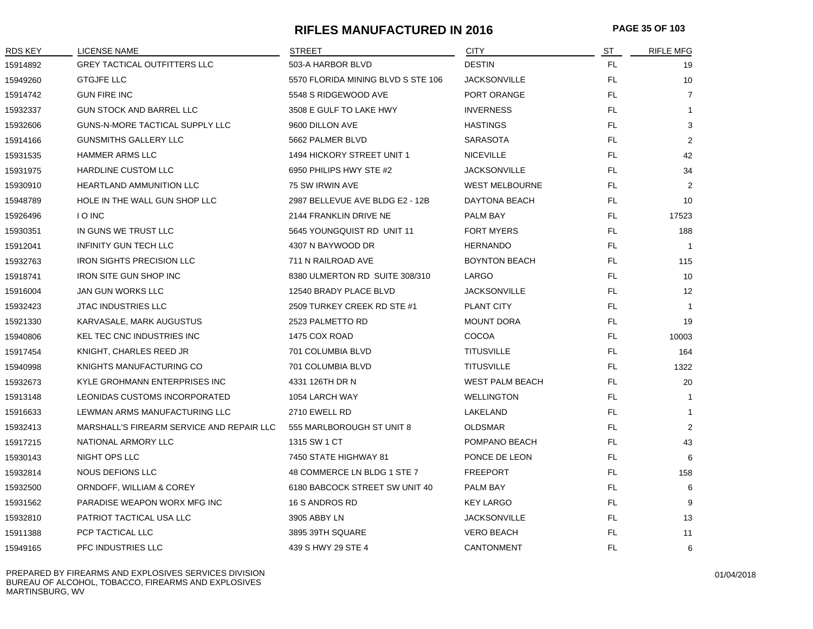#### **RIFLES MANUFACTURED IN 2016 PAGE 35 OF 103**

| <b>RDS KEY</b> | LICENSE NAME                              | <b>STREET</b>                      | <b>CITY</b>            | <u>ST</u> | <b>RIFLE MFG</b>  |
|----------------|-------------------------------------------|------------------------------------|------------------------|-----------|-------------------|
| 15914892       | <b>GREY TACTICAL OUTFITTERS LLC</b>       | 503-A HARBOR BLVD                  | <b>DESTIN</b>          | FL.       | 19                |
| 15949260       | <b>GTGJFE LLC</b>                         | 5570 FLORIDA MINING BLVD S STE 106 | <b>JACKSONVILLE</b>    | FL.       | 10                |
| 15914742       | <b>GUN FIRE INC</b>                       | 5548 S RIDGEWOOD AVE               | PORT ORANGE            | <b>FL</b> | $\overline{7}$    |
| 15932337       | <b>GUN STOCK AND BARREL LLC</b>           | 3508 E GULF TO LAKE HWY            | <b>INVERNESS</b>       | <b>FL</b> | 1                 |
| 15932606       | GUNS-N-MORE TACTICAL SUPPLY LLC           | 9600 DILLON AVE                    | <b>HASTINGS</b>        | FL        | 3                 |
| 15914166       | <b>GUNSMITHS GALLERY LLC</b>              | 5662 PALMER BLVD                   | <b>SARASOTA</b>        | <b>FL</b> | $\overline{2}$    |
| 15931535       | <b>HAMMER ARMS LLC</b>                    | 1494 HICKORY STREET UNIT 1         | <b>NICEVILLE</b>       | FL.       | 42                |
| 15931975       | <b>HARDLINE CUSTOM LLC</b>                | 6950 PHILIPS HWY STE #2            | <b>JACKSONVILLE</b>    | FL.       | 34                |
| 15930910       | <b>HEARTLAND AMMUNITION LLC</b>           | 75 SW IRWIN AVE                    | <b>WEST MELBOURNE</b>  | FL.       | 2                 |
| 15948789       | HOLE IN THE WALL GUN SHOP LLC             | 2987 BELLEVUE AVE BLDG E2 - 12B    | DAYTONA BEACH          | FL        | 10                |
| 15926496       | <b>IO INC</b>                             | 2144 FRANKLIN DRIVE NE             | PALM BAY               | FL        | 17523             |
| 15930351       | IN GUNS WE TRUST LLC                      | 5645 YOUNGQUIST RD UNIT 11         | <b>FORT MYERS</b>      | <b>FL</b> | 188               |
| 15912041       | <b>INFINITY GUN TECH LLC</b>              | 4307 N BAYWOOD DR                  | <b>HERNANDO</b>        | <b>FL</b> | $\overline{1}$    |
| 15932763       | <b>IRON SIGHTS PRECISION LLC</b>          | 711 N RAILROAD AVE                 | <b>BOYNTON BEACH</b>   | FL        | 115               |
| 15918741       | <b>IRON SITE GUN SHOP INC</b>             | 8380 ULMERTON RD SUITE 308/310     | LARGO                  | FL        | 10                |
| 15916004       | JAN GUN WORKS LLC                         | 12540 BRADY PLACE BLVD             | <b>JACKSONVILLE</b>    | FL.       | $12 \overline{ }$ |
| 15932423       | <b>JTAC INDUSTRIES LLC</b>                | 2509 TURKEY CREEK RD STE #1        | PLANT CITY             | FL.       | $\overline{1}$    |
| 15921330       | KARVASALE, MARK AUGUSTUS                  | 2523 PALMETTO RD                   | <b>MOUNT DORA</b>      | FL.       | 19                |
| 15940806       | KEL TEC CNC INDUSTRIES INC                | 1475 COX ROAD                      | <b>COCOA</b>           | FL.       | 10003             |
| 15917454       | KNIGHT, CHARLES REED JR                   | 701 COLUMBIA BLVD                  | <b>TITUSVILLE</b>      | <b>FL</b> | 164               |
| 15940998       | KNIGHTS MANUFACTURING CO                  | 701 COLUMBIA BLVD                  | <b>TITUSVILLE</b>      | FL        | 1322              |
| 15932673       | KYLE GROHMANN ENTERPRISES INC             | 4331 126TH DR N                    | <b>WEST PALM BEACH</b> | <b>FL</b> | 20                |
| 15913148       | LEONIDAS CUSTOMS INCORPORATED             | 1054 LARCH WAY                     | <b>WELLINGTON</b>      | <b>FL</b> | $\overline{1}$    |
| 15916633       | LEWMAN ARMS MANUFACTURING LLC             | 2710 EWELL RD                      | LAKELAND               | <b>FL</b> | $\mathbf{1}$      |
| 15932413       | MARSHALL'S FIREARM SERVICE AND REPAIR LLC | 555 MARLBOROUGH ST UNIT 8          | <b>OLDSMAR</b>         | <b>FL</b> | 2                 |
| 15917215       | NATIONAL ARMORY LLC                       | 1315 SW 1 CT                       | POMPANO BEACH          | FL        | 43                |
| 15930143       | NIGHT OPS LLC                             | 7450 STATE HIGHWAY 81              | PONCE DE LEON          | FL.       | 6                 |
| 15932814       | NOUS DEFIONS LLC                          | 48 COMMERCE LN BLDG 1 STE 7        | <b>FREEPORT</b>        | FL.       | 158               |
| 15932500       | ORNDOFF, WILLIAM & COREY                  | 6180 BABCOCK STREET SW UNIT 40     | PALM BAY               | <b>FL</b> | 6                 |
| 15931562       | PARADISE WEAPON WORX MFG INC              | 16 S ANDROS RD                     | <b>KEY LARGO</b>       | FL.       | 9                 |
| 15932810       | PATRIOT TACTICAL USA LLC                  | 3905 ABBY LN                       | <b>JACKSONVILLE</b>    | FL        | 13                |
| 15911388       | PCP TACTICAL LLC                          | 3895 39TH SQUARE                   | <b>VERO BEACH</b>      | <b>FL</b> | 11                |
| 15949165       | PFC INDUSTRIES LLC                        | 439 S HWY 29 STE 4                 | <b>CANTONMENT</b>      | <b>FL</b> | 6                 |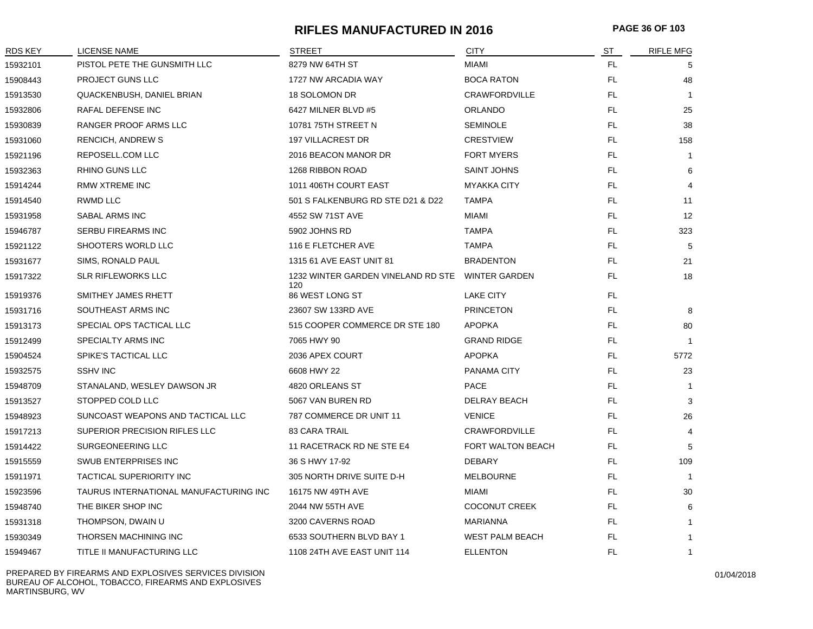# **RIFLES MANUFACTURED IN 2016 PAGE 36 OF 103**

| RDS KEY  | <b>LICENSE NAME</b>                    | <b>STREET</b>                                           | <b>CITY</b>            | ST  | <b>RIFLE MFG</b> |
|----------|----------------------------------------|---------------------------------------------------------|------------------------|-----|------------------|
| 15932101 | PISTOL PETE THE GUNSMITH LLC           | 8279 NW 64TH ST                                         | <b>MIAMI</b>           | FL. | 5                |
| 15908443 | PROJECT GUNS LLC                       | 1727 NW ARCADIA WAY                                     | <b>BOCA RATON</b>      | FL. | 48               |
| 15913530 | QUACKENBUSH, DANIEL BRIAN              | 18 SOLOMON DR                                           | <b>CRAWFORDVILLE</b>   | FL. | $\overline{1}$   |
| 15932806 | RAFAL DEFENSE INC                      | 6427 MILNER BLVD #5                                     | <b>ORLANDO</b>         | FL. | 25               |
| 15930839 | RANGER PROOF ARMS LLC                  | 10781 75TH STREET N                                     | <b>SEMINOLE</b>        | FL  | 38               |
| 15931060 | <b>RENCICH, ANDREW S</b>               | <b>197 VILLACREST DR</b>                                | <b>CRESTVIEW</b>       | FL. | 158              |
| 15921196 | REPOSELL.COM LLC                       | 2016 BEACON MANOR DR                                    | <b>FORT MYERS</b>      | FL. | $\overline{1}$   |
| 15932363 | <b>RHINO GUNS LLC</b>                  | 1268 RIBBON ROAD                                        | <b>SAINT JOHNS</b>     | FL. | 6                |
| 15914244 | RMW XTREME INC                         | 1011 406TH COURT EAST                                   | <b>MYAKKA CITY</b>     | FL  | 4                |
| 15914540 | RWMD LLC                               | 501 S FALKENBURG RD STE D21 & D22                       | TAMPA                  | FL  | 11               |
| 15931958 | SABAL ARMS INC                         | 4552 SW 71ST AVE                                        | <b>MIAMI</b>           | FL  | 12               |
| 15946787 | SERBU FIREARMS INC                     | 5902 JOHNS RD                                           | <b>TAMPA</b>           | FL. | 323              |
| 15921122 | <b>SHOOTERS WORLD LLC</b>              | 116 E FLETCHER AVE                                      | <b>TAMPA</b>           | FL. | 5                |
| 15931677 | SIMS, RONALD PAUL                      | 1315 61 AVE EAST UNIT 81                                | <b>BRADENTON</b>       | FL. | 21               |
| 15917322 | <b>SLR RIFLEWORKS LLC</b>              | 1232 WINTER GARDEN VINELAND RD STE WINTER GARDEN<br>120 |                        | FL. | 18               |
| 15919376 | SMITHEY JAMES RHETT                    | 86 WEST LONG ST                                         | <b>LAKE CITY</b>       | FL  |                  |
| 15931716 | SOUTHEAST ARMS INC                     | 23607 SW 133RD AVE                                      | <b>PRINCETON</b>       | FL. | 8                |
| 15913173 | SPECIAL OPS TACTICAL LLC               | 515 COOPER COMMERCE DR STE 180                          | <b>APOPKA</b>          | FL  | 80               |
| 15912499 | SPECIALTY ARMS INC                     | 7065 HWY 90                                             | <b>GRAND RIDGE</b>     | FL  |                  |
| 15904524 | SPIKE'S TACTICAL LLC                   | 2036 APEX COURT                                         | <b>APOPKA</b>          | FL. | 5772             |
| 15932575 | <b>SSHV INC</b>                        | 6608 HWY 22                                             | <b>PANAMA CITY</b>     | FL  | 23               |
| 15948709 | STANALAND, WESLEY DAWSON JR            | 4820 ORLEANS ST                                         | <b>PACE</b>            | FL  | -1               |
| 15913527 | STOPPED COLD LLC                       | 5067 VAN BUREN RD                                       | DELRAY BEACH           | FL  | 3                |
| 15948923 | SUNCOAST WEAPONS AND TACTICAL LLC      | 787 COMMERCE DR UNIT 11                                 | <b>VENICE</b>          | FL. | 26               |
| 15917213 | SUPERIOR PRECISION RIFLES LLC          | <b>83 CARA TRAIL</b>                                    | <b>CRAWFORDVILLE</b>   | FL  | 4                |
| 15914422 | SURGEONEERING LLC                      | 11 RACETRACK RD NE STE E4                               | FORT WALTON BEACH      | FL. | 5                |
| 15915559 | SWUB ENTERPRISES INC                   | 36 S HWY 17-92                                          | <b>DEBARY</b>          | FL. | 109              |
| 15911971 | TACTICAL SUPERIORITY INC               | 305 NORTH DRIVE SUITE D-H                               | <b>MELBOURNE</b>       | FL. | $\overline{1}$   |
| 15923596 | TAURUS INTERNATIONAL MANUFACTURING INC | 16175 NW 49TH AVE                                       | MIAMI                  | FL  | 30               |
| 15948740 | THE BIKER SHOP INC                     | 2044 NW 55TH AVE                                        | <b>COCONUT CREEK</b>   | FL  | 6                |
| 15931318 | THOMPSON, DWAIN U                      | 3200 CAVERNS ROAD                                       | MARIANNA               | FL  | -1               |
| 15930349 | THORSEN MACHINING INC                  | 6533 SOUTHERN BLVD BAY 1                                | <b>WEST PALM BEACH</b> | FL. | -1               |
| 15949467 | TITLE II MANUFACTURING LLC             | 1108 24TH AVE EAST UNIT 114                             | <b>ELLENTON</b>        | FL  | 1                |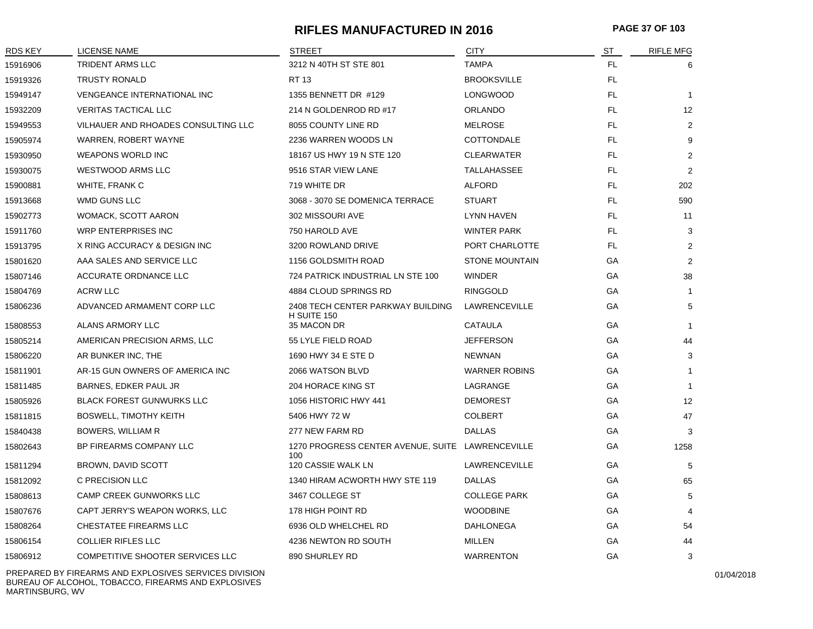## **RIFLES MANUFACTURED IN 2016 PAGE 37 OF 103**

| RDS KEY  | <b>LICENSE NAME</b>                 | <b>STREET</b>                                           | <b>CITY</b>           | <u>ST</u> | <b>RIFLE MFG</b> |
|----------|-------------------------------------|---------------------------------------------------------|-----------------------|-----------|------------------|
| 15916906 | TRIDENT ARMS LLC                    | 3212 N 40TH ST STE 801                                  | <b>TAMPA</b>          | FL        | 6                |
| 15919326 | <b>TRUSTY RONALD</b>                | <b>RT 13</b>                                            | <b>BROOKSVILLE</b>    | FL.       |                  |
| 15949147 | <b>VENGEANCE INTERNATIONAL INC</b>  | 1355 BENNETT DR #129                                    | <b>LONGWOOD</b>       | FL.       | $\overline{1}$   |
| 15932209 | <b>VERITAS TACTICAL LLC</b>         | 214 N GOLDENROD RD #17                                  | <b>ORLANDO</b>        | FL        | 12               |
| 15949553 | VILHAUER AND RHOADES CONSULTING LLC | 8055 COUNTY LINE RD                                     | <b>MELROSE</b>        | FL.       | $\overline{2}$   |
| 15905974 | WARREN, ROBERT WAYNE                | 2236 WARREN WOODS LN                                    | COTTONDALE            | FL        | 9                |
| 15930950 | <b>WEAPONS WORLD INC</b>            | 18167 US HWY 19 N STE 120                               | <b>CLEARWATER</b>     | FL        | 2                |
| 15930075 | <b>WESTWOOD ARMS LLC</b>            | 9516 STAR VIEW LANE                                     | TALLAHASSEE           | FL        | 2                |
| 15900881 | WHITE, FRANK C                      | 719 WHITE DR                                            | <b>ALFORD</b>         | FL        | 202              |
| 15913668 | WMD GUNS LLC                        | 3068 - 3070 SE DOMENICA TERRACE                         | <b>STUART</b>         | FL        | 590              |
| 15902773 | WOMACK, SCOTT AARON                 | 302 MISSOURI AVE                                        | <b>LYNN HAVEN</b>     | FL        | 11               |
| 15911760 | <b>WRP ENTERPRISES INC</b>          | 750 HAROLD AVE                                          | <b>WINTER PARK</b>    | FL        | 3                |
| 15913795 | X RING ACCURACY & DESIGN INC        | 3200 ROWLAND DRIVE                                      | PORT CHARLOTTE        | FL        | $\overline{2}$   |
| 15801620 | AAA SALES AND SERVICE LLC           | 1156 GOLDSMITH ROAD                                     | <b>STONE MOUNTAIN</b> | GA        | 2                |
| 15807146 | ACCURATE ORDNANCE LLC               | 724 PATRICK INDUSTRIAL LN STE 100                       | <b>WINDER</b>         | GA        | 38               |
| 15804769 | <b>ACRW LLC</b>                     | 4884 CLOUD SPRINGS RD                                   | <b>RINGGOLD</b>       | GA        | -1               |
| 15806236 | ADVANCED ARMAMENT CORP LLC          | 2408 TECH CENTER PARKWAY BUILDING                       | <b>LAWRENCEVILLE</b>  | GA        | 5                |
| 15808553 | ALANS ARMORY LLC                    | H SUITE 150<br>35 MACON DR                              | CATAULA               | GA        | $\overline{1}$   |
| 15805214 | AMERICAN PRECISION ARMS, LLC        | 55 LYLE FIELD ROAD                                      | <b>JEFFERSON</b>      | GA        | 44               |
| 15806220 | AR BUNKER INC, THE                  | 1690 HWY 34 E STE D                                     | <b>NEWNAN</b>         | GA        | 3                |
| 15811901 | AR-15 GUN OWNERS OF AMERICA INC     | 2066 WATSON BLVD                                        | <b>WARNER ROBINS</b>  | GA        | $\mathbf{1}$     |
| 15811485 | BARNES, EDKER PAUL JR               | 204 HORACE KING ST                                      | LAGRANGE              | GA        | $\overline{1}$   |
| 15805926 | <b>BLACK FOREST GUNWURKS LLC</b>    | 1056 HISTORIC HWY 441                                   | <b>DEMOREST</b>       | GA        | 12               |
| 15811815 | <b>BOSWELL, TIMOTHY KEITH</b>       | 5406 HWY 72 W                                           | <b>COLBERT</b>        | GA        | 47               |
| 15840438 | BOWERS, WILLIAM R                   | 277 NEW FARM RD                                         | <b>DALLAS</b>         | GA        | 3                |
| 15802643 | BP FIREARMS COMPANY LLC             | 1270 PROGRESS CENTER AVENUE, SUITE LAWRENCEVILLE<br>100 |                       | GA        | 1258             |
| 15811294 | BROWN, DAVID SCOTT                  | 120 CASSIE WALK LN                                      | <b>LAWRENCEVILLE</b>  | GA        | 5                |
| 15812092 | C PRECISION LLC                     | 1340 HIRAM ACWORTH HWY STE 119                          | <b>DALLAS</b>         | GA        | 65               |
| 15808613 | CAMP CREEK GUNWORKS LLC             | 3467 COLLEGE ST                                         | <b>COLLEGE PARK</b>   | GA        | 5                |
| 15807676 | CAPT JERRY'S WEAPON WORKS, LLC      | 178 HIGH POINT RD                                       | <b>WOODBINE</b>       | GA        | 4                |
| 15808264 | CHESTATEE FIREARMS LLC              | 6936 OLD WHELCHEL RD                                    | <b>DAHLONEGA</b>      | GA        | 54               |
| 15806154 | <b>COLLIER RIFLES LLC</b>           | 4236 NEWTON RD SOUTH                                    | MILLEN                | GA        | 44               |
| 15806912 | COMPETITIVE SHOOTER SERVICES LLC    | 890 SHURLEY RD                                          | <b>WARRENTON</b>      | GA        | 3                |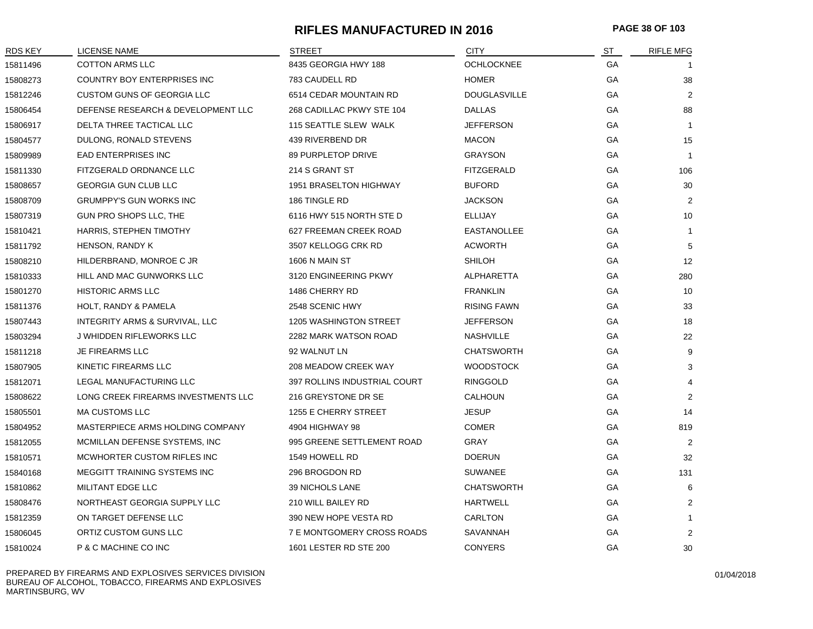# **RIFLES MANUFACTURED IN 2016 PAGE 38 OF 103**

| RDS KEY  | LICENSE NAME                        | STREET                            | <b>CITY</b>         | <u>ST</u> | <b>RIFLE MFG</b> |
|----------|-------------------------------------|-----------------------------------|---------------------|-----------|------------------|
| 15811496 | <b>COTTON ARMS LLC</b>              | 8435 GEORGIA HWY 188              | <b>OCHLOCKNEE</b>   | GA        |                  |
| 15808273 | COUNTRY BOY ENTERPRISES INC         | 783 CAUDELL RD                    | <b>HOMER</b>        | GA        | 38               |
| 15812246 | CUSTOM GUNS OF GEORGIA LLC          | 6514 CEDAR MOUNTAIN RD            | <b>DOUGLASVILLE</b> | GA        | 2                |
| 15806454 | DEFENSE RESEARCH & DEVELOPMENT LLC  | 268 CADILLAC PKWY STE 104         | <b>DALLAS</b>       | <b>GA</b> | 88               |
| 15806917 | DELTA THREE TACTICAL LLC            | 115 SEATTLE SLEW WALK             | <b>JEFFERSON</b>    | GA        | $\overline{1}$   |
| 15804577 | DULONG, RONALD STEVENS              | 439 RIVERBEND DR                  | <b>MACON</b>        | GA        | 15               |
| 15809989 | <b>EAD ENTERPRISES INC</b>          | 89 PURPLETOP DRIVE                | <b>GRAYSON</b>      | GA        | $\overline{1}$   |
| 15811330 | FITZGERALD ORDNANCE LLC             | 214 S GRANT ST                    | <b>FITZGERALD</b>   | GA        | 106              |
| 15808657 | <b>GEORGIA GUN CLUB LLC</b>         | 1951 BRASELTON HIGHWAY            | <b>BUFORD</b>       | GA        | 30               |
| 15808709 | GRUMPPY'S GUN WORKS INC             | 186 TINGLE RD                     | <b>JACKSON</b>      | GA        | 2                |
| 15807319 | GUN PRO SHOPS LLC, THE              | 6116 HWY 515 NORTH STE D          | ELLIJAY             | GA        | 10               |
| 15810421 | HARRIS, STEPHEN TIMOTHY             | 627 FREEMAN CREEK ROAD            | EASTANOLLEE         | GA        | $\mathbf{1}$     |
| 15811792 | HENSON, RANDY K                     | 3507 KELLOGG CRK RD               | <b>ACWORTH</b>      | GA        | 5                |
| 15808210 | HILDERBRAND, MONROE C JR            | 1606 N MAIN ST                    | <b>SHILOH</b>       | GA        | 12               |
| 15810333 | HILL AND MAC GUNWORKS LLC           | 3120 ENGINEERING PKWY             | ALPHARETTA          | GA        | 280              |
| 15801270 | <b>HISTORIC ARMS LLC</b>            | 1486 CHERRY RD                    | <b>FRANKLIN</b>     | GA        | 10               |
| 15811376 | HOLT, RANDY & PAMELA                | 2548 SCENIC HWY                   | <b>RISING FAWN</b>  | GA        | 33               |
| 15807443 | INTEGRITY ARMS & SURVIVAL, LLC      | <b>1205 WASHINGTON STREET</b>     | <b>JEFFERSON</b>    | GA        | 18               |
| 15803294 | J WHIDDEN RIFLEWORKS LLC            | 2282 MARK WATSON ROAD             | <b>NASHVILLE</b>    | GA        | 22               |
| 15811218 | JE FIREARMS LLC                     | 92 WALNUT LN                      | <b>CHATSWORTH</b>   | <b>GA</b> | 9                |
| 15807905 | KINETIC FIREARMS LLC                | 208 MEADOW CREEK WAY              | <b>WOODSTOCK</b>    | GA        | 3                |
| 15812071 | LEGAL MANUFACTURING LLC             | 397 ROLLINS INDUSTRIAL COURT      | <b>RINGGOLD</b>     | GA        | 4                |
| 15808622 | LONG CREEK FIREARMS INVESTMENTS LLC | 216 GREYSTONE DR SE               | CALHOUN             | GA        | $\overline{2}$   |
| 15805501 | <b>MA CUSTOMS LLC</b>               | 1255 E CHERRY STREET              | JESUP               | GA        | 14               |
| 15804952 | MASTERPIECE ARMS HOLDING COMPANY    | 4904 HIGHWAY 98                   | <b>COMER</b>        | GA        | 819              |
| 15812055 | MCMILLAN DEFENSE SYSTEMS, INC       | 995 GREENE SETTLEMENT ROAD        | GRAY                | GA        | 2                |
| 15810571 | MCWHORTER CUSTOM RIFLES INC         | 1549 HOWELL RD                    | <b>DOERUN</b>       | GA        | 32               |
| 15840168 | MEGGITT TRAINING SYSTEMS INC        | 296 BROGDON RD                    | <b>SUWANEE</b>      | GA        | 131              |
| 15810862 | MILITANT EDGE LLC                   | 39 NICHOLS LANE                   | <b>CHATSWORTH</b>   | GA        | 6                |
| 15808476 | NORTHEAST GEORGIA SUPPLY LLC        | 210 WILL BAILEY RD                | <b>HARTWELL</b>     | <b>GA</b> | $\overline{2}$   |
| 15812359 | ON TARGET DEFENSE LLC               | 390 NEW HOPE VESTA RD             | CARLTON             | GA        | $\mathbf{1}$     |
| 15806045 | ORTIZ CUSTOM GUNS LLC               | <b>7 E MONTGOMERY CROSS ROADS</b> | SAVANNAH            | GA        | $\overline{2}$   |
| 15810024 | P & C MACHINE CO INC                | 1601 LESTER RD STE 200            | <b>CONYERS</b>      | GA        | 30               |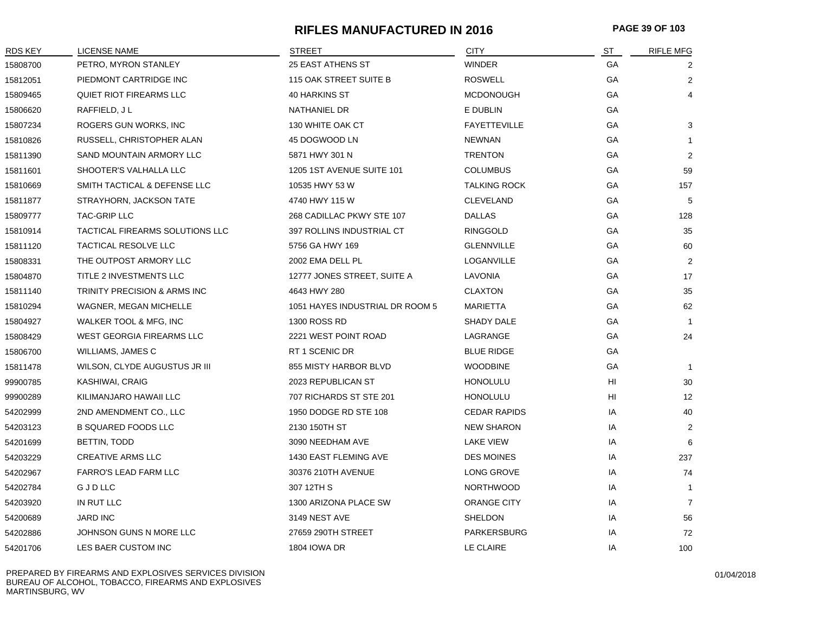# **RIFLES MANUFACTURED IN 2016 PAGE 39 OF 103**

| RDS KEY  | LICENSE NAME                    | <b>STREET</b>                   | <b>CITY</b>         | ST | <b>RIFLE MFG</b> |
|----------|---------------------------------|---------------------------------|---------------------|----|------------------|
| 15808700 | PETRO, MYRON STANLEY            | <b>25 EAST ATHENS ST</b>        | <b>WINDER</b>       | GA | 2                |
| 15812051 | PIEDMONT CARTRIDGE INC          | <b>115 OAK STREET SUITE B</b>   | <b>ROSWELL</b>      | GA | 2                |
| 15809465 | QUIET RIOT FIREARMS LLC         | 40 HARKINS ST                   | <b>MCDONOUGH</b>    | GA | 4                |
| 15806620 | RAFFIELD, JL                    | NATHANIEL DR                    | E DUBLIN            | GA |                  |
| 15807234 | ROGERS GUN WORKS, INC           | 130 WHITE OAK CT                | <b>FAYETTEVILLE</b> | GA | 3                |
| 15810826 | RUSSELL, CHRISTOPHER ALAN       | 45 DOGWOOD LN                   | <b>NEWNAN</b>       | GA |                  |
| 15811390 | SAND MOUNTAIN ARMORY LLC        | 5871 HWY 301 N                  | <b>TRENTON</b>      | GA | $\overline{2}$   |
| 15811601 | SHOOTER'S VALHALLA LLC          | 1205 1ST AVENUE SUITE 101       | <b>COLUMBUS</b>     | GA | 59               |
| 15810669 | SMITH TACTICAL & DEFENSE LLC    | 10535 HWY 53 W                  | <b>TALKING ROCK</b> | GA | 157              |
| 15811877 | STRAYHORN, JACKSON TATE         | 4740 HWY 115 W                  | <b>CLEVELAND</b>    | GА | 5                |
| 15809777 | <b>TAC-GRIP LLC</b>             | 268 CADILLAC PKWY STE 107       | <b>DALLAS</b>       | GA | 128              |
| 15810914 | TACTICAL FIREARMS SOLUTIONS LLC | 397 ROLLINS INDUSTRIAL CT       | <b>RINGGOLD</b>     | GA | 35               |
| 15811120 | TACTICAL RESOLVE LLC            | 5756 GA HWY 169                 | <b>GLENNVILLE</b>   | GA | 60               |
| 15808331 | THE OUTPOST ARMORY LLC          | 2002 EMA DELL PL                | LOGANVILLE          | GA | 2                |
| 15804870 | TITLE 2 INVESTMENTS LLC         | 12777 JONES STREET, SUITE A     | LAVONIA             | GA | 17               |
| 15811140 | TRINITY PRECISION & ARMS INC    | 4643 HWY 280                    | <b>CLAXTON</b>      | GA | 35               |
| 15810294 | WAGNER, MEGAN MICHELLE          | 1051 HAYES INDUSTRIAL DR ROOM 5 | MARIETTA            | GA | 62               |
| 15804927 | WALKER TOOL & MFG, INC          | 1300 ROSS RD                    | SHADY DALE          | GА | -1               |
| 15808429 | WEST GEORGIA FIREARMS LLC       | 2221 WEST POINT ROAD            | LAGRANGE            | GA | 24               |
| 15806700 | WILLIAMS, JAMES C               | RT 1 SCENIC DR                  | <b>BLUE RIDGE</b>   | GA |                  |
| 15811478 | WILSON, CLYDE AUGUSTUS JR III   | 855 MISTY HARBOR BLVD           | <b>WOODBINE</b>     | GA | $\overline{1}$   |
| 99900785 | KASHIWAI, CRAIG                 | 2023 REPUBLICAN ST              | <b>HONOLULU</b>     | HI | 30               |
| 99900289 | KILIMANJARO HAWAII LLC          | 707 RICHARDS ST STE 201         | <b>HONOLULU</b>     | HI | 12               |
| 54202999 | 2ND AMENDMENT CO., LLC          | 1950 DODGE RD STE 108           | <b>CEDAR RAPIDS</b> | IA | 40               |
| 54203123 | <b>B SQUARED FOODS LLC</b>      | 2130 150TH ST                   | <b>NEW SHARON</b>   | IA | $\overline{2}$   |
| 54201699 | BETTIN, TODD                    | 3090 NEEDHAM AVE                | LAKE VIEW           | IA | 6                |
| 54203229 | <b>CREATIVE ARMS LLC</b>        | 1430 EAST FLEMING AVE           | <b>DES MOINES</b>   | IA | 237              |
| 54202967 | <b>FARRO'S LEAD FARM LLC</b>    | 30376 210TH AVENUE              | LONG GROVE          | IA | 74               |
| 54202784 | <b>GJDLLC</b>                   | 307 12TH S                      | <b>NORTHWOOD</b>    | IA | -1               |
| 54203920 | IN RUT LLC                      | 1300 ARIZONA PLACE SW           | <b>ORANGE CITY</b>  | IA | $\overline{7}$   |
| 54200689 | <b>JARD INC</b>                 | 3149 NEST AVE                   | <b>SHELDON</b>      | IA | 56               |
| 54202886 | JOHNSON GUNS N MORE LLC         | 27659 290TH STREET              | PARKERSBURG         | IA | 72               |
| 54201706 | LES BAER CUSTOM INC             | <b>1804 IOWA DR</b>             | LE CLAIRE           | IA | 100              |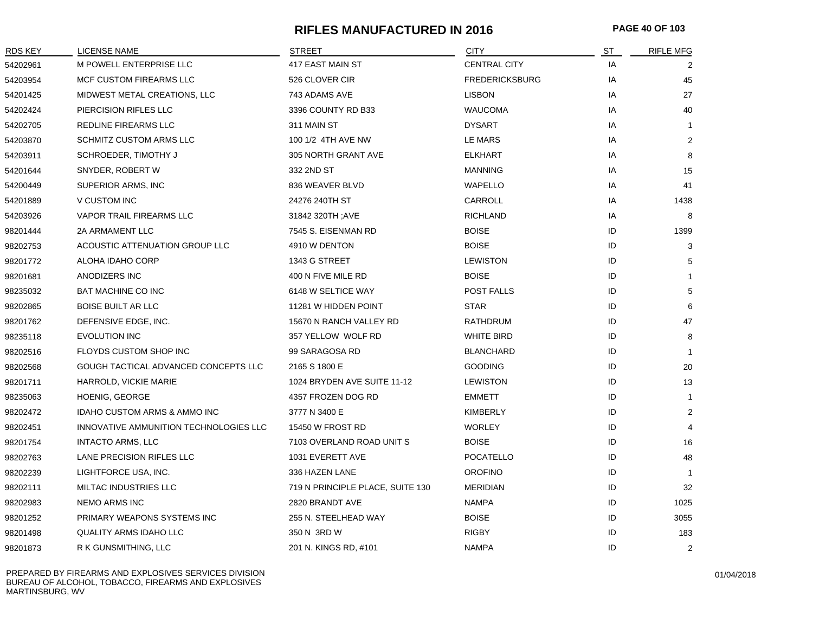# **RIFLES MANUFACTURED IN 2016 PAGE 40 OF 103**

| <b>RDS KEY</b> | LICENSE NAME                           | <b>STREET</b>                    | <b>CITY</b>           | <b>ST</b> | <b>RIFLE MFG</b> |
|----------------|----------------------------------------|----------------------------------|-----------------------|-----------|------------------|
| 54202961       | M POWELL ENTERPRISE LLC                | 417 EAST MAIN ST                 | <b>CENTRAL CITY</b>   | IA        | 2                |
| 54203954       | MCF CUSTOM FIREARMS LLC                | 526 CLOVER CIR                   | <b>FREDERICKSBURG</b> | IA        | 45               |
| 54201425       | MIDWEST METAL CREATIONS, LLC           | 743 ADAMS AVE                    | <b>LISBON</b>         | IA        | 27               |
| 54202424       | PIERCISION RIFLES LLC                  | 3396 COUNTY RD B33               | <b>WAUCOMA</b>        | IA        | 40               |
| 54202705       | REDLINE FIREARMS LLC                   | 311 MAIN ST                      | <b>DYSART</b>         | IA        | $\mathbf{1}$     |
| 54203870       | <b>SCHMITZ CUSTOM ARMS LLC</b>         | 100 1/2 4TH AVE NW               | LE MARS               | IA        | 2                |
| 54203911       | SCHROEDER, TIMOTHY J                   | 305 NORTH GRANT AVE              | <b>ELKHART</b>        | IA        | 8                |
| 54201644       | SNYDER, ROBERT W                       | 332 2ND ST                       | <b>MANNING</b>        | IA        | 15               |
| 54200449       | SUPERIOR ARMS, INC                     | 836 WEAVER BLVD                  | WAPELLO               | IA        | 41               |
| 54201889       | V CUSTOM INC                           | 24276 240TH ST                   | CARROLL               | IA        | 1438             |
| 54203926       | VAPOR TRAIL FIREARMS LLC               | 31842 320TH; AVE                 | <b>RICHLAND</b>       | IA        | 8                |
| 98201444       | 2A ARMAMENT LLC                        | 7545 S. EISENMAN RD              | <b>BOISE</b>          | ID        | 1399             |
| 98202753       | ACOUSTIC ATTENUATION GROUP LLC         | 4910 W DENTON                    | <b>BOISE</b>          | ID        | 3                |
| 98201772       | ALOHA IDAHO CORP                       | 1343 G STREET                    | <b>LEWISTON</b>       | ID        | 5                |
| 98201681       | ANODIZERS INC                          | 400 N FIVE MILE RD               | <b>BOISE</b>          | ID        | $\mathbf{1}$     |
| 98235032       | <b>BAT MACHINE CO INC</b>              | 6148 W SELTICE WAY               | POST FALLS            | ID        | 5                |
| 98202865       | <b>BOISE BUILT AR LLC</b>              | 11281 W HIDDEN POINT             | <b>STAR</b>           | ID        | 6                |
| 98201762       | DEFENSIVE EDGE, INC.                   | 15670 N RANCH VALLEY RD          | <b>RATHDRUM</b>       | ID        | 47               |
| 98235118       | <b>EVOLUTION INC</b>                   | 357 YELLOW WOLF RD               | <b>WHITE BIRD</b>     | ID        | 8                |
| 98202516       | FLOYDS CUSTOM SHOP INC                 | 99 SARAGOSA RD                   | <b>BLANCHARD</b>      | ID        | $\mathbf{1}$     |
| 98202568       | GOUGH TACTICAL ADVANCED CONCEPTS LLC   | 2165 S 1800 E                    | <b>GOODING</b>        | ID        | 20               |
| 98201711       | HARROLD, VICKIE MARIE                  | 1024 BRYDEN AVE SUITE 11-12      | <b>LEWISTON</b>       | ID        | 13               |
| 98235063       | <b>HOENIG, GEORGE</b>                  | 4357 FROZEN DOG RD               | <b>EMMETT</b>         | ID        | $\overline{1}$   |
| 98202472       | IDAHO CUSTOM ARMS & AMMO INC           | 3777 N 3400 E                    | <b>KIMBERLY</b>       | ID        | $\overline{2}$   |
| 98202451       | INNOVATIVE AMMUNITION TECHNOLOGIES LLC | 15450 W FROST RD                 | <b>WORLEY</b>         | ID        | $\overline{4}$   |
| 98201754       | <b>INTACTO ARMS, LLC</b>               | 7103 OVERLAND ROAD UNIT S        | <b>BOISE</b>          | ID        | 16               |
| 98202763       | LANE PRECISION RIFLES LLC              | 1031 EVERETT AVE                 | <b>POCATELLO</b>      | ID        | 48               |
| 98202239       | LIGHTFORCE USA, INC.                   | 336 HAZEN LANE                   | <b>OROFINO</b>        | ID        | -1               |
| 98202111       | MILTAC INDUSTRIES LLC                  | 719 N PRINCIPLE PLACE, SUITE 130 | <b>MERIDIAN</b>       | ID        | 32               |
| 98202983       | <b>NEMO ARMS INC</b>                   | 2820 BRANDT AVE                  | <b>NAMPA</b>          | ID        | 1025             |
| 98201252       | PRIMARY WEAPONS SYSTEMS INC            | 255 N. STEELHEAD WAY             | <b>BOISE</b>          | ID        | 3055             |
| 98201498       | <b>QUALITY ARMS IDAHO LLC</b>          | 350 N 3RD W                      | <b>RIGBY</b>          | ID        | 183              |
| 98201873       | R K GUNSMITHING, LLC                   | 201 N. KINGS RD, #101            | <b>NAMPA</b>          | ID        | 2                |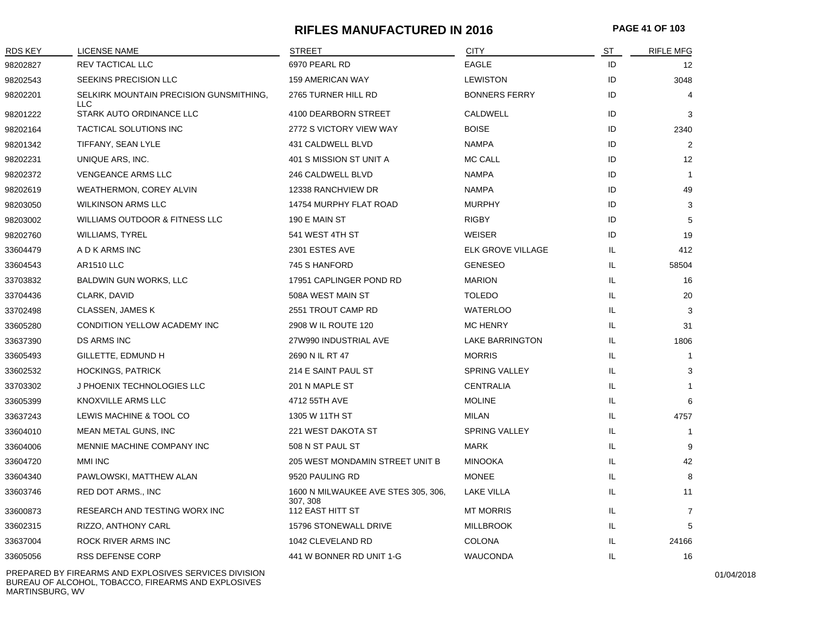# **RIFLES MANUFACTURED IN 2016 PAGE 41 OF 103**

| <b>RDS KEY</b> | <b>LICENSE NAME</b>                            | <b>STREET</b>                                   | <b>CITY</b>            | ST  | <b>RIFLE MFG</b>  |
|----------------|------------------------------------------------|-------------------------------------------------|------------------------|-----|-------------------|
| 98202827       | <b>REV TACTICAL LLC</b>                        | 6970 PEARL RD                                   | <b>EAGLE</b>           | ID  | $12 \overline{ }$ |
| 98202543       | SEEKINS PRECISION LLC                          | <b>159 AMERICAN WAY</b>                         | <b>LEWISTON</b>        | ID  | 3048              |
| 98202201       | SELKIRK MOUNTAIN PRECISION GUNSMITHING,<br>LLC | 2765 TURNER HILL RD                             | <b>BONNERS FERRY</b>   | ID  | 4                 |
| 98201222       | STARK AUTO ORDINANCE LLC                       | 4100 DEARBORN STREET                            | <b>CALDWELL</b>        | ID  | 3                 |
| 98202164       | TACTICAL SOLUTIONS INC                         | 2772 S VICTORY VIEW WAY                         | <b>BOISE</b>           | ID  | 2340              |
| 98201342       | TIFFANY, SEAN LYLE                             | 431 CALDWELL BLVD                               | <b>NAMPA</b>           | ID  | 2                 |
| 98202231       | UNIQUE ARS, INC.                               | 401 S MISSION ST UNIT A                         | <b>MC CALL</b>         | ID  | 12                |
| 98202372       | <b>VENGEANCE ARMS LLC</b>                      | 246 CALDWELL BLVD                               | <b>NAMPA</b>           | ID  | $\overline{1}$    |
| 98202619       | WEATHERMON, COREY ALVIN                        | 12338 RANCHVIEW DR                              | <b>NAMPA</b>           | ID  | 49                |
| 98203050       | WILKINSON ARMS LLC                             | 14754 MURPHY FLAT ROAD                          | <b>MURPHY</b>          | ID  | 3                 |
| 98203002       | <b>WILLIAMS OUTDOOR &amp; FITNESS LLC</b>      | 190 E MAIN ST                                   | <b>RIGBY</b>           | ID  | 5                 |
| 98202760       | <b>WILLIAMS, TYREL</b>                         | 541 WEST 4TH ST                                 | WEISER                 | ID  | 19                |
| 33604479       | A D K ARMS INC                                 | 2301 ESTES AVE                                  | ELK GROVE VILLAGE      | IL  | 412               |
| 33604543       | <b>AR1510 LLC</b>                              | 745 S HANFORD                                   | <b>GENESEO</b>         | IL  | 58504             |
| 33703832       | <b>BALDWIN GUN WORKS, LLC</b>                  | 17951 CAPLINGER POND RD                         | <b>MARION</b>          | IL  | 16                |
| 33704436       | CLARK, DAVID                                   | 508A WEST MAIN ST                               | <b>TOLEDO</b>          | IL  | 20                |
| 33702498       | <b>CLASSEN, JAMES K</b>                        | 2551 TROUT CAMP RD                              | <b>WATERLOO</b>        | IL  | 3                 |
| 33605280       | CONDITION YELLOW ACADEMY INC                   | 2908 W IL ROUTE 120                             | <b>MC HENRY</b>        | IL  | 31                |
| 33637390       | <b>DS ARMS INC</b>                             | 27W990 INDUSTRIAL AVE                           | <b>LAKE BARRINGTON</b> | IL  | 1806              |
| 33605493       | GILLETTE, EDMUND H                             | 2690 N IL RT 47                                 | <b>MORRIS</b>          | IL  |                   |
| 33602532       | <b>HOCKINGS, PATRICK</b>                       | 214 E SAINT PAUL ST                             | SPRING VALLEY          | IL  | 3                 |
| 33703302       | J PHOENIX TECHNOLOGIES LLC                     | 201 N MAPLE ST                                  | <b>CENTRALIA</b>       | IL  |                   |
| 33605399       | KNOXVILLE ARMS LLC                             | 4712 55TH AVE                                   | <b>MOLINE</b>          | IL  | 6                 |
| 33637243       | LEWIS MACHINE & TOOL CO                        | 1305 W 11TH ST                                  | <b>MILAN</b>           | IL  | 4757              |
| 33604010       | MEAN METAL GUNS, INC                           | 221 WEST DAKOTA ST                              | SPRING VALLEY          | IL  | $\overline{1}$    |
| 33604006       | MENNIE MACHINE COMPANY INC                     | 508 N ST PAUL ST                                | <b>MARK</b>            | IL  | 9                 |
| 33604720       | <b>MMI INC</b>                                 | 205 WEST MONDAMIN STREET UNIT B                 | <b>MINOOKA</b>         | IL  | 42                |
| 33604340       | PAWLOWSKI, MATTHEW ALAN                        | 9520 PAULING RD                                 | <b>MONEE</b>           | IL  | 8                 |
| 33603746       | RED DOT ARMS., INC                             | 1600 N MILWAUKEE AVE STES 305, 306,<br>307, 308 | <b>LAKE VILLA</b>      | IL. | 11                |
| 33600873       | <b>RESEARCH AND TESTING WORX INC</b>           | 112 EAST HITT ST                                | <b>MT MORRIS</b>       | IL. | $\overline{7}$    |
| 33602315       | RIZZO, ANTHONY CARL                            | 15796 STONEWALL DRIVE                           | <b>MILLBROOK</b>       | IL  | 5                 |
| 33637004       | ROCK RIVER ARMS INC                            | 1042 CLEVELAND RD                               | <b>COLONA</b>          | IL  | 24166             |
| 33605056       | <b>RSS DEFENSE CORP</b>                        | 441 W BONNER RD UNIT 1-G                        | <b>WAUCONDA</b>        | IL  | 16                |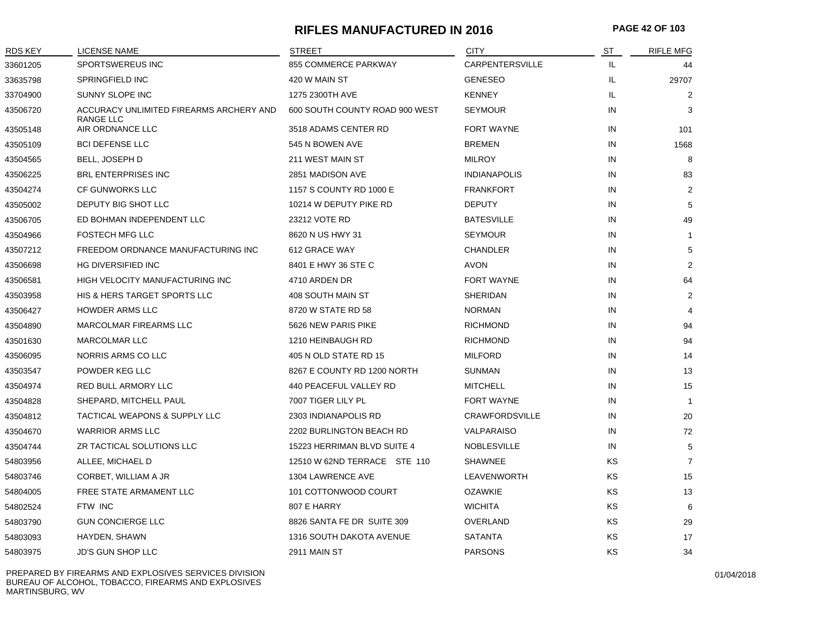## **RIFLES MANUFACTURED IN 2016 PAGE 42 OF 103**

| <b>RDS KEY</b> | LICENSE NAME                                         | <b>STREET</b>                  | <b>CITY</b>           | ST  | <b>RIFLE MFG</b> |
|----------------|------------------------------------------------------|--------------------------------|-----------------------|-----|------------------|
| 33601205       | SPORTSWEREUS INC                                     | 855 COMMERCE PARKWAY           | CARPENTERSVILLE       | IL  | 44               |
| 33635798       | SPRINGFIELD INC                                      | 420 W MAIN ST                  | <b>GENESEO</b>        | IL. | 29707            |
| 33704900       | SUNNY SLOPE INC                                      | 1275 2300TH AVE                | <b>KENNEY</b>         | IL  | $\overline{2}$   |
| 43506720       | ACCURACY UNLIMITED FIREARMS ARCHERY AND<br>RANGE LLC | 600 SOUTH COUNTY ROAD 900 WEST | <b>SEYMOUR</b>        | IN  | 3                |
| 43505148       | AIR ORDNANCE LLC                                     | 3518 ADAMS CENTER RD           | <b>FORT WAYNE</b>     | IN  | 101              |
| 43505109       | <b>BCI DEFENSE LLC</b>                               | 545 N BOWEN AVE                | <b>BREMEN</b>         | IN  | 1568             |
| 43504565       | <b>BELL, JOSEPH D</b>                                | 211 WEST MAIN ST               | <b>MILROY</b>         | IN  | 8                |
| 43506225       | <b>BRL ENTERPRISES INC</b>                           | 2851 MADISON AVE               | <b>INDIANAPOLIS</b>   | IN  | 83               |
| 43504274       | CF GUNWORKS LLC                                      | 1157 S COUNTY RD 1000 E        | <b>FRANKFORT</b>      | IN  | 2                |
| 43505002       | DEPUTY BIG SHOT LLC                                  | 10214 W DEPUTY PIKE RD         | <b>DEPUTY</b>         | IN  | 5                |
| 43506705       | ED BOHMAN INDEPENDENT LLC                            | 23212 VOTE RD                  | <b>BATESVILLE</b>     | IN  | 49               |
| 43504966       | <b>FOSTECH MFG LLC</b>                               | 8620 N US HWY 31               | <b>SEYMOUR</b>        | IN  | 1                |
| 43507212       | FREEDOM ORDNANCE MANUFACTURING INC                   | 612 GRACE WAY                  | <b>CHANDLER</b>       | IN  | 5                |
| 43506698       | <b>HG DIVERSIFIED INC</b>                            | 8401 E HWY 36 STE C            | <b>AVON</b>           | IN  | $\overline{2}$   |
| 43506581       | <b>HIGH VELOCITY MANUFACTURING INC</b>               | 4710 ARDEN DR                  | <b>FORT WAYNE</b>     | IN  | 64               |
| 43503958       | <b>HIS &amp; HERS TARGET SPORTS LLC</b>              | 408 SOUTH MAIN ST              | <b>SHERIDAN</b>       | IN  | $\overline{2}$   |
| 43506427       | <b>HOWDER ARMS LLC</b>                               | 8720 W STATE RD 58             | <b>NORMAN</b>         | IN  | $\overline{4}$   |
| 43504890       | <b>MARCOLMAR FIREARMS LLC</b>                        | 5626 NEW PARIS PIKE            | <b>RICHMOND</b>       | IN  | 94               |
| 43501630       | <b>MARCOLMAR LLC</b>                                 | 1210 HEINBAUGH RD              | <b>RICHMOND</b>       | IN  | 94               |
| 43506095       | NORRIS ARMS CO LLC                                   | 405 N OLD STATE RD 15          | <b>MILFORD</b>        | IN  | 14               |
| 43503547       | POWDER KEG LLC                                       | 8267 E COUNTY RD 1200 NORTH    | <b>SUNMAN</b>         | IN  | 13               |
| 43504974       | RED BULL ARMORY LLC                                  | 440 PEACEFUL VALLEY RD         | <b>MITCHELL</b>       | IN  | 15               |
| 43504828       | SHEPARD, MITCHELL PAUL                               | 7007 TIGER LILY PL             | FORT WAYNE            | IN  | 1                |
| 43504812       | TACTICAL WEAPONS & SUPPLY LLC                        | 2303 INDIANAPOLIS RD           | <b>CRAWFORDSVILLE</b> | IN  | 20               |
| 43504670       | <b>WARRIOR ARMS LLC</b>                              | 2202 BURLINGTON BEACH RD       | <b>VALPARAISO</b>     | IN  | 72               |
| 43504744       | ZR TACTICAL SOLUTIONS LLC                            | 15223 HERRIMAN BLVD SUITE 4    | <b>NOBLESVILLE</b>    | IN  | 5                |
| 54803956       | ALLEE, MICHAEL D                                     | 12510 W 62ND TERRACE STE 110   | <b>SHAWNEE</b>        | ΚS  | $\overline{7}$   |
| 54803746       | CORBET, WILLIAM A JR                                 | 1304 LAWRENCE AVE              | LEAVENWORTH           | KS  | 15               |
| 54804005       | FREE STATE ARMAMENT LLC                              | 101 COTTONWOOD COURT           | <b>OZAWKIE</b>        | KS  | 13               |
| 54802524       | FTW INC                                              | 807 E HARRY                    | <b>WICHITA</b>        | KS  | 6                |
| 54803790       | <b>GUN CONCIERGE LLC</b>                             | 8826 SANTA FE DR SUITE 309     | <b>OVERLAND</b>       | KS  | 29               |
| 54803093       | HAYDEN, SHAWN                                        | 1316 SOUTH DAKOTA AVENUE       | <b>SATANTA</b>        | KS  | 17               |
| 54803975       | JD'S GUN SHOP LLC                                    | 2911 MAIN ST                   | <b>PARSONS</b>        | KS  | 34               |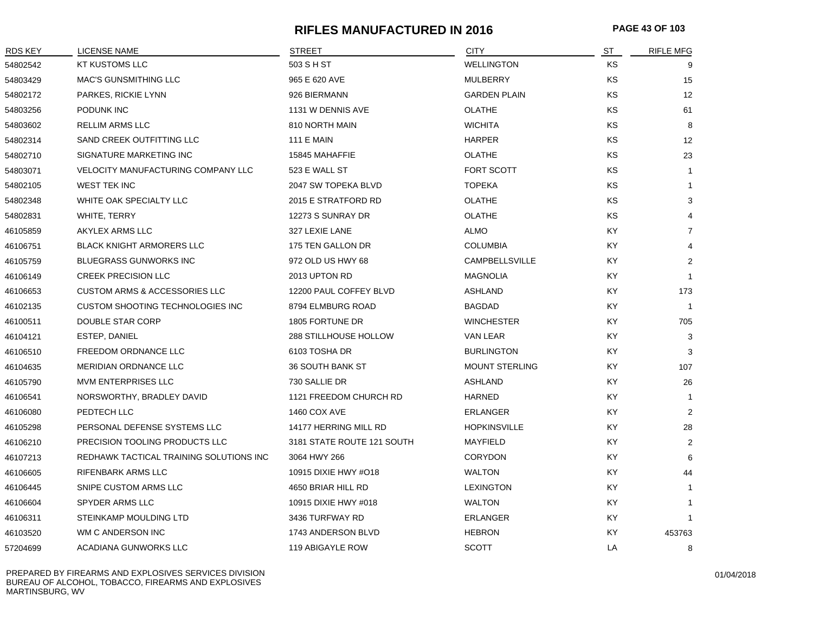# **RIFLES MANUFACTURED IN 2016 PAGE 43 OF 103**

| RDS KEY  | <b>LICENSE NAME</b>                      | <b>STREET</b>              | <b>CITY</b>           | ST        | <b>RIFLE MFG</b> |
|----------|------------------------------------------|----------------------------|-----------------------|-----------|------------------|
| 54802542 | KT KUSTOMS LLC                           | 503 S H ST                 | <b>WELLINGTON</b>     | <b>KS</b> | 9                |
| 54803429 | <b>MAC'S GUNSMITHING LLC</b>             | 965 E 620 AVE              | <b>MULBERRY</b>       | <b>KS</b> | 15               |
| 54802172 | PARKES, RICKIE LYNN                      | 926 BIERMANN               | <b>GARDEN PLAIN</b>   | <b>KS</b> | 12               |
| 54803256 | PODUNK INC                               | 1131 W DENNIS AVE          | <b>OLATHE</b>         | KS        | 61               |
| 54803602 | RELLIM ARMS LLC                          | 810 NORTH MAIN             | <b>WICHITA</b>        | KS        | 8                |
| 54802314 | SAND CREEK OUTFITTING LLC                | <b>111 E MAIN</b>          | <b>HARPER</b>         | KS        | 12               |
| 54802710 | SIGNATURE MARKETING INC                  | 15845 MAHAFFIE             | <b>OLATHE</b>         | <b>KS</b> | 23               |
| 54803071 | VELOCITY MANUFACTURING COMPANY LLC       | 523 E WALL ST              | <b>FORT SCOTT</b>     | <b>KS</b> | 1                |
| 54802105 | <b>WEST TEK INC</b>                      | 2047 SW TOPEKA BLVD        | <b>TOPEKA</b>         | KS        | $\mathbf{1}$     |
| 54802348 | WHITE OAK SPECIALTY LLC                  | 2015 E STRATFORD RD        | <b>OLATHE</b>         | KS        | 3                |
| 54802831 | <b>WHITE, TERRY</b>                      | 12273 S SUNRAY DR          | <b>OLATHE</b>         | KS        |                  |
| 46105859 | AKYLEX ARMS LLC                          | 327 LEXIE LANE             | <b>ALMO</b>           | KY.       | $\overline{7}$   |
| 46106751 | <b>BLACK KNIGHT ARMORERS LLC</b>         | 175 TEN GALLON DR          | <b>COLUMBIA</b>       | KY.       | 4                |
| 46105759 | <b>BLUEGRASS GUNWORKS INC</b>            | 972 OLD US HWY 68          | CAMPBELLSVILLE        | KY        | $\overline{2}$   |
| 46106149 | <b>CREEK PRECISION LLC</b>               | 2013 UPTON RD              | <b>MAGNOLIA</b>       | KY.       | $\mathbf{1}$     |
| 46106653 | <b>CUSTOM ARMS &amp; ACCESSORIES LLC</b> | 12200 PAUL COFFEY BLVD     | <b>ASHLAND</b>        | KY.       | 173              |
| 46102135 | CUSTOM SHOOTING TECHNOLOGIES INC         | 8794 ELMBURG ROAD          | <b>BAGDAD</b>         | KY.       | $\overline{1}$   |
| 46100511 | DOUBLE STAR CORP                         | 1805 FORTUNE DR            | <b>WINCHESTER</b>     | KY.       | 705              |
| 46104121 | ESTEP, DANIEL                            | 288 STILLHOUSE HOLLOW      | VAN LEAR              | KY.       | 3                |
| 46106510 | <b>FREEDOM ORDNANCE LLC</b>              | 6103 TOSHA DR              | <b>BURLINGTON</b>     | KY.       | 3                |
| 46104635 | <b>MERIDIAN ORDNANCE LLC</b>             | <b>36 SOUTH BANK ST</b>    | <b>MOUNT STERLING</b> | KY.       | 107              |
| 46105790 | <b>MVM ENTERPRISES LLC</b>               | 730 SALLIE DR              | <b>ASHLAND</b>        | <b>KY</b> | 26               |
| 46106541 | NORSWORTHY, BRADLEY DAVID                | 1121 FREEDOM CHURCH RD     | <b>HARNED</b>         | KY        | $\mathbf{1}$     |
| 46106080 | PEDTECH LLC                              | <b>1460 COX AVE</b>        | <b>ERLANGER</b>       | KY        | $\overline{2}$   |
| 46105298 | PERSONAL DEFENSE SYSTEMS LLC             | 14177 HERRING MILL RD      | <b>HOPKINSVILLE</b>   | KY.       | 28               |
| 46106210 | PRECISION TOOLING PRODUCTS LLC           | 3181 STATE ROUTE 121 SOUTH | MAYFIELD              | KY        | 2                |
| 46107213 | REDHAWK TACTICAL TRAINING SOLUTIONS INC  | 3064 HWY 266               | <b>CORYDON</b>        | KY.       | 6                |
| 46106605 | RIFENBARK ARMS LLC                       | 10915 DIXIE HWY #O18       | <b>WALTON</b>         | KY.       | 44               |
| 46106445 | SNIPE CUSTOM ARMS LLC                    | 4650 BRIAR HILL RD         | <b>LEXINGTON</b>      | KY.       | $\mathbf{1}$     |
| 46106604 | SPYDER ARMS LLC                          | 10915 DIXIE HWY #018       | <b>WALTON</b>         | KY.       | $\mathbf 1$      |
| 46106311 | STEINKAMP MOULDING LTD                   | 3436 TURFWAY RD            | <b>ERLANGER</b>       | KY.       | $\mathbf{1}$     |
| 46103520 | WM C ANDERSON INC                        | 1743 ANDERSON BLVD         | <b>HEBRON</b>         | KY        | 453763           |
| 57204699 | ACADIANA GUNWORKS LLC                    | 119 ABIGAYLE ROW           | <b>SCOTT</b>          | LA        | 8                |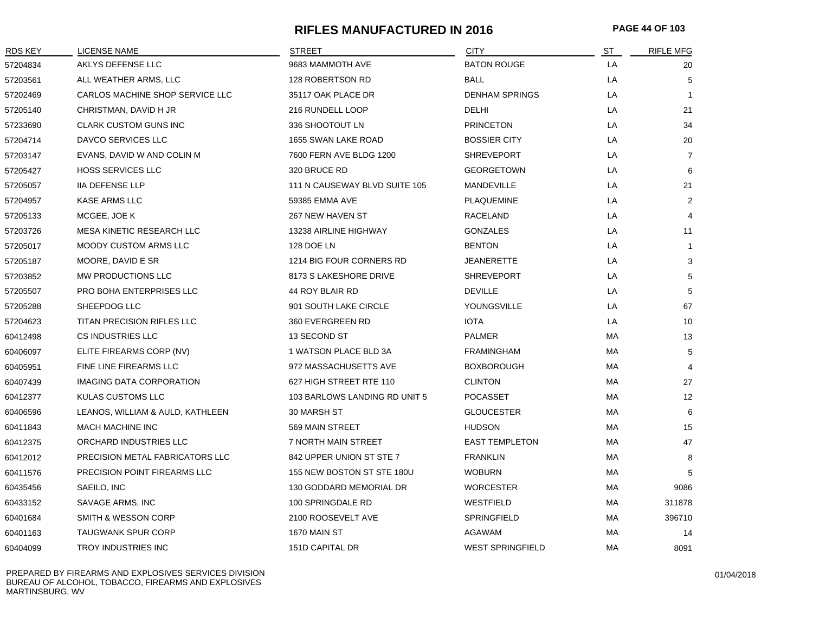# **RIFLES MANUFACTURED IN 2016 PAGE 44 OF 103**

| <b>RDS KEY</b> | <b>LICENSE NAME</b>              | <b>STREET</b>                 | <b>CITY</b>             | ST | <b>RIFLE MFG</b> |
|----------------|----------------------------------|-------------------------------|-------------------------|----|------------------|
| 57204834       | AKLYS DEFENSE LLC                | 9683 MAMMOTH AVE              | <b>BATON ROUGE</b>      | LA | 20               |
| 57203561       | ALL WEATHER ARMS, LLC            | 128 ROBERTSON RD              | <b>BALL</b>             | LA | 5                |
| 57202469       | CARLOS MACHINE SHOP SERVICE LLC  | 35117 OAK PLACE DR            | <b>DENHAM SPRINGS</b>   | LA | $\mathbf{1}$     |
| 57205140       | CHRISTMAN, DAVID H JR            | 216 RUNDELL LOOP              | DELHI                   | LA | 21               |
| 57233690       | <b>CLARK CUSTOM GUNS INC</b>     | 336 SHOOTOUT LN               | <b>PRINCETON</b>        | LA | 34               |
| 57204714       | <b>DAVCO SERVICES LLC</b>        | 1655 SWAN LAKE ROAD           | <b>BOSSIER CITY</b>     | LA | 20               |
| 57203147       | EVANS, DAVID W AND COLIN M       | 7600 FERN AVE BLDG 1200       | <b>SHREVEPORT</b>       | LA | $\overline{7}$   |
| 57205427       | <b>HOSS SERVICES LLC</b>         | 320 BRUCE RD                  | <b>GEORGETOWN</b>       | LA | 6                |
| 57205057       | <b>IIA DEFENSE LLP</b>           | 111 N CAUSEWAY BLVD SUITE 105 | MANDEVILLE              | LA | 21               |
| 57204957       | <b>KASE ARMS LLC</b>             | 59385 EMMA AVE                | <b>PLAQUEMINE</b>       | LA | 2                |
| 57205133       | MCGEE, JOE K                     | 267 NEW HAVEN ST              | <b>RACELAND</b>         | LA | $\overline{4}$   |
| 57203726       | MESA KINETIC RESEARCH LLC        | 13238 AIRLINE HIGHWAY         | <b>GONZALES</b>         | LA | 11               |
| 57205017       | <b>MOODY CUSTOM ARMS LLC</b>     | 128 DOE LN                    | <b>BENTON</b>           | LA | $\mathbf 1$      |
| 57205187       | MOORE, DAVID E SR                | 1214 BIG FOUR CORNERS RD      | <b>JEANERETTE</b>       | LA | 3                |
| 57203852       | MW PRODUCTIONS LLC               | 8173 S LAKESHORE DRIVE        | <b>SHREVEPORT</b>       | LA | 5                |
| 57205507       | <b>PRO BOHA ENTERPRISES LLC</b>  | 44 ROY BLAIR RD               | <b>DEVILLE</b>          | LA | 5                |
| 57205288       | SHEEPDOG LLC                     | 901 SOUTH LAKE CIRCLE         | YOUNGSVILLE             | LA | 67               |
| 57204623       | TITAN PRECISION RIFLES LLC       | 360 EVERGREEN RD              | <b>IOTA</b>             | LA | 10               |
| 60412498       | CS INDUSTRIES LLC                | 13 SECOND ST                  | <b>PALMER</b>           | МA | 13               |
| 60406097       | ELITE FIREARMS CORP (NV)         | 1 WATSON PLACE BLD 3A         | <b>FRAMINGHAM</b>       | МA | 5                |
| 60405951       | FINE LINE FIREARMS LLC           | 972 MASSACHUSETTS AVE         | <b>BOXBOROUGH</b>       | МA | $\overline{4}$   |
| 60407439       | <b>IMAGING DATA CORPORATION</b>  | 627 HIGH STREET RTE 110       | <b>CLINTON</b>          | МA | 27               |
| 60412377       | KULAS CUSTOMS LLC                | 103 BARLOWS LANDING RD UNIT 5 | POCASSET                | МA | 12               |
| 60406596       | LEANOS, WILLIAM & AULD, KATHLEEN | 30 MARSH ST                   | <b>GLOUCESTER</b>       | МA | 6                |
| 60411843       | MACH MACHINE INC                 | 569 MAIN STREET               | <b>HUDSON</b>           | МA | 15               |
| 60412375       | ORCHARD INDUSTRIES LLC           | 7 NORTH MAIN STREET           | <b>EAST TEMPLETON</b>   | МA | 47               |
| 60412012       | PRECISION METAL FABRICATORS LLC  | 842 UPPER UNION ST STE 7      | <b>FRANKLIN</b>         | МA | 8                |
| 60411576       | PRECISION POINT FIREARMS LLC     | 155 NEW BOSTON ST STE 180U    | <b>WOBURN</b>           | МA | 5                |
| 60435456       | SAEILO, INC                      | 130 GODDARD MEMORIAL DR       | <b>WORCESTER</b>        | MA | 9086             |
| 60433152       | SAVAGE ARMS, INC                 | 100 SPRINGDALE RD             | WESTFIELD               | МA | 311878           |
| 60401684       | SMITH & WESSON CORP              | 2100 ROOSEVELT AVE            | SPRINGFIELD             | МA | 396710           |
| 60401163       | <b>TAUGWANK SPUR CORP</b>        | 1670 MAIN ST                  | <b>AGAWAM</b>           | МA | 14               |
| 60404099       | <b>TROY INDUSTRIES INC</b>       | 151D CAPITAL DR               | <b>WEST SPRINGFIELD</b> | MA | 8091             |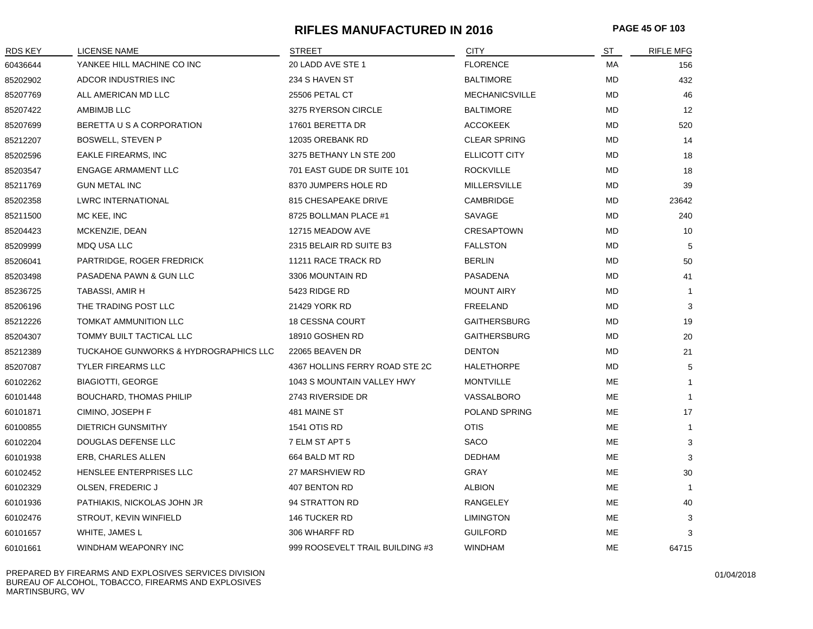## **RIFLES MANUFACTURED IN 2016 PAGE 45 OF 103**

| <b>RDS KEY</b> | <b>LICENSE NAME</b>                   | <b>STREET</b>                   | <b>CITY</b>           | ST        | <b>RIFLE MFG</b> |
|----------------|---------------------------------------|---------------------------------|-----------------------|-----------|------------------|
| 60436644       | YANKEE HILL MACHINE CO INC            | 20 LADD AVE STE 1               | <b>FLORENCE</b>       | MA        | 156              |
| 85202902       | ADCOR INDUSTRIES INC                  | 234 S HAVEN ST                  | <b>BALTIMORE</b>      | MD        | 432              |
| 85207769       | ALL AMERICAN MD LLC                   | 25506 PETAL CT                  | <b>MECHANICSVILLE</b> | <b>MD</b> | 46               |
| 85207422       | AMBIMJB LLC                           | 3275 RYERSON CIRCLE             | <b>BALTIMORE</b>      | MD        | 12               |
| 85207699       | BERETTA U S A CORPORATION             | 17601 BERETTA DR                | <b>ACCOKEEK</b>       | MD        | 520              |
| 85212207       | <b>BOSWELL, STEVEN P</b>              | 12035 OREBANK RD                | <b>CLEAR SPRING</b>   | MD        | 14               |
| 85202596       | <b>EAKLE FIREARMS, INC</b>            | 3275 BETHANY LN STE 200         | <b>ELLICOTT CITY</b>  | MD        | 18               |
| 85203547       | <b>ENGAGE ARMAMENT LLC</b>            | 701 EAST GUDE DR SUITE 101      | <b>ROCKVILLE</b>      | MD        | 18               |
| 85211769       | <b>GUN METAL INC</b>                  | 8370 JUMPERS HOLE RD            | <b>MILLERSVILLE</b>   | MD        | 39               |
| 85202358       | <b>LWRC INTERNATIONAL</b>             | 815 CHESAPEAKE DRIVE            | CAMBRIDGE             | MD        | 23642            |
| 85211500       | MC KEE, INC                           | 8725 BOLLMAN PLACE #1           | SAVAGE                | MD.       | 240              |
| 85204423       | MCKENZIE, DEAN                        | 12715 MEADOW AVE                | <b>CRESAPTOWN</b>     | MD        | 10               |
| 85209999       | MDQ USA LLC                           | 2315 BELAIR RD SUITE B3         | <b>FALLSTON</b>       | MD        | 5                |
| 85206041       | PARTRIDGE, ROGER FREDRICK             | 11211 RACE TRACK RD             | <b>BERLIN</b>         | MD        | 50               |
| 85203498       | PASADENA PAWN & GUN LLC               | 3306 MOUNTAIN RD                | PASADENA              | MD        | 41               |
| 85236725       | TABASSI, AMIR H                       | 5423 RIDGE RD                   | <b>MOUNT AIRY</b>     | <b>MD</b> | $\mathbf 1$      |
| 85206196       | THE TRADING POST LLC                  | 21429 YORK RD                   | FREELAND              | MD        | 3                |
| 85212226       | TOMKAT AMMUNITION LLC                 | <b>18 CESSNA COURT</b>          | <b>GAITHERSBURG</b>   | MD        | 19               |
| 85204307       | TOMMY BUILT TACTICAL LLC              | 18910 GOSHEN RD                 | <b>GAITHERSBURG</b>   | MD        | 20               |
| 85212389       | TUCKAHOE GUNWORKS & HYDROGRAPHICS LLC | 22065 BEAVEN DR                 | <b>DENTON</b>         | MD        | 21               |
| 85207087       | <b>TYLER FIREARMS LLC</b>             | 4367 HOLLINS FERRY ROAD STE 2C  | <b>HALETHORPE</b>     | MD        | 5                |
| 60102262       | <b>BIAGIOTTI, GEORGE</b>              | 1043 S MOUNTAIN VALLEY HWY      | <b>MONTVILLE</b>      | ME        | $\mathbf{1}$     |
| 60101448       | <b>BOUCHARD, THOMAS PHILIP</b>        | 2743 RIVERSIDE DR               | VASSALBORO            | ME        | $\mathbf 1$      |
| 60101871       | CIMINO, JOSEPH F                      | 481 MAINE ST                    | POLAND SPRING         | ME        | 17               |
| 60100855       | <b>DIETRICH GUNSMITHY</b>             | 1541 OTIS RD                    | <b>OTIS</b>           | <b>ME</b> | $\mathbf{1}$     |
| 60102204       | DOUGLAS DEFENSE LLC                   | 7 ELM ST APT 5                  | SACO                  | ME        | 3                |
| 60101938       | ERB, CHARLES ALLEN                    | 664 BALD MT RD                  | <b>DEDHAM</b>         | ME        | 3                |
| 60102452       | HENSLEE ENTERPRISES LLC               | 27 MARSHVIEW RD                 | <b>GRAY</b>           | ME        | 30               |
| 60102329       | OLSEN, FREDERIC J                     | 407 BENTON RD                   | <b>ALBION</b>         | ME        | $\overline{1}$   |
| 60101936       | PATHIAKIS, NICKOLAS JOHN JR           | 94 STRATTON RD                  | RANGELEY              | <b>ME</b> | 40               |
| 60102476       | STROUT, KEVIN WINFIELD                | <b>146 TUCKER RD</b>            | <b>LIMINGTON</b>      | <b>ME</b> | 3                |
| 60101657       | WHITE, JAMES L                        | 306 WHARFF RD                   | <b>GUILFORD</b>       | ME        | 3                |
| 60101661       | WINDHAM WEAPONRY INC                  | 999 ROOSEVELT TRAIL BUILDING #3 | WINDHAM               | ME        | 64715            |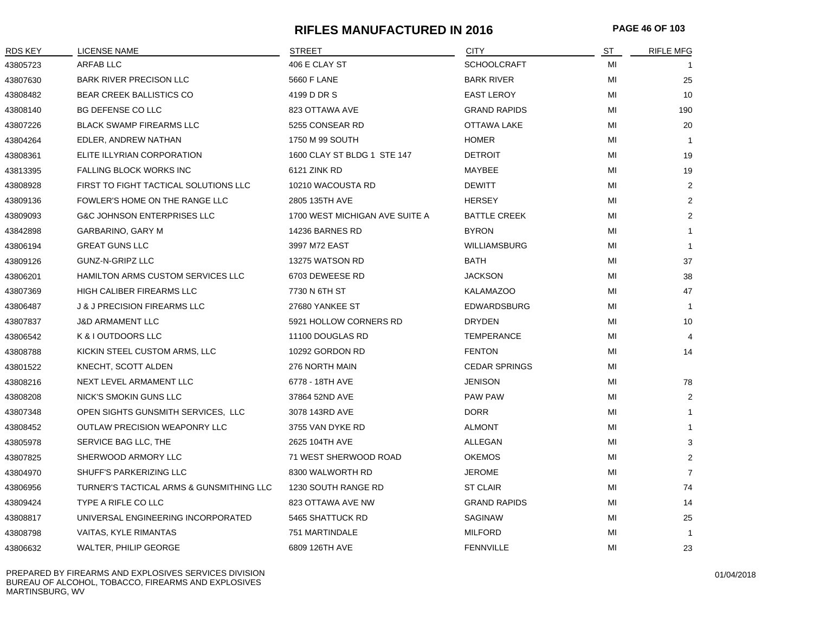# **RIFLES MANUFACTURED IN 2016 PAGE 46 OF 103**

| RDS KEY  | LICENSE NAME                             | <b>STREET</b>                  | <b>CITY</b>          | <u>ST</u> | <b>RIFLE MFG</b> |
|----------|------------------------------------------|--------------------------------|----------------------|-----------|------------------|
| 43805723 | <b>ARFAB LLC</b>                         | 406 E CLAY ST                  | <b>SCHOOLCRAFT</b>   | MI        |                  |
| 43807630 | <b>BARK RIVER PRECISON LLC</b>           | 5660 F LANE                    | <b>BARK RIVER</b>    | MI        | 25               |
| 43808482 | <b>BEAR CREEK BALLISTICS CO</b>          | 4199 D DR S                    | <b>EAST LEROY</b>    | MI        | 10               |
| 43808140 | <b>BG DEFENSE CO LLC</b>                 | 823 OTTAWA AVE                 | <b>GRAND RAPIDS</b>  | MI        | 190              |
| 43807226 | <b>BLACK SWAMP FIREARMS LLC</b>          | 5255 CONSEAR RD                | OTTAWA LAKE          | MI        | 20               |
| 43804264 | EDLER, ANDREW NATHAN                     | 1750 M 99 SOUTH                | <b>HOMER</b>         | MI        | -1               |
| 43808361 | ELITE ILLYRIAN CORPORATION               | 1600 CLAY ST BLDG 1 STE 147    | <b>DETROIT</b>       | MI        | 19               |
| 43813395 | <b>FALLING BLOCK WORKS INC</b>           | 6121 ZINK RD                   | MAYBEE               | MI        | 19               |
| 43808928 | FIRST TO FIGHT TACTICAL SOLUTIONS LLC    | 10210 WACOUSTA RD              | <b>DEWITT</b>        | MI        | 2                |
| 43809136 | FOWLER'S HOME ON THE RANGE LLC           | 2805 135TH AVE                 | <b>HERSEY</b>        | MI        | 2                |
| 43809093 | <b>G&amp;C JOHNSON ENTERPRISES LLC</b>   | 1700 WEST MICHIGAN AVE SUITE A | <b>BATTLE CREEK</b>  | MI        | 2                |
| 43842898 | GARBARINO, GARY M                        | 14236 BARNES RD                | <b>BYRON</b>         | MI        | -1               |
| 43806194 | <b>GREAT GUNS LLC</b>                    | 3997 M72 EAST                  | <b>WILLIAMSBURG</b>  | MI        | -1               |
| 43809126 | GUNZ-N-GRIPZ LLC                         | 13275 WATSON RD                | BATH                 | MI        | 37               |
| 43806201 | HAMILTON ARMS CUSTOM SERVICES LLC        | 6703 DEWEESE RD                | <b>JACKSON</b>       | MI        | 38               |
| 43807369 | HIGH CALIBER FIREARMS LLC                | 7730 N 6TH ST                  | <b>KALAMAZOO</b>     | MI        | 47               |
| 43806487 | <b>J &amp; J PRECISION FIREARMS LLC</b>  | 27680 YANKEE ST                | EDWARDSBURG          | MI        | $\mathbf{1}$     |
| 43807837 | <b>J&amp;D ARMAMENT LLC</b>              | 5921 HOLLOW CORNERS RD         | <b>DRYDEN</b>        | MI        | 10               |
| 43806542 | K & I OUTDOORS LLC                       | 11100 DOUGLAS RD               | <b>TEMPERANCE</b>    | MI        | $\overline{4}$   |
| 43808788 | KICKIN STEEL CUSTOM ARMS, LLC            | 10292 GORDON RD                | <b>FENTON</b>        | MI        | 14               |
| 43801522 | KNECHT, SCOTT ALDEN                      | 276 NORTH MAIN                 | <b>CEDAR SPRINGS</b> | MI        |                  |
| 43808216 | NEXT LEVEL ARMAMENT LLC                  | 6778 - 18TH AVE                | <b>JENISON</b>       | MI        | 78               |
| 43808208 | NICK'S SMOKIN GUNS LLC                   | 37864 52ND AVE                 | <b>PAW PAW</b>       | MI        | 2                |
| 43807348 | OPEN SIGHTS GUNSMITH SERVICES, LLC       | 3078 143RD AVE                 | <b>DORR</b>          | MI        | $\mathbf 1$      |
| 43808452 | <b>OUTLAW PRECISION WEAPONRY LLC</b>     | 3755 VAN DYKE RD               | <b>ALMONT</b>        | MI        |                  |
| 43805978 | SERVICE BAG LLC, THE                     | 2625 104TH AVE                 | ALLEGAN              | MI        | 3                |
| 43807825 | SHERWOOD ARMORY LLC                      | 71 WEST SHERWOOD ROAD          | <b>OKEMOS</b>        | MI        | 2                |
| 43804970 | SHUFF'S PARKERIZING LLC                  | 8300 WALWORTH RD               | <b>JEROME</b>        | MI        | $\overline{7}$   |
| 43806956 | TURNER'S TACTICAL ARMS & GUNSMITHING LLC | 1230 SOUTH RANGE RD            | <b>ST CLAIR</b>      | МI        | 74               |
| 43809424 | TYPE A RIFLE CO LLC                      | 823 OTTAWA AVE NW              | <b>GRAND RAPIDS</b>  | МI        | 14               |
| 43808817 | UNIVERSAL ENGINEERING INCORPORATED       | 5465 SHATTUCK RD               | <b>SAGINAW</b>       | MI        | 25               |
| 43808798 | <b>VAITAS, KYLE RIMANTAS</b>             | 751 MARTINDALE                 | <b>MILFORD</b>       | MI        | -1               |
| 43806632 | <b>WALTER, PHILIP GEORGE</b>             | 6809 126TH AVE                 | <b>FENNVILLE</b>     | MI        | 23               |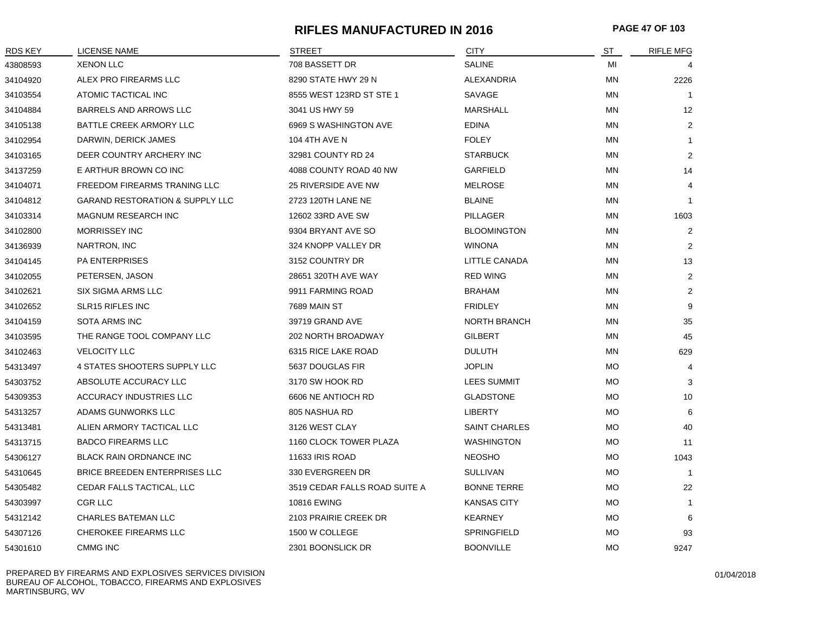# **RIFLES MANUFACTURED IN 2016 PAGE 47 OF 103**

| RDS KEY  | <b>LICENSE NAME</b>             | <b>STREET</b>                 | <b>CITY</b>          | ST        | <b>RIFLE MFG</b> |
|----------|---------------------------------|-------------------------------|----------------------|-----------|------------------|
| 43808593 | <b>XENON LLC</b>                | 708 BASSETT DR                | <b>SALINE</b>        | MI        | 4                |
| 34104920 | ALEX PRO FIREARMS LLC           | 8290 STATE HWY 29 N           | ALEXANDRIA           | ΜN        | 2226             |
| 34103554 | ATOMIC TACTICAL INC             | 8555 WEST 123RD ST STE 1      | SAVAGE               | <b>MN</b> | -1               |
| 34104884 | <b>BARRELS AND ARROWS LLC</b>   | 3041 US HWY 59                | MARSHALL             | ΜN        | 12               |
| 34105138 | BATTLE CREEK ARMORY LLC         | 6969 S WASHINGTON AVE         | <b>EDINA</b>         | ΜN        | 2                |
| 34102954 | DARWIN, DERICK JAMES            | 104 4TH AVE N                 | <b>FOLEY</b>         | <b>MN</b> | $\mathbf{1}$     |
| 34103165 | DEER COUNTRY ARCHERY INC        | 32981 COUNTY RD 24            | <b>STARBUCK</b>      | ΜN        | 2                |
| 34137259 | E ARTHUR BROWN CO INC           | 4088 COUNTY ROAD 40 NW        | <b>GARFIELD</b>      | ΜN        | 14               |
| 34104071 | FREEDOM FIREARMS TRANING LLC    | 25 RIVERSIDE AVE NW           | <b>MELROSE</b>       | ΜN        | 4                |
| 34104812 | GARAND RESTORATION & SUPPLY LLC | 2723 120TH LANE NE            | <b>BLAINE</b>        | ΜN        | $\overline{1}$   |
| 34103314 | MAGNUM RESEARCH INC             | 12602 33RD AVE SW             | PILLAGER             | ΜN        | 1603             |
| 34102800 | <b>MORRISSEY INC</b>            | 9304 BRYANT AVE SO            | <b>BLOOMINGTON</b>   | <b>MN</b> | $\overline{2}$   |
| 34136939 | NARTRON, INC                    | 324 KNOPP VALLEY DR           | <b>WINONA</b>        | ΜN        | $\overline{2}$   |
| 34104145 | <b>PA ENTERPRISES</b>           | 3152 COUNTRY DR               | LITTLE CANADA        | ΜN        | 13               |
| 34102055 | PETERSEN, JASON                 | 28651 320TH AVE WAY           | <b>RED WING</b>      | ΜN        | 2                |
| 34102621 | <b>SIX SIGMA ARMS LLC</b>       | 9911 FARMING ROAD             | <b>BRAHAM</b>        | ΜN        | $\overline{2}$   |
| 34102652 | <b>SLR15 RIFLES INC</b>         | 7689 MAIN ST                  | <b>FRIDLEY</b>       | MN        | 9                |
| 34104159 | SOTA ARMS INC                   | 39719 GRAND AVE               | <b>NORTH BRANCH</b>  | MN        | 35               |
| 34103595 | THE RANGE TOOL COMPANY LLC      | 202 NORTH BROADWAY            | <b>GILBERT</b>       | ΜN        | 45               |
| 34102463 | <b>VELOCITY LLC</b>             | 6315 RICE LAKE ROAD           | <b>DULUTH</b>        | MN        | 629              |
| 54313497 | 4 STATES SHOOTERS SUPPLY LLC    | 5637 DOUGLAS FIR              | <b>JOPLIN</b>        | <b>MO</b> | $\overline{4}$   |
| 54303752 | ABSOLUTE ACCURACY LLC           | 3170 SW HOOK RD               | <b>LEES SUMMIT</b>   | <b>MO</b> | 3                |
| 54309353 | ACCURACY INDUSTRIES LLC         | 6606 NE ANTIOCH RD            | <b>GLADSTONE</b>     | <b>MO</b> | 10               |
| 54313257 | ADAMS GUNWORKS LLC              | 805 NASHUA RD                 | <b>LIBERTY</b>       | МO        | 6                |
| 54313481 | ALIEN ARMORY TACTICAL LLC       | 3126 WEST CLAY                | <b>SAINT CHARLES</b> | <b>MO</b> | 40               |
| 54313715 | <b>BADCO FIREARMS LLC</b>       | 1160 CLOCK TOWER PLAZA        | <b>WASHINGTON</b>    | МO        | 11               |
| 54306127 | <b>BLACK RAIN ORDNANCE INC</b>  | 11633 IRIS ROAD               | <b>NEOSHO</b>        | МO        | 1043             |
| 54310645 | BRICE BREEDEN ENTERPRISES LLC   | 330 EVERGREEN DR              | <b>SULLIVAN</b>      | МO        | $\overline{1}$   |
| 54305482 | CEDAR FALLS TACTICAL, LLC       | 3519 CEDAR FALLS ROAD SUITE A | <b>BONNE TERRE</b>   | <b>MO</b> | 22               |
| 54303997 | <b>CGR LLC</b>                  | <b>10816 EWING</b>            | <b>KANSAS CITY</b>   | <b>MO</b> | 1                |
| 54312142 | <b>CHARLES BATEMAN LLC</b>      | 2103 PRAIRIE CREEK DR         | <b>KEARNEY</b>       | MO        | 6                |
| 54307126 | CHEROKEE FIREARMS LLC           | 1500 W COLLEGE                | <b>SPRINGFIELD</b>   | MO        | 93               |
| 54301610 | <b>CMMG INC</b>                 | 2301 BOONSLICK DR             | <b>BOONVILLE</b>     | <b>MO</b> | 9247             |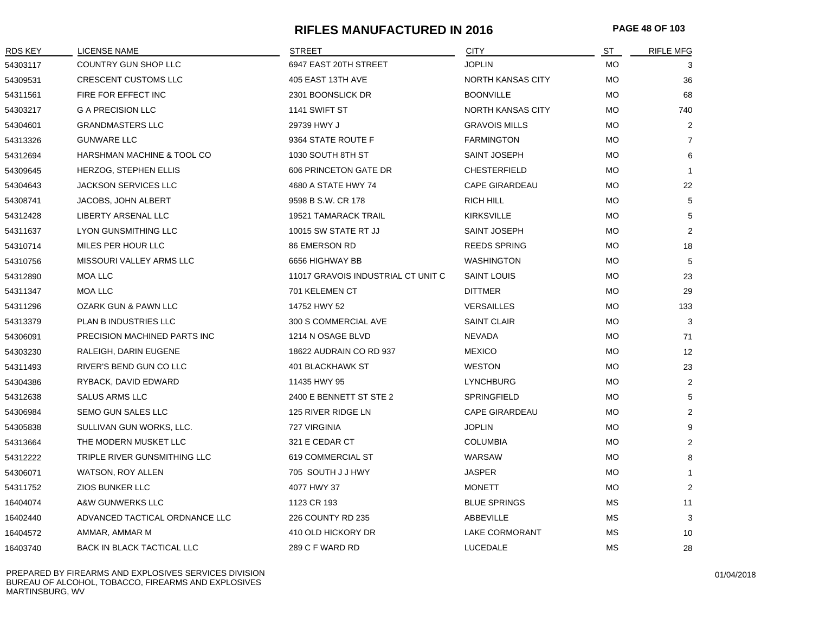# **RIFLES MANUFACTURED IN 2016 PAGE 48 OF 103**

| RDS KEY  | <b>LICENSE NAME</b>             | <b>STREET</b>                      | <b>CITY</b>              | ST        | <b>RIFLE MFG</b> |
|----------|---------------------------------|------------------------------------|--------------------------|-----------|------------------|
| 54303117 | COUNTRY GUN SHOP LLC            | 6947 EAST 20TH STREET              | <b>JOPLIN</b>            | МO        | 3                |
| 54309531 | CRESCENT CUSTOMS LLC            | 405 EAST 13TH AVE                  | <b>NORTH KANSAS CITY</b> | МO        | 36               |
| 54311561 | FIRE FOR EFFECT INC             | 2301 BOONSLICK DR                  | <b>BOONVILLE</b>         | <b>MO</b> | 68               |
| 54303217 | <b>G A PRECISION LLC</b>        | 1141 SWIFT ST                      | <b>NORTH KANSAS CITY</b> | <b>MO</b> | 740              |
| 54304601 | <b>GRANDMASTERS LLC</b>         | 29739 HWY J                        | <b>GRAVOIS MILLS</b>     | <b>MO</b> | 2                |
| 54313326 | <b>GUNWARE LLC</b>              | 9364 STATE ROUTE F                 | <b>FARMINGTON</b>        | <b>MO</b> | $\overline{7}$   |
| 54312694 | HARSHMAN MACHINE & TOOL CO      | 1030 SOUTH 8TH ST                  | SAINT JOSEPH             | <b>MO</b> | 6                |
| 54309645 | HERZOG, STEPHEN ELLIS           | 606 PRINCETON GATE DR              | <b>CHESTERFIELD</b>      | МO        | $\mathbf{1}$     |
| 54304643 | <b>JACKSON SERVICES LLC</b>     | 4680 A STATE HWY 74                | <b>CAPE GIRARDEAU</b>    | МO        | 22               |
| 54308741 | <b>JACOBS, JOHN ALBERT</b>      | 9598 B S.W. CR 178                 | RICH HILL                | МO        | 5                |
| 54312428 | LIBERTY ARSENAL LLC             | <b>19521 TAMARACK TRAIL</b>        | <b>KIRKSVILLE</b>        | <b>MO</b> | 5                |
| 54311637 | <b>LYON GUNSMITHING LLC</b>     | 10015 SW STATE RT JJ               | SAINT JOSEPH             | <b>MO</b> | 2                |
| 54310714 | MILES PER HOUR LLC              | 86 EMERSON RD                      | <b>REEDS SPRING</b>      | <b>MO</b> | 18               |
| 54310756 | MISSOURI VALLEY ARMS LLC        | 6656 HIGHWAY BB                    | <b>WASHINGTON</b>        | МO        | 5                |
| 54312890 | MOA LLC                         | 11017 GRAVOIS INDUSTRIAL CT UNIT C | <b>SAINT LOUIS</b>       | МO        | 23               |
| 54311347 | MOA LLC                         | 701 KELEMEN CT                     | <b>DITTMER</b>           | <b>MO</b> | 29               |
| 54311296 | <b>OZARK GUN &amp; PAWN LLC</b> | 14752 HWY 52                       | <b>VERSAILLES</b>        | <b>MO</b> | 133              |
| 54313379 | PLAN B INDUSTRIES LLC           | 300 S COMMERCIAL AVE               | <b>SAINT CLAIR</b>       | <b>MO</b> | 3                |
| 54306091 | PRECISION MACHINED PARTS INC    | 1214 N OSAGE BLVD                  | <b>NEVADA</b>            | МO        | 71               |
| 54303230 | RALEIGH, DARIN EUGENE           | 18622 AUDRAIN CO RD 937            | <b>MEXICO</b>            | <b>MO</b> | 12               |
| 54311493 | RIVER'S BEND GUN CO LLC         | <b>401 BLACKHAWK ST</b>            | <b>WESTON</b>            | <b>MO</b> | 23               |
| 54304386 | RYBACK, DAVID EDWARD            | 11435 HWY 95                       | <b>LYNCHBURG</b>         | <b>MO</b> | 2                |
| 54312638 | <b>SALUS ARMS LLC</b>           | 2400 E BENNETT ST STE 2            | SPRINGFIELD              | <b>MO</b> | 5                |
| 54306984 | SEMO GUN SALES LLC              | 125 RIVER RIDGE LN                 | <b>CAPE GIRARDEAU</b>    | МO        | 2                |
| 54305838 | SULLIVAN GUN WORKS, LLC.        | 727 VIRGINIA                       | <b>JOPLIN</b>            | <b>MO</b> | 9                |
| 54313664 | THE MODERN MUSKET LLC           | 321 E CEDAR CT                     | <b>COLUMBIA</b>          | <b>MO</b> | 2                |
| 54312222 | TRIPLE RIVER GUNSMITHING LLC    | 619 COMMERCIAL ST                  | WARSAW                   | МO        | 8                |
| 54306071 | WATSON, ROY ALLEN               | 705 SOUTH J J HWY                  | JASPER                   | МO        |                  |
| 54311752 | <b>ZIOS BUNKER LLC</b>          | 4077 HWY 37                        | <b>MONETT</b>            | <b>MO</b> | 2                |
| 16404074 | A&W GUNWERKS LLC                | 1123 CR 193                        | <b>BLUE SPRINGS</b>      | <b>MS</b> | 11               |
| 16402440 | ADVANCED TACTICAL ORDNANCE LLC  | 226 COUNTY RD 235                  | ABBEVILLE                | МS        | 3                |
| 16404572 | AMMAR, AMMAR M                  | 410 OLD HICKORY DR                 | LAKE CORMORANT           | МS        | 10               |
| 16403740 | BACK IN BLACK TACTICAL LLC      | 289 C F WARD RD                    | LUCEDALE                 | <b>MS</b> | 28               |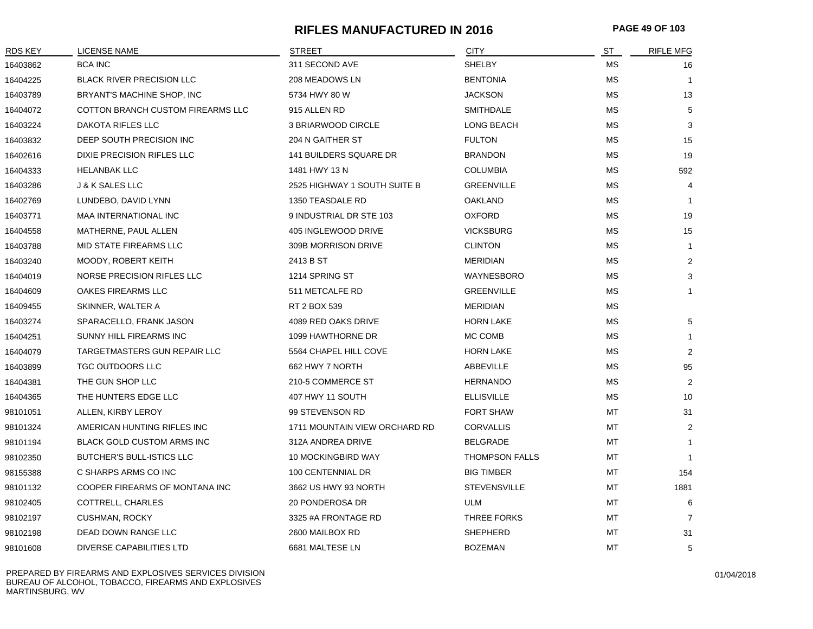## **RIFLES MANUFACTURED IN 2016 PAGE 49 OF 103**

| <b>RDS KEY</b> | LICENSE NAME                      | STREET                        | <b>CITY</b>           | ST        | <b>RIFLE MFG</b> |
|----------------|-----------------------------------|-------------------------------|-----------------------|-----------|------------------|
| 16403862       | <b>BCA INC</b>                    | 311 SECOND AVE                | <b>SHELBY</b>         | МS        | 16               |
| 16404225       | <b>BLACK RIVER PRECISION LLC</b>  | 208 MEADOWS LN                | <b>BENTONIA</b>       | МS        | $\mathbf{1}$     |
| 16403789       | BRYANT'S MACHINE SHOP, INC        | 5734 HWY 80 W                 | <b>JACKSON</b>        | МS        | 13               |
| 16404072       | COTTON BRANCH CUSTOM FIREARMS LLC | 915 ALLEN RD                  | <b>SMITHDALE</b>      | МS        | 5                |
| 16403224       | DAKOTA RIFLES LLC                 | 3 BRIARWOOD CIRCLE            | LONG BEACH            | МS        | 3                |
| 16403832       | DEEP SOUTH PRECISION INC          | 204 N GAITHER ST              | <b>FULTON</b>         | MS        | 15               |
| 16402616       | DIXIE PRECISION RIFLES LLC        | <b>141 BUILDERS SQUARE DR</b> | <b>BRANDON</b>        | МS        | 19               |
| 16404333       | <b>HELANBAK LLC</b>               | 1481 HWY 13 N                 | <b>COLUMBIA</b>       | МS        | 592              |
| 16403286       | <b>J &amp; K SALES LLC</b>        | 2525 HIGHWAY 1 SOUTH SUITE B  | <b>GREENVILLE</b>     | МS        | 4                |
| 16402769       | LUNDEBO, DAVID LYNN               | 1350 TEASDALE RD              | <b>OAKLAND</b>        | МS        | $\overline{1}$   |
| 16403771       | MAA INTERNATIONAL INC             | 9 INDUSTRIAL DR STE 103       | <b>OXFORD</b>         | МS        | 19               |
| 16404558       | MATHERNE, PAUL ALLEN              | 405 INGLEWOOD DRIVE           | <b>VICKSBURG</b>      | МS        | 15               |
| 16403788       | MID STATE FIREARMS LLC            | 309B MORRISON DRIVE           | <b>CLINTON</b>        | МS        | $\mathbf{1}$     |
| 16403240       | MOODY, ROBERT KEITH               | 2413 B ST                     | <b>MERIDIAN</b>       | МS        | $\overline{2}$   |
| 16404019       | NORSE PRECISION RIFLES LLC        | 1214 SPRING ST                | WAYNESBORO            | MS        | 3                |
| 16404609       | OAKES FIREARMS LLC                | 511 METCALFE RD               | <b>GREENVILLE</b>     | <b>MS</b> | $\mathbf{1}$     |
| 16409455       | SKINNER, WALTER A                 | RT 2 BOX 539                  | <b>MERIDIAN</b>       | МS        |                  |
| 16403274       | SPARACELLO, FRANK JASON           | 4089 RED OAKS DRIVE           | <b>HORN LAKE</b>      | МS        | 5                |
| 16404251       | SUNNY HILL FIREARMS INC           | 1099 HAWTHORNE DR             | MC COMB               | МS        | $\mathbf{1}$     |
| 16404079       | TARGETMASTERS GUN REPAIR LLC      | 5564 CHAPEL HILL COVE         | <b>HORN LAKE</b>      | МS        | $\overline{2}$   |
| 16403899       | <b>TGC OUTDOORS LLC</b>           | 662 HWY 7 NORTH               | ABBEVILLE             | <b>MS</b> | 95               |
| 16404381       | THE GUN SHOP LLC                  | 210-5 COMMERCE ST             | <b>HERNANDO</b>       | МS        | 2                |
| 16404365       | THE HUNTERS EDGE LLC              | 407 HWY 11 SOUTH              | <b>ELLISVILLE</b>     | МS        | 10               |
| 98101051       | ALLEN, KIRBY LEROY                | 99 STEVENSON RD               | <b>FORT SHAW</b>      | МT        | 31               |
| 98101324       | AMERICAN HUNTING RIFLES INC       | 1711 MOUNTAIN VIEW ORCHARD RD | <b>CORVALLIS</b>      | MT        | 2                |
| 98101194       | <b>BLACK GOLD CUSTOM ARMS INC</b> | 312A ANDREA DRIVE             | <b>BELGRADE</b>       | MT        | $\mathbf{1}$     |
| 98102350       | <b>BUTCHER'S BULL-ISTICS LLC</b>  | 10 MOCKINGBIRD WAY            | <b>THOMPSON FALLS</b> | MT        | $\mathbf{1}$     |
| 98155388       | C SHARPS ARMS CO INC              | 100 CENTENNIAL DR             | <b>BIG TIMBER</b>     | МT        | 154              |
| 98101132       | COOPER FIREARMS OF MONTANA INC    | 3662 US HWY 93 NORTH          | <b>STEVENSVILLE</b>   | МT        | 1881             |
| 98102405       | COTTRELL, CHARLES                 | 20 PONDEROSA DR               | ULM                   | МT        | 6                |
| 98102197       | CUSHMAN, ROCKY                    | 3325 #A FRONTAGE RD           | THREE FORKS           | МT        | $\overline{7}$   |
| 98102198       | DEAD DOWN RANGE LLC               | 2600 MAILBOX RD               | <b>SHEPHERD</b>       | MT        | 31               |
| 98101608       | DIVERSE CAPABILITIES LTD          | 6681 MALTESE LN               | <b>BOZEMAN</b>        | MT        | 5                |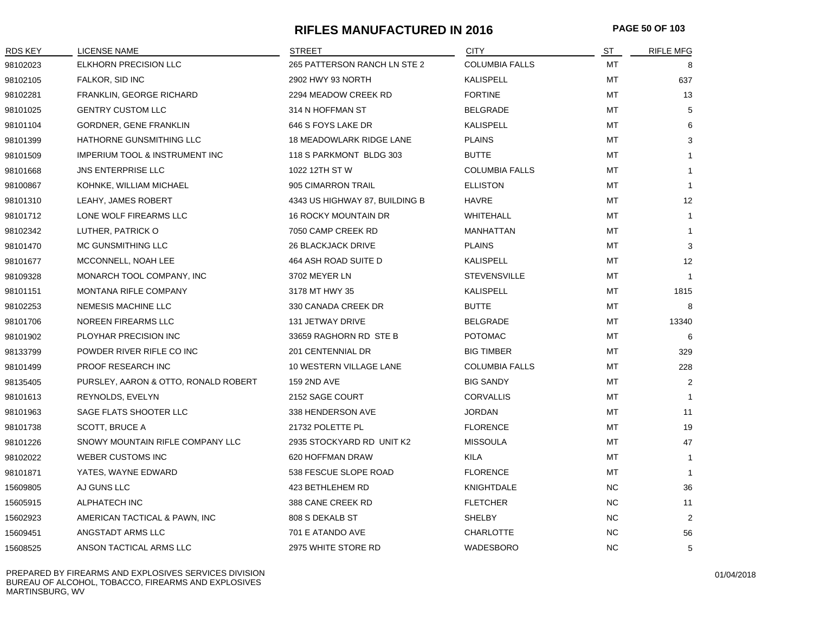## **RIFLES MANUFACTURED IN 2016 PAGE 50 OF 103**

| <b>RDS KEY</b> | <b>LICENSE NAME</b>                  | <b>STREET</b>                   | <b>CITY</b>           | ST        | <b>RIFLE MFG</b> |
|----------------|--------------------------------------|---------------------------------|-----------------------|-----------|------------------|
| 98102023       | ELKHORN PRECISION LLC                | 265 PATTERSON RANCH LN STE 2    | <b>COLUMBIA FALLS</b> | МT        | 8                |
| 98102105       | FALKOR, SID INC                      | 2902 HWY 93 NORTH               | <b>KALISPELL</b>      | MT        | 637              |
| 98102281       | FRANKLIN, GEORGE RICHARD             | 2294 MEADOW CREEK RD            | <b>FORTINE</b>        | МT        | 13               |
| 98101025       | <b>GENTRY CUSTOM LLC</b>             | 314 N HOFFMAN ST                | <b>BELGRADE</b>       | МT        | 5                |
| 98101104       | GORDNER, GENE FRANKLIN               | 646 S FOYS LAKE DR              | KALISPELL             | МT        | 6                |
| 98101399       | HATHORNE GUNSMITHING LLC             | <b>18 MEADOWLARK RIDGE LANE</b> | <b>PLAINS</b>         | МT        | 3                |
| 98101509       | IMPERIUM TOOL & INSTRUMENT INC       | 118 S PARKMONT BLDG 303         | <b>BUTTE</b>          | МT        | $\mathbf{1}$     |
| 98101668       | <b>JNS ENTERPRISE LLC</b>            | 1022 12TH ST W                  | <b>COLUMBIA FALLS</b> | МT        | $\mathbf{1}$     |
| 98100867       | KOHNKE, WILLIAM MICHAEL              | 905 CIMARRON TRAIL              | <b>ELLISTON</b>       | МT        | $\mathbf{1}$     |
| 98101310       | LEAHY, JAMES ROBERT                  | 4343 US HIGHWAY 87, BUILDING B  | <b>HAVRE</b>          | МT        | 12               |
| 98101712       | LONE WOLF FIREARMS LLC               | <b>16 ROCKY MOUNTAIN DR</b>     | WHITEHALL             | МT        | $\mathbf{1}$     |
| 98102342       | LUTHER, PATRICK O                    | 7050 CAMP CREEK RD              | MANHATTAN             | МT        | $\mathbf{1}$     |
| 98101470       | MC GUNSMITHING LLC                   | <b>26 BLACKJACK DRIVE</b>       | <b>PLAINS</b>         | МT        | 3                |
| 98101677       | MCCONNELL, NOAH LEE                  | 464 ASH ROAD SUITE D            | KALISPELL             | МT        | 12               |
| 98109328       | MONARCH TOOL COMPANY, INC            | 3702 MEYER LN                   | <b>STEVENSVILLE</b>   | MT        | $\mathbf{1}$     |
| 98101151       | <b>MONTANA RIFLE COMPANY</b>         | 3178 MT HWY 35                  | KALISPELL             | MT        | 1815             |
| 98102253       | <b>NEMESIS MACHINE LLC</b>           | 330 CANADA CREEK DR             | <b>BUTTE</b>          | MT        | 8                |
| 98101706       | <b>NOREEN FIREARMS LLC</b>           | 131 JETWAY DRIVE                | <b>BELGRADE</b>       | МT        | 13340            |
| 98101902       | PLOYHAR PRECISION INC                | 33659 RAGHORN RD STE B          | <b>POTOMAC</b>        | МT        | 6                |
| 98133799       | POWDER RIVER RIFLE CO INC            | 201 CENTENNIAL DR               | <b>BIG TIMBER</b>     | МT        | 329              |
| 98101499       | PROOF RESEARCH INC                   | 10 WESTERN VILLAGE LANE         | <b>COLUMBIA FALLS</b> | МT        | 228              |
| 98135405       | PURSLEY, AARON & OTTO, RONALD ROBERT | 159 2ND AVE                     | <b>BIG SANDY</b>      | МT        | 2                |
| 98101613       | REYNOLDS, EVELYN                     | 2152 SAGE COURT                 | <b>CORVALLIS</b>      | МT        | $\mathbf{1}$     |
| 98101963       | SAGE FLATS SHOOTER LLC               | 338 HENDERSON AVE               | <b>JORDAN</b>         | МT        | 11               |
| 98101738       | <b>SCOTT, BRUCE A</b>                | 21732 POLETTE PL                | <b>FLORENCE</b>       | МT        | 19               |
| 98101226       | SNOWY MOUNTAIN RIFLE COMPANY LLC     | 2935 STOCKYARD RD UNIT K2       | <b>MISSOULA</b>       | МT        | 47               |
| 98102022       | <b>WEBER CUSTOMS INC</b>             | 620 HOFFMAN DRAW                | <b>KILA</b>           | МT        | $\mathbf{1}$     |
| 98101871       | YATES, WAYNE EDWARD                  | 538 FESCUE SLOPE ROAD           | <b>FLORENCE</b>       | МT        | $\mathbf{1}$     |
| 15609805       | AJ GUNS LLC                          | 423 BETHLEHEM RD                | KNIGHTDALE            | NC.       | 36               |
| 15605915       | ALPHATECH INC                        | 388 CANE CREEK RD               | <b>FLETCHER</b>       | NC.       | 11               |
| 15602923       | AMERICAN TACTICAL & PAWN, INC        | 808 S DEKALB ST                 | <b>SHELBY</b>         | <b>NC</b> | $\overline{2}$   |
| 15609451       | ANGSTADT ARMS LLC                    | 701 E ATANDO AVE                | <b>CHARLOTTE</b>      | <b>NC</b> | 56               |
| 15608525       | ANSON TACTICAL ARMS LLC              | 2975 WHITE STORE RD             | <b>WADESBORO</b>      | <b>NC</b> | 5                |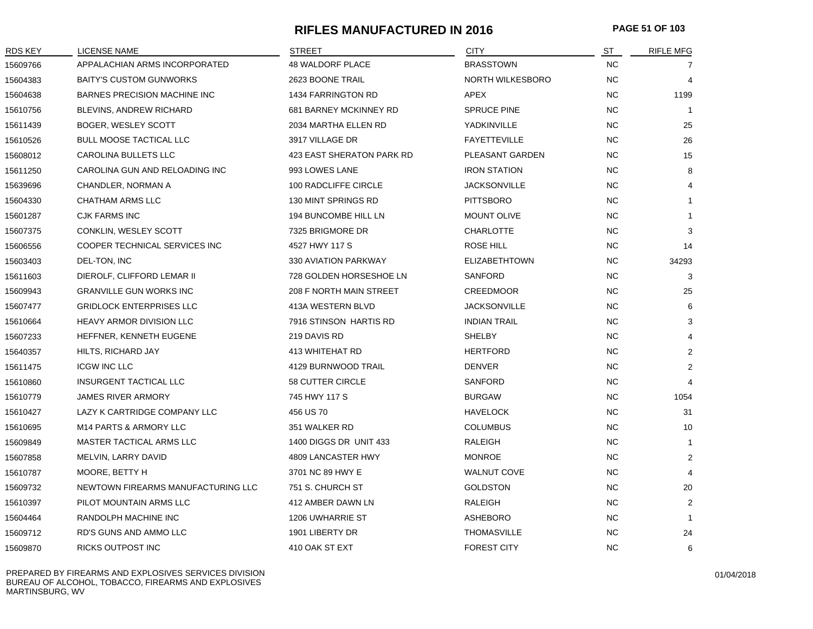#### **RIFLES MANUFACTURED IN 2016 PAGE 51 OF 103**

| <b>RDS KEY</b> | LICENSE NAME                       | STREET                    | <b>CITY</b>          | ST        | <b>RIFLE MFG</b>        |
|----------------|------------------------------------|---------------------------|----------------------|-----------|-------------------------|
| 15609766       | APPALACHIAN ARMS INCORPORATED      | 48 WALDORF PLACE          | <b>BRASSTOWN</b>     | <b>NC</b> | 7                       |
| 15604383       | <b>BAITY'S CUSTOM GUNWORKS</b>     | 2623 BOONE TRAIL          | NORTH WILKESBORO     | <b>NC</b> | $\overline{4}$          |
| 15604638       | BARNES PRECISION MACHINE INC       | 1434 FARRINGTON RD        | APEX                 | <b>NC</b> | 1199                    |
| 15610756       | BLEVINS, ANDREW RICHARD            | 681 BARNEY MCKINNEY RD    | <b>SPRUCE PINE</b>   | <b>NC</b> | $\mathbf{1}$            |
| 15611439       | BOGER, WESLEY SCOTT                | 2034 MARTHA ELLEN RD      | YADKINVILLE          | <b>NC</b> | 25                      |
| 15610526       | <b>BULL MOOSE TACTICAL LLC</b>     | 3917 VILLAGE DR           | <b>FAYETTEVILLE</b>  | <b>NC</b> | 26                      |
| 15608012       | <b>CAROLINA BULLETS LLC</b>        | 423 EAST SHERATON PARK RD | PLEASANT GARDEN      | <b>NC</b> | 15                      |
| 15611250       | CAROLINA GUN AND RELOADING INC     | 993 LOWES LANE            | <b>IRON STATION</b>  | <b>NC</b> | 8                       |
| 15639696       | CHANDLER, NORMAN A                 | 100 RADCLIFFE CIRCLE      | <b>JACKSONVILLE</b>  | <b>NC</b> | $\overline{4}$          |
| 15604330       | CHATHAM ARMS LLC                   | 130 MINT SPRINGS RD       | <b>PITTSBORO</b>     | <b>NC</b> | $\mathbf{1}$            |
| 15601287       | CJK FARMS INC                      | 194 BUNCOMBE HILL LN      | <b>MOUNT OLIVE</b>   | <b>NC</b> | $\mathbf{1}$            |
| 15607375       | CONKLIN, WESLEY SCOTT              | 7325 BRIGMORE DR          | <b>CHARLOTTE</b>     | <b>NC</b> | 3                       |
| 15606556       | COOPER TECHNICAL SERVICES INC      | 4527 HWY 117 S            | ROSE HILL            | <b>NC</b> | 14                      |
| 15603403       | DEL-TON, INC                       | 330 AVIATION PARKWAY      | <b>ELIZABETHTOWN</b> | NC.       | 34293                   |
| 15611603       | DIEROLF, CLIFFORD LEMAR II         | 728 GOLDEN HORSESHOE LN   | <b>SANFORD</b>       | <b>NC</b> | 3                       |
| 15609943       | <b>GRANVILLE GUN WORKS INC</b>     | 208 F NORTH MAIN STREET   | <b>CREEDMOOR</b>     | <b>NC</b> | 25                      |
| 15607477       | <b>GRIDLOCK ENTERPRISES LLC</b>    | 413A WESTERN BLVD         | <b>JACKSONVILLE</b>  | <b>NC</b> | 6                       |
| 15610664       | <b>HEAVY ARMOR DIVISION LLC</b>    | 7916 STINSON HARTIS RD    | <b>INDIAN TRAIL</b>  | <b>NC</b> | 3                       |
| 15607233       | HEFFNER, KENNETH EUGENE            | 219 DAVIS RD              | <b>SHELBY</b>        | <b>NC</b> | $\overline{4}$          |
| 15640357       | HILTS, RICHARD JAY                 | 413 WHITEHAT RD           | <b>HERTFORD</b>      | <b>NC</b> | 2                       |
| 15611475       | <b>ICGW INC LLC</b>                | 4129 BURNWOOD TRAIL       | <b>DENVER</b>        | <b>NC</b> | $\overline{2}$          |
| 15610860       | <b>INSURGENT TACTICAL LLC</b>      | 58 CUTTER CIRCLE          | <b>SANFORD</b>       | <b>NC</b> | $\overline{\mathbf{4}}$ |
| 15610779       | <b>JAMES RIVER ARMORY</b>          | 745 HWY 117 S             | <b>BURGAW</b>        | <b>NC</b> | 1054                    |
| 15610427       | LAZY K CARTRIDGE COMPANY LLC       | 456 US 70                 | <b>HAVELOCK</b>      | <b>NC</b> | 31                      |
| 15610695       | M <sub>14</sub> PARTS & ARMORY LLC | 351 WALKER RD             | <b>COLUMBUS</b>      | <b>NC</b> | 10                      |
| 15609849       | MASTER TACTICAL ARMS LLC           | 1400 DIGGS DR UNIT 433    | RALEIGH              | <b>NC</b> | $\mathbf{1}$            |
| 15607858       | MELVIN, LARRY DAVID                | 4809 LANCASTER HWY        | <b>MONROE</b>        | <b>NC</b> | $\overline{2}$          |
| 15610787       | MOORE, BETTY H                     | 3701 NC 89 HWY E          | <b>WALNUT COVE</b>   | <b>NC</b> | $\overline{4}$          |
| 15609732       | NEWTOWN FIREARMS MANUFACTURING LLC | 751 S. CHURCH ST          | <b>GOLDSTON</b>      | <b>NC</b> | 20                      |
| 15610397       | PILOT MOUNTAIN ARMS LLC            | 412 AMBER DAWN LN         | <b>RALEIGH</b>       | <b>NC</b> | 2                       |
| 15604464       | RANDOLPH MACHINE INC               | 1206 UWHARRIE ST          | <b>ASHEBORO</b>      | <b>NC</b> | $\mathbf{1}$            |
| 15609712       | RD'S GUNS AND AMMO LLC             | 1901 LIBERTY DR           | <b>THOMASVILLE</b>   | <b>NC</b> | 24                      |
| 15609870       | RICKS OUTPOST INC                  | 410 OAK ST EXT            | <b>FOREST CITY</b>   | <b>NC</b> | 6                       |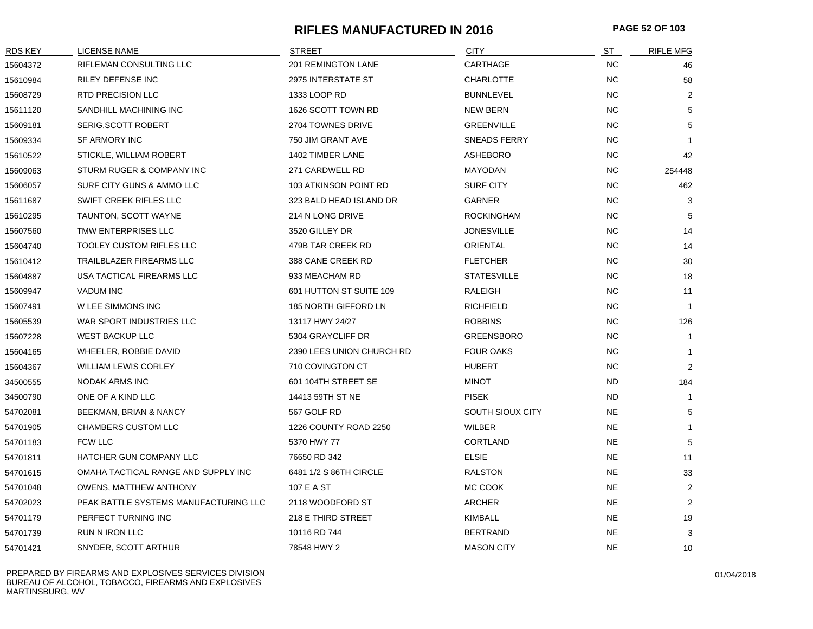# **RIFLES MANUFACTURED IN 2016 PAGE 52 OF 103**

| RDS KEY  | <b>LICENSE NAME</b>                   | <b>STREET</b>             | <b>CITY</b>        | ST        | <b>RIFLE MFG</b> |
|----------|---------------------------------------|---------------------------|--------------------|-----------|------------------|
| 15604372 | RIFLEMAN CONSULTING LLC               | 201 REMINGTON LANE        | CARTHAGE           | <b>NC</b> | 46               |
| 15610984 | RILEY DEFENSE INC                     | 2975 INTERSTATE ST        | <b>CHARLOTTE</b>   | <b>NC</b> | 58               |
| 15608729 | RTD PRECISION LLC                     | 1333 LOOP RD              | <b>BUNNLEVEL</b>   | <b>NC</b> | 2                |
| 15611120 | SANDHILL MACHINING INC                | 1626 SCOTT TOWN RD        | NEW BERN           | <b>NC</b> | 5                |
| 15609181 | SERIG, SCOTT ROBERT                   | 2704 TOWNES DRIVE         | <b>GREENVILLE</b>  | <b>NC</b> | 5                |
| 15609334 | <b>SF ARMORY INC</b>                  | 750 JIM GRANT AVE         | SNEADS FERRY       | <b>NC</b> |                  |
| 15610522 | STICKLE, WILLIAM ROBERT               | 1402 TIMBER LANE          | <b>ASHEBORO</b>    | <b>NC</b> | 42               |
| 15609063 | STURM RUGER & COMPANY INC             | 271 CARDWELL RD           | <b>MAYODAN</b>     | <b>NC</b> | 254448           |
| 15606057 | SURF CITY GUNS & AMMO LLC             | 103 ATKINSON POINT RD     | <b>SURF CITY</b>   | <b>NC</b> | 462              |
| 15611687 | SWIFT CREEK RIFLES LLC                | 323 BALD HEAD ISLAND DR   | <b>GARNER</b>      | <b>NC</b> | 3                |
| 15610295 | TAUNTON, SCOTT WAYNE                  | 214 N LONG DRIVE          | <b>ROCKINGHAM</b>  | NC.       | 5                |
| 15607560 | TMW ENTERPRISES LLC                   | 3520 GILLEY DR            | <b>JONESVILLE</b>  | <b>NC</b> | 14               |
| 15604740 | <b>TOOLEY CUSTOM RIFLES LLC</b>       | 479B TAR CREEK RD         | ORIENTAL           | <b>NC</b> | 14               |
| 15610412 | TRAILBLAZER FIREARMS LLC              | 388 CANE CREEK RD         | <b>FLETCHER</b>    | <b>NC</b> | 30               |
| 15604887 | USA TACTICAL FIREARMS LLC             | 933 MEACHAM RD            | <b>STATESVILLE</b> | <b>NC</b> | 18               |
| 15609947 | <b>VADUM INC</b>                      | 601 HUTTON ST SUITE 109   | <b>RALEIGH</b>     | <b>NC</b> | 11               |
| 15607491 | W LEE SIMMONS INC                     | 185 NORTH GIFFORD LN      | <b>RICHFIELD</b>   | <b>NC</b> | $\mathbf{1}$     |
| 15605539 | WAR SPORT INDUSTRIES LLC              | 13117 HWY 24/27           | <b>ROBBINS</b>     | NC.       | 126              |
| 15607228 | <b>WEST BACKUP LLC</b>                | 5304 GRAYCLIFF DR         | <b>GREENSBORO</b>  | <b>NC</b> | $\mathbf{1}$     |
| 15604165 | WHEELER, ROBBIE DAVID                 | 2390 LEES UNION CHURCH RD | <b>FOUR OAKS</b>   | <b>NC</b> | $\mathbf{1}$     |
| 15604367 | <b>WILLIAM LEWIS CORLEY</b>           | 710 COVINGTON CT          | <b>HUBERT</b>      | <b>NC</b> | 2                |
| 34500555 | NODAK ARMS INC                        | 601 104TH STREET SE       | <b>MINOT</b>       | <b>ND</b> | 184              |
| 34500790 | ONE OF A KIND LLC                     | 14413 59TH ST NE          | <b>PISEK</b>       | <b>ND</b> | $\overline{1}$   |
| 54702081 | BEEKMAN, BRIAN & NANCY                | 567 GOLF RD               | SOUTH SIOUX CITY   | <b>NE</b> | 5                |
| 54701905 | CHAMBERS CUSTOM LLC                   | 1226 COUNTY ROAD 2250     | <b>WILBER</b>      | <b>NE</b> | $\mathbf 1$      |
| 54701183 | FCW LLC                               | 5370 HWY 77               | <b>CORTLAND</b>    | NE        | 5                |
| 54701811 | HATCHER GUN COMPANY LLC               | 76650 RD 342              | <b>ELSIE</b>       | <b>NE</b> | 11               |
| 54701615 | OMAHA TACTICAL RANGE AND SUPPLY INC   | 6481 1/2 S 86TH CIRCLE    | <b>RALSTON</b>     | <b>NE</b> | 33               |
| 54701048 | OWENS, MATTHEW ANTHONY                | 107 E A ST                | MC COOK            | <b>NE</b> | $\overline{2}$   |
| 54702023 | PEAK BATTLE SYSTEMS MANUFACTURING LLC | 2118 WOODFORD ST          | <b>ARCHER</b>      | <b>NE</b> | 2                |
| 54701179 | PERFECT TURNING INC                   | 218 E THIRD STREET        | <b>KIMBALL</b>     | <b>NE</b> | 19               |
| 54701739 | RUN N IRON LLC                        | 10116 RD 744              | <b>BERTRAND</b>    | <b>NE</b> | 3                |
| 54701421 | SNYDER, SCOTT ARTHUR                  | 78548 HWY 2               | <b>MASON CITY</b>  | NE        | 10               |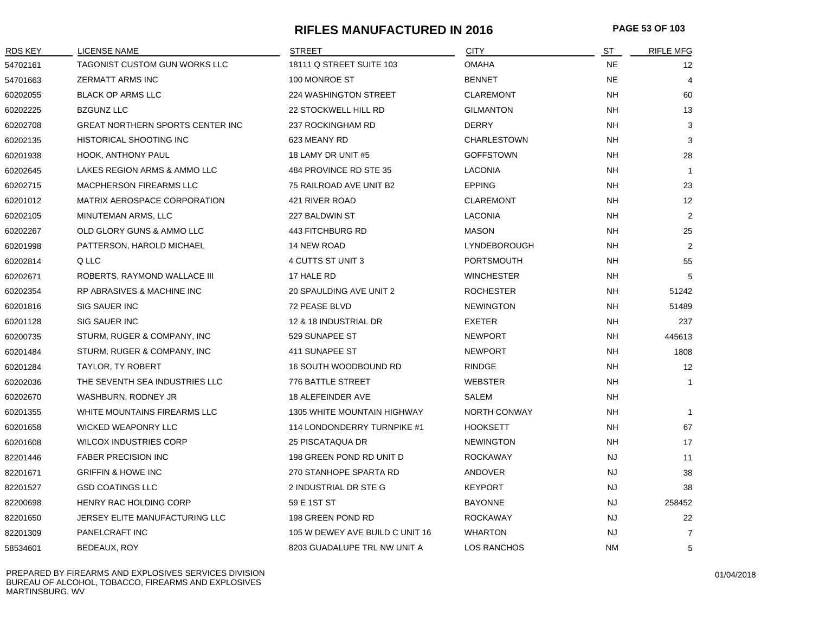# **RIFLES MANUFACTURED IN 2016 PAGE 53 OF 103**

| <b>RDS KEY</b> | <b>LICENSE NAME</b>                 | <b>STREET</b>                      | <b>CITY</b>         | ST        | <b>RIFLE MFG</b> |
|----------------|-------------------------------------|------------------------------------|---------------------|-----------|------------------|
| 54702161       | TAGONIST CUSTOM GUN WORKS LLC       | 18111 Q STREET SUITE 103           | <b>OMAHA</b>        | <b>NE</b> | 12               |
| 54701663       | <b>ZERMATT ARMS INC</b>             | 100 MONROE ST                      | <b>BENNET</b>       | <b>NE</b> | 4                |
| 60202055       | <b>BLACK OP ARMS LLC</b>            | 224 WASHINGTON STREET              | <b>CLAREMONT</b>    | <b>NH</b> | 60               |
| 60202225       | <b>BZGUNZ LLC</b>                   | 22 STOCKWELL HILL RD               | <b>GILMANTON</b>    | NΗ        | 13               |
| 60202708       | GREAT NORTHERN SPORTS CENTER INC    | 237 ROCKINGHAM RD                  | <b>DERRY</b>        | <b>NH</b> | 3                |
| 60202135       | HISTORICAL SHOOTING INC             | 623 MEANY RD                       | <b>CHARLESTOWN</b>  | NΗ        | 3                |
| 60201938       | HOOK, ANTHONY PAUL                  | 18 LAMY DR UNIT #5                 | <b>GOFFSTOWN</b>    | <b>NH</b> | 28               |
| 60202645       | LAKES REGION ARMS & AMMO LLC        | 484 PROVINCE RD STE 35             | <b>LACONIA</b>      | NH        | -1               |
| 60202715       | MACPHERSON FIREARMS LLC             | 75 RAILROAD AVE UNIT B2            | <b>EPPING</b>       | NΗ        | 23               |
| 60201012       | <b>MATRIX AEROSPACE CORPORATION</b> | 421 RIVER ROAD                     | <b>CLAREMONT</b>    | <b>NH</b> | 12               |
| 60202105       | MINUTEMAN ARMS, LLC                 | 227 BALDWIN ST                     | <b>LACONIA</b>      | NΗ        | $\overline{2}$   |
| 60202267       | OLD GLORY GUNS & AMMO LLC           | 443 FITCHBURG RD                   | <b>MASON</b>        | <b>NH</b> | 25               |
| 60201998       | PATTERSON, HAROLD MICHAEL           | 14 NEW ROAD                        | LYNDEBOROUGH        | NΗ        | $\overline{2}$   |
| 60202814       | Q LLC                               | 4 CUTTS ST UNIT 3                  | <b>PORTSMOUTH</b>   | NΗ        | 55               |
| 60202671       | ROBERTS, RAYMOND WALLACE III        | 17 HALE RD                         | <b>WINCHESTER</b>   | NH        | 5                |
| 60202354       | RP ABRASIVES & MACHINE INC          | 20 SPAULDING AVE UNIT 2            | <b>ROCHESTER</b>    | NΗ        | 51242            |
| 60201816       | SIG SAUER INC                       | 72 PEASE BLVD                      | <b>NEWINGTON</b>    | <b>NH</b> | 51489            |
| 60201128       | SIG SAUER INC                       | 12 & 18 INDUSTRIAL DR              | <b>EXETER</b>       | <b>NH</b> | 237              |
| 60200735       | STURM, RUGER & COMPANY, INC         | 529 SUNAPEE ST                     | <b>NEWPORT</b>      | NΗ        | 445613           |
| 60201484       | STURM, RUGER & COMPANY, INC         | 411 SUNAPEE ST                     | <b>NEWPORT</b>      | NΗ        | 1808             |
| 60201284       | TAYLOR, TY ROBERT                   | 16 SOUTH WOODBOUND RD              | <b>RINDGE</b>       | NΗ        | 12               |
| 60202036       | THE SEVENTH SEA INDUSTRIES LLC      | 776 BATTLE STREET                  | <b>WEBSTER</b>      | NΗ        | $\mathbf{1}$     |
| 60202670       | WASHBURN, RODNEY JR                 | 18 ALEFEINDER AVE                  | SALEM               | NΗ        |                  |
| 60201355       | WHITE MOUNTAINS FIREARMS LLC        | <b>1305 WHITE MOUNTAIN HIGHWAY</b> | <b>NORTH CONWAY</b> | <b>NH</b> | -1               |
| 60201658       | <b>WICKED WEAPONRY LLC</b>          | 114 LONDONDERRY TURNPIKE #1        | <b>HOOKSETT</b>     | <b>NH</b> | 67               |
| 60201608       | <b>WILCOX INDUSTRIES CORP</b>       | <b>25 PISCATAQUA DR</b>            | <b>NEWINGTON</b>    | <b>NH</b> | 17               |
| 82201446       | <b>FABER PRECISION INC</b>          | 198 GREEN POND RD UNIT D           | <b>ROCKAWAY</b>     | <b>NJ</b> | 11               |
| 82201671       | <b>GRIFFIN &amp; HOWE INC</b>       | 270 STANHOPE SPARTA RD             | ANDOVER             | NJ        | 38               |
| 82201527       | <b>GSD COATINGS LLC</b>             | 2 INDUSTRIAL DR STE G              | <b>KEYPORT</b>      | NJ        | 38               |
| 82200698       | HENRY RAC HOLDING CORP              | 59 E 1ST ST                        | <b>BAYONNE</b>      | NJ.       | 258452           |
| 82201650       | JERSEY ELITE MANUFACTURING LLC      | 198 GREEN POND RD                  | <b>ROCKAWAY</b>     | <b>NJ</b> | 22               |
| 82201309       | PANELCRAFT INC                      | 105 W DEWEY AVE BUILD C UNIT 16    | <b>WHARTON</b>      | <b>NJ</b> | $\overline{7}$   |
| 58534601       | BEDEAUX, ROY                        | 8203 GUADALUPE TRL NW UNIT A       | LOS RANCHOS         | <b>NM</b> | 5                |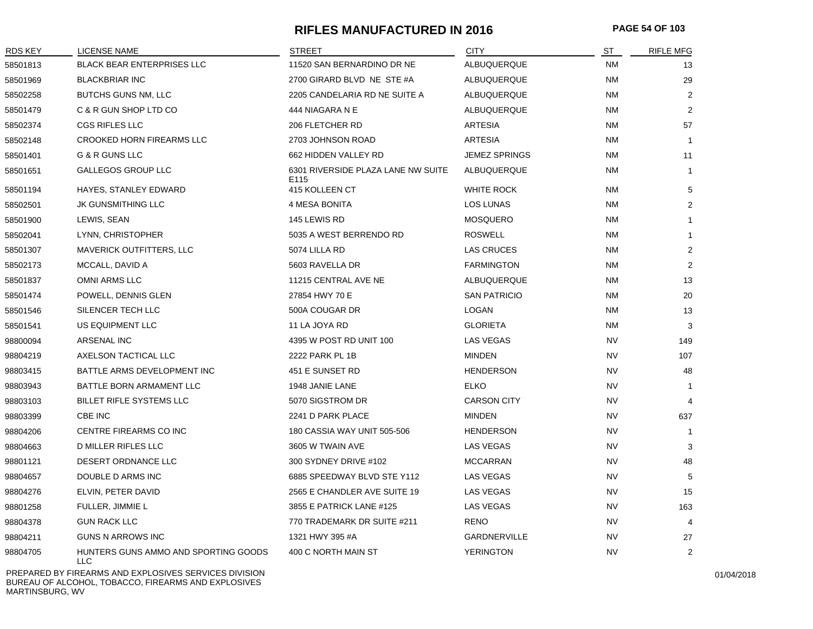#### **RIFLES MANUFACTURED IN 2016 PAGE 54 OF 103**

| <b>RDS KEY</b> | LICENSE NAME                                  | <b>STREET</b>                                          | <b>CITY</b>          | ST        | <b>RIFLE MFG</b> |
|----------------|-----------------------------------------------|--------------------------------------------------------|----------------------|-----------|------------------|
| 58501813       | <b>BLACK BEAR ENTERPRISES LLC</b>             | 11520 SAN BERNARDINO DR NE                             | ALBUQUERQUE          | <b>NM</b> | 13               |
| 58501969       | <b>BLACKBRIAR INC</b>                         | 2700 GIRARD BLVD NE STE #A                             | ALBUQUERQUE          | ΝM        | 29               |
| 58502258       | <b>BUTCHS GUNS NM, LLC</b>                    | 2205 CANDELARIA RD NE SUITE A                          | ALBUQUERQUE          | <b>NM</b> | 2                |
| 58501479       | C & R GUN SHOP LTD CO                         | 444 NIAGARA N E                                        | ALBUQUERQUE          | ΝM        | 2                |
| 58502374       | <b>CGS RIFLES LLC</b>                         | 206 FLETCHER RD                                        | <b>ARTESIA</b>       | <b>NM</b> | 57               |
| 58502148       | <b>CROOKED HORN FIREARMS LLC</b>              | 2703 JOHNSON ROAD                                      | <b>ARTESIA</b>       | ΝM        | $\overline{1}$   |
| 58501401       | G & R GUNS LLC                                | 662 HIDDEN VALLEY RD                                   | <b>JEMEZ SPRINGS</b> | <b>NM</b> | 11               |
| 58501651       | <b>GALLEGOS GROUP LLC</b>                     | 6301 RIVERSIDE PLAZA LANE NW SUITE<br>E <sub>115</sub> | <b>ALBUQUERQUE</b>   | ΝM        | $\mathbf{1}$     |
| 58501194       | HAYES, STANLEY EDWARD                         | 415 KOLLEEN CT                                         | <b>WHITE ROCK</b>    | <b>NM</b> | 5                |
| 58502501       | <b>JK GUNSMITHING LLC</b>                     | 4 MESA BONITA                                          | LOS LUNAS            | <b>NM</b> | $\overline{2}$   |
| 58501900       | LEWIS, SEAN                                   | 145 LEWIS RD                                           | <b>MOSQUERO</b>      | <b>NM</b> |                  |
| 58502041       | LYNN, CHRISTOPHER                             | 5035 A WEST BERRENDO RD                                | <b>ROSWELL</b>       | <b>NM</b> | $\mathbf{1}$     |
| 58501307       | <b>MAVERICK OUTFITTERS, LLC</b>               | 5074 LILLA RD                                          | LAS CRUCES           | ΝM        | $\overline{2}$   |
| 58502173       | MCCALL, DAVID A                               | 5603 RAVELLA DR                                        | <b>FARMINGTON</b>    | <b>NM</b> | $\overline{2}$   |
| 58501837       | OMNI ARMS LLC                                 | 11215 CENTRAL AVE NE                                   | ALBUQUERQUE          | ΝM        | 13               |
| 58501474       | POWELL, DENNIS GLEN                           | 27854 HWY 70 E                                         | <b>SAN PATRICIO</b>  | ΝM        | 20               |
| 58501546       | SILENCER TECH LLC                             | 500A COUGAR DR                                         | LOGAN                | ΝM        | 13               |
| 58501541       | US EQUIPMENT LLC                              | 11 LA JOYA RD                                          | <b>GLORIETA</b>      | <b>NM</b> | 3                |
| 98800094       | ARSENAL INC                                   | 4395 W POST RD UNIT 100                                | LAS VEGAS            | <b>NV</b> | 149              |
| 98804219       | AXELSON TACTICAL LLC                          | 2222 PARK PL 1B                                        | <b>MINDEN</b>        | <b>NV</b> | 107              |
| 98803415       | BATTLE ARMS DEVELOPMENT INC                   | 451 E SUNSET RD                                        | <b>HENDERSON</b>     | <b>NV</b> | 48               |
| 98803943       | BATTLE BORN ARMAMENT LLC                      | 1948 JANIE LANE                                        | <b>ELKO</b>          | <b>NV</b> | $\mathbf{1}$     |
| 98803103       | BILLET RIFLE SYSTEMS LLC                      | 5070 SIGSTROM DR                                       | <b>CARSON CITY</b>   | <b>NV</b> |                  |
| 98803399       | CBE INC                                       | 2241 D PARK PLACE                                      | <b>MINDEN</b>        | <b>NV</b> | 637              |
| 98804206       | CENTRE FIREARMS CO INC                        | 180 CASSIA WAY UNIT 505-506                            | <b>HENDERSON</b>     | NV        | $\overline{1}$   |
| 98804663       | <b>D MILLER RIFLES LLC</b>                    | 3605 W TWAIN AVE                                       | LAS VEGAS            | <b>NV</b> | 3                |
| 98801121       | DESERT ORDNANCE LLC                           | 300 SYDNEY DRIVE #102                                  | <b>MCCARRAN</b>      | <b>NV</b> | 48               |
| 98804657       | DOUBLE D ARMS INC                             | 6885 SPEEDWAY BLVD STE Y112                            | LAS VEGAS            | <b>NV</b> | 5                |
| 98804276       | ELVIN, PETER DAVID                            | 2565 E CHANDLER AVE SUITE 19                           | LAS VEGAS            | <b>NV</b> | 15               |
| 98801258       | FULLER, JIMMIE L                              | 3855 E PATRICK LANE #125                               | <b>LAS VEGAS</b>     | <b>NV</b> | 163              |
| 98804378       | <b>GUN RACK LLC</b>                           | 770 TRADEMARK DR SUITE #211                            | <b>RENO</b>          | <b>NV</b> | 4                |
| 98804211       | <b>GUNS N ARROWS INC</b>                      | 1321 HWY 395 #A                                        | <b>GARDNERVILLE</b>  | <b>NV</b> | 27               |
| 98804705       | HUNTERS GUNS AMMO AND SPORTING GOODS<br>LLC - | 400 C NORTH MAIN ST                                    | <b>YERINGTON</b>     | <b>NV</b> | $\overline{2}$   |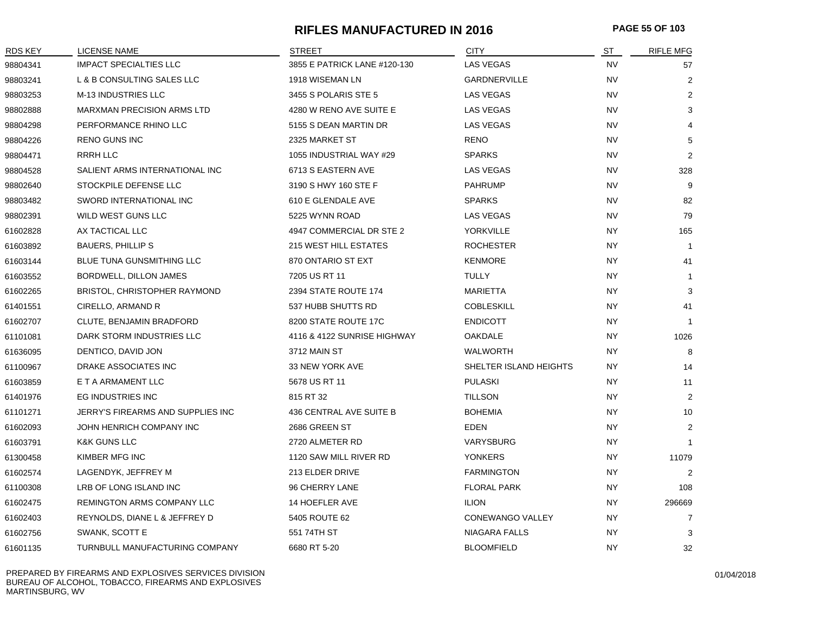# **RIFLES MANUFACTURED IN 2016 PAGE 55 OF 103**

| RDS KEY  | LICENSE NAME                      | STREET                       | <b>CITY</b>             | ST        | <b>RIFLE MFG</b> |
|----------|-----------------------------------|------------------------------|-------------------------|-----------|------------------|
| 98804341 | <b>IMPACT SPECIALTIES LLC</b>     | 3855 E PATRICK LANE #120-130 | <b>LAS VEGAS</b>        | <b>NV</b> | 57               |
| 98803241 | L & B CONSULTING SALES LLC        | 1918 WISEMAN LN              | <b>GARDNERVILLE</b>     | <b>NV</b> | 2                |
| 98803253 | M-13 INDUSTRIES LLC               | 3455 S POLARIS STE 5         | <b>LAS VEGAS</b>        | <b>NV</b> | $\overline{2}$   |
| 98802888 | <b>MARXMAN PRECISION ARMS LTD</b> | 4280 W RENO AVE SUITE E      | LAS VEGAS               | <b>NV</b> | 3                |
| 98804298 | PERFORMANCE RHINO LLC             | 5155 S DEAN MARTIN DR        | <b>LAS VEGAS</b>        | <b>NV</b> | 4                |
| 98804226 | <b>RENO GUNS INC</b>              | 2325 MARKET ST               | <b>RENO</b>             | <b>NV</b> | 5                |
| 98804471 | <b>RRRH LLC</b>                   | 1055 INDUSTRIAL WAY #29      | <b>SPARKS</b>           | <b>NV</b> | 2                |
| 98804528 | SALIENT ARMS INTERNATIONAL INC    | 6713 S EASTERN AVE           | <b>LAS VEGAS</b>        | <b>NV</b> | 328              |
| 98802640 | STOCKPILE DEFENSE LLC             | 3190 S HWY 160 STE F         | <b>PAHRUMP</b>          | <b>NV</b> | 9                |
| 98803482 | SWORD INTERNATIONAL INC           | 610 E GLENDALE AVE           | <b>SPARKS</b>           | <b>NV</b> | 82               |
| 98802391 | WILD WEST GUNS LLC                | 5225 WYNN ROAD               | LAS VEGAS               | <b>NV</b> | 79               |
| 61602828 | AX TACTICAL LLC                   | 4947 COMMERCIAL DR STE 2     | YORKVILLE               | <b>NY</b> | 165              |
| 61603892 | <b>BAUERS, PHILLIPS</b>           | <b>215 WEST HILL ESTATES</b> | <b>ROCHESTER</b>        | <b>NY</b> | $\overline{1}$   |
| 61603144 | BLUE TUNA GUNSMITHING LLC         | 870 ONTARIO ST EXT           | <b>KENMORE</b>          | <b>NY</b> | 41               |
| 61603552 | BORDWELL, DILLON JAMES            | 7205 US RT 11                | TULLY                   | <b>NY</b> | $\overline{1}$   |
| 61602265 | BRISTOL, CHRISTOPHER RAYMOND      | 2394 STATE ROUTE 174         | <b>MARIETTA</b>         | NY.       | 3                |
| 61401551 | CIRELLO, ARMAND R                 | 537 HUBB SHUTTS RD           | <b>COBLESKILL</b>       | <b>NY</b> | 41               |
| 61602707 | CLUTE, BENJAMIN BRADFORD          | 8200 STATE ROUTE 17C         | <b>ENDICOTT</b>         | <b>NY</b> | -1               |
| 61101081 | DARK STORM INDUSTRIES LLC         | 4116 & 4122 SUNRISE HIGHWAY  | <b>OAKDALE</b>          | ΝY        | 1026             |
| 61636095 | DENTICO, DAVID JON                | 3712 MAIN ST                 | <b>WALWORTH</b>         | NY.       | 8                |
| 61100967 | DRAKE ASSOCIATES INC              | 33 NEW YORK AVE              | SHELTER ISLAND HEIGHTS  | NY.       | 14               |
| 61603859 | E T A ARMAMENT LLC                | 5678 US RT 11                | <b>PULASKI</b>          | NY.       | 11               |
| 61401976 | EG INDUSTRIES INC                 | 815 RT 32                    | <b>TILLSON</b>          | NY.       | $\overline{2}$   |
| 61101271 | JERRY'S FIREARMS AND SUPPLIES INC | 436 CENTRAL AVE SUITE B      | <b>BOHEMIA</b>          | <b>NY</b> | 10               |
| 61602093 | JOHN HENRICH COMPANY INC          | 2686 GREEN ST                | <b>EDEN</b>             | <b>NY</b> | 2                |
| 61603791 | <b>K&amp;K GUNS LLC</b>           | 2720 ALMETER RD              | VARYSBURG               | <b>NY</b> | $\overline{1}$   |
| 61300458 | KIMBER MFG INC                    | 1120 SAW MILL RIVER RD       | <b>YONKERS</b>          | <b>NY</b> | 11079            |
| 61602574 | LAGENDYK, JEFFREY M               | 213 ELDER DRIVE              | <b>FARMINGTON</b>       | <b>NY</b> | $\overline{2}$   |
| 61100308 | LRB OF LONG ISLAND INC            | 96 CHERRY LANE               | <b>FLORAL PARK</b>      | <b>NY</b> | 108              |
| 61602475 | REMINGTON ARMS COMPANY LLC        | 14 HOEFLER AVE               | <b>ILION</b>            | NY.       | 296669           |
| 61602403 | REYNOLDS, DIANE L & JEFFREY D     | 5405 ROUTE 62                | <b>CONEWANGO VALLEY</b> | NY.       | $\overline{7}$   |
| 61602756 | SWANK, SCOTT E                    | 551 74TH ST                  | <b>NIAGARA FALLS</b>    | NY.       | 3                |
| 61601135 | TURNBULL MANUFACTURING COMPANY    | 6680 RT 5-20                 | <b>BLOOMFIELD</b>       | <b>NY</b> | 32               |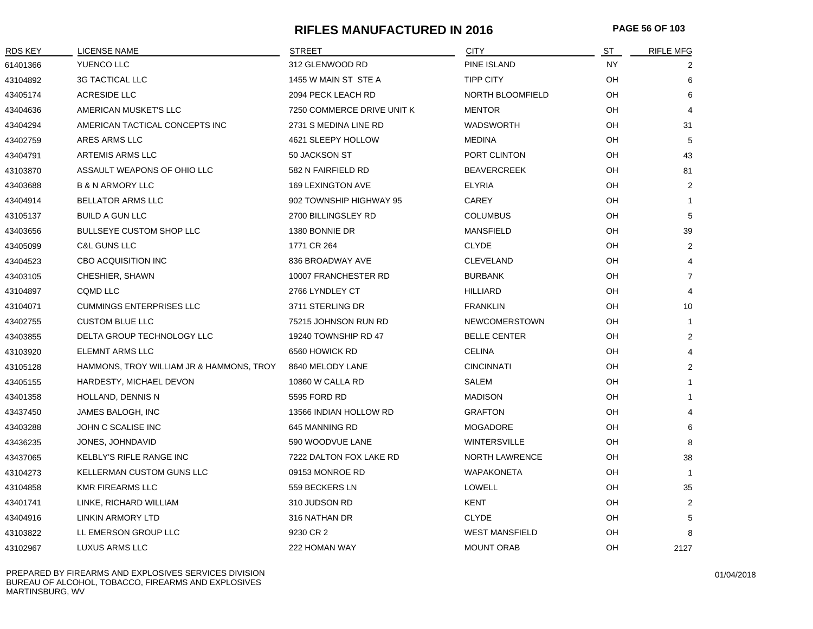# **RIFLES MANUFACTURED IN 2016 PAGE 56 OF 103**

| <b>RDS KEY</b> | <b>LICENSE NAME</b>                      | <b>STREET</b>              | <b>CITY</b>           | ST        | <b>RIFLE MFG</b> |
|----------------|------------------------------------------|----------------------------|-----------------------|-----------|------------------|
| 61401366       | YUENCO LLC                               | 312 GLENWOOD RD            | PINE ISLAND           | <b>NY</b> | 2                |
| 43104892       | <b>3G TACTICAL LLC</b>                   | 1455 W MAIN ST STE A       | <b>TIPP CITY</b>      | OH        | 6                |
| 43405174       | ACRESIDE LLC                             | 2094 PECK LEACH RD         | NORTH BLOOMFIELD      | OH        | 6                |
| 43404636       | AMERICAN MUSKET'S LLC                    | 7250 COMMERCE DRIVE UNIT K | <b>MENTOR</b>         | OH        | $\overline{4}$   |
| 43404294       | AMERICAN TACTICAL CONCEPTS INC           | 2731 S MEDINA LINE RD      | <b>WADSWORTH</b>      | OH        | 31               |
| 43402759       | ARES ARMS LLC                            | 4621 SLEEPY HOLLOW         | <b>MEDINA</b>         | OH        | 5                |
| 43404791       | ARTEMIS ARMS LLC                         | 50 JACKSON ST              | PORT CLINTON          | OH        | 43               |
| 43103870       | ASSAULT WEAPONS OF OHIO LLC              | 582 N FAIRFIELD RD         | <b>BEAVERCREEK</b>    | OH        | 81               |
| 43403688       | <b>B &amp; N ARMORY LLC</b>              | 169 LEXINGTON AVE          | <b>ELYRIA</b>         | OH        | 2                |
| 43404914       | <b>BELLATOR ARMS LLC</b>                 | 902 TOWNSHIP HIGHWAY 95    | <b>CAREY</b>          | OH        | $\mathbf 1$      |
| 43105137       | <b>BUILD A GUN LLC</b>                   | 2700 BILLINGSLEY RD        | <b>COLUMBUS</b>       | OH        | 5                |
| 43403656       | <b>BULLSEYE CUSTOM SHOP LLC</b>          | 1380 BONNIE DR             | <b>MANSFIELD</b>      | OH        | 39               |
| 43405099       | <b>C&amp;L GUNS LLC</b>                  | 1771 CR 264                | <b>CLYDE</b>          | OH        | $\overline{2}$   |
| 43404523       | <b>CBO ACQUISITION INC</b>               | 836 BROADWAY AVE           | <b>CLEVELAND</b>      | OH        | $\overline{4}$   |
| 43403105       | CHESHIER, SHAWN                          | 10007 FRANCHESTER RD       | <b>BURBANK</b>        | OH        | $\overline{7}$   |
| 43104897       | <b>CQMD LLC</b>                          | 2766 LYNDLEY CT            | <b>HILLIARD</b>       | OH        | 4                |
| 43104071       | <b>CUMMINGS ENTERPRISES LLC</b>          | 3711 STERLING DR           | <b>FRANKLIN</b>       | OH        | 10               |
| 43402755       | <b>CUSTOM BLUE LLC</b>                   | 75215 JOHNSON RUN RD       | <b>NEWCOMERSTOWN</b>  | OH        | $\mathbf 1$      |
| 43403855       | DELTA GROUP TECHNOLOGY LLC               | 19240 TOWNSHIP RD 47       | <b>BELLE CENTER</b>   | OH        | 2                |
| 43103920       | <b>ELEMNT ARMS LLC</b>                   | 6560 HOWICK RD             | <b>CELINA</b>         | OH        | $\overline{4}$   |
| 43105128       | HAMMONS, TROY WILLIAM JR & HAMMONS, TROY | 8640 MELODY LANE           | <b>CINCINNATI</b>     | OH        | $\overline{2}$   |
| 43405155       | HARDESTY, MICHAEL DEVON                  | 10860 W CALLA RD           | <b>SALEM</b>          | OH        | $\mathbf{1}$     |
| 43401358       | HOLLAND, DENNIS N                        | 5595 FORD RD               | <b>MADISON</b>        | OH        | $\mathbf 1$      |
| 43437450       | JAMES BALOGH, INC                        | 13566 INDIAN HOLLOW RD     | <b>GRAFTON</b>        | OH        | $\overline{4}$   |
| 43403288       | JOHN C SCALISE INC                       | 645 MANNING RD             | <b>MOGADORE</b>       | OH        | 6                |
| 43436235       | JONES, JOHNDAVID                         | 590 WOODVUE LANE           | <b>WINTERSVILLE</b>   | OH        | 8                |
| 43437065       | <b>KELBLY'S RIFLE RANGE INC</b>          | 7222 DALTON FOX LAKE RD    | <b>NORTH LAWRENCE</b> | OH        | 38               |
| 43104273       | <b>KELLERMAN CUSTOM GUNS LLC</b>         | 09153 MONROE RD            | <b>WAPAKONETA</b>     | OH        | $\mathbf 1$      |
| 43104858       | <b>KMR FIREARMS LLC</b>                  | 559 BECKERS LN             | LOWELL                | OH        | 35               |
| 43401741       | LINKE, RICHARD WILLIAM                   | 310 JUDSON RD              | <b>KENT</b>           | OH        | $\overline{2}$   |
| 43404916       | LINKIN ARMORY LTD                        | 316 NATHAN DR              | <b>CLYDE</b>          | OH        | 5                |
| 43103822       | LL EMERSON GROUP LLC                     | 9230 CR 2                  | <b>WEST MANSFIELD</b> | OН        | 8                |
| 43102967       | LUXUS ARMS LLC                           | 222 HOMAN WAY              | <b>MOUNT ORAB</b>     | OH        | 2127             |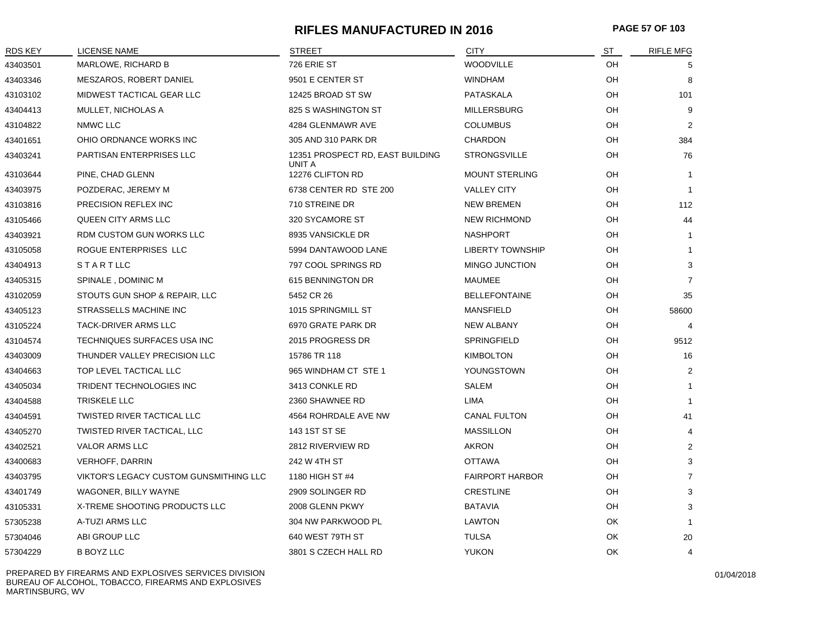#### **RIFLES MANUFACTURED IN 2016 PAGE 57 OF 103**

| <b>RDS KEY</b> | <b>LICENSE NAME</b>                    | <b>STREET</b>                              | <b>CITY</b>             | ST        | <b>RIFLE MFG</b> |
|----------------|----------------------------------------|--------------------------------------------|-------------------------|-----------|------------------|
| 43403501       | MARLOWE, RICHARD B                     | 726 ERIE ST                                | <b>WOODVILLE</b>        | OH        | 5                |
| 43403346       | MESZAROS, ROBERT DANIEL                | 9501 E CENTER ST                           | WINDHAM                 | OH        | 8                |
| 43103102       | MIDWEST TACTICAL GEAR LLC              | 12425 BROAD ST SW                          | PATASKALA               | OH        | 101              |
| 43404413       | MULLET, NICHOLAS A                     | 825 S WASHINGTON ST                        | <b>MILLERSBURG</b>      | OH        | 9                |
| 43104822       | NMWC LLC                               | 4284 GLENMAWR AVE                          | <b>COLUMBUS</b>         | OH        | 2                |
| 43401651       | OHIO ORDNANCE WORKS INC                | 305 AND 310 PARK DR                        | <b>CHARDON</b>          | OH        | 384              |
| 43403241       | PARTISAN ENTERPRISES LLC               | 12351 PROSPECT RD, EAST BUILDING<br>UNIT A | <b>STRONGSVILLE</b>     | OH        | 76               |
| 43103644       | PINE, CHAD GLENN                       | 12276 CLIFTON RD                           | <b>MOUNT STERLING</b>   | OH.       | $\mathbf{1}$     |
| 43403975       | POZDERAC, JEREMY M                     | 6738 CENTER RD STE 200                     | <b>VALLEY CITY</b>      | OН        | $\mathbf{1}$     |
| 43103816       | PRECISION REFLEX INC                   | 710 STREINE DR                             | <b>NEW BREMEN</b>       | OH        | 112              |
| 43105466       | QUEEN CITY ARMS LLC                    | 320 SYCAMORE ST                            | <b>NEW RICHMOND</b>     | OH        | 44               |
| 43403921       | RDM CUSTOM GUN WORKS LLC               | 8935 VANSICKLE DR                          | <b>NASHPORT</b>         | OH        | $\mathbf{1}$     |
| 43105058       | ROGUE ENTERPRISES LLC                  | 5994 DANTAWOOD LANE                        | <b>LIBERTY TOWNSHIP</b> | OH        | $\mathbf{1}$     |
| 43404913       | <b>STARTLLC</b>                        | 797 COOL SPRINGS RD                        | <b>MINGO JUNCTION</b>   | OH        | 3                |
| 43405315       | SPINALE, DOMINIC M                     | 615 BENNINGTON DR                          | <b>MAUMEE</b>           | OH        | $\overline{7}$   |
| 43102059       | STOUTS GUN SHOP & REPAIR, LLC          | 5452 CR 26                                 | <b>BELLEFONTAINE</b>    | OH        | 35               |
| 43405123       | STRASSELLS MACHINE INC                 | 1015 SPRINGMILL ST                         | MANSFIELD               | OH        | 58600            |
| 43105224       | TACK-DRIVER ARMS LLC                   | 6970 GRATE PARK DR                         | NEW ALBANY              | OH        | $\overline{4}$   |
| 43104574       | TECHNIQUES SURFACES USA INC            | 2015 PROGRESS DR                           | <b>SPRINGFIELD</b>      | OH        | 9512             |
| 43403009       | THUNDER VALLEY PRECISION LLC           | 15786 TR 118                               | <b>KIMBOLTON</b>        | OH        | 16               |
| 43404663       | TOP LEVEL TACTICAL LLC                 | 965 WINDHAM CT STE 1                       | YOUNGSTOWN              | OH        | 2                |
| 43405034       | TRIDENT TECHNOLOGIES INC               | 3413 CONKLE RD                             | SALEM                   | OH        | $\mathbf{1}$     |
| 43404588       | TRISKELE LLC                           | 2360 SHAWNEE RD                            | LIMA                    | OH        | $\mathbf{1}$     |
| 43404591       | TWISTED RIVER TACTICAL LLC             | 4564 ROHRDALE AVE NW                       | <b>CANAL FULTON</b>     | OH        | 41               |
| 43405270       | TWISTED RIVER TACTICAL, LLC            | 143 1ST ST SE                              | <b>MASSILLON</b>        | OH        | $\overline{4}$   |
| 43402521       | <b>VALOR ARMS LLC</b>                  | 2812 RIVERVIEW RD                          | <b>AKRON</b>            | OH        | 2                |
| 43400683       | <b>VERHOFF, DARRIN</b>                 | 242 W 4TH ST                               | <b>OTTAWA</b>           | OH        | 3                |
| 43403795       | VIKTOR'S LEGACY CUSTOM GUNSMITHING LLC | 1180 HIGH ST #4                            | <b>FAIRPORT HARBOR</b>  | OH        | $\overline{7}$   |
| 43401749       | WAGONER, BILLY WAYNE                   | 2909 SOLINGER RD                           | <b>CRESTLINE</b>        | OH        | 3                |
| 43105331       | X-TREME SHOOTING PRODUCTS LLC          | 2008 GLENN PKWY                            | <b>BATAVIA</b>          | OH        | 3                |
| 57305238       | A-TUZI ARMS LLC                        | 304 NW PARKWOOD PL                         | LAWTON                  | OK        | $\mathbf{1}$     |
| 57304046       | ABI GROUP LLC                          | 640 WEST 79TH ST                           | <b>TULSA</b>            | OK        | 20               |
| 57304229       | <b>B BOYZ LLC</b>                      | 3801 S CZECH HALL RD                       | <b>YUKON</b>            | <b>OK</b> | 4                |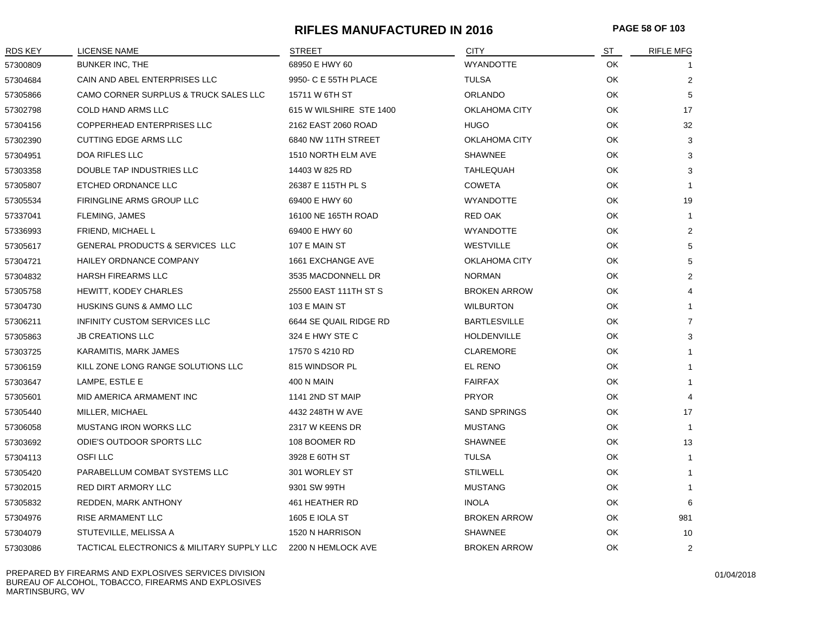#### **RIFLES MANUFACTURED IN 2016 PAGE 58 OF 103**

| RDS KEY  | LICENSE NAME                               | STREET                  | <b>CITY</b>          | ST        | <b>RIFLE MFG</b> |
|----------|--------------------------------------------|-------------------------|----------------------|-----------|------------------|
| 57300809 | BUNKER INC, THE                            | 68950 E HWY 60          | <b>WYANDOTTE</b>     | OK        | -1               |
| 57304684 | CAIN AND ABEL ENTERPRISES LLC              | 9950- C E 55TH PLACE    | <b>TULSA</b>         | OK        | $\boldsymbol{2}$ |
| 57305866 | CAMO CORNER SURPLUS & TRUCK SALES LLC      | 15711 W 6TH ST          | <b>ORLANDO</b>       | OK        | 5                |
| 57302798 | COLD HAND ARMS LLC                         | 615 W WILSHIRE STE 1400 | <b>OKLAHOMA CITY</b> | OK        | 17               |
| 57304156 | COPPERHEAD ENTERPRISES LLC                 | 2162 EAST 2060 ROAD     | <b>HUGO</b>          | OK        | 32               |
| 57302390 | <b>CUTTING EDGE ARMS LLC</b>               | 6840 NW 11TH STREET     | <b>OKLAHOMA CITY</b> | OK        | 3                |
| 57304951 | DOA RIFLES LLC                             | 1510 NORTH ELM AVE      | <b>SHAWNEE</b>       | OK        | 3                |
| 57303358 | DOUBLE TAP INDUSTRIES LLC                  | 14403 W 825 RD          | <b>TAHLEQUAH</b>     | OK        | 3                |
| 57305807 | ETCHED ORDNANCE LLC                        | 26387 E 115TH PL S      | <b>COWETA</b>        | OK        |                  |
| 57305534 | FIRINGLINE ARMS GROUP LLC                  | 69400 E HWY 60          | <b>WYANDOTTE</b>     | OK        | 19               |
| 57337041 | FLEMING, JAMES                             | 16100 NE 165TH ROAD     | <b>RED OAK</b>       | OK        | $\mathbf{1}$     |
| 57336993 | <b>FRIEND, MICHAEL L</b>                   | 69400 E HWY 60          | <b>WYANDOTTE</b>     | OK        | $\overline{2}$   |
| 57305617 | GENERAL PRODUCTS & SERVICES LLC            | 107 E MAIN ST           | <b>WESTVILLE</b>     | OK        | 5                |
| 57304721 | HAILEY ORDNANCE COMPANY                    | 1661 EXCHANGE AVE       | <b>OKLAHOMA CITY</b> | OK        | 5                |
| 57304832 | <b>HARSH FIREARMS LLC</b>                  | 3535 MACDONNELL DR      | <b>NORMAN</b>        | OK        | $\overline{2}$   |
| 57305758 | <b>HEWITT, KODEY CHARLES</b>               | 25500 EAST 111TH ST S   | <b>BROKEN ARROW</b>  | OK        |                  |
| 57304730 | HUSKINS GUNS & AMMO LLC                    | 103 E MAIN ST           | <b>WILBURTON</b>     | OK.       |                  |
| 57306211 | INFINITY CUSTOM SERVICES LLC               | 6644 SE QUAIL RIDGE RD  | <b>BARTLESVILLE</b>  | OK        | 7                |
| 57305863 | <b>JB CREATIONS LLC</b>                    | 324 E HWY STE C         | <b>HOLDENVILLE</b>   | OK        | 3                |
| 57303725 | KARAMITIS, MARK JAMES                      | 17570 S 4210 RD         | <b>CLAREMORE</b>     | OK        |                  |
| 57306159 | KILL ZONE LONG RANGE SOLUTIONS LLC         | 815 WINDSOR PL          | EL RENO              | OK        |                  |
| 57303647 | LAMPE, ESTLE E                             | 400 N MAIN              | <b>FAIRFAX</b>       | OK        |                  |
| 57305601 | MID AMERICA ARMAMENT INC                   | 1141 2ND ST MAIP        | <b>PRYOR</b>         | OK        | 4                |
| 57305440 | MILLER, MICHAEL                            | 4432 248TH W AVE        | <b>SAND SPRINGS</b>  | OK        | 17               |
| 57306058 | <b>MUSTANG IRON WORKS LLC</b>              | 2317 W KEENS DR         | <b>MUSTANG</b>       | OK        | $\mathbf{1}$     |
| 57303692 | ODIE'S OUTDOOR SPORTS LLC                  | 108 BOOMER RD           | <b>SHAWNEE</b>       | OK        | 13               |
| 57304113 | <b>OSFILLC</b>                             | 3928 E 60TH ST          | <b>TULSA</b>         | OK        | $\mathbf{1}$     |
| 57305420 | PARABELLUM COMBAT SYSTEMS LLC              | 301 WORLEY ST           | <b>STILWELL</b>      | OK        | $\mathbf{1}$     |
| 57302015 | RED DIRT ARMORY LLC                        | 9301 SW 99TH            | <b>MUSTANG</b>       | OK        | 1                |
| 57305832 | REDDEN, MARK ANTHONY                       | 461 HEATHER RD          | <b>INOLA</b>         | <b>OK</b> | 6                |
| 57304976 | <b>RISE ARMAMENT LLC</b>                   | <b>1605 E IOLA ST</b>   | <b>BROKEN ARROW</b>  | OK        | 981              |
| 57304079 | STUTEVILLE, MELISSA A                      | 1520 N HARRISON         | <b>SHAWNEE</b>       | OK        | 10               |
| 57303086 | TACTICAL ELECTRONICS & MILITARY SUPPLY LLC | 2200 N HEMLOCK AVE      | <b>BROKEN ARROW</b>  | OK        | 2                |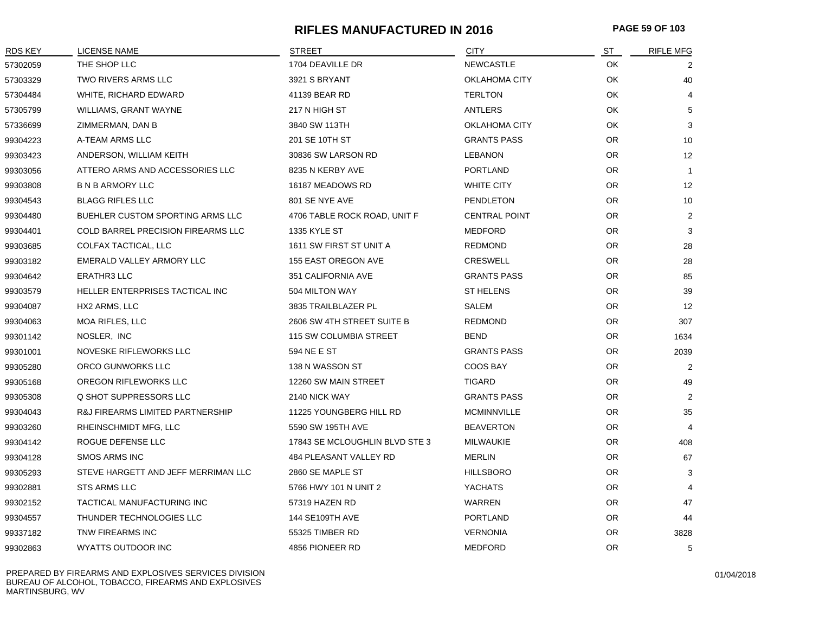#### **RIFLES MANUFACTURED IN 2016 PAGE 59 OF 103**

| <b>RDS KEY</b> | <b>LICENSE NAME</b>                     | STREET                         | <b>CITY</b>          | ST        | <b>RIFLE MFG</b> |
|----------------|-----------------------------------------|--------------------------------|----------------------|-----------|------------------|
| 57302059       | THE SHOP LLC                            | 1704 DEAVILLE DR               | <b>NEWCASTLE</b>     | OK        | 2                |
| 57303329       | TWO RIVERS ARMS LLC                     | 3921 S BRYANT                  | <b>OKLAHOMA CITY</b> | OK        | 40               |
| 57304484       | WHITE, RICHARD EDWARD                   | 41139 BEAR RD                  | <b>TERLTON</b>       | OK        | 4                |
| 57305799       | WILLIAMS, GRANT WAYNE                   | 217 N HIGH ST                  | ANTLERS              | OK        | 5                |
| 57336699       | ZIMMERMAN, DAN B                        | 3840 SW 113TH                  | OKLAHOMA CITY        | OK        | 3                |
| 99304223       | A-TEAM ARMS LLC                         | 201 SE 10TH ST                 | <b>GRANTS PASS</b>   | OR.       | 10               |
| 99303423       | ANDERSON, WILLIAM KEITH                 | 30836 SW LARSON RD             | <b>LEBANON</b>       | <b>OR</b> | 12               |
| 99303056       | ATTERO ARMS AND ACCESSORIES LLC         | 8235 N KERBY AVE               | <b>PORTLAND</b>      | OR.       | $\overline{1}$   |
| 99303808       | <b>B N B ARMORY LLC</b>                 | 16187 MEADOWS RD               | <b>WHITE CITY</b>    | OR.       | 12               |
| 99304543       | <b>BLAGG RIFLES LLC</b>                 | 801 SE NYE AVE                 | PENDLETON            | OR.       | 10               |
| 99304480       | <b>BUEHLER CUSTOM SPORTING ARMS LLC</b> | 4706 TABLE ROCK ROAD, UNIT F   | <b>CENTRAL POINT</b> | OR.       | $\overline{2}$   |
| 99304401       | COLD BARREL PRECISION FIREARMS LLC      | 1335 KYLE ST                   | <b>MEDFORD</b>       | <b>OR</b> | 3                |
| 99303685       | COLFAX TACTICAL, LLC                    | 1611 SW FIRST ST UNIT A        | <b>REDMOND</b>       | OR.       | 28               |
| 99303182       | EMERALD VALLEY ARMORY LLC               | 155 EAST OREGON AVE            | <b>CRESWELL</b>      | OR.       | 28               |
| 99304642       | ERATHR3 LLC                             | 351 CALIFORNIA AVE             | <b>GRANTS PASS</b>   | OR.       | 85               |
| 99303579       | HELLER ENTERPRISES TACTICAL INC         | 504 MILTON WAY                 | ST HELENS            | OR.       | 39               |
| 99304087       | HX2 ARMS, LLC                           | 3835 TRAILBLAZER PL            | SALEM                | <b>OR</b> | 12               |
| 99304063       | <b>MOA RIFLES, LLC</b>                  | 2606 SW 4TH STREET SUITE B     | <b>REDMOND</b>       | OR.       | 307              |
| 99301142       | NOSLER, INC                             | 115 SW COLUMBIA STREET         | BEND                 | OR.       | 1634             |
| 99301001       | NOVESKE RIFLEWORKS LLC                  | 594 NE E ST                    | <b>GRANTS PASS</b>   | OR.       | 2039             |
| 99305280       | ORCO GUNWORKS LLC                       | 138 N WASSON ST                | COOS BAY             | OR.       | 2                |
| 99305168       | OREGON RIFLEWORKS LLC                   | 12260 SW MAIN STREET           | <b>TIGARD</b>        | OR.       | 49               |
| 99305308       | Q SHOT SUPPRESSORS LLC                  | 2140 NICK WAY                  | <b>GRANTS PASS</b>   | OR.       | $\overline{2}$   |
| 99304043       | R&J FIREARMS LIMITED PARTNERSHIP        | 11225 YOUNGBERG HILL RD        | <b>MCMINNVILLE</b>   | OR.       | 35               |
| 99303260       | RHEINSCHMIDT MFG, LLC                   | 5590 SW 195TH AVE              | <b>BEAVERTON</b>     | OR.       | $\overline{4}$   |
| 99304142       | ROGUE DEFENSE LLC                       | 17843 SE MCLOUGHLIN BLVD STE 3 | <b>MILWAUKIE</b>     | <b>OR</b> | 408              |
| 99304128       | <b>SMOS ARMS INC</b>                    | 484 PLEASANT VALLEY RD         | <b>MERLIN</b>        | OR.       | 67               |
| 99305293       | STEVE HARGETT AND JEFF MERRIMAN LLC     | 2860 SE MAPLE ST               | <b>HILLSBORO</b>     | OR.       | 3                |
| 99302881       | STS ARMS LLC                            | 5766 HWY 101 N UNIT 2          | <b>YACHATS</b>       | OR.       | 4                |
| 99302152       | TACTICAL MANUFACTURING INC              | 57319 HAZEN RD                 | WARREN               | OR.       | 47               |
| 99304557       | THUNDER TECHNOLOGIES LLC                | 144 SE109TH AVE                | <b>PORTLAND</b>      | <b>OR</b> | 44               |
| 99337182       | TNW FIREARMS INC                        | 55325 TIMBER RD                | <b>VERNONIA</b>      | OR.       | 3828             |
| 99302863       | <b>WYATTS OUTDOOR INC</b>               | 4856 PIONEER RD                | <b>MEDFORD</b>       | 0R        | 5                |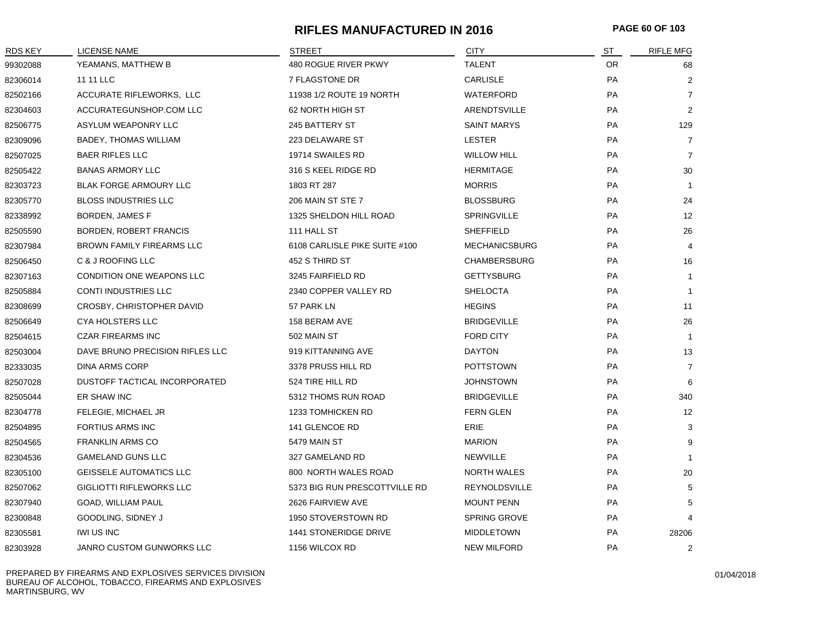# **RIFLES MANUFACTURED IN 2016 PAGE 60 OF 103**

| <b>RDS KEY</b> | LICENSE NAME                     | STREET                        | <b>CITY</b>          | S <sub>T</sub> | <b>RIFLE MFG</b> |
|----------------|----------------------------------|-------------------------------|----------------------|----------------|------------------|
| 99302088       | YEAMANS, MATTHEW B               | 480 ROGUE RIVER PKWY          | <b>TALENT</b>        | OR.            | 68               |
| 82306014       | 11 11 LLC                        | 7 FLAGSTONE DR                | <b>CARLISLE</b>      | PA             | $\overline{2}$   |
| 82502166       | ACCURATE RIFLEWORKS, LLC         | 11938 1/2 ROUTE 19 NORTH      | <b>WATERFORD</b>     | PA             | $\overline{7}$   |
| 82304603       | ACCURATEGUNSHOP.COM LLC          | 62 NORTH HIGH ST              | ARENDTSVILLE         | PA             | $\overline{2}$   |
| 82506775       | ASYLUM WEAPONRY LLC              | 245 BATTERY ST                | <b>SAINT MARYS</b>   | PA             | 129              |
| 82309096       | <b>BADEY, THOMAS WILLIAM</b>     | 223 DELAWARE ST               | <b>LESTER</b>        | PA             | $\overline{7}$   |
| 82507025       | <b>BAER RIFLES LLC</b>           | 19714 SWAILES RD              | <b>WILLOW HILL</b>   | PA             | $\overline{7}$   |
| 82505422       | <b>BANAS ARMORY LLC</b>          | 316 S KEEL RIDGE RD           | <b>HERMITAGE</b>     | PA             | 30               |
| 82303723       | <b>BLAK FORGE ARMOURY LLC</b>    | 1803 RT 287                   | <b>MORRIS</b>        | PA             | $\mathbf{1}$     |
| 82305770       | <b>BLOSS INDUSTRIES LLC</b>      | 206 MAIN ST STE 7             | <b>BLOSSBURG</b>     | PA             | 24               |
| 82338992       | <b>BORDEN, JAMES F</b>           | 1325 SHELDON HILL ROAD        | <b>SPRINGVILLE</b>   | PA             | 12 <sup>2</sup>  |
| 82505590       | <b>BORDEN, ROBERT FRANCIS</b>    | 111 HALL ST                   | <b>SHEFFIELD</b>     | PA             | 26               |
| 82307984       | <b>BROWN FAMILY FIREARMS LLC</b> | 6108 CARLISLE PIKE SUITE #100 | <b>MECHANICSBURG</b> | PA             | 4                |
| 82506450       | C & J ROOFING LLC                | 452 S THIRD ST                | <b>CHAMBERSBURG</b>  | PA             | 16               |
| 82307163       | CONDITION ONE WEAPONS LLC        | 3245 FAIRFIELD RD             | <b>GETTYSBURG</b>    | PA             | $\mathbf{1}$     |
| 82505884       | <b>CONTI INDUSTRIES LLC</b>      | 2340 COPPER VALLEY RD         | <b>SHELOCTA</b>      | PA             | $\mathbf{1}$     |
| 82308699       | CROSBY, CHRISTOPHER DAVID        | 57 PARK LN                    | <b>HEGINS</b>        | PA             | 11               |
| 82506649       | <b>CYA HOLSTERS LLC</b>          | 158 BERAM AVE                 | <b>BRIDGEVILLE</b>   | PA             | 26               |
| 82504615       | <b>CZAR FIREARMS INC</b>         | 502 MAIN ST                   | <b>FORD CITY</b>     | PA             | $\mathbf{1}$     |
| 82503004       | DAVE BRUNO PRECISION RIFLES LLC  | 919 KITTANNING AVE            | <b>DAYTON</b>        | PA             | 13               |
| 82333035       | <b>DINA ARMS CORP</b>            | 3378 PRUSS HILL RD            | <b>POTTSTOWN</b>     | PA             | $\overline{7}$   |
| 82507028       | DUSTOFF TACTICAL INCORPORATED    | 524 TIRE HILL RD              | <b>JOHNSTOWN</b>     | PA             | 6                |
| 82505044       | ER SHAW INC                      | 5312 THOMS RUN ROAD           | <b>BRIDGEVILLE</b>   | PA             | 340              |
| 82304778       | FELEGIE, MICHAEL JR              | 1233 TOMHICKEN RD             | <b>FERN GLEN</b>     | PA             | 12               |
| 82504895       | <b>FORTIUS ARMS INC</b>          | 141 GLENCOE RD                | <b>ERIE</b>          | <b>PA</b>      | 3                |
| 82504565       | <b>FRANKLIN ARMS CO</b>          | 5479 MAIN ST                  | <b>MARION</b>        | PA             | 9                |
| 82304536       | <b>GAMELAND GUNS LLC</b>         | 327 GAMELAND RD               | <b>NEWVILLE</b>      | PA             | $\mathbf{1}$     |
| 82305100       | <b>GEISSELE AUTOMATICS LLC</b>   | 800 NORTH WALES ROAD          | <b>NORTH WALES</b>   | PA             | 20               |
| 82507062       | <b>GIGLIOTTI RIFLEWORKS LLC</b>  | 5373 BIG RUN PRESCOTTVILLE RD | REYNOLDSVILLE        | PA             | 5                |
| 82307940       | GOAD, WILLIAM PAUL               | 2626 FAIRVIEW AVE             | <b>MOUNT PENN</b>    | PA             | 5                |
| 82300848       | GOODLING, SIDNEY J               | 1950 STOVERSTOWN RD           | <b>SPRING GROVE</b>  | PA             | 4                |
| 82305581       | IWI US INC                       | 1441 STONERIDGE DRIVE         | <b>MIDDLETOWN</b>    | PA             | 28206            |
| 82303928       | <b>JANRO CUSTOM GUNWORKS LLC</b> | 1156 WILCOX RD                | <b>NEW MILFORD</b>   | PA             | 2                |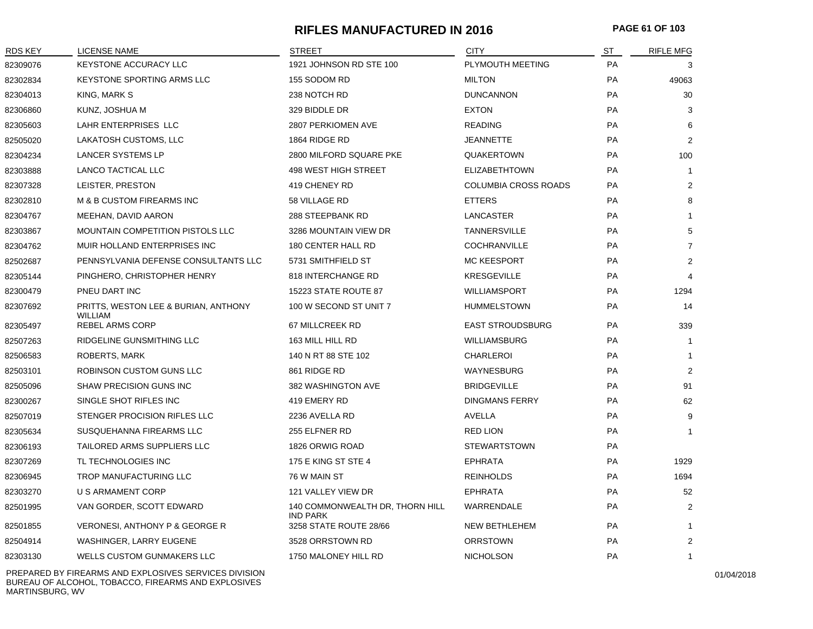# **RIFLES MANUFACTURED IN 2016 PAGE 61 OF 103**

| <b>RDS KEY</b> | <b>LICENSE NAME</b>                             | <b>STREET</b>                                      | <b>CITY</b>                 | ST        | <b>RIFLE MFG</b> |
|----------------|-------------------------------------------------|----------------------------------------------------|-----------------------------|-----------|------------------|
| 82309076       | <b>KEYSTONE ACCURACY LLC</b>                    | 1921 JOHNSON RD STE 100                            | PLYMOUTH MEETING            | PA        | 3                |
| 82302834       | <b>KEYSTONE SPORTING ARMS LLC</b>               | 155 SODOM RD                                       | <b>MILTON</b>               | <b>PA</b> | 49063            |
| 82304013       | KING, MARK S                                    | 238 NOTCH RD                                       | <b>DUNCANNON</b>            | PA        | 30               |
| 82306860       | KUNZ, JOSHUA M                                  | 329 BIDDLE DR                                      | <b>EXTON</b>                | PA        | 3                |
| 82305603       | LAHR ENTERPRISES LLC                            | 2807 PERKIOMEN AVE                                 | <b>READING</b>              | <b>PA</b> | 6                |
| 82505020       | LAKATOSH CUSTOMS, LLC                           | 1864 RIDGE RD                                      | <b>JEANNETTE</b>            | <b>PA</b> | 2                |
| 82304234       | <b>LANCER SYSTEMS LP</b>                        | 2800 MILFORD SQUARE PKE                            | QUAKERTOWN                  | PA        | 100              |
| 82303888       | LANCO TACTICAL LLC                              | 498 WEST HIGH STREET                               | <b>ELIZABETHTOWN</b>        | PA        | $\mathbf{1}$     |
| 82307328       | LEISTER, PRESTON                                | 419 CHENEY RD                                      | <b>COLUMBIA CROSS ROADS</b> | <b>PA</b> | 2                |
| 82302810       | M & B CUSTOM FIREARMS INC                       | 58 VILLAGE RD                                      | <b>ETTERS</b>               | PA        | 8                |
| 82304767       | MEEHAN, DAVID AARON                             | 288 STEEPBANK RD                                   | <b>LANCASTER</b>            | PA        | $\mathbf{1}$     |
| 82303867       | MOUNTAIN COMPETITION PISTOLS LLC                | 3286 MOUNTAIN VIEW DR                              | <b>TANNERSVILLE</b>         | <b>PA</b> | 5                |
| 82304762       | MUIR HOLLAND ENTERPRISES INC                    | 180 CENTER HALL RD                                 | <b>COCHRANVILLE</b>         | <b>PA</b> | $\overline{7}$   |
| 82502687       | PENNSYLVANIA DEFENSE CONSULTANTS LLC            | 5731 SMITHFIELD ST                                 | <b>MC KEESPORT</b>          | PA        | $\overline{2}$   |
| 82305144       | PINGHERO, CHRISTOPHER HENRY                     | 818 INTERCHANGE RD                                 | <b>KRESGEVILLE</b>          | PA        | $\overline{4}$   |
| 82300479       | PNEU DART INC                                   | 15223 STATE ROUTE 87                               | <b>WILLIAMSPORT</b>         | PA        | 1294             |
| 82307692       | PRITTS, WESTON LEE & BURIAN, ANTHONY<br>WILLIAM | 100 W SECOND ST UNIT 7                             | <b>HUMMELSTOWN</b>          | PA        | 14               |
| 82305497       | <b>REBEL ARMS CORP</b>                          | 67 MILLCREEK RD                                    | <b>EAST STROUDSBURG</b>     | <b>PA</b> | 339              |
| 82507263       | RIDGELINE GUNSMITHING LLC                       | 163 MILL HILL RD                                   | <b>WILLIAMSBURG</b>         | PA        | $\mathbf{1}$     |
| 82506583       | <b>ROBERTS, MARK</b>                            | 140 N RT 88 STE 102                                | <b>CHARLEROI</b>            | PA        | $\mathbf{1}$     |
| 82503101       | <b>ROBINSON CUSTOM GUNS LLC</b>                 | 861 RIDGE RD                                       | <b>WAYNESBURG</b>           | <b>PA</b> | 2                |
| 82505096       | <b>SHAW PRECISION GUNS INC</b>                  | 382 WASHINGTON AVE                                 | <b>BRIDGEVILLE</b>          | PA        | 91               |
| 82300267       | SINGLE SHOT RIFLES INC                          | 419 EMERY RD                                       | <b>DINGMANS FERRY</b>       | PA        | 62               |
| 82507019       | STENGER PROCISION RIFLES LLC                    | 2236 AVELLA RD                                     | AVELLA                      | <b>PA</b> | 9                |
| 82305634       | SUSQUEHANNA FIREARMS LLC                        | 255 ELFNER RD                                      | <b>RED LION</b>             | <b>PA</b> | $\mathbf{1}$     |
| 82306193       | TAILORED ARMS SUPPLIERS LLC                     | 1826 ORWIG ROAD                                    | <b>STEWARTSTOWN</b>         | PA        |                  |
| 82307269       | TL TECHNOLOGIES INC                             | 175 E KING ST STE 4                                | <b>EPHRATA</b>              | PA        | 1929             |
| 82306945       | TROP MANUFACTURING LLC                          | 76 W MAIN ST                                       | <b>REINHOLDS</b>            | PA        | 1694             |
| 82303270       | U S ARMAMENT CORP                               | 121 VALLEY VIEW DR                                 | <b>EPHRATA</b>              | PA        | 52               |
| 82501995       | VAN GORDER, SCOTT EDWARD                        | 140 COMMONWEALTH DR, THORN HILL<br><b>IND PARK</b> | WARRENDALE                  | PA        | 2                |
| 82501855       | <b>VERONESI, ANTHONY P &amp; GEORGE R</b>       | 3258 STATE ROUTE 28/66                             | <b>NEW BETHLEHEM</b>        | <b>PA</b> | $\mathbf{1}$     |
| 82504914       | WASHINGER, LARRY EUGENE                         | 3528 ORRSTOWN RD                                   | <b>ORRSTOWN</b>             | PA        | $\overline{2}$   |
| 82303130       | <b>WELLS CUSTOM GUNMAKERS LLC</b>               | 1750 MALONEY HILL RD                               | <b>NICHOLSON</b>            | <b>PA</b> | $\mathbf{1}$     |

PREPARED BY FIREARMS AND EXPLOSIVES SERVICES DIVISION BUREAU OF ALCOHOL, TOBACCO, FIREARMS AND EXPLOSIVES MARTINSBURG, WV

01/04/2018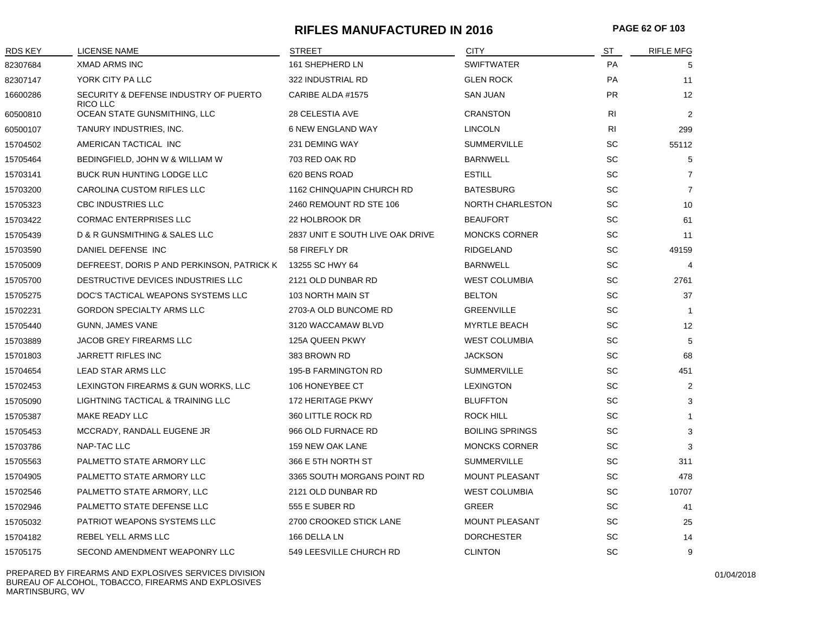# **RIFLES MANUFACTURED IN 2016 PAGE 62 OF 103**

| <b>RDS KEY</b> | <b>LICENSE NAME</b>                               | <b>STREET</b>                    | <b>CITY</b>             | ST                           | <b>RIFLE MFG</b> |
|----------------|---------------------------------------------------|----------------------------------|-------------------------|------------------------------|------------------|
| 82307684       | <b>XMAD ARMS INC</b>                              | 161 SHEPHERD LN                  | <b>SWIFTWATER</b>       | <b>PA</b>                    | 5                |
| 82307147       | YORK CITY PA LLC                                  | 322 INDUSTRIAL RD                | <b>GLEN ROCK</b>        | PA                           | 11               |
| 16600286       | SECURITY & DEFENSE INDUSTRY OF PUERTO<br>RICO LLC | CARIBE ALDA #1575                | <b>SAN JUAN</b>         | <b>PR</b>                    | 12               |
| 60500810       | OCEAN STATE GUNSMITHING, LLC                      | <b>28 CELESTIA AVE</b>           | <b>CRANSTON</b>         | R <sub>l</sub>               | $\overline{2}$   |
| 60500107       | TANURY INDUSTRIES, INC.                           | <b>6 NEW ENGLAND WAY</b>         | <b>LINCOLN</b>          | R <sub>l</sub>               | 299              |
| 15704502       | AMERICAN TACTICAL INC                             | 231 DEMING WAY                   | <b>SUMMERVILLE</b>      | SC                           | 55112            |
| 15705464       | BEDINGFIELD, JOHN W & WILLIAM W                   | 703 RED OAK RD                   | <b>BARNWELL</b>         | SC                           | 5                |
| 15703141       | BUCK RUN HUNTING LODGE LLC                        | 620 BENS ROAD                    | <b>ESTILL</b>           | SC                           | $\overline{7}$   |
| 15703200       | CAROLINA CUSTOM RIFLES LLC                        | 1162 CHINQUAPIN CHURCH RD        | <b>BATESBURG</b>        | SC                           | $\overline{7}$   |
| 15705323       | <b>CBC INDUSTRIES LLC</b>                         | 2460 REMOUNT RD STE 106          | <b>NORTH CHARLESTON</b> | SC                           | 10               |
| 15703422       | <b>CORMAC ENTERPRISES LLC</b>                     | 22 HOLBROOK DR                   | <b>BEAUFORT</b>         | SC                           | 61               |
| 15705439       | D & R GUNSMITHING & SALES LLC                     | 2837 UNIT E SOUTH LIVE OAK DRIVE | <b>MONCKS CORNER</b>    | SC                           | 11               |
| 15703590       | DANIEL DEFENSE INC                                | 58 FIREFLY DR                    | RIDGELAND               | SC                           | 49159            |
| 15705009       | DEFREEST, DORIS P AND PERKINSON, PATRICK K        | 13255 SC HWY 64                  | <b>BARNWELL</b>         | SC                           | $\overline{4}$   |
| 15705700       | DESTRUCTIVE DEVICES INDUSTRIES LLC                | 2121 OLD DUNBAR RD               | <b>WEST COLUMBIA</b>    | <b>SC</b>                    | 2761             |
| 15705275       | DOC'S TACTICAL WEAPONS SYSTEMS LLC                | 103 NORTH MAIN ST                | <b>BELTON</b>           | SC                           | 37               |
| 15702231       | <b>GORDON SPECIALTY ARMS LLC</b>                  | 2703-A OLD BUNCOME RD            | <b>GREENVILLE</b>       | <b>SC</b>                    | $\mathbf 1$      |
| 15705440       | <b>GUNN, JAMES VANE</b>                           | 3120 WACCAMAW BLVD               | <b>MYRTLE BEACH</b>     | SC                           | 12               |
| 15703889       | JACOB GREY FIREARMS LLC                           | <b>125A QUEEN PKWY</b>           | <b>WEST COLUMBIA</b>    | SC                           | 5                |
| 15701803       | <b>JARRETT RIFLES INC</b>                         | 383 BROWN RD                     | <b>JACKSON</b>          | SC                           | 68               |
| 15704654       | LEAD STAR ARMS LLC                                | <b>195-B FARMINGTON RD</b>       | <b>SUMMERVILLE</b>      | SC                           | 451              |
| 15702453       | LEXINGTON FIREARMS & GUN WORKS, LLC               | 106 HONEYBEE CT                  | <b>LEXINGTON</b>        | SC                           | $\overline{2}$   |
| 15705090       | LIGHTNING TACTICAL & TRAINING LLC                 | <b>172 HERITAGE PKWY</b>         | <b>BLUFFTON</b>         | SC                           | 3                |
| 15705387       | MAKE READY LLC                                    | 360 LITTLE ROCK RD               | ROCK HILL               | SC                           | $\overline{1}$   |
| 15705453       | MCCRADY, RANDALL EUGENE JR                        | 966 OLD FURNACE RD               | <b>BOILING SPRINGS</b>  | $\operatorname{\textsf{SC}}$ | 3                |
| 15703786       | NAP-TAC LLC                                       | 159 NEW OAK LANE                 | <b>MONCKS CORNER</b>    | SC                           | 3                |
| 15705563       | PALMETTO STATE ARMORY LLC                         | 366 E 5TH NORTH ST               | <b>SUMMERVILLE</b>      | SC                           | 311              |
| 15704905       | PALMETTO STATE ARMORY LLC                         | 3365 SOUTH MORGANS POINT RD      | <b>MOUNT PLEASANT</b>   | SC                           | 478              |
| 15702546       | PALMETTO STATE ARMORY, LLC                        | 2121 OLD DUNBAR RD               | <b>WEST COLUMBIA</b>    | SC                           | 10707            |
| 15702946       | PALMETTO STATE DEFENSE LLC                        | 555 E SUBER RD                   | GREER                   | SC                           | 41               |
| 15705032       | <b>PATRIOT WEAPONS SYSTEMS LLC</b>                | 2700 CROOKED STICK LANE          | <b>MOUNT PLEASANT</b>   | SC                           | 25               |
| 15704182       | <b>REBEL YELL ARMS LLC</b>                        | 166 DELLA LN                     | <b>DORCHESTER</b>       | SC                           | 14               |
| 15705175       | SECOND AMENDMENT WEAPONRY LLC                     | 549 LEESVILLE CHURCH RD          | <b>CLINTON</b>          | SC                           | 9                |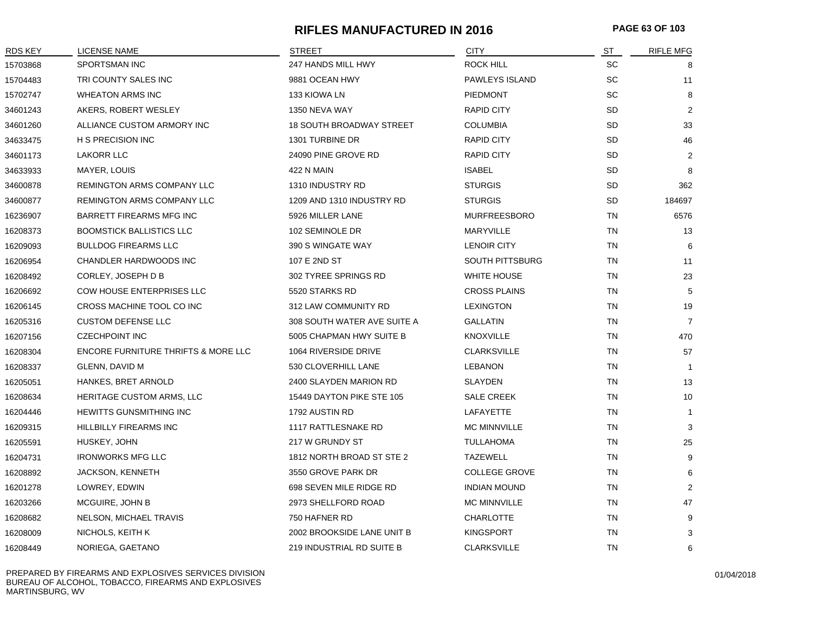# **RIFLES MANUFACTURED IN 2016 PAGE 63 OF 103**

| <b>RDS KEY</b> | LICENSE NAME                                   | <b>STREET</b>                   | <b>CITY</b>            | ST        | <b>RIFLE MFG</b> |
|----------------|------------------------------------------------|---------------------------------|------------------------|-----------|------------------|
| 15703868       | SPORTSMAN INC                                  | 247 HANDS MILL HWY              | <b>ROCK HILL</b>       | <b>SC</b> | 8                |
| 15704483       | TRI COUNTY SALES INC                           | 9881 OCEAN HWY                  | PAWLEYS ISLAND         | SC        | 11               |
| 15702747       | <b>WHEATON ARMS INC</b>                        | 133 KIOWA LN                    | <b>PIEDMONT</b>        | <b>SC</b> | 8                |
| 34601243       | AKERS, ROBERT WESLEY                           | 1350 NEVA WAY                   | RAPID CITY             | SD        | $\overline{2}$   |
| 34601260       | ALLIANCE CUSTOM ARMORY INC                     | <b>18 SOUTH BROADWAY STREET</b> | <b>COLUMBIA</b>        | <b>SD</b> | 33               |
| 34633475       | <b>H S PRECISION INC</b>                       | 1301 TURBINE DR                 | <b>RAPID CITY</b>      | SD        | 46               |
| 34601173       | <b>LAKORR LLC</b>                              | 24090 PINE GROVE RD             | <b>RAPID CITY</b>      | SD        | 2                |
| 34633933       | MAYER, LOUIS                                   | 422 N MAIN                      | <b>ISABEL</b>          | SD        | 8                |
| 34600878       | REMINGTON ARMS COMPANY LLC                     | 1310 INDUSTRY RD                | <b>STURGIS</b>         | SD        | 362              |
| 34600877       | REMINGTON ARMS COMPANY LLC                     | 1209 AND 1310 INDUSTRY RD       | <b>STURGIS</b>         | SD        | 184697           |
| 16236907       | BARRETT FIREARMS MFG INC                       | 5926 MILLER LANE                | <b>MURFREESBORO</b>    | TN        | 6576             |
| 16208373       | <b>BOOMSTICK BALLISTICS LLC</b>                | 102 SEMINOLE DR                 | <b>MARYVILLE</b>       | <b>TN</b> | 13               |
| 16209093       | <b>BULLDOG FIREARMS LLC</b>                    | 390 S WINGATE WAY               | <b>LENOIR CITY</b>     | TN        | 6                |
| 16206954       | CHANDLER HARDWOODS INC                         | 107 E 2ND ST                    | <b>SOUTH PITTSBURG</b> | TN        | 11               |
| 16208492       | CORLEY, JOSEPH D B                             | 302 TYREE SPRINGS RD            | WHITE HOUSE            | TN        | 23               |
| 16206692       | COW HOUSE ENTERPRISES LLC                      | 5520 STARKS RD                  | <b>CROSS PLAINS</b>    | TN        | 5                |
| 16206145       | CROSS MACHINE TOOL CO INC                      | 312 LAW COMMUNITY RD            | <b>LEXINGTON</b>       | <b>TN</b> | 19               |
| 16205316       | <b>CUSTOM DEFENSE LLC</b>                      | 308 SOUTH WATER AVE SUITE A     | <b>GALLATIN</b>        | <b>TN</b> | $\overline{7}$   |
| 16207156       | <b>CZECHPOINT INC</b>                          | 5005 CHAPMAN HWY SUITE B        | <b>KNOXVILLE</b>       | TN        | 470              |
| 16208304       | <b>ENCORE FURNITURE THRIFTS &amp; MORE LLC</b> | 1064 RIVERSIDE DRIVE            | <b>CLARKSVILLE</b>     | TN        | 57               |
| 16208337       | GLENN, DAVID M                                 | 530 CLOVERHILL LANE             | <b>LEBANON</b>         | <b>TN</b> | $\mathbf{1}$     |
| 16205051       | HANKES, BRET ARNOLD                            | 2400 SLAYDEN MARION RD          | <b>SLAYDEN</b>         | <b>TN</b> | 13               |
| 16208634       | HERITAGE CUSTOM ARMS, LLC                      | 15449 DAYTON PIKE STE 105       | <b>SALE CREEK</b>      | <b>TN</b> | 10               |
| 16204446       | <b>HEWITTS GUNSMITHING INC</b>                 | 1792 AUSTIN RD                  | LAFAYETTE              | TN        | $\mathbf{1}$     |
| 16209315       | <b>HILLBILLY FIREARMS INC</b>                  | 1117 RATTLESNAKE RD             | <b>MC MINNVILLE</b>    | TN        | 3                |
| 16205591       | HUSKEY, JOHN                                   | 217 W GRUNDY ST                 | TULLAHOMA              | TN        | 25               |
| 16204731       | <b>IRONWORKS MFG LLC</b>                       | 1812 NORTH BROAD ST STE 2       | <b>TAZEWELL</b>        | TN        | 9                |
| 16208892       | <b>JACKSON, KENNETH</b>                        | 3550 GROVE PARK DR              | <b>COLLEGE GROVE</b>   | TN        | 6                |
| 16201278       | LOWREY, EDWIN                                  | 698 SEVEN MILE RIDGE RD         | <b>INDIAN MOUND</b>    | TN        | 2                |
| 16203266       | MCGUIRE, JOHN B                                | 2973 SHELLFORD ROAD             | <b>MC MINNVILLE</b>    | TN        | 47               |
| 16208682       | NELSON, MICHAEL TRAVIS                         | 750 HAFNER RD                   | <b>CHARLOTTE</b>       | TN        | 9                |
| 16208009       | NICHOLS, KEITH K                               | 2002 BROOKSIDE LANE UNIT B      | <b>KINGSPORT</b>       | TN        | 3                |
| 16208449       | NORIEGA, GAETANO                               | 219 INDUSTRIAL RD SUITE B       | <b>CLARKSVILLE</b>     | TN        | 6                |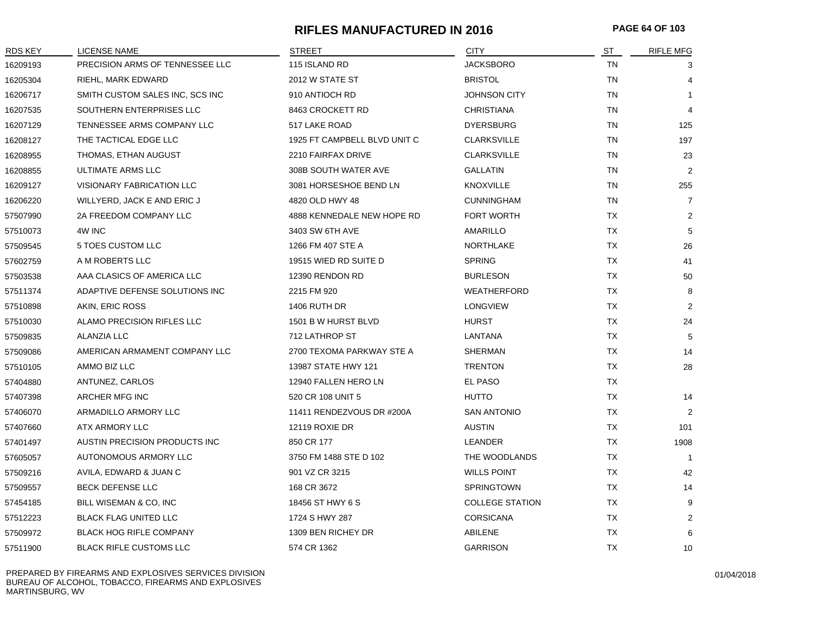## **RIFLES MANUFACTURED IN 2016 PAGE 64 OF 103**

| <b>RDS KEY</b> | LICENSE NAME                    | <b>STREET</b>                | <b>CITY</b>            | ST        | <b>RIFLE MFG</b> |
|----------------|---------------------------------|------------------------------|------------------------|-----------|------------------|
| 16209193       | PRECISION ARMS OF TENNESSEE LLC | 115 ISLAND RD                | <b>JACKSBORO</b>       | <b>TN</b> | 3                |
| 16205304       | RIEHL, MARK EDWARD              | 2012 W STATE ST              | <b>BRISTOL</b>         | <b>TN</b> | $\overline{4}$   |
| 16206717       | SMITH CUSTOM SALES INC, SCS INC | 910 ANTIOCH RD               | <b>JOHNSON CITY</b>    | TN        | $\mathbf{1}$     |
| 16207535       | SOUTHERN ENTERPRISES LLC        | 8463 CROCKETT RD             | <b>CHRISTIANA</b>      | TN        | $\overline{4}$   |
| 16207129       | TENNESSEE ARMS COMPANY LLC      | 517 LAKE ROAD                | <b>DYERSBURG</b>       | TN        | 125              |
| 16208127       | THE TACTICAL EDGE LLC           | 1925 FT CAMPBELL BLVD UNIT C | <b>CLARKSVILLE</b>     | <b>TN</b> | 197              |
| 16208955       | THOMAS, ETHAN AUGUST            | 2210 FAIRFAX DRIVE           | <b>CLARKSVILLE</b>     | <b>TN</b> | 23               |
| 16208855       | <b>ULTIMATE ARMS LLC</b>        | 308B SOUTH WATER AVE         | <b>GALLATIN</b>        | <b>TN</b> | 2                |
| 16209127       | VISIONARY FABRICATION LLC       | 3081 HORSESHOE BEND LN       | <b>KNOXVILLE</b>       | TN        | 255              |
| 16206220       | WILLYERD, JACK E AND ERIC J     | 4820 OLD HWY 48              | <b>CUNNINGHAM</b>      | <b>TN</b> | $\overline{7}$   |
| 57507990       | 2A FREEDOM COMPANY LLC          | 4888 KENNEDALE NEW HOPE RD   | FORT WORTH             | <b>TX</b> | $\overline{2}$   |
| 57510073       | 4W INC                          | 3403 SW 6TH AVE              | AMARILLO               | <b>TX</b> | 5                |
| 57509545       | 5 TOES CUSTOM LLC               | 1266 FM 407 STE A            | <b>NORTHLAKE</b>       | TX        | 26               |
| 57602759       | A M ROBERTS LLC                 | 19515 WIED RD SUITE D        | <b>SPRING</b>          | TX        | 41               |
| 57503538       | AAA CLASICS OF AMERICA LLC      | 12390 RENDON RD              | <b>BURLESON</b>        | <b>TX</b> | 50               |
| 57511374       | ADAPTIVE DEFENSE SOLUTIONS INC  | 2215 FM 920                  | <b>WEATHERFORD</b>     | TX        | 8                |
| 57510898       | AKIN, ERIC ROSS                 | <b>1406 RUTH DR</b>          | <b>LONGVIEW</b>        | <b>TX</b> | 2                |
| 57510030       | ALAMO PRECISION RIFLES LLC      | 1501 B W HURST BLVD          | <b>HURST</b>           | <b>TX</b> | 24               |
| 57509835       | ALANZIA LLC                     | 712 LATHROP ST               | LANTANA                | TX        | 5                |
| 57509086       | AMERICAN ARMAMENT COMPANY LLC   | 2700 TEXOMA PARKWAY STE A    | <b>SHERMAN</b>         | <b>TX</b> | 14               |
| 57510105       | AMMO BIZ LLC                    | 13987 STATE HWY 121          | <b>TRENTON</b>         | TX        | 28               |
| 57404880       | ANTUNEZ, CARLOS                 | 12940 FALLEN HERO LN         | EL PASO                | <b>TX</b> |                  |
| 57407398       | ARCHER MFG INC                  | 520 CR 108 UNIT 5            | <b>HUTTO</b>           | <b>TX</b> | 14               |
| 57406070       | ARMADILLO ARMORY LLC            | 11411 RENDEZVOUS DR #200A    | <b>SAN ANTONIO</b>     | TX        | 2                |
| 57407660       | ATX ARMORY LLC                  | <b>12119 ROXIE DR</b>        | <b>AUSTIN</b>          | TX        | 101              |
| 57401497       | AUSTIN PRECISION PRODUCTS INC   | 850 CR 177                   | LEANDER                | TX        | 1908             |
| 57605057       | AUTONOMOUS ARMORY LLC           | 3750 FM 1488 STE D 102       | THE WOODLANDS          | <b>TX</b> | -1               |
| 57509216       | AVILA, EDWARD & JUAN C          | 901 VZ CR 3215               | <b>WILLS POINT</b>     | <b>TX</b> | 42               |
| 57509557       | <b>BECK DEFENSE LLC</b>         | 168 CR 3672                  | <b>SPRINGTOWN</b>      | <b>TX</b> | 14               |
| 57454185       | BILL WISEMAN & CO, INC          | 18456 ST HWY 6 S             | <b>COLLEGE STATION</b> | <b>TX</b> | 9                |
| 57512223       | <b>BLACK FLAG UNITED LLC</b>    | 1724 S HWY 287               | <b>CORSICANA</b>       | TX        | 2                |
| 57509972       | <b>BLACK HOG RIFLE COMPANY</b>  | 1309 BEN RICHEY DR           | ABILENE                | TX        | 6                |
| 57511900       | <b>BLACK RIFLE CUSTOMS LLC</b>  | 574 CR 1362                  | <b>GARRISON</b>        | <b>TX</b> | 10               |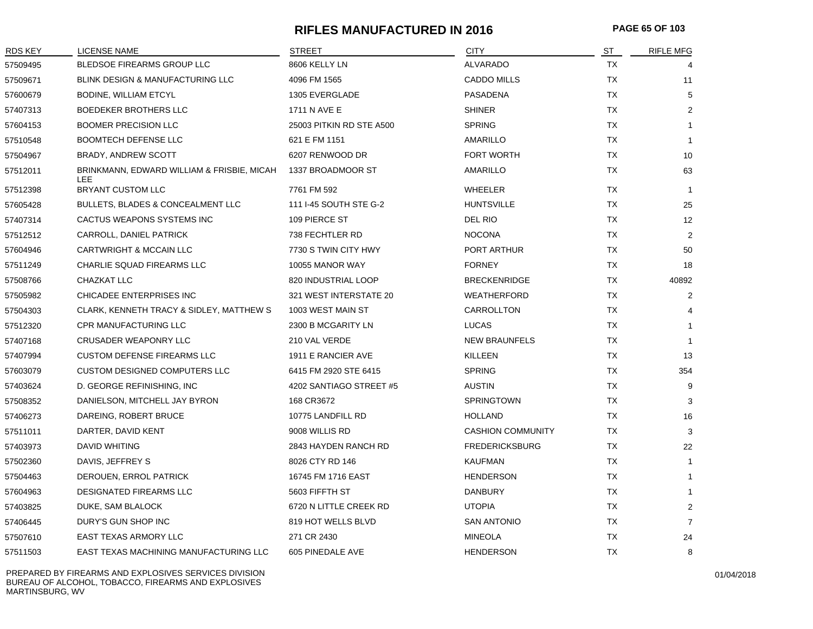# **RIFLES MANUFACTURED IN 2016 PAGE 65 OF 103**

| <b>RDS KEY</b> | LICENSE NAME                                             | <b>STREET</b>            | <b>CITY</b>              | ST        | <b>RIFLE MFG</b> |
|----------------|----------------------------------------------------------|--------------------------|--------------------------|-----------|------------------|
| 57509495       | BLEDSOE FIREARMS GROUP LLC                               | 8606 KELLY LN            | <b>ALVARADO</b>          | TX        |                  |
| 57509671       | BLINK DESIGN & MANUFACTURING LLC                         | 4096 FM 1565             | <b>CADDO MILLS</b>       | TX        | 11               |
| 57600679       | BODINE, WILLIAM ETCYL                                    | 1305 EVERGLADE           | <b>PASADENA</b>          | TX        | 5                |
| 57407313       | BOEDEKER BROTHERS LLC                                    | 1711 N AVE E             | <b>SHINER</b>            | TX        | $\overline{2}$   |
| 57604153       | <b>BOOMER PRECISION LLC</b>                              | 25003 PITKIN RD STE A500 | <b>SPRING</b>            | <b>TX</b> |                  |
| 57510548       | <b>BOOMTECH DEFENSE LLC</b>                              | 621 E FM 1151            | AMARILLO                 | <b>TX</b> |                  |
| 57504967       | BRADY, ANDREW SCOTT                                      | 6207 RENWOOD DR          | <b>FORT WORTH</b>        | <b>TX</b> | 10               |
| 57512011       | BRINKMANN, EDWARD WILLIAM & FRISBIE, MICAH<br><b>LEE</b> | 1337 BROADMOOR ST        | AMARILLO                 | ТX        | 63               |
| 57512398       | BRYANT CUSTOM LLC                                        | 7761 FM 592              | <b>WHEELER</b>           | <b>TX</b> | $\mathbf{1}$     |
| 57605428       | BULLETS, BLADES & CONCEALMENT LLC                        | 111 I-45 SOUTH STE G-2   | <b>HUNTSVILLE</b>        | TX        | 25               |
| 57407314       | CACTUS WEAPONS SYSTEMS INC                               | 109 PIERCE ST            | DEL RIO                  | TX        | 12               |
| 57512512       | CARROLL, DANIEL PATRICK                                  | 738 FECHTLER RD          | <b>NOCONA</b>            | <b>TX</b> | 2                |
| 57604946       | CARTWRIGHT & MCCAIN LLC                                  | 7730 S TWIN CITY HWY     | PORT ARTHUR              | <b>TX</b> | 50               |
| 57511249       | CHARLIE SQUAD FIREARMS LLC                               | 10055 MANOR WAY          | <b>FORNEY</b>            | <b>TX</b> | 18               |
| 57508766       | CHAZKAT LLC                                              | 820 INDUSTRIAL LOOP      | <b>BRECKENRIDGE</b>      | TX        | 40892            |
| 57505982       | CHICADEE ENTERPRISES INC                                 | 321 WEST INTERSTATE 20   | <b>WEATHERFORD</b>       | TX        | $\overline{2}$   |
| 57504303       | CLARK, KENNETH TRACY & SIDLEY, MATTHEW S                 | 1003 WEST MAIN ST        | CARROLLTON               | <b>TX</b> |                  |
| 57512320       | <b>CPR MANUFACTURING LLC</b>                             | 2300 B MCGARITY LN       | <b>LUCAS</b>             | <b>TX</b> |                  |
| 57407168       | <b>CRUSADER WEAPONRY LLC</b>                             | 210 VAL VERDE            | <b>NEW BRAUNFELS</b>     | TX        | -1               |
| 57407994       | <b>CUSTOM DEFENSE FIREARMS LLC</b>                       | 1911 E RANCIER AVE       | <b>KILLEEN</b>           | TX        | 13               |
| 57603079       | <b>CUSTOM DESIGNED COMPUTERS LLC</b>                     | 6415 FM 2920 STE 6415    | <b>SPRING</b>            | TX        | 354              |
| 57403624       | D. GEORGE REFINISHING, INC.                              | 4202 SANTIAGO STREET #5  | <b>AUSTIN</b>            | <b>TX</b> | 9                |
| 57508352       | DANIELSON, MITCHELL JAY BYRON                            | 168 CR3672               | <b>SPRINGTOWN</b>        | <b>TX</b> | 3                |
| 57406273       | DAREING, ROBERT BRUCE                                    | 10775 LANDFILL RD        | <b>HOLLAND</b>           | TX        | 16               |
| 57511011       | DARTER, DAVID KENT                                       | 9008 WILLIS RD           | <b>CASHION COMMUNITY</b> | TX        | 3                |
| 57403973       | DAVID WHITING                                            | 2843 HAYDEN RANCH RD     | <b>FREDERICKSBURG</b>    | TX        | 22               |
| 57502360       | DAVIS, JEFFREY S                                         | 8026 CTY RD 146          | <b>KAUFMAN</b>           | TX        | $\mathbf{1}$     |
| 57504463       | DEROUEN, ERROL PATRICK                                   | 16745 FM 1716 EAST       | <b>HENDERSON</b>         | <b>TX</b> |                  |
| 57604963       | DESIGNATED FIREARMS LLC                                  | 5603 FIFFTH ST           | <b>DANBURY</b>           | TX        | 1                |
| 57403825       | DUKE, SAM BLALOCK                                        | 6720 N LITTLE CREEK RD   | <b>UTOPIA</b>            | TX        | $\overline{2}$   |
| 57406445       | DURY'S GUN SHOP INC                                      | 819 HOT WELLS BLVD       | <b>SAN ANTONIO</b>       | ТX        | $\overline{7}$   |
| 57507610       | EAST TEXAS ARMORY LLC                                    | 271 CR 2430              | <b>MINEOLA</b>           | <b>TX</b> | 24               |
| 57511503       | EAST TEXAS MACHINING MANUFACTURING LLC                   | 605 PINEDALE AVE         | <b>HENDERSON</b>         | <b>TX</b> | 8                |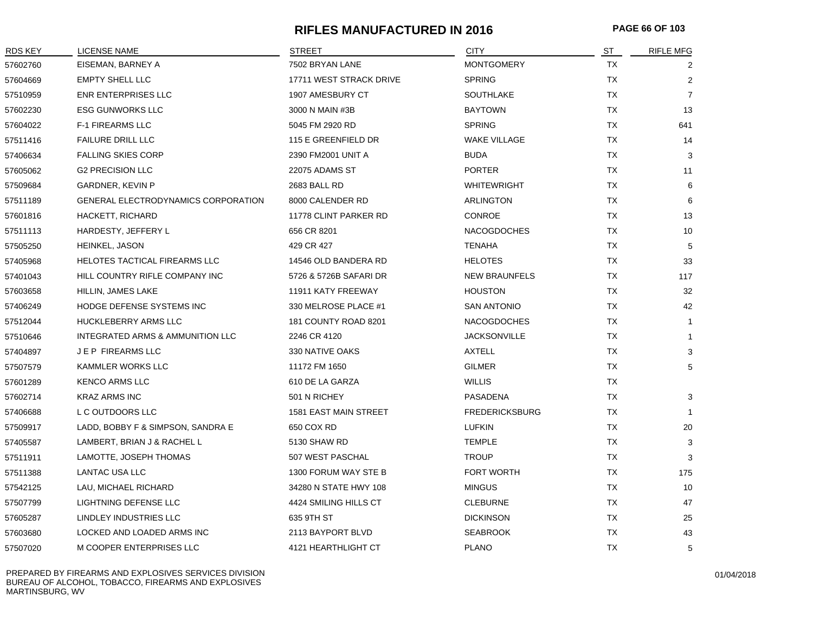# **RIFLES MANUFACTURED IN 2016 PAGE 66 OF 103**

| RDS KEY  | <b>LICENSE NAME</b>                 | <b>STREET</b>           | <b>CITY</b>           | ST        | <b>RIFLE MFG</b> |
|----------|-------------------------------------|-------------------------|-----------------------|-----------|------------------|
| 57602760 | EISEMAN, BARNEY A                   | 7502 BRYAN LANE         | <b>MONTGOMERY</b>     | <b>TX</b> | 2                |
| 57604669 | <b>EMPTY SHELL LLC</b>              | 17711 WEST STRACK DRIVE | <b>SPRING</b>         | <b>TX</b> | $\overline{2}$   |
| 57510959 | ENR ENTERPRISES LLC                 | 1907 AMESBURY CT        | <b>SOUTHLAKE</b>      | <b>TX</b> | $\overline{7}$   |
| 57602230 | <b>ESG GUNWORKS LLC</b>             | 3000 N MAIN #3B         | <b>BAYTOWN</b>        | <b>TX</b> | 13               |
| 57604022 | <b>F-1 FIREARMS LLC</b>             | 5045 FM 2920 RD         | <b>SPRING</b>         | <b>TX</b> | 641              |
| 57511416 | <b>FAILURE DRILL LLC</b>            | 115 E GREENFIELD DR     | <b>WAKE VILLAGE</b>   | TX        | 14               |
| 57406634 | <b>FALLING SKIES CORP</b>           | 2390 FM2001 UNIT A      | <b>BUDA</b>           | <b>TX</b> | 3                |
| 57605062 | <b>G2 PRECISION LLC</b>             | 22075 ADAMS ST          | <b>PORTER</b>         | TX        | 11               |
| 57509684 | <b>GARDNER, KEVIN P</b>             | 2683 BALL RD            | <b>WHITEWRIGHT</b>    | <b>TX</b> | 6                |
| 57511189 | GENERAL ELECTRODYNAMICS CORPORATION | 8000 CALENDER RD        | ARLINGTON             | TX        | 6                |
| 57601816 | HACKETT, RICHARD                    | 11778 CLINT PARKER RD   | <b>CONROE</b>         | TX        | 13               |
| 57511113 | HARDESTY, JEFFERY L                 | 656 CR 8201             | <b>NACOGDOCHES</b>    | TX        | 10               |
| 57505250 | HEINKEL, JASON                      | 429 CR 427              | <b>TENAHA</b>         | TX        | 5                |
| 57405968 | HELOTES TACTICAL FIREARMS LLC       | 14546 OLD BANDERA RD    | <b>HELOTES</b>        | TX        | 33               |
| 57401043 | HILL COUNTRY RIFLE COMPANY INC      | 5726 & 5726B SAFARI DR  | <b>NEW BRAUNFELS</b>  | TX        | 117              |
| 57603658 | HILLIN, JAMES LAKE                  | 11911 KATY FREEWAY      | <b>HOUSTON</b>        | TX        | 32               |
| 57406249 | HODGE DEFENSE SYSTEMS INC           | 330 MELROSE PLACE #1    | <b>SAN ANTONIO</b>    | TX        | 42               |
| 57512044 | HUCKLEBERRY ARMS LLC                | 181 COUNTY ROAD 8201    | <b>NACOGDOCHES</b>    | TX        | $\mathbf{1}$     |
| 57510646 | INTEGRATED ARMS & AMMUNITION LLC    | 2246 CR 4120            | <b>JACKSONVILLE</b>   | <b>TX</b> | $\mathbf{1}$     |
| 57404897 | <b>JEP FIREARMS LLC</b>             | 330 NATIVE OAKS         | <b>AXTELL</b>         | TX        | 3                |
| 57507579 | <b>KAMMLER WORKS LLC</b>            | 11172 FM 1650           | <b>GILMER</b>         | TX        | 5                |
| 57601289 | <b>KENCO ARMS LLC</b>               | 610 DE LA GARZA         | <b>WILLIS</b>         | TX        |                  |
| 57602714 | <b>KRAZ ARMS INC</b>                | 501 N RICHEY            | PASADENA              | TX        | 3                |
| 57406688 | L C OUTDOORS LLC                    | 1581 EAST MAIN STREET   | <b>FREDERICKSBURG</b> | TX        | $\mathbf{1}$     |
| 57509917 | LADD, BOBBY F & SIMPSON, SANDRA E   | 650 COX RD              | <b>LUFKIN</b>         | TX        | 20               |
| 57405587 | LAMBERT, BRIAN J & RACHEL L         | 5130 SHAW RD            | <b>TEMPLE</b>         | TX        | 3                |
| 57511911 | LAMOTTE, JOSEPH THOMAS              | 507 WEST PASCHAL        | <b>TROUP</b>          | <b>TX</b> | 3                |
| 57511388 | LANTAC USA LLC                      | 1300 FORUM WAY STE B    | <b>FORT WORTH</b>     | TX        | 175              |
| 57542125 | LAU, MICHAEL RICHARD                | 34280 N STATE HWY 108   | <b>MINGUS</b>         | <b>TX</b> | 10               |
| 57507799 | LIGHTNING DEFENSE LLC               | 4424 SMILING HILLS CT   | <b>CLEBURNE</b>       | TX        | 47               |
| 57605287 | LINDLEY INDUSTRIES LLC              | 635 9TH ST              | <b>DICKINSON</b>      | TX        | 25               |
| 57603680 | LOCKED AND LOADED ARMS INC          | 2113 BAYPORT BLVD       | <b>SEABROOK</b>       | <b>TX</b> | 43               |
| 57507020 | M COOPER ENTERPRISES LLC            | 4121 HEARTHLIGHT CT     | <b>PLANO</b>          | <b>TX</b> | 5                |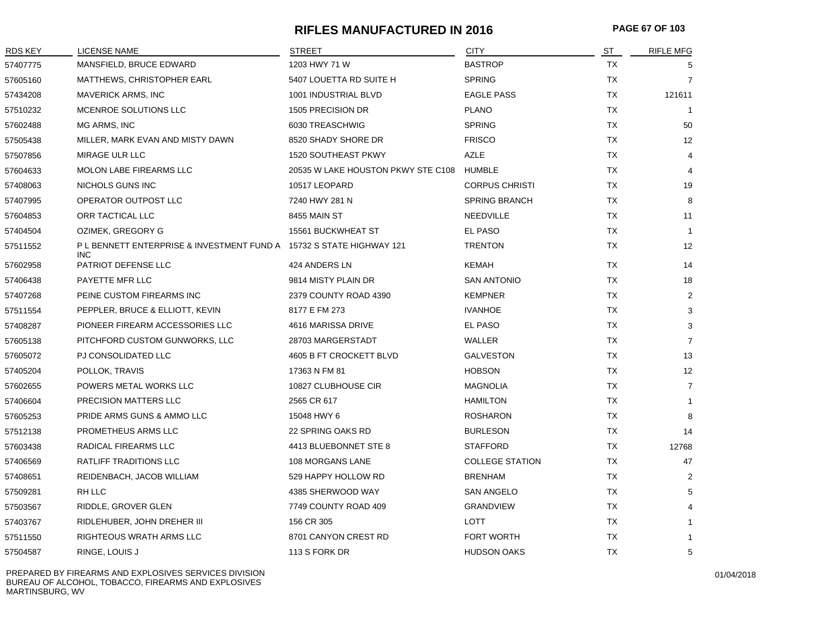# **RIFLES MANUFACTURED IN 2016 PAGE 67 OF 103**

| RDS KEY  | LICENSE NAME                                                               | <b>STREET</b>                      | <b>CITY</b>            | <u>ST</u> | <b>RIFLE MFG</b>  |
|----------|----------------------------------------------------------------------------|------------------------------------|------------------------|-----------|-------------------|
| 57407775 | MANSFIELD, BRUCE EDWARD                                                    | 1203 HWY 71 W                      | <b>BASTROP</b>         | <b>TX</b> | 5                 |
| 57605160 | <b>MATTHEWS, CHRISTOPHER EARL</b>                                          | 5407 LOUETTA RD SUITE H            | <b>SPRING</b>          | TX        | $\overline{7}$    |
| 57434208 | MAVERICK ARMS, INC                                                         | 1001 INDUSTRIAL BLVD               | <b>EAGLE PASS</b>      | <b>TX</b> | 121611            |
| 57510232 | MCENROE SOLUTIONS LLC                                                      | 1505 PRECISION DR                  | <b>PLANO</b>           | TX        | $\overline{1}$    |
| 57602488 | MG ARMS, INC                                                               | 6030 TREASCHWIG                    | <b>SPRING</b>          | TX        | 50                |
| 57505438 | MILLER, MARK EVAN AND MISTY DAWN                                           | 8520 SHADY SHORE DR                | <b>FRISCO</b>          | TX        | 12                |
| 57507856 | MIRAGE ULR LLC                                                             | <b>1520 SOUTHEAST PKWY</b>         | <b>AZLE</b>            | <b>TX</b> | 4                 |
| 57604633 | MOLON LABE FIREARMS LLC                                                    | 20535 W LAKE HOUSTON PKWY STE C108 | <b>HUMBLE</b>          | <b>TX</b> | $\overline{4}$    |
| 57408063 | NICHOLS GUNS INC                                                           | 10517 LEOPARD                      | <b>CORPUS CHRISTI</b>  | TX        | 19                |
| 57407995 | OPERATOR OUTPOST LLC                                                       | 7240 HWY 281 N                     | <b>SPRING BRANCH</b>   | TX        | 8                 |
| 57604853 | ORR TACTICAL LLC                                                           | 8455 MAIN ST                       | NEEDVILLE              | TX        | 11                |
| 57404504 | OZIMEK, GREGORY G                                                          | 15561 BUCKWHEAT ST                 | EL PASO                | TX        | $\mathbf{1}$      |
| 57511552 | PL BENNETT ENTERPRISE & INVESTMENT FUND A 15732 S STATE HIGHWAY 121<br>INC |                                    | <b>TRENTON</b>         | TX        | 12                |
| 57602958 | <b>PATRIOT DEFENSE LLC</b>                                                 | 424 ANDERS LN                      | <b>KEMAH</b>           | TX        | 14                |
| 57406438 | PAYETTE MFR LLC                                                            | 9814 MISTY PLAIN DR                | <b>SAN ANTONIO</b>     | <b>TX</b> | 18                |
| 57407268 | PEINE CUSTOM FIREARMS INC                                                  | 2379 COUNTY ROAD 4390              | <b>KEMPNER</b>         | TX        | $\overline{2}$    |
| 57511554 | PEPPLER, BRUCE & ELLIOTT, KEVIN                                            | 8177 E FM 273                      | <b>IVANHOE</b>         | TX        | 3                 |
| 57408287 | PIONEER FIREARM ACCESSORIES LLC                                            | 4616 MARISSA DRIVE                 | EL PASO                | TX        | 3                 |
| 57605138 | PITCHFORD CUSTOM GUNWORKS, LLC                                             | 28703 MARGERSTADT                  | WALLER                 | TX        | $\overline{7}$    |
| 57605072 | PJ CONSOLIDATED LLC                                                        | 4605 B FT CROCKETT BLVD            | <b>GALVESTON</b>       | TX        | 13                |
| 57405204 | POLLOK, TRAVIS                                                             | 17363 N FM 81                      | <b>HOBSON</b>          | <b>TX</b> | $12 \overline{ }$ |
| 57602655 | POWERS METAL WORKS LLC                                                     | 10827 CLUBHOUSE CIR                | <b>MAGNOLIA</b>        | TX        | $\overline{7}$    |
| 57406604 | PRECISION MATTERS LLC                                                      | 2565 CR 617                        | <b>HAMILTON</b>        | TX        | 1                 |
| 57605253 | PRIDE ARMS GUNS & AMMO LLC                                                 | 15048 HWY 6                        | <b>ROSHARON</b>        | TX        | 8                 |
| 57512138 | PROMETHEUS ARMS LLC                                                        | 22 SPRING OAKS RD                  | <b>BURLESON</b>        | TX        | 14                |
| 57603438 | RADICAL FIREARMS LLC                                                       | 4413 BLUEBONNET STE 8              | <b>STAFFORD</b>        | TX        | 12768             |
| 57406569 | <b>RATLIFF TRADITIONS LLC</b>                                              | 108 MORGANS LANE                   | <b>COLLEGE STATION</b> | TX        | 47                |
| 57408651 | REIDENBACH, JACOB WILLIAM                                                  | 529 HAPPY HOLLOW RD                | <b>BRENHAM</b>         | TX        | 2                 |
| 57509281 | RH LLC                                                                     | 4385 SHERWOOD WAY                  | <b>SAN ANGELO</b>      | TX        | 5                 |
| 57503567 | RIDDLE, GROVER GLEN                                                        | 7749 COUNTY ROAD 409               | <b>GRANDVIEW</b>       | TX        |                   |
| 57403767 | RIDLEHUBER, JOHN DREHER III                                                | 156 CR 305                         | LOTT                   | TX        |                   |
| 57511550 | RIGHTEOUS WRATH ARMS LLC                                                   | 8701 CANYON CREST RD               | <b>FORT WORTH</b>      | <b>TX</b> | 1                 |
| 57504587 | RINGE, LOUIS J                                                             | 113 S FORK DR                      | <b>HUDSON OAKS</b>     | <b>TX</b> | 5                 |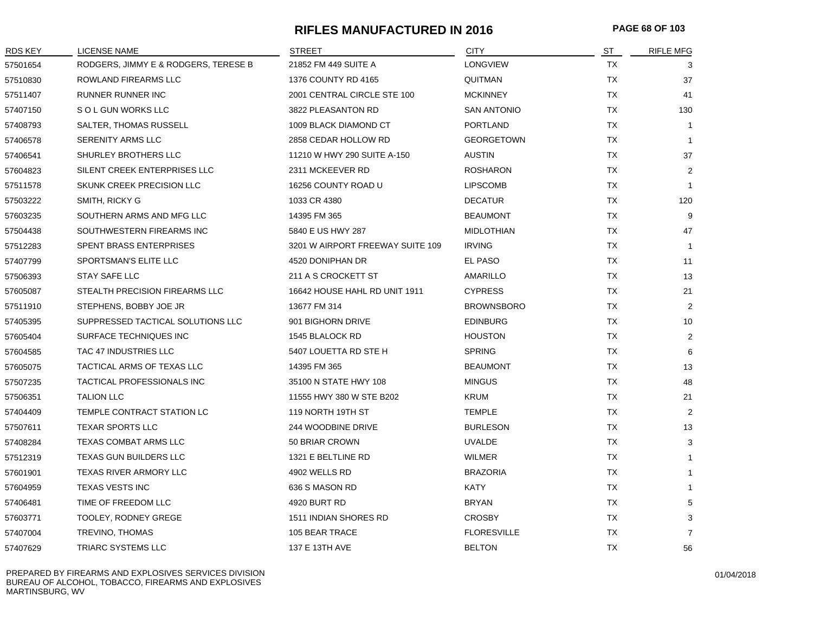## **RIFLES MANUFACTURED IN 2016 PAGE 68 OF 103**

| RDS KEY  | <b>LICENSE NAME</b>                  | <b>STREET</b>                    | <b>CITY</b>        | ST        | <b>RIFLE MFG</b> |
|----------|--------------------------------------|----------------------------------|--------------------|-----------|------------------|
| 57501654 | RODGERS, JIMMY E & RODGERS, TERESE B | 21852 FM 449 SUITE A             | <b>LONGVIEW</b>    | <b>TX</b> | 3                |
| 57510830 | ROWLAND FIREARMS LLC                 | 1376 COUNTY RD 4165              | <b>QUITMAN</b>     | <b>TX</b> | 37               |
| 57511407 | <b>RUNNER RUNNER INC</b>             | 2001 CENTRAL CIRCLE STE 100      | <b>MCKINNEY</b>    | TX        | 41               |
| 57407150 | S O L GUN WORKS LLC                  | 3822 PLEASANTON RD               | <b>SAN ANTONIO</b> | TX        | 130              |
| 57408793 | SALTER, THOMAS RUSSELL               | 1009 BLACK DIAMOND CT            | PORTLAND           | TX        | $\overline{1}$   |
| 57406578 | <b>SERENITY ARMS LLC</b>             | 2858 CEDAR HOLLOW RD             | <b>GEORGETOWN</b>  | TX        |                  |
| 57406541 | SHURLEY BROTHERS LLC                 | 11210 W HWY 290 SUITE A-150      | <b>AUSTIN</b>      | TX        | 37               |
| 57604823 | SILENT CREEK ENTERPRISES LLC         | 2311 MCKEEVER RD                 | <b>ROSHARON</b>    | TX        | $\overline{2}$   |
| 57511578 | SKUNK CREEK PRECISION LLC            | 16256 COUNTY ROAD U              | <b>LIPSCOMB</b>    | TX        | $\overline{1}$   |
| 57503222 | SMITH, RICKY G                       | 1033 CR 4380                     | <b>DECATUR</b>     | TX        | 120              |
| 57603235 | SOUTHERN ARMS AND MFG LLC            | 14395 FM 365                     | <b>BEAUMONT</b>    | TX        | 9                |
| 57504438 | SOUTHWESTERN FIREARMS INC            | 5840 E US HWY 287                | <b>MIDLOTHIAN</b>  | TX        | 47               |
| 57512283 | SPENT BRASS ENTERPRISES              | 3201 W AIRPORT FREEWAY SUITE 109 | <b>IRVING</b>      | <b>TX</b> | -1               |
| 57407799 | SPORTSMAN'S ELITE LLC                | 4520 DONIPHAN DR                 | EL PASO            | TX        | 11               |
| 57506393 | STAY SAFE LLC                        | 211 A S CROCKETT ST              | AMARILLO           | TX        | 13               |
| 57605087 | STEALTH PRECISION FIREARMS LLC       | 16642 HOUSE HAHL RD UNIT 1911    | <b>CYPRESS</b>     | TX        | 21               |
| 57511910 | STEPHENS, BOBBY JOE JR               | 13677 FM 314                     | <b>BROWNSBORO</b>  | TX        | $\overline{2}$   |
| 57405395 | SUPPRESSED TACTICAL SOLUTIONS LLC    | 901 BIGHORN DRIVE                | <b>EDINBURG</b>    | TX        | 10               |
| 57605404 | SURFACE TECHNIQUES INC               | 1545 BLALOCK RD                  | <b>HOUSTON</b>     | <b>TX</b> | 2                |
| 57604585 | <b>TAC 47 INDUSTRIES LLC</b>         | 5407 LOUETTA RD STE H            | <b>SPRING</b>      | <b>TX</b> | 6                |
| 57605075 | TACTICAL ARMS OF TEXAS LLC           | 14395 FM 365                     | <b>BEAUMONT</b>    | TX        | 13               |
| 57507235 | TACTICAL PROFESSIONALS INC           | 35100 N STATE HWY 108            | <b>MINGUS</b>      | TX        | 48               |
| 57506351 | <b>TALION LLC</b>                    | 11555 HWY 380 W STE B202         | KRUM               | TX        | 21               |
| 57404409 | TEMPLE CONTRACT STATION LC           | 119 NORTH 19TH ST                | <b>TEMPLE</b>      | TX        | 2                |
| 57507611 | <b>TEXAR SPORTS LLC</b>              | 244 WOODBINE DRIVE               | <b>BURLESON</b>    | TX        | 13               |
| 57408284 | <b>TEXAS COMBAT ARMS LLC</b>         | 50 BRIAR CROWN                   | <b>UVALDE</b>      | TX        | 3                |
| 57512319 | <b>TEXAS GUN BUILDERS LLC</b>        | 1321 E BELTLINE RD               | <b>WILMER</b>      | TX        |                  |
| 57601901 | TEXAS RIVER ARMORY LLC               | 4902 WELLS RD                    | <b>BRAZORIA</b>    | TX        | $\mathbf{1}$     |
| 57604959 | <b>TEXAS VESTS INC</b>               | 636 S MASON RD                   | KATY               | TX        | $\mathbf{1}$     |
| 57406481 | TIME OF FREEDOM LLC                  | 4920 BURT RD                     | <b>BRYAN</b>       | TX.       | 5                |
| 57603771 | TOOLEY, RODNEY GREGE                 | 1511 INDIAN SHORES RD            | <b>CROSBY</b>      | TX        | 3                |
| 57407004 | TREVINO, THOMAS                      | 105 BEAR TRACE                   | <b>FLORESVILLE</b> | TX        | $\overline{7}$   |
| 57407629 | TRIARC SYSTEMS LLC                   | 137 E 13TH AVE                   | <b>BELTON</b>      | TX        | 56               |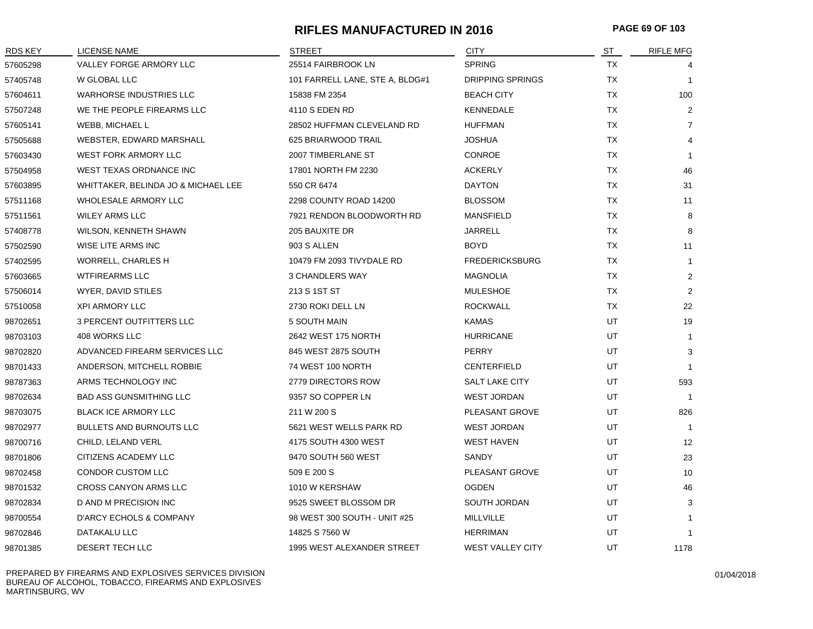## **RIFLES MANUFACTURED IN 2016 PAGE 69 OF 103**

| RDS KEY  | LICENSE NAME                        | <b>STREET</b>                   | <b>CITY</b>             | ST        | <b>RIFLE MFG</b> |
|----------|-------------------------------------|---------------------------------|-------------------------|-----------|------------------|
| 57605298 | VALLEY FORGE ARMORY LLC             | 25514 FAIRBROOK LN              | <b>SPRING</b>           | TX        | 4                |
| 57405748 | W GLOBAL LLC                        | 101 FARRELL LANE, STE A, BLDG#1 | <b>DRIPPING SPRINGS</b> | <b>TX</b> | $\overline{1}$   |
| 57604611 | <b>WARHORSE INDUSTRIES LLC</b>      | 15838 FM 2354                   | <b>BEACH CITY</b>       | TX        | 100              |
| 57507248 | WE THE PEOPLE FIREARMS LLC          | 4110 S EDEN RD                  | KENNEDALE               | ТX        | $\overline{2}$   |
| 57605141 | WEBB, MICHAEL L                     | 28502 HUFFMAN CLEVELAND RD      | <b>HUFFMAN</b>          | <b>TX</b> | $\overline{7}$   |
| 57505688 | WEBSTER, EDWARD MARSHALL            | 625 BRIARWOOD TRAIL             | <b>JOSHUA</b>           | <b>TX</b> | 4                |
| 57603430 | <b>WEST FORK ARMORY LLC</b>         | 2007 TIMBERLANE ST              | CONROE                  | <b>TX</b> | $\mathbf{1}$     |
| 57504958 | WEST TEXAS ORDNANCE INC             | 17801 NORTH FM 2230             | <b>ACKERLY</b>          | <b>TX</b> | 46               |
| 57603895 | WHITTAKER, BELINDA JO & MICHAEL LEE | 550 CR 6474                     | <b>DAYTON</b>           | TX        | 31               |
| 57511168 | WHOLESALE ARMORY LLC                | 2298 COUNTY ROAD 14200          | <b>BLOSSOM</b>          | <b>TX</b> | 11               |
| 57511561 | <b>WILEY ARMS LLC</b>               | 7921 RENDON BLOODWORTH RD       | <b>MANSFIELD</b>        | <b>TX</b> | 8                |
| 57408778 | WILSON, KENNETH SHAWN               | 205 BAUXITE DR                  | <b>JARRELL</b>          | <b>TX</b> | 8                |
| 57502590 | WISE LITE ARMS INC                  | 903 S ALLEN                     | <b>BOYD</b>             | <b>TX</b> | 11               |
| 57402595 | WORRELL, CHARLES H                  | 10479 FM 2093 TIVYDALE RD       | <b>FREDERICKSBURG</b>   | <b>TX</b> | $\overline{1}$   |
| 57603665 | <b>WTFIREARMS LLC</b>               | 3 CHANDLERS WAY                 | MAGNOLIA                | <b>TX</b> | $\overline{2}$   |
| 57506014 | WYER, DAVID STILES                  | 213 S 1ST ST                    | <b>MULESHOE</b>         | TX        | $\overline{2}$   |
| 57510058 | <b>XPI ARMORY LLC</b>               | 2730 ROKI DELL LN               | <b>ROCKWALL</b>         | <b>TX</b> | 22               |
| 98702651 | 3 PERCENT OUTFITTERS LLC            | 5 SOUTH MAIN                    | <b>KAMAS</b>            | UT        | 19               |
| 98703103 | 408 WORKS LLC                       | 2642 WEST 175 NORTH             | <b>HURRICANE</b>        | UT        | $\mathbf{1}$     |
| 98702820 | ADVANCED FIREARM SERVICES LLC       | 845 WEST 2875 SOUTH             | <b>PERRY</b>            | UT        | 3                |
| 98701433 | ANDERSON, MITCHELL ROBBIE           | 74 WEST 100 NORTH               | <b>CENTERFIELD</b>      | UT        | $\overline{1}$   |
| 98787363 | ARMS TECHNOLOGY INC                 | 2779 DIRECTORS ROW              | <b>SALT LAKE CITY</b>   | UT        | 593              |
| 98702634 | <b>BAD ASS GUNSMITHING LLC</b>      | 9357 SO COPPER LN               | <b>WEST JORDAN</b>      | UT        | $\overline{1}$   |
| 98703075 | <b>BLACK ICE ARMORY LLC</b>         | 211 W 200 S                     | PLEASANT GROVE          | UT        | 826              |
| 98702977 | <b>BULLETS AND BURNOUTS LLC</b>     | 5621 WEST WELLS PARK RD         | <b>WEST JORDAN</b>      | UT        | $\overline{1}$   |
| 98700716 | CHILD, LELAND VERL                  | 4175 SOUTH 4300 WEST            | <b>WEST HAVEN</b>       | UT        | 12               |
| 98701806 | CITIZENS ACADEMY LLC                | 9470 SOUTH 560 WEST             | SANDY                   | UT        | 23               |
| 98702458 | CONDOR CUSTOM LLC                   | 509 E 200 S                     | PLEASANT GROVE          | UT        | 10               |
| 98701532 | <b>CROSS CANYON ARMS LLC</b>        | 1010 W KERSHAW                  | <b>OGDEN</b>            | UT        | 46               |
| 98702834 | D AND M PRECISION INC               | 9525 SWEET BLOSSOM DR           | SOUTH JORDAN            | UT        | 3                |
| 98700554 | D'ARCY ECHOLS & COMPANY             | 98 WEST 300 SOUTH - UNIT #25    | MILLVILLE               | UT        | $\mathbf{1}$     |
| 98702846 | DATAKALU LLC                        | 14825 S 7560 W                  | HERRIMAN                | UT        | $\mathbf{1}$     |
| 98701385 | DESERT TECH LLC                     | 1995 WEST ALEXANDER STREET      | <b>WEST VALLEY CITY</b> | UT        | 1178             |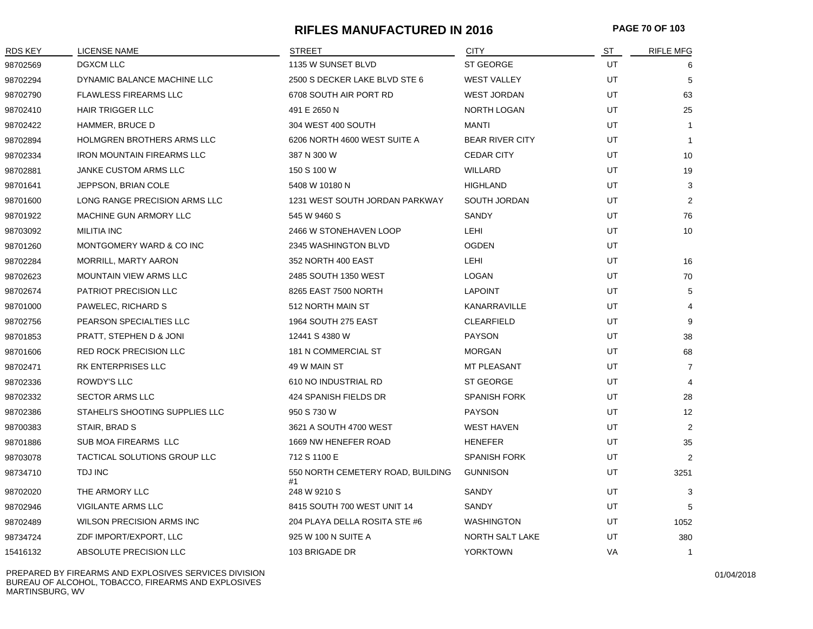## **RIFLES MANUFACTURED IN 2016 PAGE 70 OF 103**

| <b>RDS KEY</b> | <b>LICENSE NAME</b>               | <b>STREET</b>                           | <b>CITY</b>            | ST | <b>RIFLE MFG</b> |
|----------------|-----------------------------------|-----------------------------------------|------------------------|----|------------------|
| 98702569       | <b>DGXCM LLC</b>                  | 1135 W SUNSET BLVD                      | <b>ST GEORGE</b>       | UT | 6                |
| 98702294       | DYNAMIC BALANCE MACHINE LLC       | 2500 S DECKER LAKE BLVD STE 6           | <b>WEST VALLEY</b>     | UT | -5               |
| 98702790       | <b>FLAWLESS FIREARMS LLC</b>      | 6708 SOUTH AIR PORT RD                  | <b>WEST JORDAN</b>     | UT | 63               |
| 98702410       | <b>HAIR TRIGGER LLC</b>           | 491 E 2650 N                            | <b>NORTH LOGAN</b>     | UT | 25               |
| 98702422       | HAMMER, BRUCE D                   | 304 WEST 400 SOUTH                      | <b>MANTI</b>           | UT | $\overline{1}$   |
| 98702894       | HOLMGREN BROTHERS ARMS LLC        | 6206 NORTH 4600 WEST SUITE A            | <b>BEAR RIVER CITY</b> | UT | $\overline{1}$   |
| 98702334       | <b>IRON MOUNTAIN FIREARMS LLC</b> | 387 N 300 W                             | <b>CEDAR CITY</b>      | UT | 10               |
| 98702881       | JANKE CUSTOM ARMS LLC             | 150 S 100 W                             | WILLARD                | UT | 19               |
| 98701641       | JEPPSON, BRIAN COLE               | 5408 W 10180 N                          | <b>HIGHLAND</b>        | UT | 3                |
| 98701600       | LONG RANGE PRECISION ARMS LLC     | 1231 WEST SOUTH JORDAN PARKWAY          | SOUTH JORDAN           | UT | $\overline{2}$   |
| 98701922       | MACHINE GUN ARMORY LLC            | 545 W 9460 S                            | SANDY                  | UT | 76               |
| 98703092       | <b>MILITIA INC</b>                | 2466 W STONEHAVEN LOOP                  | LEHI                   | UT | 10               |
| 98701260       | MONTGOMERY WARD & CO INC          | 2345 WASHINGTON BLVD                    | <b>OGDEN</b>           | UT |                  |
| 98702284       | MORRILL, MARTY AARON              | 352 NORTH 400 EAST                      | LEHI                   | UT | 16               |
| 98702623       | <b>MOUNTAIN VIEW ARMS LLC</b>     | 2485 SOUTH 1350 WEST                    | LOGAN                  | UT | 70               |
| 98702674       | <b>PATRIOT PRECISION LLC</b>      | 8265 EAST 7500 NORTH                    | <b>LAPOINT</b>         | UT | 5                |
| 98701000       | PAWELEC, RICHARD S                | 512 NORTH MAIN ST                       | KANARRAVILLE           | UT | $\overline{4}$   |
| 98702756       | PEARSON SPECIALTIES LLC           | 1964 SOUTH 275 EAST                     | <b>CLEARFIELD</b>      | UT | 9                |
| 98701853       | PRATT, STEPHEN D & JONI           | 12441 S 4380 W                          | <b>PAYSON</b>          | UT | 38               |
| 98701606       | <b>RED ROCK PRECISION LLC</b>     | 181 N COMMERCIAL ST                     | <b>MORGAN</b>          | UT | 68               |
| 98702471       | RK ENTERPRISES LLC                | 49 W MAIN ST                            | MT PLEASANT            | UT | $\overline{7}$   |
| 98702336       | <b>ROWDY'S LLC</b>                | 610 NO INDUSTRIAL RD                    | <b>ST GEORGE</b>       | UT | $\overline{4}$   |
| 98702332       | <b>SECTOR ARMS LLC</b>            | 424 SPANISH FIELDS DR                   | <b>SPANISH FORK</b>    | UT | 28               |
| 98702386       | STAHELI'S SHOOTING SUPPLIES LLC   | 950 S 730 W                             | <b>PAYSON</b>          | UT | 12               |
| 98700383       | STAIR, BRAD S                     | 3621 A SOUTH 4700 WEST                  | <b>WEST HAVEN</b>      | UT | 2                |
| 98701886       | SUB MOA FIREARMS LLC              | 1669 NW HENEFER ROAD                    | <b>HENEFER</b>         | UT | 35               |
| 98703078       | TACTICAL SOLUTIONS GROUP LLC      | 712 S 1100 E                            | <b>SPANISH FORK</b>    | UT | 2                |
| 98734710       | TDJ INC                           | 550 NORTH CEMETERY ROAD, BUILDING<br>#1 | <b>GUNNISON</b>        | UT | 3251             |
| 98702020       | THE ARMORY LLC                    | 248 W 9210 S                            | SANDY                  | UT | 3                |
| 98702946       | VIGILANTE ARMS LLC                | 8415 SOUTH 700 WEST UNIT 14             | SANDY                  | UT | 5                |
| 98702489       | WILSON PRECISION ARMS INC         | 204 PLAYA DELLA ROSITA STE #6           | <b>WASHINGTON</b>      | UT | 1052             |
| 98734724       | ZDF IMPORT/EXPORT, LLC            | 925 W 100 N SUITE A                     | <b>NORTH SALT LAKE</b> | UT | 380              |
| 15416132       | ABSOLUTE PRECISION LLC            | 103 BRIGADE DR                          | <b>YORKTOWN</b>        | VA |                  |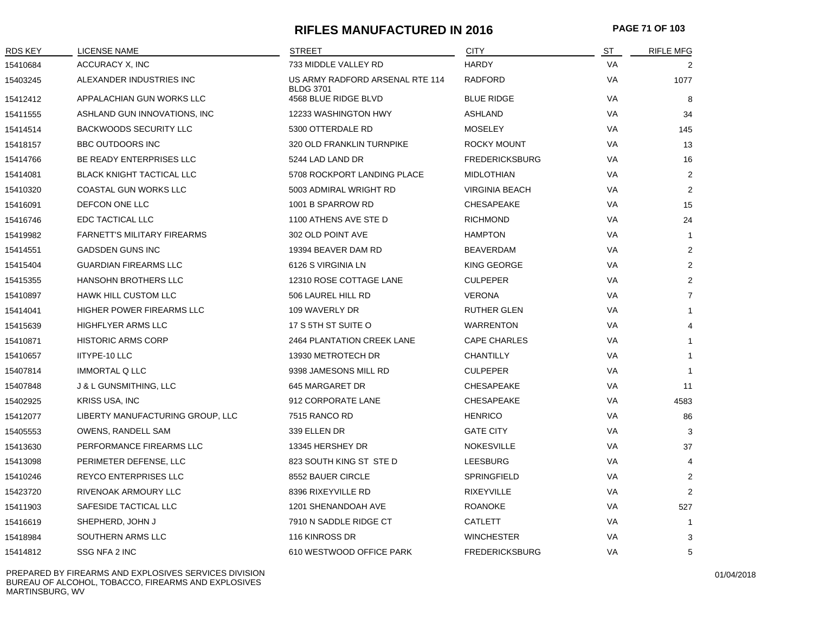# **RIFLES MANUFACTURED IN 2016 PAGE 71 OF 103**

| <b>RDS KEY</b> | <b>LICENSE NAME</b>                | <b>STREET</b>                                       | <b>CITY</b>           | ST        | <b>RIFLE MFG</b> |
|----------------|------------------------------------|-----------------------------------------------------|-----------------------|-----------|------------------|
| 15410684       | ACCURACY X, INC                    | 733 MIDDLE VALLEY RD                                | <b>HARDY</b>          | VA        | 2                |
| 15403245       | ALEXANDER INDUSTRIES INC           | US ARMY RADFORD ARSENAL RTE 114<br><b>BLDG 3701</b> | <b>RADFORD</b>        | VA        | 1077             |
| 15412412       | APPALACHIAN GUN WORKS LLC          | 4568 BLUE RIDGE BLVD                                | <b>BLUE RIDGE</b>     | VA        | 8                |
| 15411555       | ASHLAND GUN INNOVATIONS, INC       | 12233 WASHINGTON HWY                                | <b>ASHLAND</b>        | VA        | 34               |
| 15414514       | <b>BACKWOODS SECURITY LLC</b>      | 5300 OTTERDALE RD                                   | <b>MOSELEY</b>        | VA        | 145              |
| 15418157       | <b>BBC OUTDOORS INC</b>            | 320 OLD FRANKLIN TURNPIKE                           | <b>ROCKY MOUNT</b>    | VA        | 13               |
| 15414766       | BE READY ENTERPRISES LLC           | 5244 LAD LAND DR                                    | <b>FREDERICKSBURG</b> | VA        | 16               |
| 15414081       | <b>BLACK KNIGHT TACTICAL LLC</b>   | 5708 ROCKPORT LANDING PLACE                         | <b>MIDLOTHIAN</b>     | VA        | 2                |
| 15410320       | <b>COASTAL GUN WORKS LLC</b>       | 5003 ADMIRAL WRIGHT RD                              | <b>VIRGINIA BEACH</b> | VA        | $\overline{2}$   |
| 15416091       | DEFCON ONE LLC                     | 1001 B SPARROW RD                                   | CHESAPEAKE            | VA        | 15               |
| 15416746       | EDC TACTICAL LLC                   | 1100 ATHENS AVE STE D                               | <b>RICHMOND</b>       | VA        | 24               |
| 15419982       | <b>FARNETT'S MILITARY FIREARMS</b> | 302 OLD POINT AVE                                   | <b>HAMPTON</b>        | VA        | $\mathbf{1}$     |
| 15414551       | <b>GADSDEN GUNS INC</b>            | 19394 BEAVER DAM RD                                 | BEAVERDAM             | VA        | $\overline{2}$   |
| 15415404       | <b>GUARDIAN FIREARMS LLC</b>       | 6126 S VIRGINIA LN                                  | KING GEORGE           | VA        | $\overline{2}$   |
| 15415355       | HANSOHN BROTHERS LLC               | 12310 ROSE COTTAGE LANE                             | <b>CULPEPER</b>       | VA        | $\overline{2}$   |
| 15410897       | <b>HAWK HILL CUSTOM LLC</b>        | 506 LAUREL HILL RD                                  | <b>VERONA</b>         | VA        | $\overline{7}$   |
| 15414041       | HIGHER POWER FIREARMS LLC          | 109 WAVERLY DR                                      | <b>RUTHER GLEN</b>    | VA        | $\mathbf{1}$     |
| 15415639       | HIGHFLYER ARMS LLC                 | 17 S 5TH ST SUITE O                                 | <b>WARRENTON</b>      | VA        | 4                |
| 15410871       | <b>HISTORIC ARMS CORP</b>          | 2464 PLANTATION CREEK LANE                          | <b>CAPE CHARLES</b>   | VA        | $\mathbf{1}$     |
| 15410657       | IITYPE-10 LLC                      | 13930 METROTECH DR                                  | <b>CHANTILLY</b>      | VA        | $\mathbf{1}$     |
| 15407814       | <b>IMMORTAL Q LLC</b>              | 9398 JAMESONS MILL RD                               | <b>CULPEPER</b>       | VA        | $\mathbf{1}$     |
| 15407848       | J & L GUNSMITHING, LLC             | 645 MARGARET DR                                     | CHESAPEAKE            | VA        | 11               |
| 15402925       | KRISS USA, INC                     | 912 CORPORATE LANE                                  | CHESAPEAKE            | VA        | 4583             |
| 15412077       | LIBERTY MANUFACTURING GROUP, LLC   | 7515 RANCO RD                                       | <b>HENRICO</b>        | VA        | 86               |
| 15405553       | OWENS, RANDELL SAM                 | 339 ELLEN DR                                        | <b>GATE CITY</b>      | VA        | 3                |
| 15413630       | PERFORMANCE FIREARMS LLC           | 13345 HERSHEY DR                                    | <b>NOKESVILLE</b>     | <b>VA</b> | 37               |
| 15413098       | PERIMETER DEFENSE, LLC             | 823 SOUTH KING ST STE D                             | <b>LEESBURG</b>       | VA        | 4                |
| 15410246       | <b>REYCO ENTERPRISES LLC</b>       | 8552 BAUER CIRCLE                                   | SPRINGFIELD           | VA        | 2                |
| 15423720       | RIVENOAK ARMOURY LLC               | 8396 RIXEYVILLE RD                                  | <b>RIXEYVILLE</b>     | VA        | 2                |
| 15411903       | SAFESIDE TACTICAL LLC              | 1201 SHENANDOAH AVE                                 | <b>ROANOKE</b>        | <b>VA</b> | 527              |
| 15416619       | SHEPHERD, JOHN J                   | 7910 N SADDLE RIDGE CT                              | CATLETT               | <b>VA</b> | $\mathbf{1}$     |
| 15418984       | SOUTHERN ARMS LLC                  | 116 KINROSS DR                                      | <b>WINCHESTER</b>     | VA        | 3                |
| 15414812       | SSG NFA 2 INC                      | 610 WESTWOOD OFFICE PARK                            | <b>FREDERICKSBURG</b> | VA        | 5                |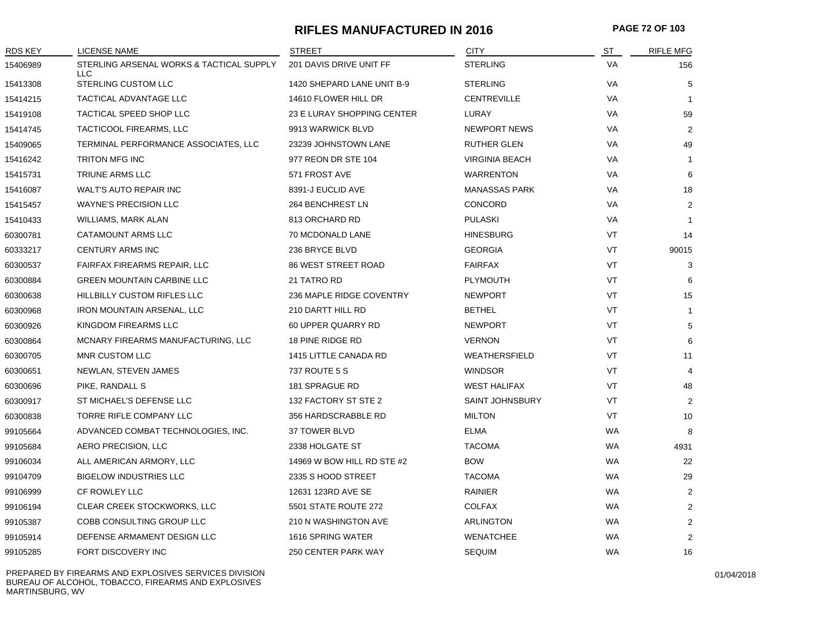#### **RIFLES MANUFACTURED IN 2016 PAGE 72 OF 103**

| <b>RDS KEY</b> | LICENSE NAME                                    | <b>STREET</b>              | <b>CITY</b>            | <u>ST</u> | <b>RIFLE MFG</b> |
|----------------|-------------------------------------------------|----------------------------|------------------------|-----------|------------------|
| 15406989       | STERLING ARSENAL WORKS & TACTICAL SUPPLY<br>LLC | 201 DAVIS DRIVE UNIT FF    | <b>STERLING</b>        | <b>VA</b> | 156              |
| 15413308       | STERLING CUSTOM LLC                             | 1420 SHEPARD LANE UNIT B-9 | <b>STERLING</b>        | VA        | 5                |
| 15414215       | TACTICAL ADVANTAGE LLC                          | 14610 FLOWER HILL DR       | <b>CENTREVILLE</b>     | VA        | $\mathbf 1$      |
| 15419108       | TACTICAL SPEED SHOP LLC                         | 23 E LURAY SHOPPING CENTER | LURAY                  | VA        | 59               |
| 15414745       | TACTICOOL FIREARMS, LLC                         | 9913 WARWICK BLVD          | <b>NEWPORT NEWS</b>    | VA        | $\overline{2}$   |
| 15409065       | TERMINAL PERFORMANCE ASSOCIATES, LLC            | 23239 JOHNSTOWN LANE       | <b>RUTHER GLEN</b>     | VA        | 49               |
| 15416242       | <b>TRITON MFG INC</b>                           | 977 REON DR STE 104        | <b>VIRGINIA BEACH</b>  | VA        | $\overline{1}$   |
| 15415731       | TRIUNE ARMS LLC                                 | 571 FROST AVE              | <b>WARRENTON</b>       | VA        | 6                |
| 15416087       | <b>WALT'S AUTO REPAIR INC</b>                   | 8391-J EUCLID AVE          | <b>MANASSAS PARK</b>   | VA        | 18               |
| 15415457       | <b>WAYNE'S PRECISION LLC</b>                    | 264 BENCHREST LN           | CONCORD                | VA        | 2                |
| 15410433       | WILLIAMS, MARK ALAN                             | 813 ORCHARD RD             | <b>PULASKI</b>         | VA        | $\mathbf 1$      |
| 60300781       | CATAMOUNT ARMS LLC                              | 70 MCDONALD LANE           | <b>HINESBURG</b>       | VT        | 14               |
| 60333217       | <b>CENTURY ARMS INC</b>                         | 236 BRYCE BLVD             | <b>GEORGIA</b>         | VT        | 90015            |
| 60300537       | <b>FAIRFAX FIREARMS REPAIR, LLC</b>             | <b>86 WEST STREET ROAD</b> | <b>FAIRFAX</b>         | VT        | 3                |
| 60300884       | <b>GREEN MOUNTAIN CARBINE LLC</b>               | 21 TATRO RD                | <b>PLYMOUTH</b>        | VT        | 6                |
| 60300638       | <b>HILLBILLY CUSTOM RIFLES LLC</b>              | 236 MAPLE RIDGE COVENTRY   | <b>NEWPORT</b>         | VT        | 15               |
| 60300968       | <b>IRON MOUNTAIN ARSENAL, LLC</b>               | 210 DARTT HILL RD          | <b>BETHEL</b>          | VT        | $\overline{1}$   |
| 60300926       | KINGDOM FIREARMS LLC                            | 60 UPPER QUARRY RD         | <b>NEWPORT</b>         | <b>VT</b> | 5                |
| 60300864       | MCNARY FIREARMS MANUFACTURING, LLC              | 18 PINE RIDGE RD           | <b>VERNON</b>          | VT        | 6                |
| 60300705       | <b>MNR CUSTOM LLC</b>                           | 1415 LITTLE CANADA RD      | WEATHERSFIELD          | VT        | 11               |
| 60300651       | NEWLAN, STEVEN JAMES                            | 737 ROUTE 5 S              | <b>WINDSOR</b>         | VT        | 4                |
| 60300696       | PIKE, RANDALL S                                 | 181 SPRAGUE RD             | <b>WEST HALIFAX</b>    | VT        | 48               |
| 60300917       | ST MICHAEL'S DEFENSE LLC                        | 132 FACTORY ST STE 2       | <b>SAINT JOHNSBURY</b> | VT        | $\overline{2}$   |
| 60300838       | TORRE RIFLE COMPANY LLC                         | 356 HARDSCRABBLE RD        | <b>MILTON</b>          | VT        | 10               |
| 99105664       | ADVANCED COMBAT TECHNOLOGIES, INC.              | <b>37 TOWER BLVD</b>       | <b>ELMA</b>            | WA        | 8                |
| 99105684       | AERO PRECISION, LLC                             | 2338 HOLGATE ST            | <b>TACOMA</b>          | <b>WA</b> | 4931             |
| 99106034       | ALL AMERICAN ARMORY, LLC                        | 14969 W BOW HILL RD STE #2 | <b>BOW</b>             | <b>WA</b> | 22               |
| 99104709       | <b>BIGELOW INDUSTRIES LLC</b>                   | 2335 S HOOD STREET         | <b>TACOMA</b>          | WA        | 29               |
| 99106999       | CF ROWLEY LLC                                   | 12631 123RD AVE SE         | RAINIER                | <b>WA</b> | $\overline{2}$   |
| 99106194       | CLEAR CREEK STOCKWORKS, LLC                     | 5501 STATE ROUTE 272       | <b>COLFAX</b>          | <b>WA</b> | $\overline{2}$   |
| 99105387       | COBB CONSULTING GROUP LLC                       | 210 N WASHINGTON AVE       | ARLINGTON              | <b>WA</b> | $\overline{2}$   |
| 99105914       | DEFENSE ARMAMENT DESIGN LLC                     | 1616 SPRING WATER          | <b>WENATCHEE</b>       | <b>WA</b> | $\overline{2}$   |
| 99105285       | FORT DISCOVERY INC                              | 250 CENTER PARK WAY        | <b>SEQUIM</b>          | <b>WA</b> | 16               |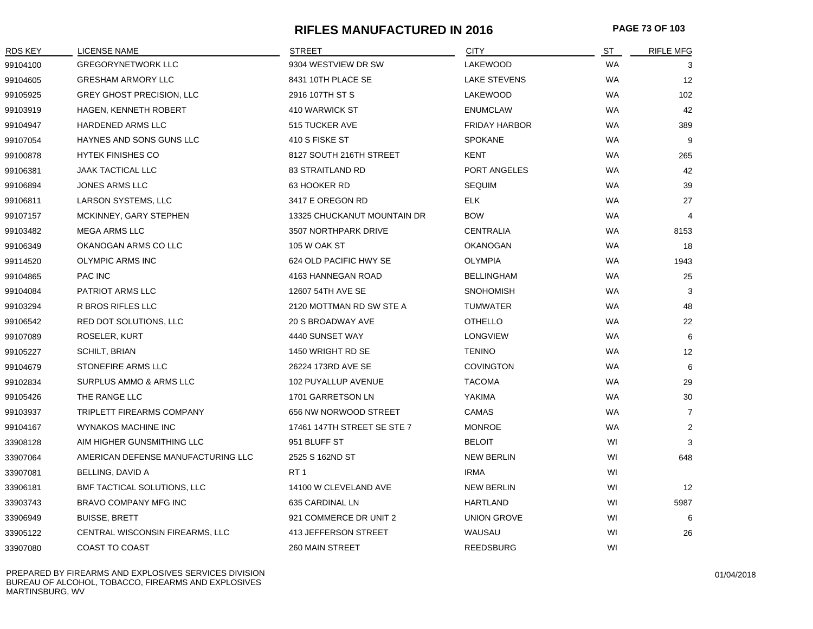### **RIFLES MANUFACTURED IN 2016 PAGE 73 OF 103**

| RDS KEY  | LICENSE NAME                       | <b>STREET</b>               | <b>CITY</b>          | ST        | <b>RIFLE MFG</b>  |
|----------|------------------------------------|-----------------------------|----------------------|-----------|-------------------|
| 99104100 | <b>GREGORYNETWORK LLC</b>          | 9304 WESTVIEW DR SW         | LAKEWOOD             | <b>WA</b> | 3                 |
| 99104605 | <b>GRESHAM ARMORY LLC</b>          | 8431 10TH PLACE SE          | <b>LAKE STEVENS</b>  | <b>WA</b> | 12                |
| 99105925 | <b>GREY GHOST PRECISION, LLC</b>   | 2916 107TH ST S             | <b>LAKEWOOD</b>      | <b>WA</b> | 102               |
| 99103919 | HAGEN, KENNETH ROBERT              | 410 WARWICK ST              | <b>ENUMCLAW</b>      | <b>WA</b> | 42                |
| 99104947 | <b>HARDENED ARMS LLC</b>           | 515 TUCKER AVE              | <b>FRIDAY HARBOR</b> | WA        | 389               |
| 99107054 | HAYNES AND SONS GUNS LLC           | 410 S FISKE ST              | <b>SPOKANE</b>       | <b>WA</b> | 9                 |
| 99100878 | <b>HYTEK FINISHES CO</b>           | 8127 SOUTH 216TH STREET     | <b>KENT</b>          | <b>WA</b> | 265               |
| 99106381 | <b>JAAK TACTICAL LLC</b>           | <b>83 STRAITLAND RD</b>     | PORT ANGELES         | <b>WA</b> | 42                |
| 99106894 | <b>JONES ARMS LLC</b>              | 63 HOOKER RD                | <b>SEQUIM</b>        | WA        | 39                |
| 99106811 | LARSON SYSTEMS, LLC                | 3417 E OREGON RD            | <b>ELK</b>           | <b>WA</b> | 27                |
| 99107157 | MCKINNEY, GARY STEPHEN             | 13325 CHUCKANUT MOUNTAIN DR | <b>BOW</b>           | <b>WA</b> | $\overline{4}$    |
| 99103482 | <b>MEGA ARMS LLC</b>               | 3507 NORTHPARK DRIVE        | <b>CENTRALIA</b>     | <b>WA</b> | 8153              |
| 99106349 | OKANOGAN ARMS CO LLC               | 105 W OAK ST                | <b>OKANOGAN</b>      | <b>WA</b> | 18                |
| 99114520 | <b>OLYMPIC ARMS INC</b>            | 624 OLD PACIFIC HWY SE      | OLYMPIA              | WA        | 1943              |
| 99104865 | <b>PAC INC</b>                     | 4163 HANNEGAN ROAD          | <b>BELLINGHAM</b>    | <b>WA</b> | 25                |
| 99104084 | PATRIOT ARMS LLC                   | 12607 54TH AVE SE           | <b>SNOHOMISH</b>     | <b>WA</b> | 3                 |
| 99103294 | R BROS RIFLES LLC                  | 2120 MOTTMAN RD SW STE A    | <b>TUMWATER</b>      | <b>WA</b> | 48                |
| 99106542 | RED DOT SOLUTIONS, LLC             | 20 S BROADWAY AVE           | <b>OTHELLO</b>       | WA        | 22                |
| 99107089 | ROSELER, KURT                      | 4440 SUNSET WAY             | <b>LONGVIEW</b>      | <b>WA</b> | 6                 |
| 99105227 | <b>SCHILT, BRIAN</b>               | 1450 WRIGHT RD SE           | <b>TENINO</b>        | <b>WA</b> | 12                |
| 99104679 | STONEFIRE ARMS LLC                 | 26224 173RD AVE SE          | <b>COVINGTON</b>     | <b>WA</b> | 6                 |
| 99102834 | SURPLUS AMMO & ARMS LLC            | 102 PUYALLUP AVENUE         | <b>TACOMA</b>        | <b>WA</b> | 29                |
| 99105426 | THE RANGE LLC                      | 1701 GARRETSON LN           | YAKIMA               | WA        | 30                |
| 99103937 | TRIPLETT FIREARMS COMPANY          | 656 NW NORWOOD STREET       | CAMAS                | <b>WA</b> | $\overline{7}$    |
| 99104167 | <b>WYNAKOS MACHINE INC</b>         | 17461 147TH STREET SE STE 7 | <b>MONROE</b>        | <b>WA</b> | $\overline{2}$    |
| 33908128 | AIM HIGHER GUNSMITHING LLC         | 951 BLUFF ST                | <b>BELOIT</b>        | WI        | 3                 |
| 33907064 | AMERICAN DEFENSE MANUFACTURING LLC | 2525 S 162ND ST             | <b>NEW BERLIN</b>    | WI        | 648               |
| 33907081 | BELLING, DAVID A                   | RT <sub>1</sub>             | <b>IRMA</b>          | WI        |                   |
| 33906181 | BMF TACTICAL SOLUTIONS, LLC        | 14100 W CLEVELAND AVE       | <b>NEW BERLIN</b>    | WI        | $12 \overline{ }$ |
| 33903743 | BRAVO COMPANY MFG INC              | 635 CARDINAL LN             | <b>HARTLAND</b>      | WI        | 5987              |
| 33906949 | <b>BUISSE, BRETT</b>               | 921 COMMERCE DR UNIT 2      | <b>UNION GROVE</b>   | WI        | 6                 |
| 33905122 | CENTRAL WISCONSIN FIREARMS, LLC    | 413 JEFFERSON STREET        | WAUSAU               | WI        | 26                |
| 33907080 | <b>COAST TO COAST</b>              | 260 MAIN STREET             | <b>REEDSBURG</b>     | WI        |                   |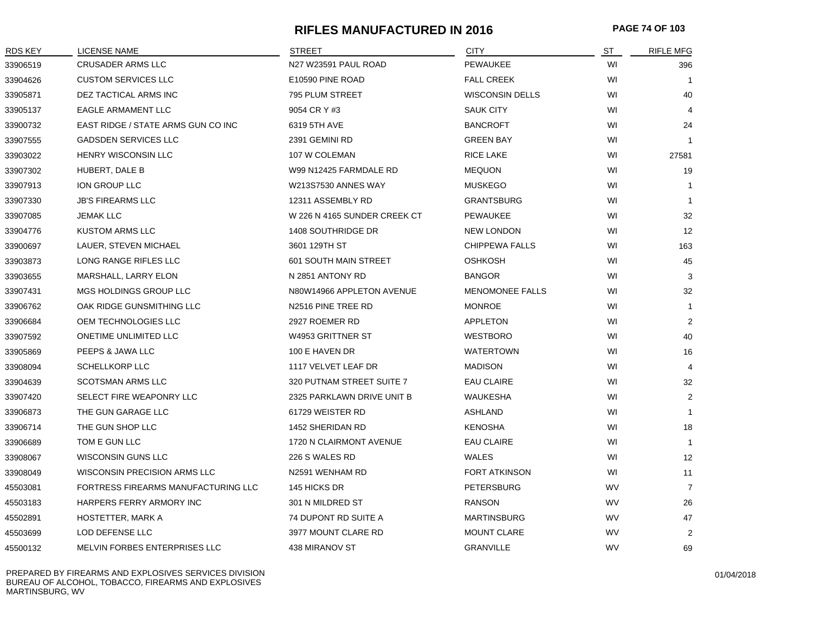### **RIFLES MANUFACTURED IN 2016 PAGE 74 OF 103**

| RDS KEY  | <b>LICENSE NAME</b>                 | STREET                       | <b>CITY</b>            | <u>ST</u> | <b>RIFLE MFG</b> |
|----------|-------------------------------------|------------------------------|------------------------|-----------|------------------|
| 33906519 | <b>CRUSADER ARMS LLC</b>            | N27 W23591 PAUL ROAD         | <b>PEWAUKEE</b>        | WI        | 396              |
| 33904626 | <b>CUSTOM SERVICES LLC</b>          | E10590 PINE ROAD             | <b>FALL CREEK</b>      | WI        | $\overline{1}$   |
| 33905871 | DEZ TACTICAL ARMS INC               | 795 PLUM STREET              | <b>WISCONSIN DELLS</b> | WI        | 40               |
| 33905137 | EAGLE ARMAMENT LLC                  | 9054 CR Y #3                 | <b>SAUK CITY</b>       | WI        | $\overline{4}$   |
| 33900732 | EAST RIDGE / STATE ARMS GUN CO INC  | 6319 5TH AVE                 | <b>BANCROFT</b>        | WI        | 24               |
| 33907555 | <b>GADSDEN SERVICES LLC</b>         | 2391 GEMINI RD               | <b>GREEN BAY</b>       | WI        | $\mathbf{1}$     |
| 33903022 | <b>HENRY WISCONSIN LLC</b>          | 107 W COLEMAN                | <b>RICE LAKE</b>       | WI        | 27581            |
| 33907302 | HUBERT, DALE B                      | W99 N12425 FARMDALE RD       | <b>MEQUON</b>          | WI        | 19               |
| 33907913 | ION GROUP LLC                       | <b>W213S7530 ANNES WAY</b>   | <b>MUSKEGO</b>         | WI        | $\mathbf{1}$     |
| 33907330 | <b>JB'S FIREARMS LLC</b>            | 12311 ASSEMBLY RD            | <b>GRANTSBURG</b>      | WI        | $\mathbf{1}$     |
| 33907085 | <b>JEMAK LLC</b>                    | W 226 N 4165 SUNDER CREEK CT | <b>PEWAUKEE</b>        | WI        | 32               |
| 33904776 | <b>KUSTOM ARMS LLC</b>              | 1408 SOUTHRIDGE DR           | <b>NEW LONDON</b>      | WI        | 12               |
| 33900697 | LAUER, STEVEN MICHAEL               | 3601 129TH ST                | <b>CHIPPEWA FALLS</b>  | WI        | 163              |
| 33903873 | LONG RANGE RIFLES LLC               | <b>601 SOUTH MAIN STREET</b> | <b>OSHKOSH</b>         | WI        | 45               |
| 33903655 | MARSHALL, LARRY ELON                | N 2851 ANTONY RD             | <b>BANGOR</b>          | WI        | 3                |
| 33907431 | MGS HOLDINGS GROUP LLC              | N80W14966 APPLETON AVENUE    | <b>MENOMONEE FALLS</b> | WI        | 32               |
| 33906762 | OAK RIDGE GUNSMITHING LLC           | N2516 PINE TREE RD           | <b>MONROE</b>          | WI        | $\mathbf{1}$     |
| 33906684 | OEM TECHNOLOGIES LLC                | 2927 ROEMER RD               | <b>APPLETON</b>        | WI        | 2                |
| 33907592 | ONETIME UNLIMITED LLC               | W4953 GRITTNER ST            | <b>WESTBORO</b>        | WI        | 40               |
| 33905869 | PEEPS & JAWA LLC                    | 100 E HAVEN DR               | <b>WATERTOWN</b>       | WI        | 16               |
| 33908094 | <b>SCHELLKORP LLC</b>               | 1117 VELVET LEAF DR          | <b>MADISON</b>         | WI        | $\overline{4}$   |
| 33904639 | <b>SCOTSMAN ARMS LLC</b>            | 320 PUTNAM STREET SUITE 7    | <b>EAU CLAIRE</b>      | WI        | 32               |
| 33907420 | SELECT FIRE WEAPONRY LLC            | 2325 PARKLAWN DRIVE UNIT B   | WAUKESHA               | WI        | $\overline{2}$   |
| 33906873 | THE GUN GARAGE LLC                  | 61729 WEISTER RD             | ASHLAND                | WI        | $\mathbf{1}$     |
| 33906714 | THE GUN SHOP LLC                    | 1452 SHERIDAN RD             | <b>KENOSHA</b>         | WI        | 18               |
| 33906689 | TOM E GUN LLC                       | 1720 N CLAIRMONT AVENUE      | <b>EAU CLAIRE</b>      | WI        | $\mathbf{1}$     |
| 33908067 | WISCONSIN GUNS LLC                  | 226 S WALES RD               | <b>WALES</b>           | WI        | 12               |
| 33908049 | WISCONSIN PRECISION ARMS LLC        | N2591 WENHAM RD              | <b>FORT ATKINSON</b>   | WI        | 11               |
| 45503081 | FORTRESS FIREARMS MANUFACTURING LLC | 145 HICKS DR                 | <b>PETERSBURG</b>      | <b>WV</b> | $\overline{7}$   |
| 45503183 | HARPERS FERRY ARMORY INC            | 301 N MILDRED ST             | <b>RANSON</b>          | <b>WV</b> | 26               |
| 45502891 | HOSTETTER, MARK A                   | <b>74 DUPONT RD SUITE A</b>  | <b>MARTINSBURG</b>     | <b>WV</b> | 47               |
| 45503699 | LOD DEFENSE LLC                     | 3977 MOUNT CLARE RD          | <b>MOUNT CLARE</b>     | <b>WV</b> | 2                |
| 45500132 | MELVIN FORBES ENTERPRISES LLC       | 438 MIRANOV ST               | <b>GRANVILLE</b>       | WV        | 69               |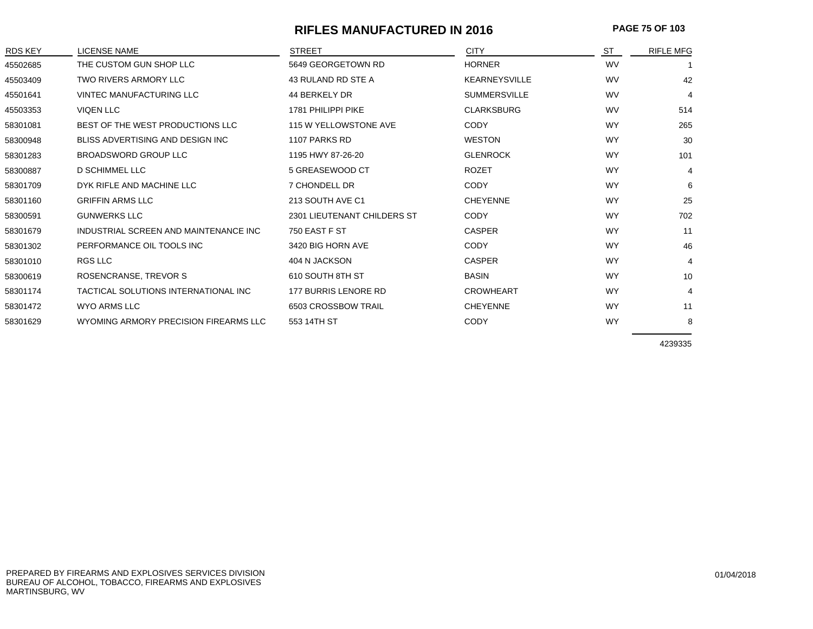### **RIFLES MANUFACTURED IN 2016 PAGE 75 OF 103**

| RDS KEY  | <b>LICENSE NAME</b>                   | <b>STREET</b>               | <b>CITY</b>          | ST        | <b>RIFLE MFG</b> |
|----------|---------------------------------------|-----------------------------|----------------------|-----------|------------------|
| 45502685 | THE CUSTOM GUN SHOP LLC               | 5649 GEORGETOWN RD          | <b>HORNER</b>        | <b>WV</b> |                  |
| 45503409 | TWO RIVERS ARMORY LLC                 | 43 RULAND RD STE A          | <b>KEARNEYSVILLE</b> | <b>WV</b> | 42               |
| 45501641 | VINTEC MANUFACTURING LLC              | 44 BERKELY DR               | <b>SUMMERSVILLE</b>  | <b>WV</b> | $\overline{4}$   |
| 45503353 | <b>VIQEN LLC</b>                      | 1781 PHILIPPI PIKE          | <b>CLARKSBURG</b>    | <b>WV</b> | 514              |
| 58301081 | BEST OF THE WEST PRODUCTIONS LLC      | 115 W YELLOWSTONE AVE       | <b>CODY</b>          | <b>WY</b> | 265              |
| 58300948 | BLISS ADVERTISING AND DESIGN INC.     | 1107 PARKS RD               | <b>WESTON</b>        | <b>WY</b> | 30               |
| 58301283 | <b>BROADSWORD GROUP LLC</b>           | 1195 HWY 87-26-20           | <b>GLENROCK</b>      | <b>WY</b> | 101              |
| 58300887 | <b>D SCHIMMEL LLC</b>                 | 5 GREASEWOOD CT             | <b>ROZET</b>         | <b>WY</b> | 4                |
| 58301709 | DYK RIFLE AND MACHINE LLC             | 7 CHONDELL DR               | <b>CODY</b>          | <b>WY</b> | 6                |
| 58301160 | <b>GRIFFIN ARMS LLC</b>               | 213 SOUTH AVE C1            | <b>CHEYENNE</b>      | <b>WY</b> | 25               |
| 58300591 | <b>GUNWERKS LLC</b>                   | 2301 LIEUTENANT CHILDERS ST | <b>CODY</b>          | <b>WY</b> | 702              |
| 58301679 | INDUSTRIAL SCREEN AND MAINTENANCE INC | 750 EAST F ST               | <b>CASPER</b>        | <b>WY</b> | 11               |
| 58301302 | PERFORMANCE OIL TOOLS INC             | 3420 BIG HORN AVE           | <b>CODY</b>          | <b>WY</b> | 46               |
| 58301010 | RGS LLC                               | 404 N JACKSON               | <b>CASPER</b>        | <b>WY</b> | $\overline{4}$   |
| 58300619 | ROSENCRANSE, TREVOR S                 | 610 SOUTH 8TH ST            | <b>BASIN</b>         | <b>WY</b> | 10               |
| 58301174 | TACTICAL SOLUTIONS INTERNATIONAL INC  | 177 BURRIS LENORE RD        | <b>CROWHEART</b>     | <b>WY</b> | $\overline{4}$   |
| 58301472 | <b>WYO ARMS LLC</b>                   | 6503 CROSSBOW TRAIL         | <b>CHEYENNE</b>      | <b>WY</b> | 11               |
| 58301629 | WYOMING ARMORY PRECISION FIREARMS LLC | 553 14TH ST                 | <b>CODY</b>          | <b>WY</b> | 8                |
|          |                                       |                             |                      |           |                  |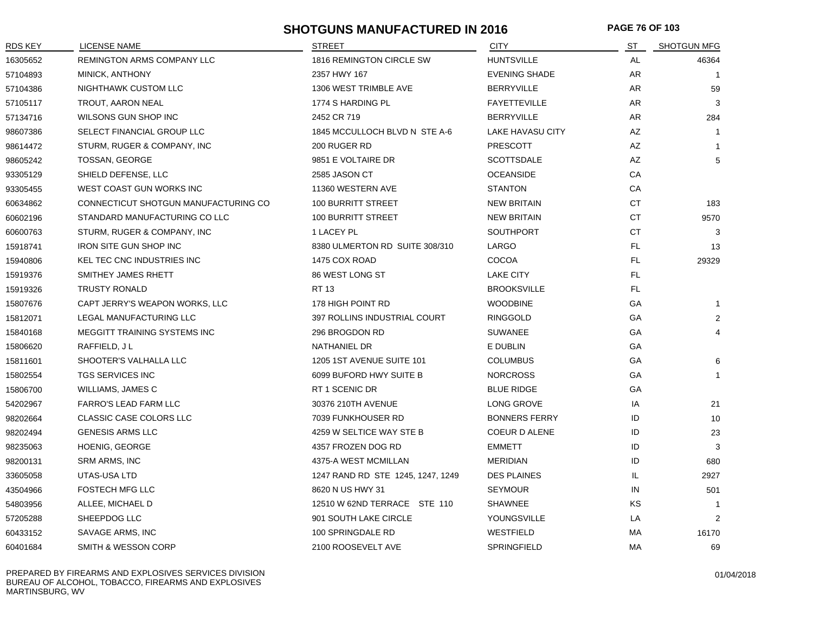### **SHOTGUNS MANUFACTURED IN 2016 PAGE 76 OF 103**

| RDS KEY  | <b>LICENSE NAME</b>                  | <b>STREET</b>                     | <b>CITY</b>          | ST        | <b>SHOTGUN MFG</b> |
|----------|--------------------------------------|-----------------------------------|----------------------|-----------|--------------------|
| 16305652 | REMINGTON ARMS COMPANY LLC           | 1816 REMINGTON CIRCLE SW          | <b>HUNTSVILLE</b>    | AL        | 46364              |
| 57104893 | MINICK, ANTHONY                      | 2357 HWY 167                      | <b>EVENING SHADE</b> | AR        |                    |
| 57104386 | NIGHTHAWK CUSTOM LLC                 | 1306 WEST TRIMBLE AVE             | <b>BERRYVILLE</b>    | AR        | 59                 |
| 57105117 | TROUT, AARON NEAL                    | 1774 S HARDING PL                 | <b>FAYETTEVILLE</b>  | AR        | 3                  |
| 57134716 | WILSONS GUN SHOP INC                 | 2452 CR 719                       | <b>BERRYVILLE</b>    | AR        | 284                |
| 98607386 | SELECT FINANCIAL GROUP LLC           | 1845 MCCULLOCH BLVD N STE A-6     | LAKE HAVASU CITY     | AZ        | $\overline{1}$     |
| 98614472 | STURM, RUGER & COMPANY, INC          | 200 RUGER RD                      | <b>PRESCOTT</b>      | AZ        | $\mathbf{1}$       |
| 98605242 | TOSSAN, GEORGE                       | 9851 E VOLTAIRE DR                | <b>SCOTTSDALE</b>    | AZ        | 5                  |
| 93305129 | SHIELD DEFENSE, LLC                  | 2585 JASON CT                     | <b>OCEANSIDE</b>     | CA        |                    |
| 93305455 | WEST COAST GUN WORKS INC             | 11360 WESTERN AVE                 | <b>STANTON</b>       | CA        |                    |
| 60634862 | CONNECTICUT SHOTGUN MANUFACTURING CO | 100 BURRITT STREET                | <b>NEW BRITAIN</b>   | CT        | 183                |
| 60602196 | STANDARD MANUFACTURING CO LLC        | 100 BURRITT STREET                | <b>NEW BRITAIN</b>   | <b>CT</b> | 9570               |
| 60600763 | STURM, RUGER & COMPANY, INC          | 1 LACEY PL                        | <b>SOUTHPORT</b>     | <b>CT</b> | 3                  |
| 15918741 | <b>IRON SITE GUN SHOP INC</b>        | 8380 ULMERTON RD SUITE 308/310    | LARGO                | FL.       | 13                 |
| 15940806 | KEL TEC CNC INDUSTRIES INC           | 1475 COX ROAD                     | COCOA                | FL.       | 29329              |
| 15919376 | SMITHEY JAMES RHETT                  | 86 WEST LONG ST                   | <b>LAKE CITY</b>     | FL.       |                    |
| 15919326 | <b>TRUSTY RONALD</b>                 | <b>RT 13</b>                      | <b>BROOKSVILLE</b>   | FL.       |                    |
| 15807676 | CAPT JERRY'S WEAPON WORKS, LLC       | 178 HIGH POINT RD                 | <b>WOODBINE</b>      | GA        | $\mathbf{1}$       |
| 15812071 | LEGAL MANUFACTURING LLC              | 397 ROLLINS INDUSTRIAL COURT      | <b>RINGGOLD</b>      | GA        | $\overline{2}$     |
| 15840168 | MEGGITT TRAINING SYSTEMS INC         | 296 BROGDON RD                    | <b>SUWANEE</b>       | GA        | 4                  |
| 15806620 | RAFFIELD, JL                         | NATHANIEL DR                      | E DUBLIN             | GA        |                    |
| 15811601 | SHOOTER'S VALHALLA LLC               | 1205 1ST AVENUE SUITE 101         | <b>COLUMBUS</b>      | GA        | 6                  |
| 15802554 | <b>TGS SERVICES INC</b>              | 6099 BUFORD HWY SUITE B           | <b>NORCROSS</b>      | GA        | $\overline{1}$     |
| 15806700 | WILLIAMS, JAMES C                    | RT 1 SCENIC DR                    | <b>BLUE RIDGE</b>    | GA        |                    |
| 54202967 | <b>FARRO'S LEAD FARM LLC</b>         | 30376 210TH AVENUE                | LONG GROVE           | IA        | 21                 |
| 98202664 | <b>CLASSIC CASE COLORS LLC</b>       | 7039 FUNKHOUSER RD                | <b>BONNERS FERRY</b> | ID        | 10                 |
| 98202494 | <b>GENESIS ARMS LLC</b>              | 4259 W SELTICE WAY STE B          | COEUR D ALENE        | ID        | 23                 |
| 98235063 | <b>HOENIG, GEORGE</b>                | 4357 FROZEN DOG RD                | <b>EMMETT</b>        | ID        | 3                  |
| 98200131 | SRM ARMS, INC                        | 4375-A WEST MCMILLAN              | <b>MERIDIAN</b>      | ID        | 680                |
| 33605058 | UTAS-USA LTD                         | 1247 RAND RD STE 1245, 1247, 1249 | <b>DES PLAINES</b>   | IL        | 2927               |
| 43504966 | <b>FOSTECH MFG LLC</b>               | 8620 N US HWY 31                  | <b>SEYMOUR</b>       | IN        | 501                |
| 54803956 | ALLEE, MICHAEL D                     | 12510 W 62ND TERRACE STE 110      | <b>SHAWNEE</b>       | ΚS        | $\overline{1}$     |
| 57205288 | SHEEPDOG LLC                         | 901 SOUTH LAKE CIRCLE             | YOUNGSVILLE          | LA        | 2                  |
| 60433152 | SAVAGE ARMS, INC                     | 100 SPRINGDALE RD                 | WESTFIELD            | MA        | 16170              |
| 60401684 | SMITH & WESSON CORP                  | 2100 ROOSEVELT AVE                | SPRINGFIELD          | MA        | 69                 |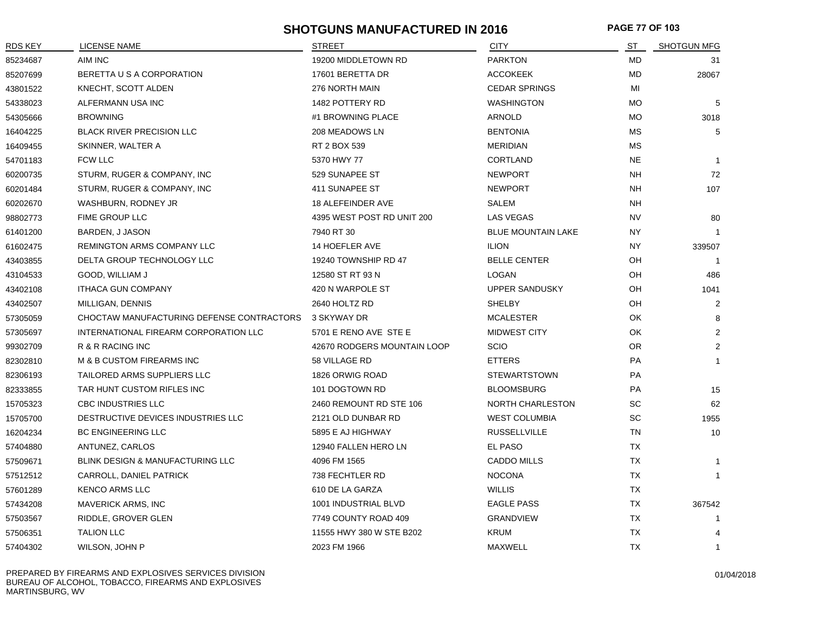### **SHOTGUNS MANUFACTURED IN 2016 PAGE 77 OF 103**

| <b>RDS KEY</b> | <b>LICENSE NAME</b>                       | <b>STREET</b>               | <b>CITY</b>               | ST        | <b>SHOTGUN MFG</b> |
|----------------|-------------------------------------------|-----------------------------|---------------------------|-----------|--------------------|
| 85234687       | AIM INC                                   | 19200 MIDDLETOWN RD         | <b>PARKTON</b>            | <b>MD</b> | 31                 |
| 85207699       | BERETTA U S A CORPORATION                 | 17601 BERETTA DR            | <b>ACCOKEEK</b>           | MD        | 28067              |
| 43801522       | KNECHT, SCOTT ALDEN                       | 276 NORTH MAIN              | <b>CEDAR SPRINGS</b>      | MI        |                    |
| 54338023       | ALFERMANN USA INC                         | 1482 POTTERY RD             | <b>WASHINGTON</b>         | <b>MO</b> | 5                  |
| 54305666       | <b>BROWNING</b>                           | #1 BROWNING PLACE           | <b>ARNOLD</b>             | <b>MO</b> | 3018               |
| 16404225       | <b>BLACK RIVER PRECISION LLC</b>          | 208 MEADOWS LN              | <b>BENTONIA</b>           | <b>MS</b> | 5                  |
| 16409455       | SKINNER, WALTER A                         | RT 2 BOX 539                | <b>MERIDIAN</b>           | <b>MS</b> |                    |
| 54701183       | <b>FCW LLC</b>                            | 5370 HWY 77                 | <b>CORTLAND</b>           | <b>NE</b> | $\mathbf{1}$       |
| 60200735       | STURM, RUGER & COMPANY, INC               | 529 SUNAPEE ST              | <b>NEWPORT</b>            | <b>NH</b> | 72                 |
| 60201484       | STURM, RUGER & COMPANY, INC               | 411 SUNAPEE ST              | <b>NEWPORT</b>            | <b>NH</b> | 107                |
| 60202670       | WASHBURN, RODNEY JR                       | <b>18 ALEFEINDER AVE</b>    | SALEM                     | NΗ        |                    |
| 98802773       | FIME GROUP LLC                            | 4395 WEST POST RD UNIT 200  | LAS VEGAS                 | NV.       | 80                 |
| 61401200       | BARDEN, J JASON                           | 7940 RT 30                  | <b>BLUE MOUNTAIN LAKE</b> | NY.       |                    |
| 61602475       | REMINGTON ARMS COMPANY LLC                | 14 HOEFLER AVE              | <b>ILION</b>              | NY.       | 339507             |
| 43403855       | DELTA GROUP TECHNOLOGY LLC                | 19240 TOWNSHIP RD 47        | <b>BELLE CENTER</b>       | OH        | $\overline{1}$     |
| 43104533       | GOOD, WILLIAM J                           | 12580 ST RT 93 N            | <b>LOGAN</b>              | OH        | 486                |
| 43402108       | <b>ITHACA GUN COMPANY</b>                 | 420 N WARPOLE ST            | UPPER SANDUSKY            | OH        | 1041               |
| 43402507       | MILLIGAN, DENNIS                          | 2640 HOLTZ RD               | <b>SHELBY</b>             | OH        | 2                  |
| 57305059       | CHOCTAW MANUFACTURING DEFENSE CONTRACTORS | 3 SKYWAY DR                 | <b>MCALESTER</b>          | OK        | 8                  |
| 57305697       | INTERNATIONAL FIREARM CORPORATION LLC     | 5701 E RENO AVE STE E       | MIDWEST CITY              | OK        | 2                  |
| 99302709       | R & R RACING INC                          | 42670 RODGERS MOUNTAIN LOOP | <b>SCIO</b>               | OR.       | 2                  |
| 82302810       | M & B CUSTOM FIREARMS INC                 | 58 VILLAGE RD               | <b>ETTERS</b>             | PA        | $\mathbf{1}$       |
| 82306193       | TAILORED ARMS SUPPLIERS LLC               | 1826 ORWIG ROAD             | <b>STEWARTSTOWN</b>       | PA        |                    |
| 82333855       | TAR HUNT CUSTOM RIFLES INC                | 101 DOGTOWN RD              | <b>BLOOMSBURG</b>         | PA        | 15                 |
| 15705323       | <b>CBC INDUSTRIES LLC</b>                 | 2460 REMOUNT RD STE 106     | <b>NORTH CHARLESTON</b>   | <b>SC</b> | 62                 |
| 15705700       | DESTRUCTIVE DEVICES INDUSTRIES LLC        | 2121 OLD DUNBAR RD          | <b>WEST COLUMBIA</b>      | <b>SC</b> | 1955               |
| 16204234       | <b>BC ENGINEERING LLC</b>                 | 5895 E AJ HIGHWAY           | <b>RUSSELLVILLE</b>       | <b>TN</b> | 10                 |
| 57404880       | ANTUNEZ, CARLOS                           | 12940 FALLEN HERO LN        | EL PASO                   | <b>TX</b> |                    |
| 57509671       | BLINK DESIGN & MANUFACTURING LLC          | 4096 FM 1565                | <b>CADDO MILLS</b>        | <b>TX</b> | $\mathbf{1}$       |
| 57512512       | CARROLL, DANIEL PATRICK                   | 738 FECHTLER RD             | <b>NOCONA</b>             | TX        | $\mathbf{1}$       |
| 57601289       | <b>KENCO ARMS LLC</b>                     | 610 DE LA GARZA             | <b>WILLIS</b>             | TX        |                    |
| 57434208       | <b>MAVERICK ARMS, INC</b>                 | 1001 INDUSTRIAL BLVD        | <b>EAGLE PASS</b>         | <b>TX</b> | 367542             |
| 57503567       | RIDDLE, GROVER GLEN                       | 7749 COUNTY ROAD 409        | <b>GRANDVIEW</b>          | <b>TX</b> | -1                 |
| 57506351       | <b>TALION LLC</b>                         | 11555 HWY 380 W STE B202    | <b>KRUM</b>               | <b>TX</b> |                    |
| 57404302       | WILSON, JOHN P                            | 2023 FM 1966                | <b>MAXWELL</b>            | <b>TX</b> | $\mathbf{1}$       |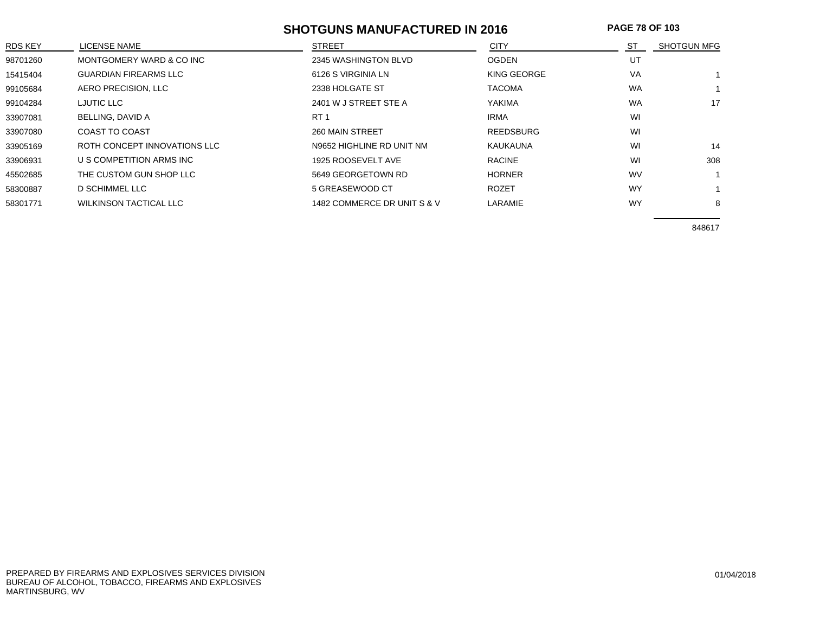### **SHOTGUNS MANUFACTURED IN 2016 PAGE 78 OF 103**

| <b>RDS KEY</b> | LICENSE NAME                  | <b>STREET</b>               | <b>CITY</b>      | ST        | <b>SHOTGUN MFG</b> |
|----------------|-------------------------------|-----------------------------|------------------|-----------|--------------------|
| 98701260       | MONTGOMERY WARD & CO INC      | 2345 WASHINGTON BLVD        | <b>OGDEN</b>     | UT        |                    |
| 15415404       | <b>GUARDIAN FIREARMS LLC</b>  | 6126 S VIRGINIA LN          | KING GEORGE      | VA        |                    |
| 99105684       | AERO PRECISION, LLC           | 2338 HOLGATE ST             | <b>TACOMA</b>    | <b>WA</b> |                    |
| 99104284       | <b>LJUTIC LLC</b>             | 2401 W J STREET STE A       | <b>YAKIMA</b>    | <b>WA</b> | 17                 |
| 33907081       | BELLING, DAVID A              | RT <sub>1</sub>             | <b>IRMA</b>      | WI        |                    |
| 33907080       | <b>COAST TO COAST</b>         | 260 MAIN STREET             | <b>REEDSBURG</b> | WI        |                    |
| 33905169       | ROTH CONCEPT INNOVATIONS LLC  | N9652 HIGHLINE RD UNIT NM   | KAUKAUNA         | WI        | 14                 |
| 33906931       | U S COMPETITION ARMS INC      | 1925 ROOSEVELT AVE          | <b>RACINE</b>    | WI        | 308                |
| 45502685       | THE CUSTOM GUN SHOP LLC       | 5649 GEORGETOWN RD          | <b>HORNER</b>    | <b>WV</b> |                    |
| 58300887       | D SCHIMMEL LLC                | 5 GREASEWOOD CT             | <b>ROZET</b>     | WY        |                    |
| 58301771       | <b>WILKINSON TACTICAL LLC</b> | 1482 COMMERCE DR UNIT S & V | LARAMIE          | <b>WY</b> | 8                  |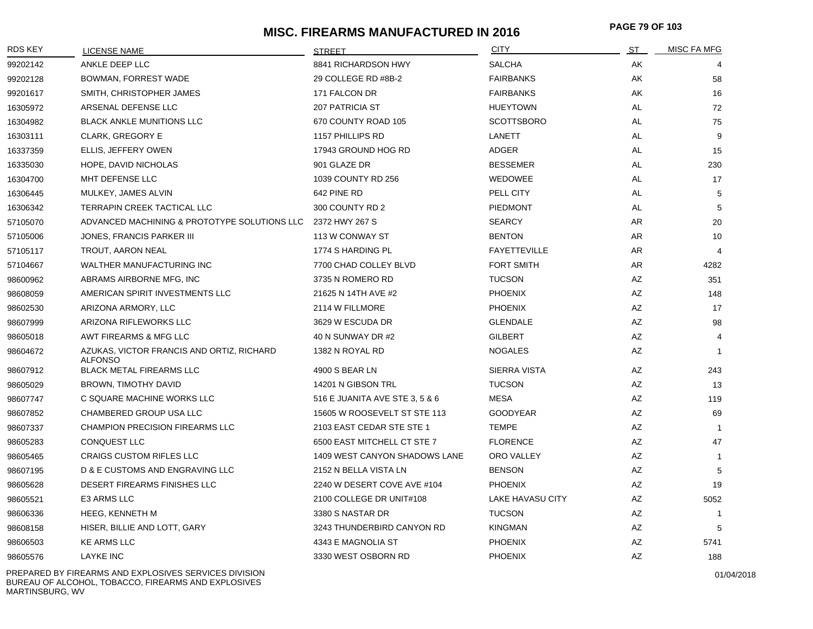# **MISC. FIREARMS MANUFACTURED IN 2016 PAGE 79 OF 10<sup>3</sup>**

| <b>RDS KEY</b> | LICENSE NAME                                                | <b>STREET</b>                  | <b>CITY</b>             | ST        | <b>MISC FA MFG</b> |
|----------------|-------------------------------------------------------------|--------------------------------|-------------------------|-----------|--------------------|
| 99202142       | ANKLE DEEP LLC                                              | 8841 RICHARDSON HWY            | <b>SALCHA</b>           | AK        |                    |
| 99202128       | BOWMAN, FORREST WADE                                        | 29 COLLEGE RD #8B-2            | <b>FAIRBANKS</b>        | AK        | 58                 |
| 99201617       | SMITH, CHRISTOPHER JAMES                                    | 171 FALCON DR                  | <b>FAIRBANKS</b>        | AK        | 16                 |
| 16305972       | ARSENAL DEFENSE LLC                                         | 207 PATRICIA ST                | <b>HUEYTOWN</b>         | AL        | 72                 |
| 16304982       | BLACK ANKLE MUNITIONS LLC                                   | 670 COUNTY ROAD 105            | <b>SCOTTSBORO</b>       | <b>AL</b> | 75                 |
| 16303111       | <b>CLARK, GREGORY E</b>                                     | 1157 PHILLIPS RD               | LANETT                  | AL        | 9                  |
| 16337359       | ELLIS, JEFFERY OWEN                                         | 17943 GROUND HOG RD            | ADGER                   | AL        | 15                 |
| 16335030       | HOPE, DAVID NICHOLAS                                        | 901 GLAZE DR                   | <b>BESSEMER</b>         | AL        | 230                |
| 16304700       | MHT DEFENSE LLC                                             | 1039 COUNTY RD 256             | WEDOWEE                 | AL        | 17                 |
| 16306445       | MULKEY, JAMES ALVIN                                         | 642 PINE RD                    | PELL CITY               | AL        | 5                  |
| 16306342       | TERRAPIN CREEK TACTICAL LLC                                 | 300 COUNTY RD 2                | <b>PIEDMONT</b>         | AL        | 5                  |
| 57105070       | ADVANCED MACHINING & PROTOTYPE SOLUTIONS LLC                | 2372 HWY 267 S                 | <b>SEARCY</b>           | AR        | 20                 |
| 57105006       | JONES, FRANCIS PARKER III                                   | 113 W CONWAY ST                | <b>BENTON</b>           | AR        | 10                 |
| 57105117       | TROUT, AARON NEAL                                           | 1774 S HARDING PL              | <b>FAYETTEVILLE</b>     | AR        | 4                  |
| 57104667       | WALTHER MANUFACTURING INC                                   | 7700 CHAD COLLEY BLVD          | <b>FORT SMITH</b>       | AR        | 4282               |
| 98600962       | ABRAMS AIRBORNE MFG, INC                                    | 3735 N ROMERO RD               | <b>TUCSON</b>           | AZ        | 351                |
| 98608059       | AMERICAN SPIRIT INVESTMENTS LLC                             | 21625 N 14TH AVE #2            | <b>PHOENIX</b>          | AZ        | 148                |
| 98602530       | ARIZONA ARMORY, LLC                                         | 2114 W FILLMORE                | <b>PHOENIX</b>          | AZ        | 17                 |
| 98607999       | ARIZONA RIFLEWORKS LLC                                      | 3629 W ESCUDA DR               | <b>GLENDALE</b>         | AZ        | 98                 |
| 98605018       | AWT FIREARMS & MFG LLC                                      | 40 N SUNWAY DR #2              | <b>GILBERT</b>          | AZ        | $\overline{4}$     |
| 98604672       | AZUKAS, VICTOR FRANCIS AND ORTIZ, RICHARD<br><b>ALFONSO</b> | 1382 N ROYAL RD                | <b>NOGALES</b>          | AZ        | $\mathbf{1}$       |
| 98607912       | <b>BLACK METAL FIREARMS LLC</b>                             | 4900 S BEAR LN                 | <b>SIERRA VISTA</b>     | AZ        | 243                |
| 98605029       | BROWN, TIMOTHY DAVID                                        | 14201 N GIBSON TRL             | <b>TUCSON</b>           | AZ        | 13                 |
| 98607747       | C SQUARE MACHINE WORKS LLC                                  | 516 E JUANITA AVE STE 3, 5 & 6 | <b>MESA</b>             | AZ        | 119                |
| 98607852       | CHAMBERED GROUP USA LLC                                     | 15605 W ROOSEVELT ST STE 113   | <b>GOODYEAR</b>         | AZ        | 69                 |
| 98607337       | <b>CHAMPION PRECISION FIREARMS LLC</b>                      | 2103 EAST CEDAR STE STE 1      | <b>TEMPE</b>            | AZ        | $\overline{1}$     |
| 98605283       | <b>CONQUEST LLC</b>                                         | 6500 EAST MITCHELL CT STE 7    | <b>FLORENCE</b>         | AZ        | 47                 |
| 98605465       | <b>CRAIGS CUSTOM RIFLES LLC</b>                             | 1409 WEST CANYON SHADOWS LANE  | ORO VALLEY              | AZ        | $\mathbf{1}$       |
| 98607195       | D & E CUSTOMS AND ENGRAVING LLC                             | 2152 N BELLA VISTA LN          | <b>BENSON</b>           | AZ        | 5                  |
| 98605628       | DESERT FIREARMS FINISHES LLC                                | 2240 W DESERT COVE AVE #104    | <b>PHOENIX</b>          | AZ        | 19                 |
| 98605521       | E3 ARMS LLC                                                 | 2100 COLLEGE DR UNIT#108       | <b>LAKE HAVASU CITY</b> | AZ        | 5052               |
| 98606336       | HEEG, KENNETH M                                             | 3380 S NASTAR DR               | <b>TUCSON</b>           | AZ        | $\overline{1}$     |
| 98608158       | HISER, BILLIE AND LOTT, GARY                                | 3243 THUNDERBIRD CANYON RD     | <b>KINGMAN</b>          | AZ        | 5                  |
| 98606503       | <b>KE ARMS LLC</b>                                          | 4343 E MAGNOLIA ST             | <b>PHOENIX</b>          | AZ        | 5741               |
| 98605576       | <b>LAYKE INC</b>                                            | 3330 WEST OSBORN RD            | <b>PHOENIX</b>          | AZ        | 188                |

PREPARED BY FIREARMS AND EXPLOSIVES SERVICES DIVISION BUREAU OF ALCOHOL, TOBACCO, FIREARMS AND EXPLOSIVES MARTINSBURG, WV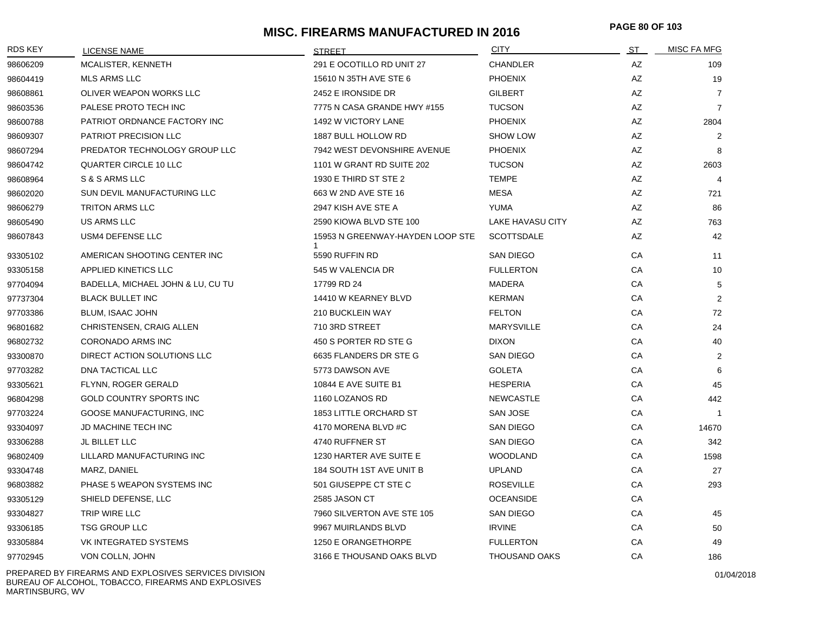### **MISC. FIREARMS MANUFACTURED IN 2016 PAGE 80 OF 10<sup>3</sup>**

| <b>RDS KEY</b> | LICENSE NAME                      | <b>STREET</b>                    | <b>CITY</b>          | <u>ST _</u> | <b>MISC FA MFG</b> |
|----------------|-----------------------------------|----------------------------------|----------------------|-------------|--------------------|
| 98606209       | MCALISTER, KENNETH                | 291 E OCOTILLO RD UNIT 27        | <b>CHANDLER</b>      | AZ          | 109                |
| 98604419       | <b>MLS ARMS LLC</b>               | 15610 N 35TH AVE STE 6           | <b>PHOENIX</b>       | AZ          | 19                 |
| 98608861       | OLIVER WEAPON WORKS LLC           | 2452 E IRONSIDE DR               | <b>GILBERT</b>       | <b>AZ</b>   | $\overline{7}$     |
| 98603536       | PALESE PROTO TECH INC             | 7775 N CASA GRANDE HWY #155      | <b>TUCSON</b>        | AZ          | $\overline{7}$     |
| 98600788       | PATRIOT ORDNANCE FACTORY INC      | 1492 W VICTORY LANE              | <b>PHOENIX</b>       | AZ          | 2804               |
| 98609307       | PATRIOT PRECISION LLC             | 1887 BULL HOLLOW RD              | <b>SHOW LOW</b>      | AZ          | 2                  |
| 98607294       | PREDATOR TECHNOLOGY GROUP LLC     | 7942 WEST DEVONSHIRE AVENUE      | <b>PHOENIX</b>       | AZ          | 8                  |
| 98604742       | <b>QUARTER CIRCLE 10 LLC</b>      | 1101 W GRANT RD SUITE 202        | <b>TUCSON</b>        | AZ          | 2603               |
| 98608964       | S & S ARMS LLC                    | 1930 E THIRD ST STE 2            | <b>TEMPE</b>         | AZ          | $\overline{4}$     |
| 98602020       | SUN DEVIL MANUFACTURING LLC       | 663 W 2ND AVE STE 16             | <b>MESA</b>          | AZ          | 721                |
| 98606279       | <b>TRITON ARMS LLC</b>            | 2947 KISH AVE STE A              | YUMA                 | AZ          | 86                 |
| 98605490       | US ARMS LLC                       | 2590 KIOWA BLVD STE 100          | LAKE HAVASU CITY     | AZ          | 763                |
| 98607843       | USM4 DEFENSE LLC                  | 15953 N GREENWAY-HAYDEN LOOP STE | <b>SCOTTSDALE</b>    | AZ          | 42                 |
| 93305102       | AMERICAN SHOOTING CENTER INC      | 5590 RUFFIN RD                   | SAN DIEGO            | CA          | 11                 |
| 93305158       | <b>APPLIED KINETICS LLC</b>       | 545 W VALENCIA DR                | <b>FULLERTON</b>     | CA          | 10                 |
| 97704094       | BADELLA, MICHAEL JOHN & LU, CU TU | 17799 RD 24                      | <b>MADERA</b>        | CA          | 5                  |
| 97737304       | <b>BLACK BULLET INC</b>           | 14410 W KEARNEY BLVD             | <b>KERMAN</b>        | CA          | 2                  |
| 97703386       | BLUM, ISAAC JOHN                  | 210 BUCKLEIN WAY                 | <b>FELTON</b>        | CA          | 72                 |
| 96801682       | CHRISTENSEN, CRAIG ALLEN          | 710 3RD STREET                   | <b>MARYSVILLE</b>    | CA          | 24                 |
| 96802732       | <b>CORONADO ARMS INC</b>          | 450 S PORTER RD STE G            | <b>DIXON</b>         | CA          | 40                 |
| 93300870       | DIRECT ACTION SOLUTIONS LLC       | 6635 FLANDERS DR STE G           | <b>SAN DIEGO</b>     | CA          | 2                  |
| 97703282       | DNA TACTICAL LLC                  | 5773 DAWSON AVE                  | <b>GOLETA</b>        | CA          | 6                  |
| 93305621       | FLYNN, ROGER GERALD               | 10844 E AVE SUITE B1             | <b>HESPERIA</b>      | CA          | 45                 |
| 96804298       | GOLD COUNTRY SPORTS INC           | 1160 LOZANOS RD                  | <b>NEWCASTLE</b>     | CA          | 442                |
| 97703224       | GOOSE MANUFACTURING, INC          | 1853 LITTLE ORCHARD ST           | SAN JOSE             | CA          | $\overline{1}$     |
| 93304097       | <b>JD MACHINE TECH INC</b>        | 4170 MORENA BLVD #C              | <b>SAN DIEGO</b>     | CA          | 14670              |
| 93306288       | JL BILLET LLC                     | 4740 RUFFNER ST                  | <b>SAN DIEGO</b>     | CA          | 342                |
| 96802409       | LILLARD MANUFACTURING INC         | 1230 HARTER AVE SUITE E          | <b>WOODLAND</b>      | CA          | 1598               |
| 93304748       | MARZ, DANIEL                      | 184 SOUTH 1ST AVE UNIT B         | <b>UPLAND</b>        | CA          | 27                 |
| 96803882       | PHASE 5 WEAPON SYSTEMS INC        | 501 GIUSEPPE CT STE C            | <b>ROSEVILLE</b>     | CA          | 293                |
| 93305129       | SHIELD DEFENSE, LLC               | 2585 JASON CT                    | <b>OCEANSIDE</b>     | CA          |                    |
| 93304827       | TRIP WIRE LLC                     | 7960 SILVERTON AVE STE 105       | <b>SAN DIEGO</b>     | CA          | 45                 |
| 93306185       | <b>TSG GROUP LLC</b>              | 9967 MUIRLANDS BLVD              | <b>IRVINE</b>        | CA          | 50                 |
| 93305884       | VK INTEGRATED SYSTEMS             | 1250 E ORANGETHORPE              | <b>FULLERTON</b>     | CA          | 49                 |
| 97702945       | VON COLLN, JOHN                   | 3166 E THOUSAND OAKS BLVD        | <b>THOUSAND OAKS</b> | CA          | 186                |

PREPARED BY FIREARMS AND EXPLOSIVES SERVICES DIVISION BUREAU OF ALCOHOL, TOBACCO, FIREARMS AND EXPLOSIVES MARTINSBURG, WV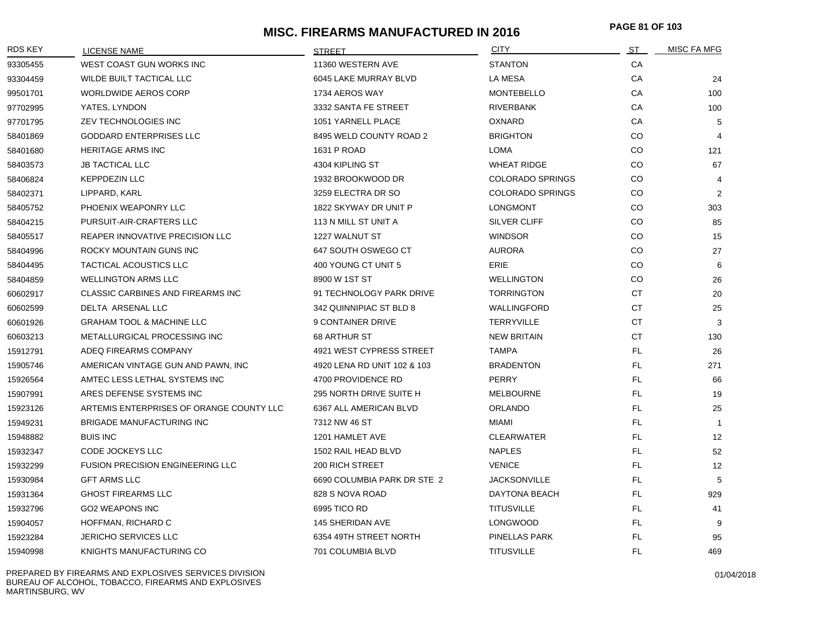# **MISC. FIREARMS MANUFACTURED IN 2016 PAGE 81 OF 10<sup>3</sup>**

| <b>RDS KEY</b> | <b>LICENSE NAME</b>                      | <b>STREET</b>               | <b>CITY</b>             | <u>ST .</u> | <b>MISC FA MFG</b> |
|----------------|------------------------------------------|-----------------------------|-------------------------|-------------|--------------------|
| 93305455       | WEST COAST GUN WORKS INC                 | 11360 WESTERN AVE           | <b>STANTON</b>          | CA          |                    |
| 93304459       | WILDE BUILT TACTICAL LLC                 | 6045 LAKE MURRAY BLVD       | <b>LA MESA</b>          | CA          | 24                 |
| 99501701       | <b>WORLDWIDE AEROS CORP</b>              | 1734 AEROS WAY              | <b>MONTEBELLO</b>       | CA          | 100                |
| 97702995       | YATES, LYNDON                            | 3332 SANTA FE STREET        | <b>RIVERBANK</b>        | CA          | 100                |
| 97701795       | ZEV TECHNOLOGIES INC                     | 1051 YARNELL PLACE          | <b>OXNARD</b>           | CA          | 5                  |
| 58401869       | <b>GODDARD ENTERPRISES LLC</b>           | 8495 WELD COUNTY ROAD 2     | BRIGHTON                | CO.         | $\overline{4}$     |
| 58401680       | <b>HERITAGE ARMS INC</b>                 | 1631 P ROAD                 | LOMA                    | CO.         | 121                |
| 58403573       | <b>JB TACTICAL LLC</b>                   | 4304 KIPLING ST             | <b>WHEAT RIDGE</b>      | CO.         | 67                 |
| 58406824       | <b>KEPPDEZIN LLC</b>                     | 1932 BROOKWOOD DR           | <b>COLORADO SPRINGS</b> | CO          | 4                  |
| 58402371       | LIPPARD, KARL                            | 3259 ELECTRA DR SO          | <b>COLORADO SPRINGS</b> | CO.         | 2                  |
| 58405752       | PHOENIX WEAPONRY LLC                     | 1822 SKYWAY DR UNIT P       | <b>LONGMONT</b>         | CO.         | 303                |
| 58404215       | PURSUIT-AIR-CRAFTERS LLC                 | 113 N MILL ST UNIT A        | <b>SILVER CLIFF</b>     | CO.         | 85                 |
| 58405517       | REAPER INNOVATIVE PRECISION LLC          | 1227 WALNUT ST              | <b>WINDSOR</b>          | CO.         | 15                 |
| 58404996       | ROCKY MOUNTAIN GUNS INC                  | 647 SOUTH OSWEGO CT         | <b>AURORA</b>           | CO.         | 27                 |
| 58404495       | <b>TACTICAL ACOUSTICS LLC</b>            | 400 YOUNG CT UNIT 5         | <b>ERIE</b>             | CO.         | 6                  |
| 58404859       | <b>WELLINGTON ARMS LLC</b>               | 8900 W 1ST ST               | <b>WELLINGTON</b>       | CO.         | 26                 |
| 60602917       | <b>CLASSIC CARBINES AND FIREARMS INC</b> | 91 TECHNOLOGY PARK DRIVE    | <b>TORRINGTON</b>       | <b>CT</b>   | 20                 |
| 60602599       | DELTA ARSENAL LLC                        | 342 QUINNIPIAC ST BLD 8     | <b>WALLINGFORD</b>      | <b>CT</b>   | 25                 |
| 60601926       | <b>GRAHAM TOOL &amp; MACHINE LLC</b>     | 9 CONTAINER DRIVE           | <b>TERRYVILLE</b>       | <b>CT</b>   | 3                  |
| 60603213       | METALLURGICAL PROCESSING INC             | <b>68 ARTHUR ST</b>         | <b>NEW BRITAIN</b>      | <b>CT</b>   | 130                |
| 15912791       | ADEQ FIREARMS COMPANY                    | 4921 WEST CYPRESS STREET    | <b>TAMPA</b>            | FL.         | 26                 |
| 15905746       | AMERICAN VINTAGE GUN AND PAWN, INC       | 4920 LENA RD UNIT 102 & 103 | <b>BRADENTON</b>        | FL          | 271                |
| 15926564       | AMTEC LESS LETHAL SYSTEMS INC            | 4700 PROVIDENCE RD          | <b>PERRY</b>            | FL          | 66                 |
| 15907991       | ARES DEFENSE SYSTEMS INC                 | 295 NORTH DRIVE SUITE H     | <b>MELBOURNE</b>        | FL.         | 19                 |
| 15923126       | ARTEMIS ENTERPRISES OF ORANGE COUNTY LLC | 6367 ALL AMERICAN BLVD      | <b>ORLANDO</b>          | FL.         | 25                 |
| 15949231       | <b>BRIGADE MANUFACTURING INC</b>         | 7312 NW 46 ST               | MIAMI                   | FL          | $\overline{1}$     |
| 15948882       | <b>BUIS INC</b>                          | 1201 HAMLET AVE             | <b>CLEARWATER</b>       | FL          | 12                 |
| 15932347       | CODE JOCKEYS LLC                         | 1502 RAIL HEAD BLVD         | <b>NAPLES</b>           | FL          | 52                 |
| 15932299       | <b>FUSION PRECISION ENGINEERING LLC</b>  | 200 RICH STREET             | <b>VENICE</b>           | FL          | 12                 |
| 15930984       | <b>GFT ARMS LLC</b>                      | 6690 COLUMBIA PARK DR STE 2 | <b>JACKSONVILLE</b>     | FL          | 5                  |
| 15931364       | <b>GHOST FIREARMS LLC</b>                | 828 S NOVA ROAD             | DAYTONA BEACH           | FL          | 929                |
| 15932796       | <b>GO2 WEAPONS INC</b>                   | 6995 TICO RD                | <b>TITUSVILLE</b>       | FL          | 41                 |
| 15904057       | HOFFMAN, RICHARD C                       | 145 SHERIDAN AVE            | <b>LONGWOOD</b>         | FL          | 9                  |
| 15923284       | <b>JERICHO SERVICES LLC</b>              | 6354 49TH STREET NORTH      | PINELLAS PARK           | FL          | 95                 |
| 15940998       | KNIGHTS MANUFACTURING CO                 | 701 COLUMBIA BLVD           | <b>TITUSVILLE</b>       | FL          | 469                |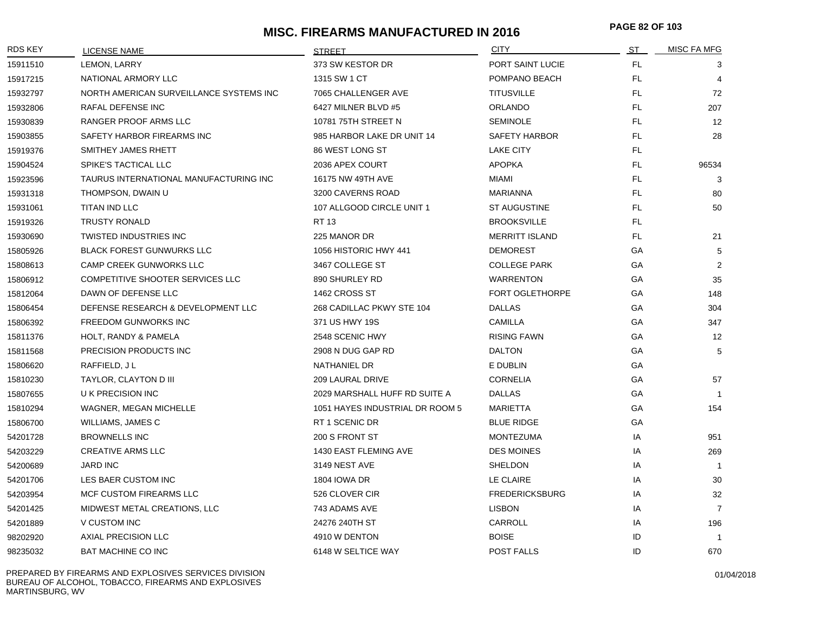# **MISC. FIREARMS MANUFACTURED IN 2016 PAGE 82 OF 10<sup>3</sup>**

| <b>RDS KEY</b> | <b>LICENSE NAME</b>                     | <b>STREET</b>                   | <b>CITY</b>            | ST  | MISC FA MFG    |
|----------------|-----------------------------------------|---------------------------------|------------------------|-----|----------------|
| 15911510       | LEMON, LARRY                            | 373 SW KESTOR DR                | PORT SAINT LUCIE       | FL. | 3              |
| 15917215       | NATIONAL ARMORY LLC                     | 1315 SW 1 CT                    | POMPANO BEACH          | FL. | $\overline{4}$ |
| 15932797       | NORTH AMERICAN SURVEILLANCE SYSTEMS INC | 7065 CHALLENGER AVE             | <b>TITUSVILLE</b>      | FL. | 72             |
| 15932806       | RAFAL DEFENSE INC                       | 6427 MILNER BLVD #5             | <b>ORLANDO</b>         | FL. | 207            |
| 15930839       | RANGER PROOF ARMS LLC                   | 10781 75TH STREET N             | <b>SEMINOLE</b>        | FL. | 12             |
| 15903855       | SAFETY HARBOR FIREARMS INC              | 985 HARBOR LAKE DR UNIT 14      | <b>SAFETY HARBOR</b>   | FL. | 28             |
| 15919376       | SMITHEY JAMES RHETT                     | 86 WEST LONG ST                 | <b>LAKE CITY</b>       | FL. |                |
| 15904524       | SPIKE'S TACTICAL LLC                    | 2036 APEX COURT                 | <b>APOPKA</b>          | FL. | 96534          |
| 15923596       | TAURUS INTERNATIONAL MANUFACTURING INC  | 16175 NW 49TH AVE               | <b>MIAMI</b>           | FL. | 3              |
| 15931318       | THOMPSON, DWAIN U                       | 3200 CAVERNS ROAD               | <b>MARIANNA</b>        | FL. | 80             |
| 15931061       | TITAN IND LLC                           | 107 ALLGOOD CIRCLE UNIT 1       | ST AUGUSTINE           | FL. | 50             |
| 15919326       | <b>TRUSTY RONALD</b>                    | RT 13                           | <b>BROOKSVILLE</b>     | FL. |                |
| 15930690       | <b>TWISTED INDUSTRIES INC</b>           | 225 MANOR DR                    | <b>MERRITT ISLAND</b>  | FL. | 21             |
| 15805926       | <b>BLACK FOREST GUNWURKS LLC</b>        | 1056 HISTORIC HWY 441           | <b>DEMOREST</b>        | GA  | 5              |
| 15808613       | <b>CAMP CREEK GUNWORKS LLC</b>          | 3467 COLLEGE ST                 | <b>COLLEGE PARK</b>    | GA  | 2              |
| 15806912       | COMPETITIVE SHOOTER SERVICES LLC        | 890 SHURLEY RD                  | <b>WARRENTON</b>       | GA  | 35             |
| 15812064       | DAWN OF DEFENSE LLC                     | 1462 CROSS ST                   | <b>FORT OGLETHORPE</b> | GA  | 148            |
| 15806454       | DEFENSE RESEARCH & DEVELOPMENT LLC      | 268 CADILLAC PKWY STE 104       | <b>DALLAS</b>          | GA  | 304            |
| 15806392       | <b>FREEDOM GUNWORKS INC</b>             | 371 US HWY 19S                  | CAMILLA                | GA  | 347            |
| 15811376       | HOLT, RANDY & PAMELA                    | 2548 SCENIC HWY                 | <b>RISING FAWN</b>     | GA  | 12             |
| 15811568       | PRECISION PRODUCTS INC                  | 2908 N DUG GAP RD               | <b>DALTON</b>          | GA  | 5              |
| 15806620       | RAFFIELD, JL                            | NATHANIEL DR                    | E DUBLIN               | GA  |                |
| 15810230       | TAYLOR, CLAYTON D III                   | 209 LAURAL DRIVE                | <b>CORNELIA</b>        | GA  | 57             |
| 15807655       | <b>U K PRECISION INC</b>                | 2029 MARSHALL HUFF RD SUITE A   | <b>DALLAS</b>          | GA  | $\overline{1}$ |
| 15810294       | <b>WAGNER, MEGAN MICHELLE</b>           | 1051 HAYES INDUSTRIAL DR ROOM 5 | <b>MARIETTA</b>        | GA  | 154            |
| 15806700       | WILLIAMS, JAMES C                       | RT 1 SCENIC DR                  | <b>BLUE RIDGE</b>      | GA  |                |
| 54201728       | <b>BROWNELLS INC</b>                    | 200 S FRONT ST                  | <b>MONTEZUMA</b>       | IA  | 951            |
| 54203229       | <b>CREATIVE ARMS LLC</b>                | 1430 EAST FLEMING AVE           | <b>DES MOINES</b>      | IA  | 269            |
| 54200689       | <b>JARD INC</b>                         | 3149 NEST AVE                   | SHELDON                | IA  | $\mathbf{1}$   |
| 54201706       | LES BAER CUSTOM INC                     | <b>1804 IOWA DR</b>             | LE CLAIRE              | IA  | 30             |
| 54203954       | MCF CUSTOM FIREARMS LLC                 | 526 CLOVER CIR                  | <b>FREDERICKSBURG</b>  | IA  | 32             |
| 54201425       | MIDWEST METAL CREATIONS, LLC            | 743 ADAMS AVE                   | <b>LISBON</b>          | IA  | $\overline{7}$ |
| 54201889       | V CUSTOM INC                            | 24276 240TH ST                  | CARROLL                | IA  | 196            |
| 98202920       | AXIAL PRECISION LLC                     | 4910 W DENTON                   | <b>BOISE</b>           | ID  | $\overline{1}$ |
| 98235032       | <b>BAT MACHINE CO INC</b>               | 6148 W SELTICE WAY              | POST FALLS             | ID  | 670            |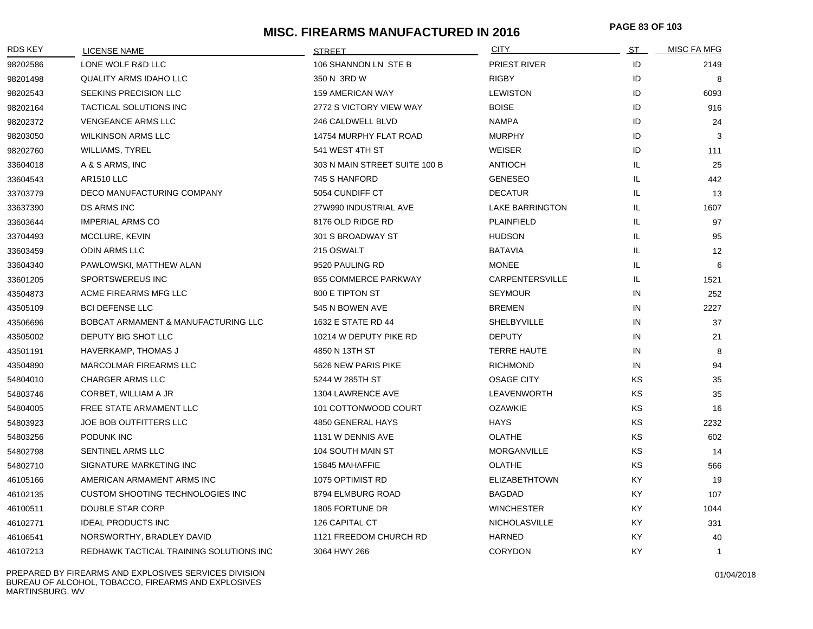# **MISC. FIREARMS MANUFACTURED IN 2016 PAGE 83 OF 10<sup>3</sup>**

| <b>RDS KEY</b> | LICENSE NAME                            | <b>STREET</b>                 | <b>CITY</b>            | ST  | MISC FA MFG    |
|----------------|-----------------------------------------|-------------------------------|------------------------|-----|----------------|
| 98202586       | LONE WOLF R&D LLC                       | 106 SHANNON LN STE B          | PRIEST RIVER           | ID  | 2149           |
| 98201498       | <b>QUALITY ARMS IDAHO LLC</b>           | 350 N 3RD W                   | <b>RIGBY</b>           | ID  | 8              |
| 98202543       | SEEKINS PRECISION LLC                   | <b>159 AMERICAN WAY</b>       | <b>LEWISTON</b>        | ID  | 6093           |
| 98202164       | TACTICAL SOLUTIONS INC                  | 2772 S VICTORY VIEW WAY       | <b>BOISE</b>           | ID  | 916            |
| 98202372       | <b>VENGEANCE ARMS LLC</b>               | 246 CALDWELL BLVD             | <b>NAMPA</b>           | ID  | 24             |
| 98203050       | <b>WILKINSON ARMS LLC</b>               | 14754 MURPHY FLAT ROAD        | <b>MURPHY</b>          | ID  | 3              |
| 98202760       | <b>WILLIAMS, TYREL</b>                  | 541 WEST 4TH ST               | WEISER                 | ID  | 111            |
| 33604018       | A & S ARMS, INC                         | 303 N MAIN STREET SUITE 100 B | <b>ANTIOCH</b>         | IL. | 25             |
| 33604543       | <b>AR1510 LLC</b>                       | 745 S HANFORD                 | <b>GENESEO</b>         | IL. | 442            |
| 33703779       | DECO MANUFACTURING COMPANY              | 5054 CUNDIFF CT               | <b>DECATUR</b>         | IL. | 13             |
| 33637390       | <b>DS ARMS INC</b>                      | 27W990 INDUSTRIAL AVE         | <b>LAKE BARRINGTON</b> | IL. | 1607           |
| 33603644       | <b>IMPERIAL ARMS CO</b>                 | 8176 OLD RIDGE RD             | PLAINFIELD             | IL  | 97             |
| 33704493       | MCCLURE, KEVIN                          | 301 S BROADWAY ST             | <b>HUDSON</b>          | IL. | 95             |
| 33603459       | <b>ODIN ARMS LLC</b>                    | 215 OSWALT                    | BATAVIA                | IL. | 12             |
| 33604340       | PAWLOWSKI, MATTHEW ALAN                 | 9520 PAULING RD               | <b>MONEE</b>           | IL  | 6              |
| 33601205       | SPORTSWEREUS INC                        | 855 COMMERCE PARKWAY          | <b>CARPENTERSVILLE</b> | IL. | 1521           |
| 43504873       | ACME FIREARMS MFG LLC                   | 800 E TIPTON ST               | <b>SEYMOUR</b>         | IN  | 252            |
| 43505109       | <b>BCI DEFENSE LLC</b>                  | 545 N BOWEN AVE               | <b>BREMEN</b>          | IN  | 2227           |
| 43506696       | BOBCAT ARMAMENT & MANUFACTURING LLC     | 1632 E STATE RD 44            | SHELBYVILLE            | IN  | 37             |
| 43505002       | DEPUTY BIG SHOT LLC                     | 10214 W DEPUTY PIKE RD        | <b>DEPUTY</b>          | IN  | 21             |
| 43501191       | <b>HAVERKAMP, THOMAS J</b>              | 4850 N 13TH ST                | <b>TERRE HAUTE</b>     | IN  | 8              |
| 43504890       | MARCOLMAR FIREARMS LLC                  | 5626 NEW PARIS PIKE           | <b>RICHMOND</b>        | IN  | 94             |
| 54804010       | <b>CHARGER ARMS LLC</b>                 | 5244 W 285TH ST               | <b>OSAGE CITY</b>      | KS  | 35             |
| 54803746       | CORBET, WILLIAM A JR                    | 1304 LAWRENCE AVE             | LEAVENWORTH            | KS. | 35             |
| 54804005       | FREE STATE ARMAMENT LLC                 | 101 COTTONWOOD COURT          | <b>OZAWKIE</b>         | KS  | 16             |
| 54803923       | JOE BOB OUTFITTERS LLC                  | 4850 GENERAL HAYS             | HAYS                   | ΚS  | 2232           |
| 54803256       | PODUNK INC                              | 1131 W DENNIS AVE             | <b>OLATHE</b>          | KS  | 602            |
| 54802798       | SENTINEL ARMS LLC                       | 104 SOUTH MAIN ST             | MORGANVILLE            | KS  | 14             |
| 54802710       | SIGNATURE MARKETING INC                 | 15845 MAHAFFIE                | OLATHE                 | ΚS  | 566            |
| 46105166       | AMERICAN ARMAMENT ARMS INC              | 1075 OPTIMIST RD              | <b>ELIZABETHTOWN</b>   | KY. | 19             |
| 46102135       | <b>CUSTOM SHOOTING TECHNOLOGIES INC</b> | 8794 ELMBURG ROAD             | <b>BAGDAD</b>          | KY. | 107            |
| 46100511       | DOUBLE STAR CORP                        | 1805 FORTUNE DR               | <b>WINCHESTER</b>      | KY. | 1044           |
| 46102771       | <b>IDEAL PRODUCTS INC</b>               | 126 CAPITAL CT                | <b>NICHOLASVILLE</b>   | KY. | 331            |
| 46106541       | NORSWORTHY, BRADLEY DAVID               | 1121 FREEDOM CHURCH RD        | <b>HARNED</b>          | KY  | 40             |
| 46107213       | REDHAWK TACTICAL TRAINING SOLUTIONS INC | 3064 HWY 266                  | <b>CORYDON</b>         | KY  | $\overline{1}$ |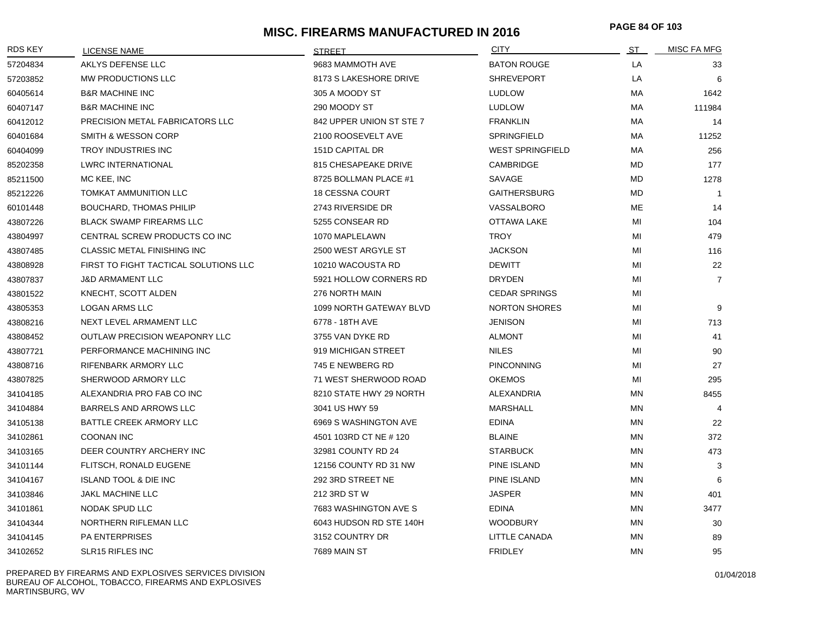# **MISC. FIREARMS MANUFACTURED IN 2016 PAGE 84 OF 10<sup>3</sup>**

| <b>RDS KEY</b> | LICENSE NAME                          | <b>STRFFT</b>            | <b>CITY</b>             | ST        | <b>MISC FA MFG</b> |
|----------------|---------------------------------------|--------------------------|-------------------------|-----------|--------------------|
| 57204834       | AKLYS DEFENSE LLC                     | 9683 MAMMOTH AVE         | <b>BATON ROUGE</b>      | LA        | 33                 |
| 57203852       | MW PRODUCTIONS LLC                    | 8173 S LAKESHORE DRIVE   | <b>SHREVEPORT</b>       | LA        | 6                  |
| 60405614       | <b>B&amp;R MACHINE INC</b>            | 305 A MOODY ST           | <b>LUDLOW</b>           | МA        | 1642               |
| 60407147       | <b>B&amp;R MACHINE INC</b>            | 290 MOODY ST             | <b>LUDLOW</b>           | МA        | 111984             |
| 60412012       | PRECISION METAL FABRICATORS LLC       | 842 UPPER UNION ST STE 7 | <b>FRANKLIN</b>         | МA        | 14                 |
| 60401684       | <b>SMITH &amp; WESSON CORP</b>        | 2100 ROOSEVELT AVE       | <b>SPRINGFIELD</b>      | МA        | 11252              |
| 60404099       | <b>TROY INDUSTRIES INC</b>            | 151D CAPITAL DR          | <b>WEST SPRINGFIELD</b> | МA        | 256                |
| 85202358       | <b>LWRC INTERNATIONAL</b>             | 815 CHESAPEAKE DRIVE     | CAMBRIDGE               | MD        | 177                |
| 85211500       | MC KEE, INC                           | 8725 BOLLMAN PLACE #1    | SAVAGE                  | <b>MD</b> | 1278               |
| 85212226       | TOMKAT AMMUNITION LLC                 | <b>18 CESSNA COURT</b>   | <b>GAITHERSBURG</b>     | MD        | $\overline{1}$     |
| 60101448       | <b>BOUCHARD, THOMAS PHILIP</b>        | 2743 RIVERSIDE DR        | VASSALBORO              | ME        | 14                 |
| 43807226       | <b>BLACK SWAMP FIREARMS LLC</b>       | 5255 CONSEAR RD          | <b>OTTAWA LAKE</b>      | MI        | 104                |
| 43804997       | CENTRAL SCREW PRODUCTS CO INC         | 1070 MAPLELAWN           | <b>TROY</b>             | MI        | 479                |
| 43807485       | <b>CLASSIC METAL FINISHING INC</b>    | 2500 WEST ARGYLE ST      | <b>JACKSON</b>          | MI        | 116                |
| 43808928       | FIRST TO FIGHT TACTICAL SOLUTIONS LLC | 10210 WACOUSTA RD        | <b>DEWITT</b>           | MI        | 22                 |
| 43807837       | <b>J&amp;D ARMAMENT LLC</b>           | 5921 HOLLOW CORNERS RD   | <b>DRYDEN</b>           | MI        | $\overline{7}$     |
| 43801522       | KNECHT, SCOTT ALDEN                   | 276 NORTH MAIN           | <b>CEDAR SPRINGS</b>    | MI        |                    |
| 43805353       | <b>LOGAN ARMS LLC</b>                 | 1099 NORTH GATEWAY BLVD  | <b>NORTON SHORES</b>    | MI        | 9                  |
| 43808216       | NEXT LEVEL ARMAMENT LLC               | 6778 - 18TH AVE          | <b>JENISON</b>          | MI        | 713                |
| 43808452       | <b>OUTLAW PRECISION WEAPONRY LLC</b>  | 3755 VAN DYKE RD         | <b>ALMONT</b>           | MI        | 41                 |
| 43807721       | PERFORMANCE MACHINING INC             | 919 MICHIGAN STREET      | <b>NILES</b>            | MI        | 90                 |
| 43808716       | RIFENBARK ARMORY LLC                  | 745 E NEWBERG RD         | <b>PINCONNING</b>       | MI        | 27                 |
| 43807825       | SHERWOOD ARMORY LLC                   | 71 WEST SHERWOOD ROAD    | <b>OKEMOS</b>           | ΜI        | 295                |
| 34104185       | ALEXANDRIA PRO FAB CO INC             | 8210 STATE HWY 29 NORTH  | <b>ALEXANDRIA</b>       | ΜN        | 8455               |
| 34104884       | <b>BARRELS AND ARROWS LLC</b>         | 3041 US HWY 59           | <b>MARSHALL</b>         | ΜN        | $\overline{4}$     |
| 34105138       | BATTLE CREEK ARMORY LLC               | 6969 S WASHINGTON AVE    | <b>EDINA</b>            | ΜN        | 22                 |
| 34102861       | <b>COONAN INC</b>                     | 4501 103RD CT NE # 120   | <b>BLAINE</b>           | ΜN        | 372                |
| 34103165       | DEER COUNTRY ARCHERY INC              | 32981 COUNTY RD 24       | <b>STARBUCK</b>         | ΜN        | 473                |
| 34101144       | FLITSCH, RONALD EUGENE                | 12156 COUNTY RD 31 NW    | PINE ISLAND             | ΜN        | 3                  |
| 34104167       | <b>ISLAND TOOL &amp; DIE INC</b>      | 292 3RD STREET NE        | PINE ISLAND             | ΜN        | 6                  |
| 34103846       | JAKL MACHINE LLC                      | 212 3RD ST W             | <b>JASPER</b>           | ΜN        | 401                |
| 34101861       | NODAK SPUD LLC                        | 7683 WASHINGTON AVE S    | <b>EDINA</b>            | ΜN        | 3477               |
| 34104344       | NORTHERN RIFLEMAN LLC                 | 6043 HUDSON RD STE 140H  | <b>WOODBURY</b>         | ΜN        | 30                 |
| 34104145       | <b>PA ENTERPRISES</b>                 | 3152 COUNTRY DR          | LITTLE CANADA           | <b>MN</b> | 89                 |
| 34102652       | SLR15 RIFLES INC                      | 7689 MAIN ST             | <b>FRIDLEY</b>          | <b>MN</b> | 95                 |

PREPARED BY FIREARMS AND EXPLOSIVES SERVICES DIVISION BUREAU OF ALCOHOL, TOBACCO, FIREARMS AND EXPLOSIVES MARTINSBURG, WV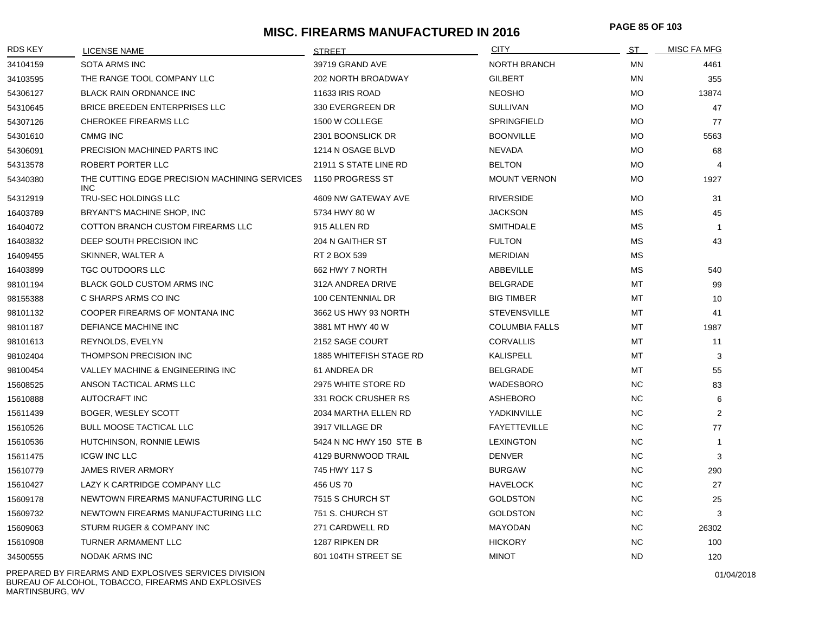# **MISC. FIREARMS MANUFACTURED IN 2016 PAGE 85 OF 10<sup>3</sup>**

| <b>RDS KEY</b> | <b>LICENSE NAME</b>                                         | <b>STREET</b>           | <b>CITY</b>           | <u>ST</u> | <b>MISC FA MFG</b> |
|----------------|-------------------------------------------------------------|-------------------------|-----------------------|-----------|--------------------|
| 34104159       | <b>SOTA ARMS INC</b>                                        | 39719 GRAND AVE         | <b>NORTH BRANCH</b>   | MN        | 4461               |
| 34103595       | THE RANGE TOOL COMPANY LLC                                  | 202 NORTH BROADWAY      | <b>GILBERT</b>        | MN        | 355                |
| 54306127       | <b>BLACK RAIN ORDNANCE INC</b>                              | <b>11633 IRIS ROAD</b>  | <b>NEOSHO</b>         | <b>MO</b> | 13874              |
| 54310645       | BRICE BREEDEN ENTERPRISES LLC                               | 330 EVERGREEN DR        | <b>SULLIVAN</b>       | <b>MO</b> | 47                 |
| 54307126       | CHEROKEE FIREARMS LLC                                       | 1500 W COLLEGE          | <b>SPRINGFIELD</b>    | <b>MO</b> | 77                 |
| 54301610       | <b>CMMG INC</b>                                             | 2301 BOONSLICK DR       | <b>BOONVILLE</b>      | <b>MO</b> | 5563               |
| 54306091       | PRECISION MACHINED PARTS INC                                | 1214 N OSAGE BLVD       | <b>NEVADA</b>         | <b>MO</b> | 68                 |
| 54313578       | ROBERT PORTER LLC                                           | 21911 S STATE LINE RD   | <b>BELTON</b>         | <b>MO</b> | $\overline{4}$     |
| 54340380       | THE CUTTING EDGE PRECISION MACHINING SERVICES<br><b>INC</b> | 1150 PROGRESS ST        | <b>MOUNT VERNON</b>   | <b>MO</b> | 1927               |
| 54312919       | TRU-SEC HOLDINGS LLC                                        | 4609 NW GATEWAY AVE     | <b>RIVERSIDE</b>      | <b>MO</b> | 31                 |
| 16403789       | BRYANT'S MACHINE SHOP, INC                                  | 5734 HWY 80 W           | <b>JACKSON</b>        | <b>MS</b> | 45                 |
| 16404072       | COTTON BRANCH CUSTOM FIREARMS LLC                           | 915 ALLEN RD            | <b>SMITHDALE</b>      | MS        | $\overline{1}$     |
| 16403832       | DEEP SOUTH PRECISION INC                                    | 204 N GAITHER ST        | <b>FULTON</b>         | <b>MS</b> | 43                 |
| 16409455       | SKINNER, WALTER A                                           | RT 2 BOX 539            | <b>MERIDIAN</b>       | МS        |                    |
| 16403899       | TGC OUTDOORS LLC                                            | 662 HWY 7 NORTH         | ABBEVILLE             | <b>MS</b> | 540                |
| 98101194       | <b>BLACK GOLD CUSTOM ARMS INC</b>                           | 312A ANDREA DRIVE       | <b>BELGRADE</b>       | MT        | 99                 |
| 98155388       | C SHARPS ARMS CO INC                                        | 100 CENTENNIAL DR       | <b>BIG TIMBER</b>     | MT        | 10                 |
| 98101132       | COOPER FIREARMS OF MONTANA INC                              | 3662 US HWY 93 NORTH    | <b>STEVENSVILLE</b>   | МT        | 41                 |
| 98101187       | DEFIANCE MACHINE INC                                        | 3881 MT HWY 40 W        | <b>COLUMBIA FALLS</b> | MT        | 1987               |
| 98101613       | REYNOLDS, EVELYN                                            | 2152 SAGE COURT         | <b>CORVALLIS</b>      | МT        | 11                 |
| 98102404       | THOMPSON PRECISION INC                                      | 1885 WHITEFISH STAGE RD | <b>KALISPELL</b>      | MT        | 3                  |
| 98100454       | VALLEY MACHINE & ENGINEERING INC                            | 61 ANDREA DR            | <b>BELGRADE</b>       | MT        | 55                 |
| 15608525       | ANSON TACTICAL ARMS LLC                                     | 2975 WHITE STORE RD     | WADESBORO             | <b>NC</b> | 83                 |
| 15610888       | AUTOCRAFT INC                                               | 331 ROCK CRUSHER RS     | <b>ASHEBORO</b>       | <b>NC</b> | 6                  |
| 15611439       | BOGER, WESLEY SCOTT                                         | 2034 MARTHA ELLEN RD    | YADKINVILLE           | <b>NC</b> | $\overline{2}$     |
| 15610526       | <b>BULL MOOSE TACTICAL LLC</b>                              | 3917 VILLAGE DR         | <b>FAYETTEVILLE</b>   | <b>NC</b> | 77                 |
| 15610536       | HUTCHINSON, RONNIE LEWIS                                    | 5424 N NC HWY 150 STE B | <b>LEXINGTON</b>      | <b>NC</b> | $\mathbf{1}$       |
| 15611475       | <b>ICGW INC LLC</b>                                         | 4129 BURNWOOD TRAIL     | <b>DENVER</b>         | <b>NC</b> | 3                  |
| 15610779       | <b>JAMES RIVER ARMORY</b>                                   | 745 HWY 117 S           | <b>BURGAW</b>         | <b>NC</b> | 290                |
| 15610427       | LAZY K CARTRIDGE COMPANY LLC                                | 456 US 70               | <b>HAVELOCK</b>       | <b>NC</b> | 27                 |
| 15609178       | NEWTOWN FIREARMS MANUFACTURING LLC                          | 7515 S CHURCH ST        | <b>GOLDSTON</b>       | <b>NC</b> | 25                 |
| 15609732       | NEWTOWN FIREARMS MANUFACTURING LLC                          | 751 S. CHURCH ST        | <b>GOLDSTON</b>       | <b>NC</b> | 3                  |
| 15609063       | STURM RUGER & COMPANY INC                                   | 271 CARDWELL RD         | MAYODAN               | <b>NC</b> | 26302              |
| 15610908       | TURNER ARMAMENT LLC                                         | 1287 RIPKEN DR          | <b>HICKORY</b>        | <b>NC</b> | 100                |
| 34500555       | <b>NODAK ARMS INC</b>                                       | 601 104TH STREET SE     | <b>MINOT</b>          | <b>ND</b> | 120                |

PREPARED BY FIREARMS AND EXPLOSIVES SERVICES DIVISION BUREAU OF ALCOHOL, TOBACCO, FIREARMS AND EXPLOSIVES MARTINSBURG, WV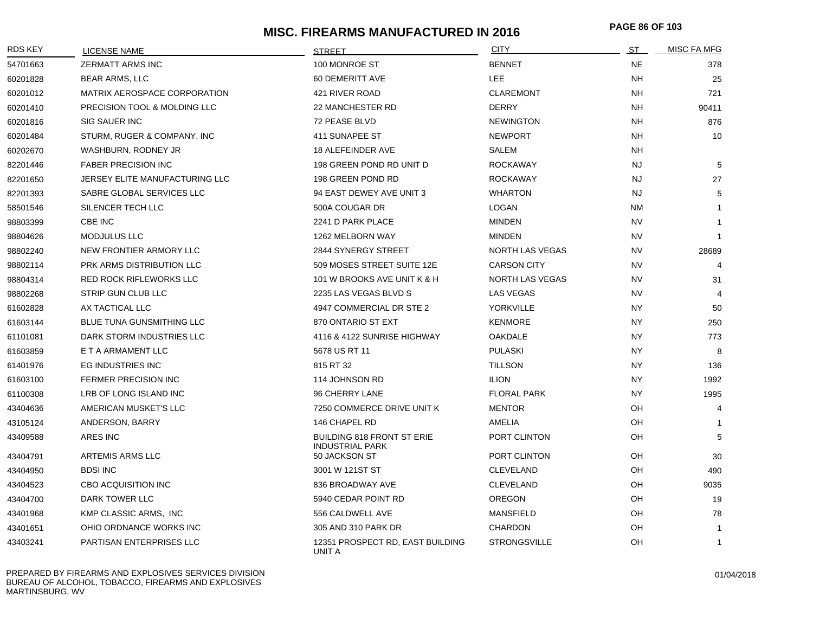# **MISC. FIREARMS MANUFACTURED IN 2016 PAGE 86 OF 10<sup>3</sup>**

| <b>RDS KEY</b> | LICENSE NAME                   | <b>STRFFT</b>                                               | <b>CITY</b>            | ST        | <b>MISC FA MFG</b> |
|----------------|--------------------------------|-------------------------------------------------------------|------------------------|-----------|--------------------|
| 54701663       | <b>ZERMATT ARMS INC</b>        | 100 MONROE ST                                               | <b>BENNET</b>          | <b>NE</b> | 378                |
| 60201828       | <b>BEAR ARMS, LLC</b>          | 60 DEMERITT AVE                                             | LEE                    | <b>NH</b> | 25                 |
| 60201012       | MATRIX AEROSPACE CORPORATION   | 421 RIVER ROAD                                              | <b>CLAREMONT</b>       | <b>NH</b> | 721                |
| 60201410       | PRECISION TOOL & MOLDING LLC   | 22 MANCHESTER RD                                            | <b>DERRY</b>           | NH        | 90411              |
| 60201816       | <b>SIG SAUER INC</b>           | 72 PEASE BLVD                                               | <b>NEWINGTON</b>       | <b>NH</b> | 876                |
| 60201484       | STURM, RUGER & COMPANY, INC    | 411 SUNAPEE ST                                              | <b>NEWPORT</b>         | NH        | 10                 |
| 60202670       | WASHBURN, RODNEY JR            | 18 ALEFEINDER AVE                                           | <b>SALEM</b>           | NH        |                    |
| 82201446       | <b>FABER PRECISION INC</b>     | 198 GREEN POND RD UNIT D                                    | <b>ROCKAWAY</b>        | <b>NJ</b> | 5                  |
| 82201650       | JERSEY ELITE MANUFACTURING LLC | 198 GREEN POND RD                                           | <b>ROCKAWAY</b>        | <b>NJ</b> | 27                 |
| 82201393       | SABRE GLOBAL SERVICES LLC      | 94 EAST DEWEY AVE UNIT 3                                    | <b>WHARTON</b>         | <b>NJ</b> | 5                  |
| 58501546       | SILENCER TECH LLC              | 500A COUGAR DR                                              | LOGAN                  | NM        |                    |
| 98803399       | CBE INC                        | 2241 D PARK PLACE                                           | <b>MINDEN</b>          | <b>NV</b> |                    |
| 98804626       | <b>MODJULUS LLC</b>            | 1262 MELBORN WAY                                            | <b>MINDEN</b>          | <b>NV</b> | -1                 |
| 98802240       | NEW FRONTIER ARMORY LLC        | 2844 SYNERGY STREET                                         | NORTH LAS VEGAS        | <b>NV</b> | 28689              |
| 98802114       | PRK ARMS DISTRIBUTION LLC      | 509 MOSES STREET SUITE 12E                                  | <b>CARSON CITY</b>     | <b>NV</b> | 4                  |
| 98804314       | <b>RED ROCK RIFLEWORKS LLC</b> | 101 W BROOKS AVE UNIT K & H                                 | <b>NORTH LAS VEGAS</b> | <b>NV</b> | 31                 |
| 98802268       | STRIP GUN CLUB LLC             | 2235 LAS VEGAS BLVD S                                       | LAS VEGAS              | <b>NV</b> | $\overline{4}$     |
| 61602828       | AX TACTICAL LLC                | 4947 COMMERCIAL DR STE 2                                    | YORKVILLE              | <b>NY</b> | 50                 |
| 61603144       | BLUE TUNA GUNSMITHING LLC      | 870 ONTARIO ST EXT                                          | <b>KENMORE</b>         | <b>NY</b> | 250                |
| 61101081       | DARK STORM INDUSTRIES LLC      | 4116 & 4122 SUNRISE HIGHWAY                                 | <b>OAKDALE</b>         | <b>NY</b> | 773                |
| 61603859       | E T A ARMAMENT LLC             | 5678 US RT 11                                               | <b>PULASKI</b>         | <b>NY</b> | 8                  |
| 61401976       | EG INDUSTRIES INC              | 815 RT 32                                                   | <b>TILLSON</b>         | NY.       | 136                |
| 61603100       | <b>FERMER PRECISION INC</b>    | 114 JOHNSON RD                                              | <b>ILION</b>           | <b>NY</b> | 1992               |
| 61100308       | LRB OF LONG ISLAND INC         | 96 CHERRY LANE                                              | <b>FLORAL PARK</b>     | <b>NY</b> | 1995               |
| 43404636       | AMERICAN MUSKET'S LLC          | 7250 COMMERCE DRIVE UNIT K                                  | <b>MENTOR</b>          | <b>OH</b> | 4                  |
| 43105124       | ANDERSON, BARRY                | 146 CHAPEL RD                                               | AMELIA                 | OH        | $\overline{1}$     |
| 43409588       | ARES INC                       | <b>BUILDING 818 FRONT ST ERIE</b><br><b>INDUSTRIAL PARK</b> | PORT CLINTON           | OH        | 5                  |
| 43404791       | ARTEMIS ARMS LLC               | 50 JACKSON ST                                               | PORT CLINTON           | OH        | 30                 |
| 43404950       | <b>BDSI INC</b>                | 3001 W 121ST ST                                             | <b>CLEVELAND</b>       | OH        | 490                |
| 43404523       | <b>CBO ACQUISITION INC</b>     | 836 BROADWAY AVE                                            | <b>CLEVELAND</b>       | OH        | 9035               |
| 43404700       | DARK TOWER LLC                 | 5940 CEDAR POINT RD                                         | <b>OREGON</b>          | OH        | 19                 |
| 43401968       | KMP CLASSIC ARMS, INC          | 556 CALDWELL AVE                                            | <b>MANSFIELD</b>       | OH        | 78                 |
| 43401651       | OHIO ORDNANCE WORKS INC        | 305 AND 310 PARK DR                                         | <b>CHARDON</b>         | OH        | $\mathbf{1}$       |
| 43403241       | PARTISAN ENTERPRISES LLC       | 12351 PROSPECT RD, EAST BUILDING<br>UNIT A                  | <b>STRONGSVILLE</b>    | OH        | $\mathbf{1}$       |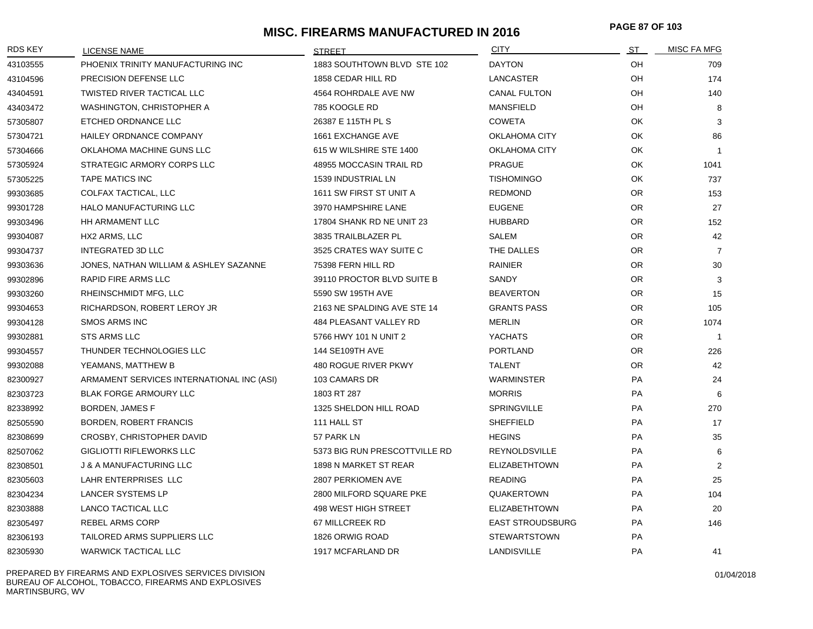# **MISC. FIREARMS MANUFACTURED IN 2016 PAGE 87 OF 10<sup>3</sup>**

| RDS KEY  | <b>LICENSE NAME</b>                       | <b>STREET</b>                 | <b>CITY</b>             | <u>ST _</u> | <b>MISC FA MFG</b> |
|----------|-------------------------------------------|-------------------------------|-------------------------|-------------|--------------------|
| 43103555 | PHOENIX TRINITY MANUFACTURING INC         | 1883 SOUTHTOWN BLVD STE 102   | <b>DAYTON</b>           | OH          | 709                |
| 43104596 | PRECISION DEFENSE LLC                     | 1858 CEDAR HILL RD            | <b>LANCASTER</b>        | OH          | 174                |
| 43404591 | TWISTED RIVER TACTICAL LLC                | 4564 ROHRDALE AVE NW          | <b>CANAL FULTON</b>     | OH          | 140                |
| 43403472 | WASHINGTON, CHRISTOPHER A                 | 785 KOOGLE RD                 | <b>MANSFIELD</b>        | OH          | 8                  |
| 57305807 | ETCHED ORDNANCE LLC                       | 26387 E 115TH PL S            | <b>COWETA</b>           | OK          | 3                  |
| 57304721 | HAILEY ORDNANCE COMPANY                   | 1661 EXCHANGE AVE             | <b>OKLAHOMA CITY</b>    | OK          | 86                 |
| 57304666 | OKLAHOMA MACHINE GUNS LLC                 | 615 W WILSHIRE STE 1400       | <b>OKLAHOMA CITY</b>    | OK          | $\overline{1}$     |
| 57305924 | STRATEGIC ARMORY CORPS LLC                | 48955 MOCCASIN TRAIL RD       | <b>PRAGUE</b>           | OK          | 1041               |
| 57305225 | <b>TAPE MATICS INC</b>                    | 1539 INDUSTRIAL LN            | <b>TISHOMINGO</b>       | OK          | 737                |
| 99303685 | COLFAX TACTICAL, LLC                      | 1611 SW FIRST ST UNIT A       | <b>REDMOND</b>          | OR.         | 153                |
| 99301728 | HALO MANUFACTURING LLC                    | 3970 HAMPSHIRE LANE           | <b>EUGENE</b>           | OR.         | 27                 |
| 99303496 | HH ARMAMENT LLC                           | 17804 SHANK RD NE UNIT 23     | <b>HUBBARD</b>          | OR.         | 152                |
| 99304087 | HX2 ARMS, LLC                             | 3835 TRAILBLAZER PL           | <b>SALEM</b>            | OR.         | 42                 |
| 99304737 | <b>INTEGRATED 3D LLC</b>                  | 3525 CRATES WAY SUITE C       | THE DALLES              | OR.         | $\overline{7}$     |
| 99303636 | JONES. NATHAN WILLIAM & ASHLEY SAZANNE    | 75398 FERN HILL RD            | <b>RAINIER</b>          | OR.         | 30                 |
| 99302896 | RAPID FIRE ARMS LLC                       | 39110 PROCTOR BLVD SUITE B    | SANDY                   | <b>OR</b>   | 3                  |
| 99303260 | RHEINSCHMIDT MFG, LLC                     | 5590 SW 195TH AVE             | <b>BEAVERTON</b>        | OR.         | 15                 |
| 99304653 | RICHARDSON, ROBERT LEROY JR               | 2163 NE SPALDING AVE STE 14   | <b>GRANTS PASS</b>      | OR.         | 105                |
| 99304128 | <b>SMOS ARMS INC</b>                      | 484 PLEASANT VALLEY RD        | <b>MERLIN</b>           | OR.         | 1074               |
| 99302881 | <b>STS ARMS LLC</b>                       | 5766 HWY 101 N UNIT 2         | <b>YACHATS</b>          | OR.         | $\overline{1}$     |
| 99304557 | THUNDER TECHNOLOGIES LLC                  | 144 SE109TH AVE               | <b>PORTLAND</b>         | OR.         | 226                |
| 99302088 | YEAMANS, MATTHEW B                        | 480 ROGUE RIVER PKWY          | <b>TALENT</b>           | OR.         | 42                 |
| 82300927 | ARMAMENT SERVICES INTERNATIONAL INC (ASI) | 103 CAMARS DR                 | <b>WARMINSTER</b>       | PA          | 24                 |
| 82303723 | <b>BLAK FORGE ARMOURY LLC</b>             | 1803 RT 287                   | <b>MORRIS</b>           | PA          | 6                  |
| 82338992 | BORDEN, JAMES F                           | 1325 SHELDON HILL ROAD        | <b>SPRINGVILLE</b>      | PA          | 270                |
| 82505590 | BORDEN, ROBERT FRANCIS                    | 111 HALL ST                   | <b>SHEFFIELD</b>        | PA          | 17                 |
| 82308699 | CROSBY, CHRISTOPHER DAVID                 | 57 PARK LN                    | <b>HEGINS</b>           | <b>PA</b>   | 35                 |
| 82507062 | <b>GIGLIOTTI RIFLEWORKS LLC</b>           | 5373 BIG RUN PRESCOTTVILLE RD | <b>REYNOLDSVILLE</b>    | PA          | 6                  |
| 82308501 | J & A MANUFACTURING LLC                   | 1898 N MARKET ST REAR         | <b>ELIZABETHTOWN</b>    | <b>PA</b>   | 2                  |
| 82305603 | LAHR ENTERPRISES LLC                      | 2807 PERKIOMEN AVE            | <b>READING</b>          | PA          | 25                 |
| 82304234 | LANCER SYSTEMS LP                         | 2800 MILFORD SQUARE PKE       | QUAKERTOWN              | PA          | 104                |
| 82303888 | LANCO TACTICAL LLC                        | 498 WEST HIGH STREET          | <b>ELIZABETHTOWN</b>    | PA          | 20                 |
| 82305497 | <b>REBEL ARMS CORP</b>                    | 67 MILLCREEK RD               | <b>EAST STROUDSBURG</b> | <b>PA</b>   | 146                |
| 82306193 | TAILORED ARMS SUPPLIERS LLC               | 1826 ORWIG ROAD               | <b>STEWARTSTOWN</b>     | PA          |                    |
| 82305930 | <b>WARWICK TACTICAL LLC</b>               | 1917 MCFARLAND DR             | LANDISVILLE             | PA          | 41                 |

PREPARED BY FIREARMS AND EXPLOSIVES SERVICES DIVISION BUREAU OF ALCOHOL, TOBACCO, FIREARMS AND EXPLOSIVES MARTINSBURG, WV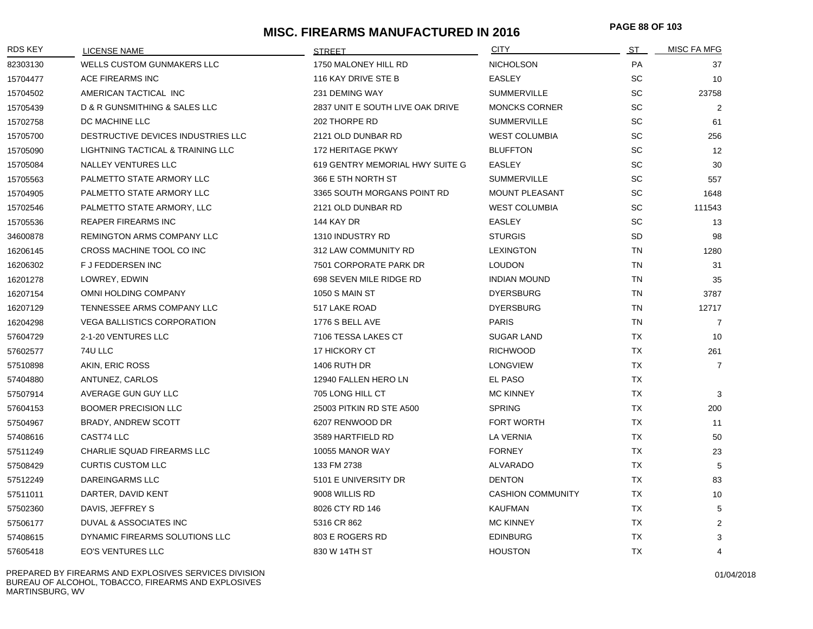# **MISC. FIREARMS MANUFACTURED IN 2016 PAGE 88 OF 10<sup>3</sup>**

| <b>RDS KEY</b> | <b>LICENSE NAME</b>                | <b>STREET</b>                    | <b>CITY</b>              | <u>ST _</u> | MISC FA MFG    |
|----------------|------------------------------------|----------------------------------|--------------------------|-------------|----------------|
| 82303130       | <b>WELLS CUSTOM GUNMAKERS LLC</b>  | 1750 MALONEY HILL RD             | <b>NICHOLSON</b>         | PA          | 37             |
| 15704477       | ACE FIREARMS INC                   | 116 KAY DRIVE STE B              | <b>EASLEY</b>            | <b>SC</b>   | 10             |
| 15704502       | AMERICAN TACTICAL INC              | 231 DEMING WAY                   | <b>SUMMERVILLE</b>       | SC          | 23758          |
| 15705439       | D & R GUNSMITHING & SALES LLC      | 2837 UNIT E SOUTH LIVE OAK DRIVE | <b>MONCKS CORNER</b>     | <b>SC</b>   | $\overline{2}$ |
| 15702758       | DC MACHINE LLC                     | 202 THORPE RD                    | <b>SUMMERVILLE</b>       | SC          | 61             |
| 15705700       | DESTRUCTIVE DEVICES INDUSTRIES LLC | 2121 OLD DUNBAR RD               | <b>WEST COLUMBIA</b>     | SC          | 256            |
| 15705090       | LIGHTNING TACTICAL & TRAINING LLC  | 172 HERITAGE PKWY                | <b>BLUFFTON</b>          | SC          | 12             |
| 15705084       | NALLEY VENTURES LLC                | 619 GENTRY MEMORIAL HWY SUITE G  | EASLEY                   | SC          | 30             |
| 15705563       | PALMETTO STATE ARMORY LLC          | 366 E 5TH NORTH ST               | <b>SUMMERVILLE</b>       | SC          | 557            |
| 15704905       | PALMETTO STATE ARMORY LLC          | 3365 SOUTH MORGANS POINT RD      | <b>MOUNT PLEASANT</b>    | SC          | 1648           |
| 15702546       | PALMETTO STATE ARMORY, LLC         | 2121 OLD DUNBAR RD               | <b>WEST COLUMBIA</b>     | SC          | 111543         |
| 15705536       | <b>REAPER FIREARMS INC</b>         | 144 KAY DR                       | <b>EASLEY</b>            | SC          | 13             |
| 34600878       | REMINGTON ARMS COMPANY LLC         | 1310 INDUSTRY RD                 | <b>STURGIS</b>           | SD          | 98             |
| 16206145       | CROSS MACHINE TOOL CO INC          | 312 LAW COMMUNITY RD             | <b>LEXINGTON</b>         | <b>TN</b>   | 1280           |
| 16206302       | <b>F J FEDDERSEN INC</b>           | 7501 CORPORATE PARK DR           | <b>LOUDON</b>            | <b>TN</b>   | 31             |
| 16201278       | LOWREY, EDWIN                      | 698 SEVEN MILE RIDGE RD          | <b>INDIAN MOUND</b>      | <b>TN</b>   | 35             |
| 16207154       | OMNI HOLDING COMPANY               | <b>1050 S MAIN ST</b>            | <b>DYERSBURG</b>         | <b>TN</b>   | 3787           |
| 16207129       | TENNESSEE ARMS COMPANY LLC         | 517 LAKE ROAD                    | <b>DYERSBURG</b>         | <b>TN</b>   | 12717          |
| 16204298       | <b>VEGA BALLISTICS CORPORATION</b> | 1776 S BELL AVE                  | <b>PARIS</b>             | <b>TN</b>   | $\overline{7}$ |
| 57604729       | 2-1-20 VENTURES LLC                | 7106 TESSA LAKES CT              | <b>SUGAR LAND</b>        | TX          | 10             |
| 57602577       | 74U LLC                            | 17 HICKORY CT                    | <b>RICHWOOD</b>          | <b>TX</b>   | 261            |
| 57510898       | AKIN, ERIC ROSS                    | <b>1406 RUTH DR</b>              | <b>LONGVIEW</b>          | <b>TX</b>   | $\overline{7}$ |
| 57404880       | ANTUNEZ, CARLOS                    | 12940 FALLEN HERO LN             | EL PASO                  | <b>TX</b>   |                |
| 57507914       | AVERAGE GUN GUY LLC                | 705 LONG HILL CT                 | <b>MC KINNEY</b>         | TX          | 3              |
| 57604153       | <b>BOOMER PRECISION LLC</b>        | 25003 PITKIN RD STE A500         | <b>SPRING</b>            | TX          | 200            |
| 57504967       | <b>BRADY, ANDREW SCOTT</b>         | 6207 RENWOOD DR                  | FORT WORTH               | TX          | 11             |
| 57408616       | CAST74 LLC                         | 3589 HARTFIELD RD                | LA VERNIA                | <b>TX</b>   | 50             |
| 57511249       | <b>CHARLIE SQUAD FIREARMS LLC</b>  | 10055 MANOR WAY                  | <b>FORNEY</b>            | <b>TX</b>   | 23             |
| 57508429       | <b>CURTIS CUSTOM LLC</b>           | 133 FM 2738                      | <b>ALVARADO</b>          | <b>TX</b>   | 5              |
| 57512249       | <b>DAREINGARMS LLC</b>             | 5101 E UNIVERSITY DR             | <b>DENTON</b>            | <b>TX</b>   | 83             |
| 57511011       | DARTER, DAVID KENT                 | 9008 WILLIS RD                   | <b>CASHION COMMUNITY</b> | <b>TX</b>   | 10             |
| 57502360       | DAVIS, JEFFREY S                   | 8026 CTY RD 146                  | <b>KAUFMAN</b>           | <b>TX</b>   | 5              |
| 57506177       | DUVAL & ASSOCIATES INC             | 5316 CR 862                      | <b>MC KINNEY</b>         | <b>TX</b>   | $\overline{2}$ |
| 57408615       | DYNAMIC FIREARMS SOLUTIONS LLC     | 803 E ROGERS RD                  | <b>EDINBURG</b>          | <b>TX</b>   | 3              |
| 57605418       | EO'S VENTURES LLC                  | 830 W 14TH ST                    | <b>HOUSTON</b>           | <b>TX</b>   | 4              |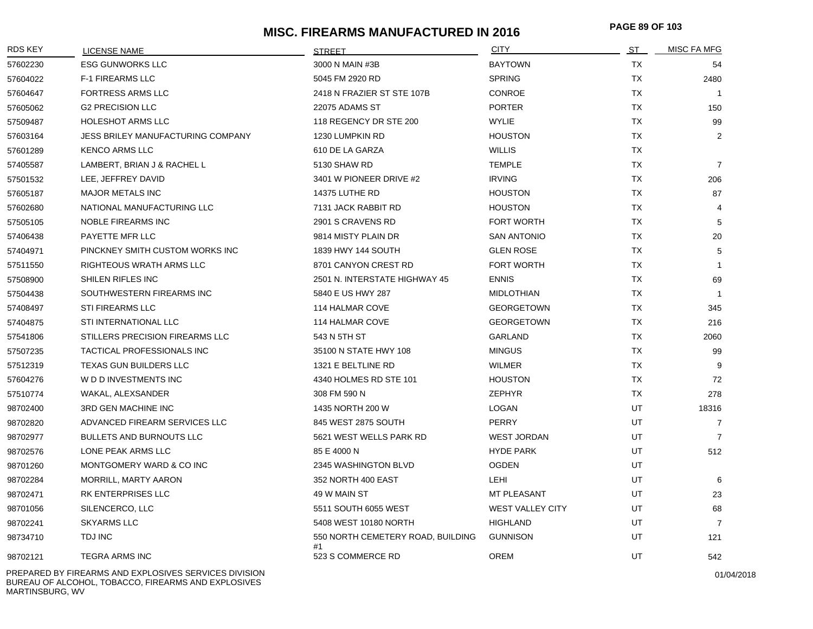# **MISC. FIREARMS MANUFACTURED IN 2016 PAGE 89 OF 10<sup>3</sup>**

| <b>RDS KEY</b> | LICENSE NAME                      | <b>STREET</b>                           | <b>CITY</b>             | <u>ST_</u> | <b>MISC FA MFG</b> |
|----------------|-----------------------------------|-----------------------------------------|-------------------------|------------|--------------------|
| 57602230       | <b>ESG GUNWORKS LLC</b>           | 3000 N MAIN #3B                         | <b>BAYTOWN</b>          | TX         | 54                 |
| 57604022       | <b>F-1 FIREARMS LLC</b>           | 5045 FM 2920 RD                         | <b>SPRING</b>           | TX         | 2480               |
| 57604647       | <b>FORTRESS ARMS LLC</b>          | 2418 N FRAZIER ST STE 107B              | <b>CONROE</b>           | TX         | $\overline{1}$     |
| 57605062       | <b>G2 PRECISION LLC</b>           | <b>22075 ADAMS ST</b>                   | <b>PORTER</b>           | <b>TX</b>  | 150                |
| 57509487       | <b>HOLESHOT ARMS LLC</b>          | 118 REGENCY DR STE 200                  | <b>WYLIE</b>            | <b>TX</b>  | 99                 |
| 57603164       | JESS BRILEY MANUFACTURING COMPANY | 1230 LUMPKIN RD                         | <b>HOUSTON</b>          | TX         | $\overline{2}$     |
| 57601289       | <b>KENCO ARMS LLC</b>             | 610 DE LA GARZA                         | <b>WILLIS</b>           | TX         |                    |
| 57405587       | LAMBERT, BRIAN J & RACHEL L       | 5130 SHAW RD                            | <b>TEMPLE</b>           | <b>TX</b>  | $\overline{7}$     |
| 57501532       | LEE, JEFFREY DAVID                | 3401 W PIONEER DRIVE #2                 | <b>IRVING</b>           | <b>TX</b>  | 206                |
| 57605187       | <b>MAJOR METALS INC</b>           | 14375 LUTHE RD                          | <b>HOUSTON</b>          | TX         | 87                 |
| 57602680       | NATIONAL MANUFACTURING LLC        | 7131 JACK RABBIT RD                     | <b>HOUSTON</b>          | TX         | $\overline{4}$     |
| 57505105       | <b>NOBLE FIREARMS INC</b>         | 2901 S CRAVENS RD                       | <b>FORT WORTH</b>       | <b>TX</b>  | 5                  |
| 57406438       | PAYETTE MFR LLC                   | 9814 MISTY PLAIN DR                     | <b>SAN ANTONIO</b>      | <b>TX</b>  | 20                 |
| 57404971       | PINCKNEY SMITH CUSTOM WORKS INC   | 1839 HWY 144 SOUTH                      | <b>GLEN ROSE</b>        | TX         | 5                  |
| 57511550       | RIGHTEOUS WRATH ARMS LLC          | 8701 CANYON CREST RD                    | <b>FORT WORTH</b>       | TX         | $\overline{1}$     |
| 57508900       | SHILEN RIFLES INC                 | 2501 N. INTERSTATE HIGHWAY 45           | <b>ENNIS</b>            | TX         | 69                 |
| 57504438       | SOUTHWESTERN FIREARMS INC         | 5840 E US HWY 287                       | <b>MIDLOTHIAN</b>       | <b>TX</b>  | $\overline{1}$     |
| 57408497       | STI FIREARMS LLC                  | 114 HALMAR COVE                         | <b>GEORGETOWN</b>       | TX         | 345                |
| 57404875       | STI INTERNATIONAL LLC             | 114 HALMAR COVE                         | <b>GEORGETOWN</b>       | TX         | 216                |
| 57541806       | STILLERS PRECISION FIREARMS LLC   | 543 N 5TH ST                            | <b>GARLAND</b>          | <b>TX</b>  | 2060               |
| 57507235       | <b>TACTICAL PROFESSIONALS INC</b> | 35100 N STATE HWY 108                   | <b>MINGUS</b>           | <b>TX</b>  | 99                 |
| 57512319       | <b>TEXAS GUN BUILDERS LLC</b>     | 1321 E BELTLINE RD                      | <b>WILMER</b>           | TX         | 9                  |
| 57604276       | W D D INVESTMENTS INC             | 4340 HOLMES RD STE 101                  | <b>HOUSTON</b>          | TX         | 72                 |
| 57510774       | WAKAL, ALEXSANDER                 | 308 FM 590 N                            | <b>ZEPHYR</b>           | TX         | 278                |
| 98702400       | <b>3RD GEN MACHINE INC</b>        | 1435 NORTH 200 W                        | LOGAN                   | <b>UT</b>  | 18316              |
| 98702820       | ADVANCED FIREARM SERVICES LLC     | 845 WEST 2875 SOUTH                     | <b>PERRY</b>            | <b>UT</b>  | $\overline{7}$     |
| 98702977       | <b>BULLETS AND BURNOUTS LLC</b>   | 5621 WEST WELLS PARK RD                 | <b>WEST JORDAN</b>      | UT         | 7                  |
| 98702576       | LONE PEAK ARMS LLC                | 85 E 4000 N                             | <b>HYDE PARK</b>        | UT         | 512                |
| 98701260       | MONTGOMERY WARD & CO INC          | 2345 WASHINGTON BLVD                    | <b>OGDEN</b>            | UT.        |                    |
| 98702284       | MORRILL, MARTY AARON              | 352 NORTH 400 EAST                      | LEHI                    | UT.        | 6                  |
| 98702471       | RK ENTERPRISES LLC                | 49 W MAIN ST                            | MT PLEASANT             | UT         | 23                 |
| 98701056       | SILENCERCO, LLC                   | 5511 SOUTH 6055 WEST                    | <b>WEST VALLEY CITY</b> | UT         | 68                 |
| 98702241       | <b>SKYARMS LLC</b>                | 5408 WEST 10180 NORTH                   | <b>HIGHLAND</b>         | UT.        | $\overline{7}$     |
| 98734710       | <b>TDJ INC</b>                    | 550 NORTH CEMETERY ROAD, BUILDING<br>#1 | <b>GUNNISON</b>         | UT.        | 121                |
| 98702121       | <b>TEGRA ARMS INC</b>             | 523 S COMMERCE RD                       | <b>OREM</b>             | <b>UT</b>  | 542                |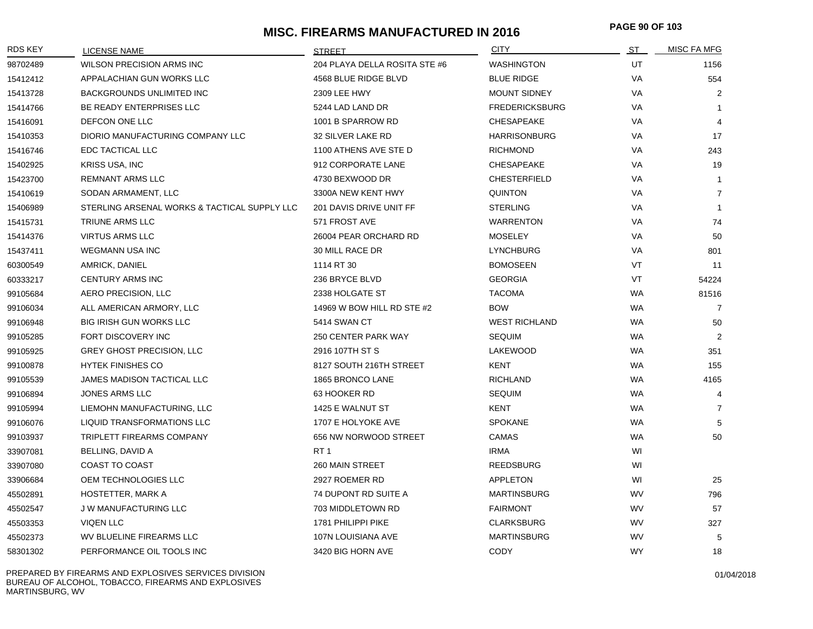# **MISC. FIREARMS MANUFACTURED IN 2016 PAGE 90 OF 10<sup>3</sup>**

| RDS KEY  | <b>LICENSE NAME</b>                          | <b>STREET</b>                 | <b>CITY</b>           | <u>ST _</u> | MISC FA MFG    |
|----------|----------------------------------------------|-------------------------------|-----------------------|-------------|----------------|
| 98702489 | WILSON PRECISION ARMS INC                    | 204 PLAYA DELLA ROSITA STE #6 | <b>WASHINGTON</b>     | UT          | 1156           |
| 15412412 | APPALACHIAN GUN WORKS LLC                    | 4568 BLUE RIDGE BLVD          | <b>BLUE RIDGE</b>     | VA          | 554            |
| 15413728 | <b>BACKGROUNDS UNLIMITED INC</b>             | 2309 LEE HWY                  | <b>MOUNT SIDNEY</b>   | <b>VA</b>   | 2              |
| 15414766 | BE READY ENTERPRISES LLC                     | 5244 LAD LAND DR              | <b>FREDERICKSBURG</b> | <b>VA</b>   | -1             |
| 15416091 | DEFCON ONE LLC                               | 1001 B SPARROW RD             | CHESAPEAKE            | <b>VA</b>   | $\overline{4}$ |
| 15410353 | DIORIO MANUFACTURING COMPANY LLC             | 32 SILVER LAKE RD             | <b>HARRISONBURG</b>   | VA          | 17             |
| 15416746 | EDC TACTICAL LLC                             | 1100 ATHENS AVE STE D         | <b>RICHMOND</b>       | VA          | 243            |
| 15402925 | KRISS USA, INC                               | 912 CORPORATE LANE            | <b>CHESAPEAKE</b>     | VA          | 19             |
| 15423700 | <b>REMNANT ARMS LLC</b>                      | 4730 BEXWOOD DR               | <b>CHESTERFIELD</b>   | VA          | $\overline{1}$ |
| 15410619 | SODAN ARMAMENT, LLC                          | 3300A NEW KENT HWY            | <b>QUINTON</b>        | VA          | $\overline{7}$ |
| 15406989 | STERLING ARSENAL WORKS & TACTICAL SUPPLY LLC | 201 DAVIS DRIVE UNIT FF       | <b>STERLING</b>       | VA          | $\mathbf{1}$   |
| 15415731 | TRIUNE ARMS LLC                              | 571 FROST AVE                 | <b>WARRENTON</b>      | VA          | 74             |
| 15414376 | <b>VIRTUS ARMS LLC</b>                       | 26004 PEAR ORCHARD RD         | <b>MOSELEY</b>        | VA          | 50             |
| 15437411 | <b>WEGMANN USA INC</b>                       | 30 MILL RACE DR               | <b>LYNCHBURG</b>      | VA          | 801            |
| 60300549 | AMRICK, DANIEL                               | 1114 RT 30                    | <b>BOMOSEEN</b>       | <b>VT</b>   | 11             |
| 60333217 | <b>CENTURY ARMS INC</b>                      | 236 BRYCE BLVD                | <b>GEORGIA</b>        | VT          | 54224          |
| 99105684 | AERO PRECISION, LLC                          | 2338 HOLGATE ST               | <b>TACOMA</b>         | WA          | 81516          |
| 99106034 | ALL AMERICAN ARMORY, LLC                     | 14969 W BOW HILL RD STE #2    | <b>BOW</b>            | WA          | $\overline{7}$ |
| 99106948 | <b>BIG IRISH GUN WORKS LLC</b>               | 5414 SWAN CT                  | <b>WEST RICHLAND</b>  | WA          | 50             |
| 99105285 | FORT DISCOVERY INC                           | 250 CENTER PARK WAY           | <b>SEQUIM</b>         | WA          | $\overline{2}$ |
| 99105925 | <b>GREY GHOST PRECISION, LLC</b>             | 2916 107TH ST S               | LAKEWOOD              | WA          | 351            |
| 99100878 | <b>HYTEK FINISHES CO</b>                     | 8127 SOUTH 216TH STREET       | KENT                  | <b>WA</b>   | 155            |
| 99105539 | JAMES MADISON TACTICAL LLC                   | 1865 BRONCO LANE              | <b>RICHLAND</b>       | <b>WA</b>   | 4165           |
| 99106894 | <b>JONES ARMS LLC</b>                        | 63 HOOKER RD                  | <b>SEQUIM</b>         | <b>WA</b>   | $\overline{4}$ |
| 99105994 | LIEMOHN MANUFACTURING, LLC                   | 1425 E WALNUT ST              | <b>KENT</b>           | <b>WA</b>   | $\overline{7}$ |
| 99106076 | LIQUID TRANSFORMATIONS LLC                   | 1707 E HOLYOKE AVE            | <b>SPOKANE</b>        | WA          | 5              |
| 99103937 | <b>TRIPLETT FIREARMS COMPANY</b>             | 656 NW NORWOOD STREET         | CAMAS                 | <b>WA</b>   | 50             |
| 33907081 | BELLING, DAVID A                             | RT <sub>1</sub>               | <b>IRMA</b>           | WI          |                |
| 33907080 | COAST TO COAST                               | 260 MAIN STREET               | <b>REEDSBURG</b>      | WI          |                |
| 33906684 | OEM TECHNOLOGIES LLC                         | 2927 ROEMER RD                | <b>APPLETON</b>       | WI          | 25             |
| 45502891 | HOSTETTER, MARK A                            | 74 DUPONT RD SUITE A          | <b>MARTINSBURG</b>    | WV          | 796            |
| 45502547 | <b>JW MANUFACTURING LLC</b>                  | 703 MIDDLETOWN RD             | <b>FAIRMONT</b>       | WV          | 57             |
| 45503353 | <b>VIQEN LLC</b>                             | 1781 PHILIPPI PIKE            | <b>CLARKSBURG</b>     | <b>WV</b>   | 327            |
| 45502373 | WV BLUELINE FIREARMS LLC                     | 107N LOUISIANA AVE            | <b>MARTINSBURG</b>    | <b>WV</b>   | 5              |
| 58301302 | PERFORMANCE OIL TOOLS INC                    | 3420 BIG HORN AVE             | <b>CODY</b>           | <b>WY</b>   | 18             |

PREPARED BY FIREARMS AND EXPLOSIVES SERVICES DIVISION BUREAU OF ALCOHOL, TOBACCO, FIREARMS AND EXPLOSIVES MARTINSBURG, WV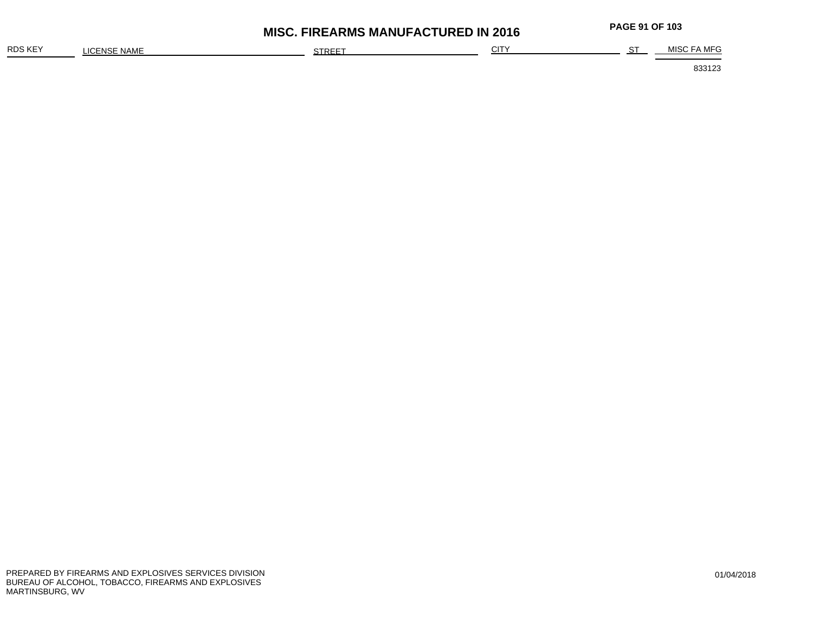| RDS KEY | : NAME<br>$\sim$<br>:FNSF<br>-ישו | STREET | $\bigcap$<br>ັບເ | ~~ | MEC<br>MISC FA |
|---------|-----------------------------------|--------|------------------|----|----------------|
|         |                                   |        |                  |    |                |

**MISC. FIREARMS MANUFACTURED IN 2016 PAGE 91 OF 10<sup>3</sup>**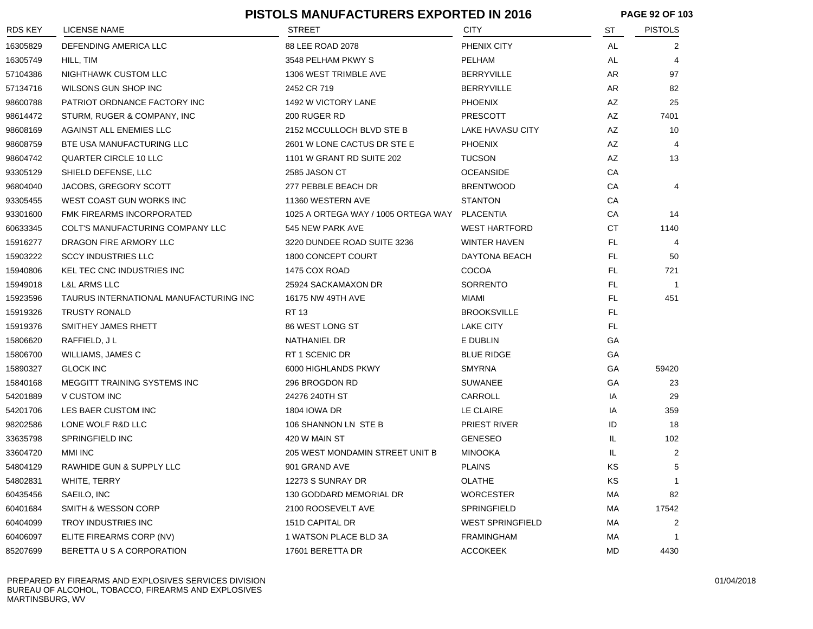|                |                                         | <b>PISTOLS MANUFACTURERS EXPORTED IN 2016</b> |                         | <b>PAGE 92 OF 103</b> |                |
|----------------|-----------------------------------------|-----------------------------------------------|-------------------------|-----------------------|----------------|
| <b>RDS KEY</b> | <b>LICENSE NAME</b>                     | <b>STREET</b>                                 | <b>CITY</b>             | ST                    | <b>PISTOLS</b> |
| 16305829       | DEFENDING AMERICA LLC                   | 88 LEE ROAD 2078                              | PHENIX CITY             | AL                    | 2              |
| 16305749       | HILL, TIM                               | 3548 PELHAM PKWY S                            | PELHAM                  | AL                    | 4              |
| 57104386       | NIGHTHAWK CUSTOM LLC                    | 1306 WEST TRIMBLE AVE                         | <b>BERRYVILLE</b>       | AR                    | 97             |
| 57134716       | WILSONS GUN SHOP INC                    | 2452 CR 719                                   | <b>BERRYVILLE</b>       | AR                    | 82             |
| 98600788       | PATRIOT ORDNANCE FACTORY INC            | 1492 W VICTORY LANE                           | <b>PHOENIX</b>          | AZ                    | 25             |
| 98614472       | STURM, RUGER & COMPANY, INC             | 200 RUGER RD                                  | <b>PRESCOTT</b>         | AZ                    | 7401           |
| 98608169       | AGAINST ALL ENEMIES LLC                 | 2152 MCCULLOCH BLVD STE B                     | LAKE HAVASU CITY        | AZ                    | 10             |
| 98608759       | BTE USA MANUFACTURING LLC               | 2601 W LONE CACTUS DR STE E                   | <b>PHOENIX</b>          | AZ                    |                |
| 98604742       | QUARTER CIRCLE 10 LLC                   | 1101 W GRANT RD SUITE 202                     | <b>TUCSON</b>           | AZ                    | 13             |
| 93305129       | SHIELD DEFENSE, LLC                     | 2585 JASON CT                                 | <b>OCEANSIDE</b>        | CA                    |                |
| 96804040       | JACOBS, GREGORY SCOTT                   | 277 PEBBLE BEACH DR                           | <b>BRENTWOOD</b>        | CA                    | 4              |
| 93305455       | WEST COAST GUN WORKS INC                | 11360 WESTERN AVE                             | <b>STANTON</b>          | CA                    |                |
| 93301600       | <b>FMK FIREARMS INCORPORATED</b>        | 1025 A ORTEGA WAY / 1005 ORTEGA WAY           | PLACENTIA               | CA                    | 14             |
| 60633345       | <b>COLT'S MANUFACTURING COMPANY LLC</b> | 545 NEW PARK AVE                              | <b>WEST HARTFORD</b>    | СT                    | 1140           |
| 15916277       | DRAGON FIRE ARMORY LLC                  | 3220 DUNDEE ROAD SUITE 3236                   | <b>WINTER HAVEN</b>     | FL                    | 4              |
| 15903222       | <b>SCCY INDUSTRIES LLC</b>              | 1800 CONCEPT COURT                            | DAYTONA BEACH           | FL                    | 50             |
| 15940806       | <b>KEL TEC CNC INDUSTRIES INC</b>       | 1475 COX ROAD                                 | <b>COCOA</b>            | FL                    | 721            |
| 15949018       | <b>L&amp;L ARMS LLC</b>                 | 25924 SACKAMAXON DR                           | <b>SORRENTO</b>         | FL.                   | -1             |
| 15923596       | TAURUS INTERNATIONAL MANUFACTURING INC  | 16175 NW 49TH AVE                             | MIAMI                   | FL                    | 451            |
| 15919326       | <b>TRUSTY RONALD</b>                    | RT 13                                         | <b>BROOKSVILLE</b>      | FL                    |                |
| 15919376       | SMITHEY JAMES RHETT                     | 86 WEST LONG ST                               | <b>LAKE CITY</b>        | FL                    |                |
| 15806620       | RAFFIELD, J L                           | NATHANIEL DR                                  | E DUBLIN                | GA                    |                |
| 15806700       | WILLIAMS, JAMES C                       | RT 1 SCENIC DR                                | <b>BLUE RIDGE</b>       | GA                    |                |
| 15890327       | <b>GLOCK INC</b>                        | 6000 HIGHLANDS PKWY                           | <b>SMYRNA</b>           | GА                    | 59420          |
| 15840168       | MEGGITT TRAINING SYSTEMS INC            | 296 BROGDON RD                                | <b>SUWANEE</b>          | GA                    | 23             |
| 54201889       | V CUSTOM INC                            | 24276 240TH ST                                | CARROLL                 | IA                    | 29             |
| 54201706       | LES BAER CUSTOM INC                     | <b>1804 IOWA DR</b>                           | LE CLAIRE               | IA                    | 359            |
| 98202586       | LONE WOLF R&D LLC                       | 106 SHANNON LN STE B                          | PRIEST RIVER            | ID                    | 18             |
| 33635798       | SPRINGFIELD INC                         | 420 W MAIN ST                                 | <b>GENESEO</b>          | IL.                   | 102            |
| 33604720       | <b>MMI INC</b>                          | 205 WEST MONDAMIN STREET UNIT B               | MINOOKA                 | IL.                   | 2              |
| 54804129       | RAWHIDE GUN & SUPPLY LLC                | 901 GRAND AVE                                 | <b>PLAINS</b>           | KS                    | 5              |
| 54802831       | WHITE, TERRY                            | 12273 S SUNRAY DR                             | OLATHE                  | KS                    | 1              |
| 60435456       | SAEILO, INC                             | 130 GODDARD MEMORIAL DR                       | <b>WORCESTER</b>        | МA                    | 82             |
| 60401684       | SMITH & WESSON CORP                     | 2100 ROOSEVELT AVE                            | SPRINGFIELD             | МA                    | 17542          |
| 60404099       | TROY INDUSTRIES INC                     | 151D CAPITAL DR                               | <b>WEST SPRINGFIELD</b> | МA                    | 2              |
| 60406097       | ELITE FIREARMS CORP (NV)                | 1 WATSON PLACE BLD 3A                         | <b>FRAMINGHAM</b>       | МA                    | 1              |
| 85207699       | BERETTA U S A CORPORATION               | 17601 BERETTA DR                              | <b>ACCOKEEK</b>         | MD                    | 4430           |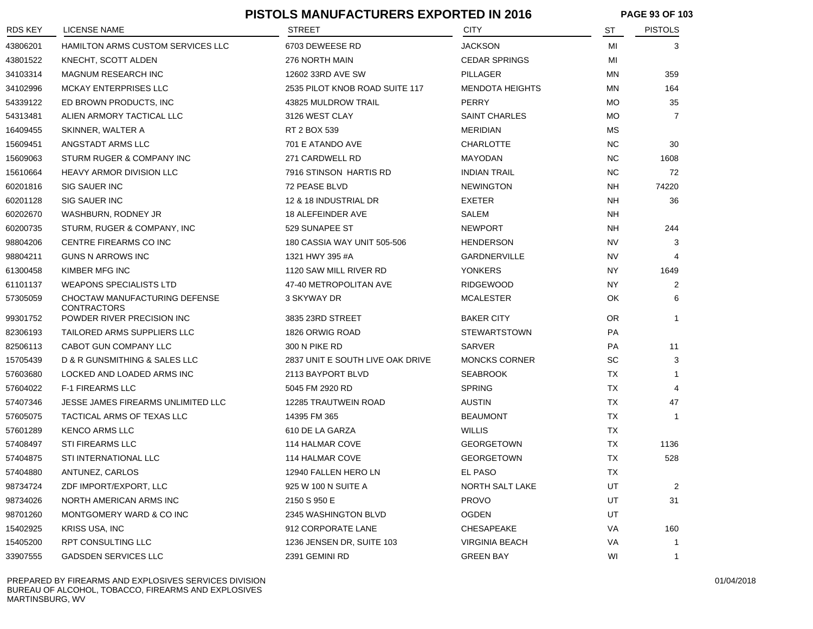|                |                                                     | PISTOLS MANUFACTURERS EXPORTED IN 2016 |                        |           | <b>PAGE 93 OF 103</b> |  |
|----------------|-----------------------------------------------------|----------------------------------------|------------------------|-----------|-----------------------|--|
| <b>RDS KEY</b> | LICENSE NAME                                        | <b>STREET</b>                          | CITY                   | ST        | <b>PISTOLS</b>        |  |
| 43806201       | <b>HAMILTON ARMS CUSTOM SERVICES LLC</b>            | 6703 DEWEESE RD                        | <b>JACKSON</b>         | MI        | 3                     |  |
| 43801522       | KNECHT, SCOTT ALDEN                                 | 276 NORTH MAIN                         | <b>CEDAR SPRINGS</b>   | MI        |                       |  |
| 34103314       | <b>MAGNUM RESEARCH INC</b>                          | 12602 33RD AVE SW                      | PILLAGER               | ΜN        | 359                   |  |
| 34102996       | <b>MCKAY ENTERPRISES LLC</b>                        | 2535 PILOT KNOB ROAD SUITE 117         | <b>MENDOTA HEIGHTS</b> | ΜN        | 164                   |  |
| 54339122       | ED BROWN PRODUCTS, INC                              | 43825 MULDROW TRAIL                    | <b>PERRY</b>           | МO        | 35                    |  |
| 54313481       | ALIEN ARMORY TACTICAL LLC                           | 3126 WEST CLAY                         | <b>SAINT CHARLES</b>   | МO        | 7                     |  |
| 16409455       | SKINNER, WALTER A                                   | RT 2 BOX 539                           | <b>MERIDIAN</b>        | <b>MS</b> |                       |  |
| 15609451       | ANGSTADT ARMS LLC                                   | 701 E ATANDO AVE                       | <b>CHARLOTTE</b>       | NC.       | 30                    |  |
| 15609063       | STURM RUGER & COMPANY INC                           | 271 CARDWELL RD                        | <b>MAYODAN</b>         | <b>NC</b> | 1608                  |  |
| 15610664       | <b>HEAVY ARMOR DIVISION LLC</b>                     | 7916 STINSON HARTIS RD                 | <b>INDIAN TRAIL</b>    | <b>NC</b> | 72                    |  |
| 60201816       | <b>SIG SAUER INC</b>                                | 72 PEASE BLVD                          | <b>NEWINGTON</b>       | NH        | 74220                 |  |
| 60201128       | <b>SIG SAUER INC</b>                                | 12 & 18 INDUSTRIAL DR                  | <b>EXETER</b>          | NH        | 36                    |  |
| 60202670       | WASHBURN, RODNEY JR                                 | 18 ALEFEINDER AVE                      | SALEM                  | NH        |                       |  |
| 60200735       | STURM, RUGER & COMPANY, INC                         | 529 SUNAPEE ST                         | <b>NEWPORT</b>         | NH        | 244                   |  |
| 98804206       | CENTRE FIREARMS CO INC                              | 180 CASSIA WAY UNIT 505-506            | HENDERSON              | <b>NV</b> | 3                     |  |
| 98804211       | <b>GUNS N ARROWS INC</b>                            | 1321 HWY 395 #A                        | <b>GARDNERVILLE</b>    | <b>NV</b> |                       |  |
| 61300458       | KIMBER MFG INC                                      | 1120 SAW MILL RIVER RD                 | <b>YONKERS</b>         | NY.       | 1649                  |  |
| 61101137       | <b>WEAPONS SPECIALISTS LTD</b>                      | 47-40 METROPOLITAN AVE                 | <b>RIDGEWOOD</b>       | NY.       | 2                     |  |
| 57305059       | CHOCTAW MANUFACTURING DEFENSE<br><b>CONTRACTORS</b> | 3 SKYWAY DR                            | <b>MCALESTER</b>       | OK        | 6                     |  |
| 99301752       | POWDER RIVER PRECISION INC                          | 3835 23RD STREET                       | <b>BAKER CITY</b>      | <b>OR</b> | $\mathbf 1$           |  |
| 82306193       | TAILORED ARMS SUPPLIERS LLC                         | 1826 ORWIG ROAD                        | <b>STEWARTSTOWN</b>    | <b>PA</b> |                       |  |
| 82506113       | CABOT GUN COMPANY LLC                               | 300 N PIKE RD                          | SARVER                 | <b>PA</b> | 11                    |  |
| 15705439       | D & R GUNSMITHING & SALES LLC                       | 2837 UNIT E SOUTH LIVE OAK DRIVE       | <b>MONCKS CORNER</b>   | SC        | 3                     |  |
| 57603680       | LOCKED AND LOADED ARMS INC                          | 2113 BAYPORT BLVD                      | <b>SEABROOK</b>        | TX        |                       |  |
| 57604022       | <b>F-1 FIREARMS LLC</b>                             | 5045 FM 2920 RD                        | <b>SPRING</b>          | TX        | 4                     |  |
| 57407346       | JESSE JAMES FIREARMS UNLIMITED LLC                  | 12285 TRAUTWEIN ROAD                   | <b>AUSTIN</b>          | TX        | 47                    |  |
| 57605075       | TACTICAL ARMS OF TEXAS LLC                          | 14395 FM 365                           | <b>BEAUMONT</b>        | <b>TX</b> | -1                    |  |
| 57601289       | <b>KENCO ARMS LLC</b>                               | 610 DE LA GARZA                        | <b>WILLIS</b>          | TX        |                       |  |
| 57408497       | <b>STI FIREARMS LLC</b>                             | 114 HALMAR COVE                        | <b>GEORGETOWN</b>      | TX        | 1136                  |  |
| 57404875       | STI INTERNATIONAL LLC                               | 114 HALMAR COVE                        | <b>GEORGETOWN</b>      | TX        | 528                   |  |
| 57404880       | ANTUNEZ, CARLOS                                     | 12940 FALLEN HERO LN                   | EL PASO                | TX        |                       |  |
| 98734724       | ZDF IMPORT/EXPORT, LLC                              | 925 W 100 N SUITE A                    | NORTH SALT LAKE        | UT        | $\overline{2}$        |  |
| 98734026       | NORTH AMERICAN ARMS INC                             | 2150 S 950 E                           | <b>PROVO</b>           | UT        | 31                    |  |
| 98701260       | MONTGOMERY WARD & CO INC                            | 2345 WASHINGTON BLVD                   | <b>OGDEN</b>           | UT        |                       |  |
| 15402925       | KRISS USA, INC                                      | 912 CORPORATE LANE                     | CHESAPEAKE             | VA        | 160                   |  |
| 15405200       | RPT CONSULTING LLC                                  | 1236 JENSEN DR, SUITE 103              | VIRGINIA BEACH         | VA        | -1                    |  |
| 33907555       | GADSDEN SERVICES LLC                                | 2391 GEMINI RD                         | <b>GREEN BAY</b>       | WI        |                       |  |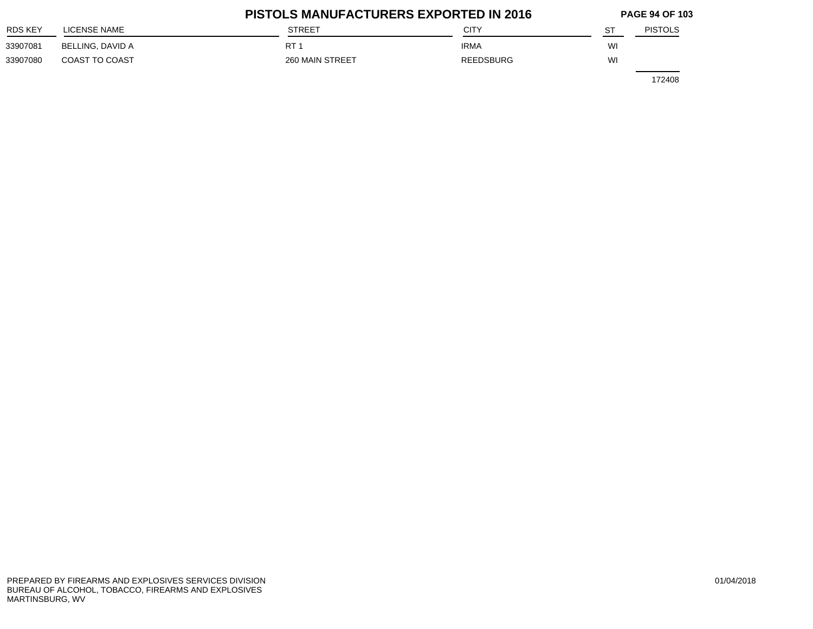|                |                  | <b>PISTOLS MANUFACTURERS EXPORTED IN 2016</b> |                  |    |                |  |
|----------------|------------------|-----------------------------------------------|------------------|----|----------------|--|
| <b>RDS KEY</b> | LICENSE NAME     | <b>STREET</b>                                 | CITY             | ST | <b>PISTOLS</b> |  |
| 33907081       | BELLING, DAVID A | RT <sub>1</sub>                               | <b>IRMA</b>      | WI |                |  |
| 33907080       | COAST TO COAST   | 260 MAIN STREET                               | <b>REEDSBURG</b> | WI |                |  |
|                |                  |                                               |                  |    | 172408         |  |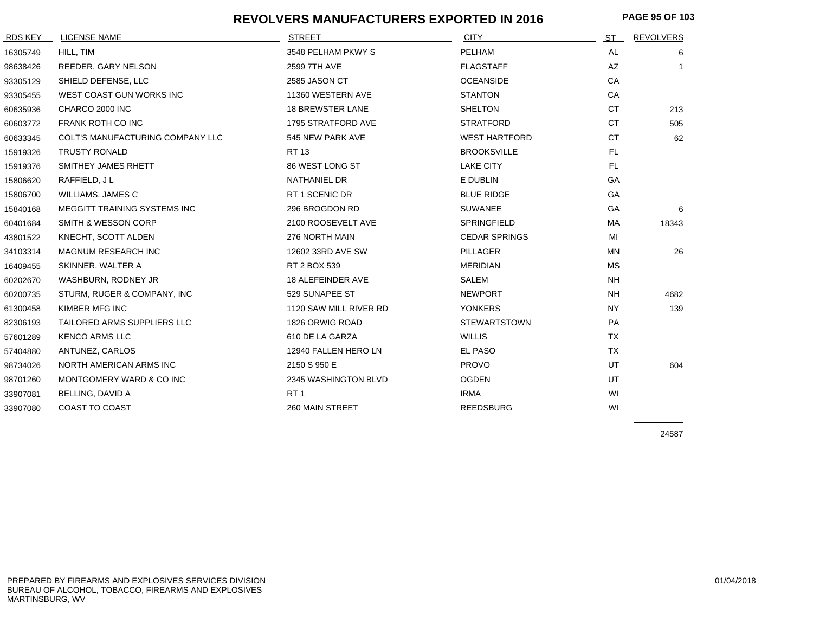#### **REVOLVERS MANUFACTURERS EXPORTED IN 2016**

| RDS KEY  | LICENSE NAME                     | <b>STREET</b>           | <b>CITY</b>          | ST        | <b>REVOLVERS</b> |
|----------|----------------------------------|-------------------------|----------------------|-----------|------------------|
| 16305749 | HILL, TIM                        | 3548 PELHAM PKWY S      | PELHAM               | AL        | 6                |
| 98638426 | REEDER, GARY NELSON              | 2599 7TH AVE            | <b>FLAGSTAFF</b>     | AZ        |                  |
| 93305129 | SHIELD DEFENSE, LLC              | 2585 JASON CT           | <b>OCEANSIDE</b>     | CA        |                  |
| 93305455 | WEST COAST GUN WORKS INC         | 11360 WESTERN AVE       | <b>STANTON</b>       | CA        |                  |
| 60635936 | CHARCO 2000 INC                  | <b>18 BREWSTER LANE</b> | <b>SHELTON</b>       | <b>CT</b> | 213              |
| 60603772 | FRANK ROTH CO INC                | 1795 STRATFORD AVE      | <b>STRATFORD</b>     | <b>CT</b> | 505              |
| 60633345 | COLT'S MANUFACTURING COMPANY LLC | 545 NEW PARK AVE        | <b>WEST HARTFORD</b> | <b>CT</b> | 62               |
| 15919326 | <b>TRUSTY RONALD</b>             | <b>RT13</b>             | <b>BROOKSVILLE</b>   | FL.       |                  |
| 15919376 | SMITHEY JAMES RHETT              | 86 WEST LONG ST         | <b>LAKE CITY</b>     | FL.       |                  |
| 15806620 | RAFFIELD, JL                     | NATHANIEL DR            | E DUBLIN             | GA        |                  |
| 15806700 | WILLIAMS, JAMES C                | RT 1 SCENIC DR          | <b>BLUE RIDGE</b>    | GA        |                  |
| 15840168 | MEGGITT TRAINING SYSTEMS INC     | 296 BROGDON RD          | <b>SUWANEE</b>       | GA        | 6                |
| 60401684 | SMITH & WESSON CORP              | 2100 ROOSEVELT AVE      | SPRINGFIELD          | МA        | 18343            |
| 43801522 | KNECHT, SCOTT ALDEN              | 276 NORTH MAIN          | <b>CEDAR SPRINGS</b> | MI        |                  |
| 34103314 | <b>MAGNUM RESEARCH INC</b>       | 12602 33RD AVE SW       | <b>PILLAGER</b>      | <b>MN</b> | 26               |
| 16409455 | SKINNER, WALTER A                | RT 2 BOX 539            | <b>MERIDIAN</b>      | <b>MS</b> |                  |
| 60202670 | WASHBURN, RODNEY JR              | 18 ALEFEINDER AVE       | <b>SALEM</b>         | <b>NH</b> |                  |
| 60200735 | STURM, RUGER & COMPANY, INC      | 529 SUNAPEE ST          | <b>NEWPORT</b>       | <b>NH</b> | 4682             |
| 61300458 | KIMBER MFG INC                   | 1120 SAW MILL RIVER RD  | <b>YONKERS</b>       | <b>NY</b> | 139              |
| 82306193 | TAILORED ARMS SUPPLIERS LLC      | 1826 ORWIG ROAD         | <b>STEWARTSTOWN</b>  | PA        |                  |
| 57601289 | <b>KENCO ARMS LLC</b>            | 610 DE LA GARZA         | <b>WILLIS</b>        | <b>TX</b> |                  |
| 57404880 | ANTUNEZ, CARLOS                  | 12940 FALLEN HERO LN    | EL PASO              | <b>TX</b> |                  |
| 98734026 | NORTH AMERICAN ARMS INC          | 2150 S 950 E            | <b>PROVO</b>         | UT        | 604              |
| 98701260 | MONTGOMERY WARD & CO INC         | 2345 WASHINGTON BLVD    | <b>OGDEN</b>         | UT        |                  |
| 33907081 | BELLING, DAVID A                 | RT <sub>1</sub>         | <b>IRMA</b>          | WI        |                  |
| 33907080 | <b>COAST TO COAST</b>            | 260 MAIN STREET         | <b>REEDSBURG</b>     | WI        |                  |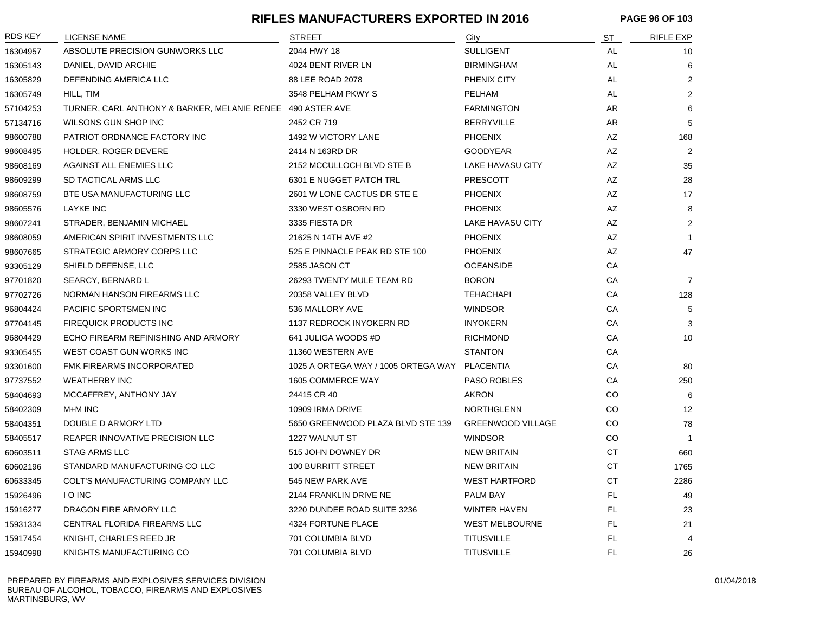#### **RIFLES MANUFACTURERS EXPORTED IN 2016 PAGE 96 OF 103**

| <b>RDS KEY</b> | <b>LICENSE NAME</b>                                        | <b>STREET</b>                       | City                     | <b>ST</b> | <b>RIFLE EXP</b> |
|----------------|------------------------------------------------------------|-------------------------------------|--------------------------|-----------|------------------|
| 16304957       | ABSOLUTE PRECISION GUNWORKS LLC                            | 2044 HWY 18                         | <b>SULLIGENT</b>         | AL        | 10               |
| 16305143       | DANIEL, DAVID ARCHIE                                       | 4024 BENT RIVER LN                  | <b>BIRMINGHAM</b>        | AL        | 6                |
| 16305829       | DEFENDING AMERICA LLC                                      | 88 LEE ROAD 2078                    | PHENIX CITY              | AL        | 2                |
| 16305749       | HILL, TIM                                                  | 3548 PELHAM PKWY S                  | PELHAM                   | AL        | 2                |
| 57104253       | TURNER, CARL ANTHONY & BARKER, MELANIE RENEE 490 ASTER AVE |                                     | <b>FARMINGTON</b>        | AR        | 6                |
| 57134716       | WILSONS GUN SHOP INC                                       | 2452 CR 719                         | <b>BERRYVILLE</b>        | AR        | 5                |
| 98600788       | PATRIOT ORDNANCE FACTORY INC                               | 1492 W VICTORY LANE                 | <b>PHOENIX</b>           | AZ        | 168              |
| 98608495       | HOLDER, ROGER DEVERE                                       | 2414 N 163RD DR                     | <b>GOODYEAR</b>          | AZ        | 2                |
| 98608169       | AGAINST ALL ENEMIES LLC                                    | 2152 MCCULLOCH BLVD STE B           | <b>LAKE HAVASU CITY</b>  | AZ        | 35               |
| 98609299       | SD TACTICAL ARMS LLC                                       | 6301 E NUGGET PATCH TRL             | PRESCOTT                 | AZ        | 28               |
| 98608759       | BTE USA MANUFACTURING LLC                                  | 2601 W LONE CACTUS DR STE E         | <b>PHOENIX</b>           | AZ        | 17               |
| 98605576       | <b>LAYKE INC</b>                                           | 3330 WEST OSBORN RD                 | <b>PHOENIX</b>           | AZ        | 8                |
| 98607241       | STRADER, BENJAMIN MICHAEL                                  | 3335 FIESTA DR                      | LAKE HAVASU CITY         | AZ        | $\overline{2}$   |
| 98608059       | AMERICAN SPIRIT INVESTMENTS LLC                            | 21625 N 14TH AVE #2                 | <b>PHOENIX</b>           | AZ        | -1               |
| 98607665       | STRATEGIC ARMORY CORPS LLC                                 | 525 E PINNACLE PEAK RD STE 100      | <b>PHOENIX</b>           | AZ        | 47               |
| 93305129       | SHIELD DEFENSE, LLC                                        | 2585 JASON CT                       | <b>OCEANSIDE</b>         | CA        |                  |
| 97701820       | SEARCY, BERNARD L                                          | 26293 TWENTY MULE TEAM RD           | <b>BORON</b>             | CA        | $\overline{7}$   |
| 97702726       | NORMAN HANSON FIREARMS LLC                                 | 20358 VALLEY BLVD                   | <b>TEHACHAPI</b>         | <b>CA</b> | 128              |
| 96804424       | PACIFIC SPORTSMEN INC                                      | 536 MALLORY AVE                     | <b>WINDSOR</b>           | CA        | 5                |
| 97704145       | <b>FIREQUICK PRODUCTS INC</b>                              | 1137 REDROCK INYOKERN RD            | <b>INYOKERN</b>          | <b>CA</b> | 3                |
| 96804429       | ECHO FIREARM REFINISHING AND ARMORY                        | 641 JULIGA WOODS #D                 | <b>RICHMOND</b>          | CA        | 10               |
| 93305455       | WEST COAST GUN WORKS INC                                   | 11360 WESTERN AVE                   | <b>STANTON</b>           | CA        |                  |
| 93301600       | FMK FIREARMS INCORPORATED                                  | 1025 A ORTEGA WAY / 1005 ORTEGA WAY | <b>PLACENTIA</b>         | CA        | 80               |
| 97737552       | <b>WEATHERBY INC</b>                                       | 1605 COMMERCE WAY                   | <b>PASO ROBLES</b>       | CA        | 250              |
| 58404693       | MCCAFFREY, ANTHONY JAY                                     | 24415 CR 40                         | AKRON                    | CO        | 6                |
| 58402309       | M+M INC                                                    | 10909 IRMA DRIVE                    | <b>NORTHGLENN</b>        | CO        | 12               |
| 58404351       | DOUBLE D ARMORY LTD                                        | 5650 GREENWOOD PLAZA BLVD STE 139   | <b>GREENWOOD VILLAGE</b> | CO        | 78               |
| 58405517       | REAPER INNOVATIVE PRECISION LLC                            | 1227 WALNUT ST                      | <b>WINDSOR</b>           | CO        | $\overline{1}$   |
| 60603511       | <b>STAG ARMS LLC</b>                                       | 515 JOHN DOWNEY DR                  | <b>NEW BRITAIN</b>       | <b>CT</b> | 660              |
| 60602196       | STANDARD MANUFACTURING CO LLC                              | 100 BURRITT STREET                  | <b>NEW BRITAIN</b>       | <b>CT</b> | 1765             |
| 60633345       | COLT'S MANUFACTURING COMPANY LLC                           | 545 NEW PARK AVE                    | <b>WEST HARTFORD</b>     | <b>CT</b> | 2286             |
| 15926496       | <b>IO INC</b>                                              | 2144 FRANKLIN DRIVE NE              | PALM BAY                 | <b>FL</b> | 49               |
| 15916277       | DRAGON FIRE ARMORY LLC                                     | 3220 DUNDEE ROAD SUITE 3236         | <b>WINTER HAVEN</b>      | FL        | 23               |
| 15931334       | CENTRAL FLORIDA FIREARMS LLC                               | 4324 FORTUNE PLACE                  | <b>WEST MELBOURNE</b>    | <b>FL</b> | 21               |
| 15917454       | KNIGHT, CHARLES REED JR                                    | 701 COLUMBIA BLVD                   | <b>TITUSVILLE</b>        | FL        | $\overline{4}$   |
| 15940998       | KNIGHTS MANUFACTURING CO                                   | 701 COLUMBIA BLVD                   | <b>TITUSVILLE</b>        | FL        | 26               |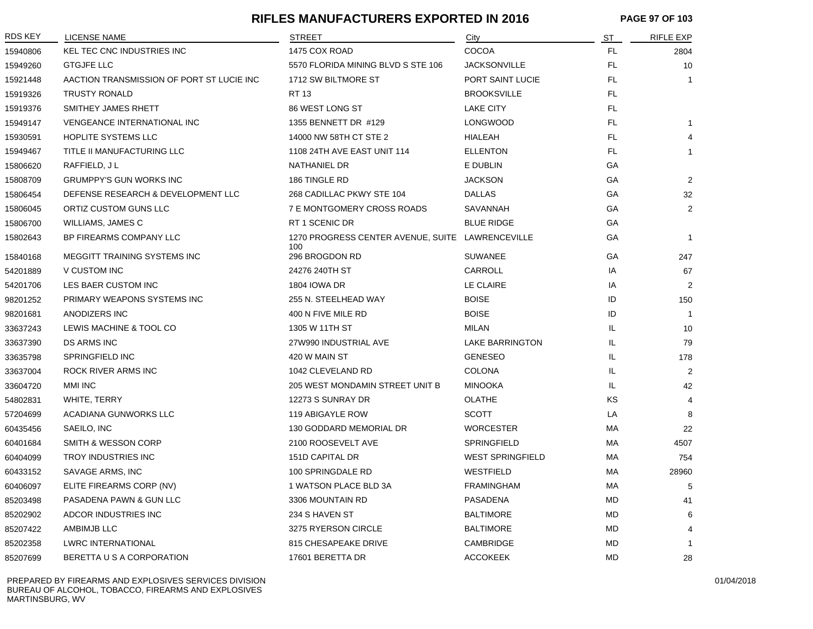#### **RIFLES MANUFACTURERS EXPORTED IN 2016 PAGE 97 OF 103**

| <b>RDS KEY</b> | <b>LICENSE NAME</b>                       | <b>STREET</b>                                           | City                    | <b>ST</b> | <b>RIFLE EXP</b> |
|----------------|-------------------------------------------|---------------------------------------------------------|-------------------------|-----------|------------------|
| 15940806       | <b>KEL TEC CNC INDUSTRIES INC</b>         | 1475 COX ROAD                                           | COCOA                   | <b>FL</b> | 2804             |
| 15949260       | <b>GTGJFE LLC</b>                         | 5570 FLORIDA MINING BLVD S STE 106                      | <b>JACKSONVILLE</b>     | <b>FL</b> | 10               |
| 15921448       | AACTION TRANSMISSION OF PORT ST LUCIE INC | 1712 SW BILTMORE ST                                     | PORT SAINT LUCIE        | <b>FL</b> | $\mathbf{1}$     |
| 15919326       | <b>TRUSTY RONALD</b>                      | <b>RT13</b>                                             | <b>BROOKSVILLE</b>      | <b>FL</b> |                  |
| 15919376       | SMITHEY JAMES RHETT                       | 86 WEST LONG ST                                         | <b>LAKE CITY</b>        | <b>FL</b> |                  |
| 15949147       | <b>VENGEANCE INTERNATIONAL INC</b>        | 1355 BENNETT DR #129                                    | <b>LONGWOOD</b>         | <b>FL</b> | $\mathbf{1}$     |
| 15930591       | HOPLITE SYSTEMS LLC                       | 14000 NW 58TH CT STE 2                                  | HIALEAH                 | <b>FL</b> | 4                |
| 15949467       | TITLE II MANUFACTURING LLC                | 1108 24TH AVE EAST UNIT 114                             | <b>ELLENTON</b>         | <b>FL</b> | $\mathbf{1}$     |
| 15806620       | RAFFIELD, JL                              | NATHANIEL DR                                            | E DUBLIN                | GA        |                  |
| 15808709       | <b>GRUMPPY'S GUN WORKS INC</b>            | 186 TINGLE RD                                           | <b>JACKSON</b>          | GA        | $\overline{2}$   |
| 15806454       | DEFENSE RESEARCH & DEVELOPMENT LLC        | 268 CADILLAC PKWY STE 104                               | <b>DALLAS</b>           | GA        | 32               |
| 15806045       | ORTIZ CUSTOM GUNS LLC                     | 7 E MONTGOMERY CROSS ROADS                              | SAVANNAH                | GA        | $\overline{2}$   |
| 15806700       | WILLIAMS, JAMES C                         | RT 1 SCENIC DR                                          | <b>BLUE RIDGE</b>       | GA        |                  |
| 15802643       | BP FIREARMS COMPANY LLC                   | 1270 PROGRESS CENTER AVENUE, SUITE LAWRENCEVILLE<br>100 |                         | GA        | $\mathbf{1}$     |
| 15840168       | MEGGITT TRAINING SYSTEMS INC              | 296 BROGDON RD                                          | <b>SUWANEE</b>          | GA        | 247              |
| 54201889       | V CUSTOM INC                              | 24276 240TH ST                                          | CARROLL                 | IA        | 67               |
| 54201706       | LES BAER CUSTOM INC                       | <b>1804 IOWA DR</b>                                     | LE CLAIRE               | IA        | $\overline{2}$   |
| 98201252       | PRIMARY WEAPONS SYSTEMS INC               | 255 N. STEELHEAD WAY                                    | <b>BOISE</b>            | ID        | 150              |
| 98201681       | ANODIZERS INC                             | 400 N FIVE MILE RD                                      | <b>BOISE</b>            | ID        | $\mathbf{1}$     |
| 33637243       | LEWIS MACHINE & TOOL CO                   | 1305 W 11TH ST                                          | <b>MILAN</b>            | IL        | 10               |
| 33637390       | DS ARMS INC                               | 27W990 INDUSTRIAL AVE                                   | <b>LAKE BARRINGTON</b>  | IL        | 79               |
| 33635798       | <b>SPRINGFIELD INC</b>                    | 420 W MAIN ST                                           | <b>GENESEO</b>          | IL        | 178              |
| 33637004       | ROCK RIVER ARMS INC                       | 1042 CLEVELAND RD                                       | <b>COLONA</b>           | IL        | 2                |
| 33604720       | <b>MMI INC</b>                            | 205 WEST MONDAMIN STREET UNIT B                         | <b>MINOOKA</b>          | IL        | 42               |
| 54802831       | WHITE, TERRY                              | 12273 S SUNRAY DR                                       | <b>OLATHE</b>           | KS        | $\overline{4}$   |
| 57204699       | <b>ACADIANA GUNWORKS LLC</b>              | 119 ABIGAYLE ROW                                        | <b>SCOTT</b>            | LA        | 8                |
| 60435456       | SAEILO, INC                               | 130 GODDARD MEMORIAL DR                                 | <b>WORCESTER</b>        | МA        | 22               |
| 60401684       | <b>SMITH &amp; WESSON CORP</b>            | 2100 ROOSEVELT AVE                                      | SPRINGFIELD             | МA        | 4507             |
| 60404099       | <b>TROY INDUSTRIES INC</b>                | 151D CAPITAL DR                                         | <b>WEST SPRINGFIELD</b> | МA        | 754              |
| 60433152       | SAVAGE ARMS, INC                          | 100 SPRINGDALE RD                                       | <b>WESTFIELD</b>        | МA        | 28960            |
| 60406097       | ELITE FIREARMS CORP (NV)                  | 1 WATSON PLACE BLD 3A                                   | <b>FRAMINGHAM</b>       | МA        | 5                |
| 85203498       | PASADENA PAWN & GUN LLC                   | 3306 MOUNTAIN RD                                        | PASADENA                | MD        | 41               |
| 85202902       | ADCOR INDUSTRIES INC                      | 234 S HAVEN ST                                          | <b>BALTIMORE</b>        | MD        | 6                |
| 85207422       | AMBIMJB LLC                               | 3275 RYERSON CIRCLE                                     | <b>BALTIMORE</b>        | MD        | $\overline{4}$   |
| 85202358       | <b>LWRC INTERNATIONAL</b>                 | 815 CHESAPEAKE DRIVE                                    | CAMBRIDGE               | <b>MD</b> | 1                |
| 85207699       | BERETTA U S A CORPORATION                 | 17601 BERETTA DR                                        | <b>ACCOKEEK</b>         | <b>MD</b> | 28               |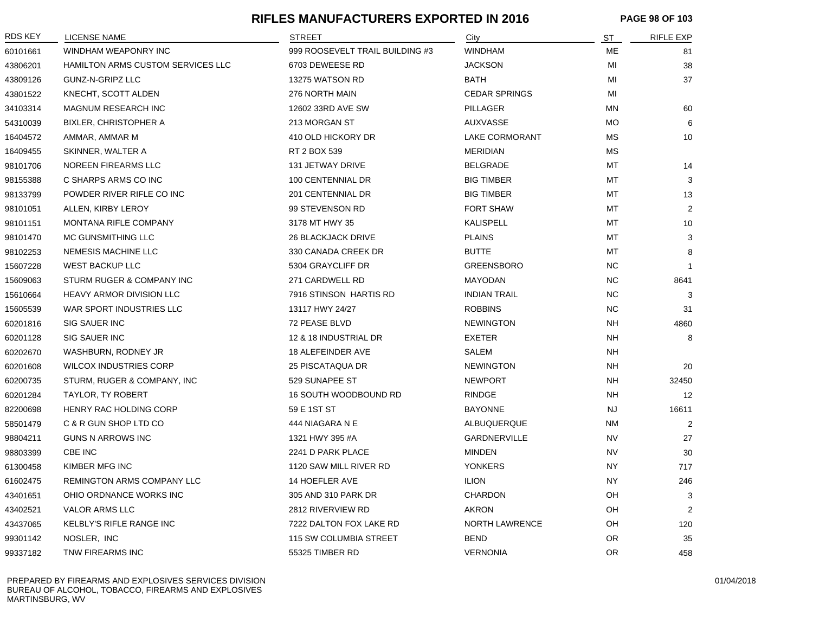#### **RIFLES MANUFACTURERS EXPORTED IN 2016 PAGE 98 OF 103**

| RDS KEY  | <b>LICENSE NAME</b>               | <b>STREET</b>                   | City                  | <u>ST</u> | <b>RIFLE EXP</b> |
|----------|-----------------------------------|---------------------------------|-----------------------|-----------|------------------|
| 60101661 | WINDHAM WEAPONRY INC              | 999 ROOSEVELT TRAIL BUILDING #3 | <b>WINDHAM</b>        | МE        | 81               |
| 43806201 | HAMILTON ARMS CUSTOM SERVICES LLC | 6703 DEWEESE RD                 | <b>JACKSON</b>        | MI        | 38               |
| 43809126 | GUNZ-N-GRIPZ LLC                  | 13275 WATSON RD                 | <b>BATH</b>           | MI        | 37               |
| 43801522 | KNECHT, SCOTT ALDEN               | 276 NORTH MAIN                  | <b>CEDAR SPRINGS</b>  | MI        |                  |
| 34103314 | MAGNUM RESEARCH INC               | 12602 33RD AVE SW               | <b>PILLAGER</b>       | ΜN        | 60               |
| 54310039 | <b>BIXLER, CHRISTOPHER A</b>      | 213 MORGAN ST                   | <b>AUXVASSE</b>       | <b>MO</b> | 6                |
| 16404572 | AMMAR, AMMAR M                    | 410 OLD HICKORY DR              | <b>LAKE CORMORANT</b> | <b>MS</b> | 10               |
| 16409455 | SKINNER, WALTER A                 | RT 2 BOX 539                    | <b>MERIDIAN</b>       | МS        |                  |
| 98101706 | NOREEN FIREARMS LLC               | 131 JETWAY DRIVE                | <b>BELGRADE</b>       | МT        | 14               |
| 98155388 | C SHARPS ARMS CO INC              | 100 CENTENNIAL DR               | <b>BIG TIMBER</b>     | МT        | 3                |
| 98133799 | POWDER RIVER RIFLE CO INC         | 201 CENTENNIAL DR               | <b>BIG TIMBER</b>     | MT        | 13               |
| 98101051 | ALLEN, KIRBY LEROY                | 99 STEVENSON RD                 | <b>FORT SHAW</b>      | MT        | $\overline{2}$   |
| 98101151 | <b>MONTANA RIFLE COMPANY</b>      | 3178 MT HWY 35                  | <b>KALISPELL</b>      | MT        | 10               |
| 98101470 | MC GUNSMITHING LLC                | <b>26 BLACKJACK DRIVE</b>       | <b>PLAINS</b>         | MT        | 3                |
| 98102253 | <b>NEMESIS MACHINE LLC</b>        | 330 CANADA CREEK DR             | <b>BUTTE</b>          | MT        | 8                |
| 15607228 | <b>WEST BACKUP LLC</b>            | 5304 GRAYCLIFF DR               | <b>GREENSBORO</b>     | <b>NC</b> | $\overline{1}$   |
| 15609063 | STURM RUGER & COMPANY INC         | 271 CARDWELL RD                 | <b>MAYODAN</b>        | NC.       | 8641             |
| 15610664 | HEAVY ARMOR DIVISION LLC          | 7916 STINSON HARTIS RD          | <b>INDIAN TRAIL</b>   | NC.       | 3                |
| 15605539 | WAR SPORT INDUSTRIES LLC          | 13117 HWY 24/27                 | <b>ROBBINS</b>        | <b>NC</b> | 31               |
| 60201816 | <b>SIG SAUER INC</b>              | 72 PEASE BLVD                   | <b>NEWINGTON</b>      | NH        | 4860             |
| 60201128 | SIG SAUER INC                     | 12 & 18 INDUSTRIAL DR           | <b>EXETER</b>         | <b>NH</b> | 8                |
| 60202670 | WASHBURN, RODNEY JR               | <b>18 ALEFEINDER AVE</b>        | SALEM                 | <b>NH</b> |                  |
| 60201608 | <b>WILCOX INDUSTRIES CORP</b>     | 25 PISCATAQUA DR                | <b>NEWINGTON</b>      | <b>NH</b> | 20               |
| 60200735 | STURM, RUGER & COMPANY, INC       | 529 SUNAPEE ST                  | <b>NEWPORT</b>        | <b>NH</b> | 32450            |
| 60201284 | TAYLOR, TY ROBERT                 | 16 SOUTH WOODBOUND RD           | <b>RINDGE</b>         | <b>NH</b> | 12               |
| 82200698 | HENRY RAC HOLDING CORP            | 59 E 1ST ST                     | <b>BAYONNE</b>        | <b>NJ</b> | 16611            |
| 58501479 | C & R GUN SHOP LTD CO             | 444 NIAGARA N E                 | ALBUQUERQUE           | ΝM        | $\overline{2}$   |
| 98804211 | <b>GUNS N ARROWS INC</b>          | 1321 HWY 395 #A                 | GARDNERVILLE          | <b>NV</b> | 27               |
| 98803399 | CBE INC                           | 2241 D PARK PLACE               | <b>MINDEN</b>         | <b>NV</b> | 30               |
| 61300458 | KIMBER MFG INC                    | 1120 SAW MILL RIVER RD          | <b>YONKERS</b>        | <b>NY</b> | 717              |
| 61602475 | REMINGTON ARMS COMPANY LLC        | 14 HOEFLER AVE                  | <b>ILION</b>          | NY.       | 246              |
| 43401651 | OHIO ORDNANCE WORKS INC           | 305 AND 310 PARK DR             | <b>CHARDON</b>        | OH        | 3                |
| 43402521 | <b>VALOR ARMS LLC</b>             | 2812 RIVERVIEW RD               | <b>AKRON</b>          | OH        | 2                |
| 43437065 | KELBLY'S RIFLE RANGE INC          | 7222 DALTON FOX LAKE RD         | NORTH LAWRENCE        | OH        | 120              |
| 99301142 | NOSLER, INC                       | 115 SW COLUMBIA STREET          | <b>BEND</b>           | OR.       | 35               |
| 99337182 | TNW FIREARMS INC                  | 55325 TIMBER RD                 | <b>VERNONIA</b>       | <b>OR</b> | 458              |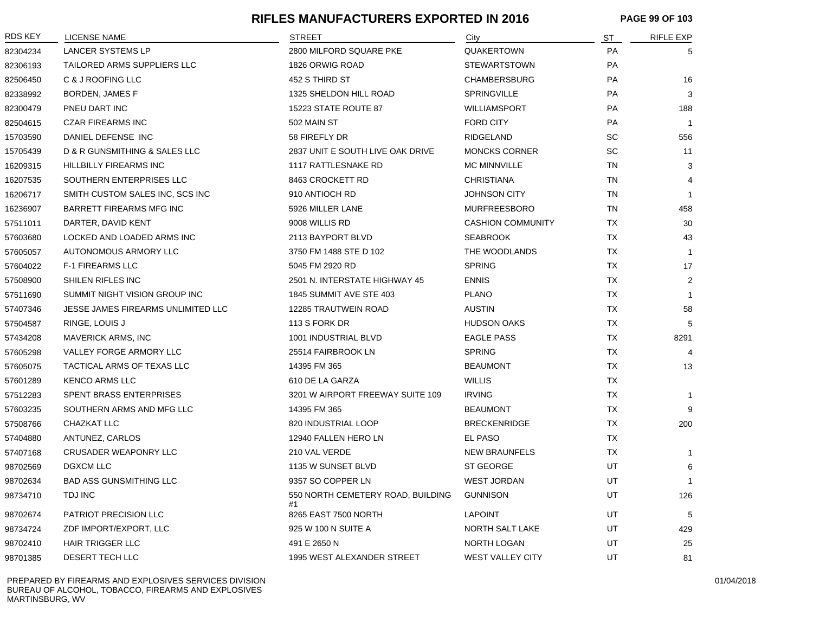#### **RIFLES MANUFACTURERS EXPORTED IN 2016 PAGE 99 OF 103**

| <b>RDS KEY</b> | <b>LICENSE NAME</b>                | STREET                                  | City                     | <u>ST</u> | <b>RIFLE EXP</b> |
|----------------|------------------------------------|-----------------------------------------|--------------------------|-----------|------------------|
| 82304234       | <b>LANCER SYSTEMS LP</b>           | 2800 MILFORD SQUARE PKE                 | <b>QUAKERTOWN</b>        | PA        | 5                |
| 82306193       | TAILORED ARMS SUPPLIERS LLC        | 1826 ORWIG ROAD                         | <b>STEWARTSTOWN</b>      | PA        |                  |
| 82506450       | C & J ROOFING LLC                  | 452 S THIRD ST                          | <b>CHAMBERSBURG</b>      | PA        | 16               |
| 82338992       | BORDEN, JAMES F                    | 1325 SHELDON HILL ROAD                  | <b>SPRINGVILLE</b>       | PA        | 3                |
| 82300479       | PNEU DART INC                      | 15223 STATE ROUTE 87                    | <b>WILLIAMSPORT</b>      | PA        | 188              |
| 82504615       | <b>CZAR FIREARMS INC</b>           | 502 MAIN ST                             | <b>FORD CITY</b>         | PA        | $\overline{1}$   |
| 15703590       | DANIEL DEFENSE INC                 | 58 FIREFLY DR                           | <b>RIDGELAND</b>         | <b>SC</b> | 556              |
| 15705439       | D & R GUNSMITHING & SALES LLC      | 2837 UNIT E SOUTH LIVE OAK DRIVE        | <b>MONCKS CORNER</b>     | SC        | 11               |
| 16209315       | <b>HILLBILLY FIREARMS INC</b>      | 1117 RATTLESNAKE RD                     | <b>MC MINNVILLE</b>      | <b>TN</b> | 3                |
| 16207535       | SOUTHERN ENTERPRISES LLC           | 8463 CROCKETT RD                        | <b>CHRISTIANA</b>        | <b>TN</b> | 4                |
| 16206717       | SMITH CUSTOM SALES INC, SCS INC    | 910 ANTIOCH RD                          | <b>JOHNSON CITY</b>      | <b>TN</b> | $\overline{1}$   |
| 16236907       | <b>BARRETT FIREARMS MFG INC</b>    | 5926 MILLER LANE                        | <b>MURFREESBORO</b>      | <b>TN</b> | 458              |
| 57511011       | DARTER, DAVID KENT                 | 9008 WILLIS RD                          | <b>CASHION COMMUNITY</b> | <b>TX</b> | 30               |
| 57603680       | LOCKED AND LOADED ARMS INC         | 2113 BAYPORT BLVD                       | <b>SEABROOK</b>          | <b>TX</b> | 43               |
| 57605057       | AUTONOMOUS ARMORY LLC              | 3750 FM 1488 STE D 102                  | THE WOODLANDS            | <b>TX</b> | $\overline{1}$   |
| 57604022       | <b>F-1 FIREARMS LLC</b>            | 5045 FM 2920 RD                         | <b>SPRING</b>            | <b>TX</b> | 17               |
| 57508900       | SHILEN RIFLES INC                  | 2501 N. INTERSTATE HIGHWAY 45           | <b>ENNIS</b>             | <b>TX</b> | 2                |
| 57511690       | SUMMIT NIGHT VISION GROUP INC      | 1845 SUMMIT AVE STE 403                 | <b>PLANO</b>             | <b>TX</b> | $\overline{1}$   |
| 57407346       | JESSE JAMES FIREARMS UNLIMITED LLC | 12285 TRAUTWEIN ROAD                    | <b>AUSTIN</b>            | <b>TX</b> | 58               |
| 57504587       | RINGE, LOUIS J                     | 113 S FORK DR                           | <b>HUDSON OAKS</b>       | <b>TX</b> | 5                |
| 57434208       | <b>MAVERICK ARMS, INC</b>          | 1001 INDUSTRIAL BLVD                    | <b>EAGLE PASS</b>        | TX        | 8291             |
| 57605298       | VALLEY FORGE ARMORY LLC            | 25514 FAIRBROOK LN                      | <b>SPRING</b>            | <b>TX</b> | $\overline{4}$   |
| 57605075       | TACTICAL ARMS OF TEXAS LLC         | 14395 FM 365                            | <b>BEAUMONT</b>          | <b>TX</b> | 13               |
| 57601289       | <b>KENCO ARMS LLC</b>              | 610 DE LA GARZA                         | <b>WILLIS</b>            | <b>TX</b> |                  |
| 57512283       | SPENT BRASS ENTERPRISES            | 3201 W AIRPORT FREEWAY SUITE 109        | <b>IRVING</b>            | <b>TX</b> | $\mathbf{1}$     |
| 57603235       | SOUTHERN ARMS AND MFG LLC          | 14395 FM 365                            | <b>BEAUMONT</b>          | <b>TX</b> | 9                |
| 57508766       | CHAZKAT LLC                        | 820 INDUSTRIAL LOOP                     | <b>BRECKENRIDGE</b>      | <b>TX</b> | 200              |
| 57404880       | ANTUNEZ, CARLOS                    | 12940 FALLEN HERO LN                    | EL PASO                  | <b>TX</b> |                  |
| 57407168       | <b>CRUSADER WEAPONRY LLC</b>       | 210 VAL VERDE                           | <b>NEW BRAUNFELS</b>     | <b>TX</b> | -1               |
| 98702569       | <b>DGXCM LLC</b>                   | 1135 W SUNSET BLVD                      | <b>ST GEORGE</b>         | UT        | 6                |
| 98702634       | <b>BAD ASS GUNSMITHING LLC</b>     | 9357 SO COPPER LN                       | <b>WEST JORDAN</b>       | UT        |                  |
| 98734710       | TDJ INC                            | 550 NORTH CEMETERY ROAD, BUILDING<br>#1 | <b>GUNNISON</b>          | UT        | 126              |
| 98702674       | <b>PATRIOT PRECISION LLC</b>       | 8265 EAST 7500 NORTH                    | <b>LAPOINT</b>           | UT        | 5                |
| 98734724       | ZDF IMPORT/EXPORT, LLC             | 925 W 100 N SUITE A                     | NORTH SALT LAKE          | UT        | 429              |
| 98702410       | <b>HAIR TRIGGER LLC</b>            | 491 E 2650 N                            | NORTH LOGAN              | UT        | 25               |
| 98701385       | DESERT TECH LLC                    | 1995 WEST ALEXANDER STREET              | <b>WEST VALLEY CITY</b>  | UT        | 81               |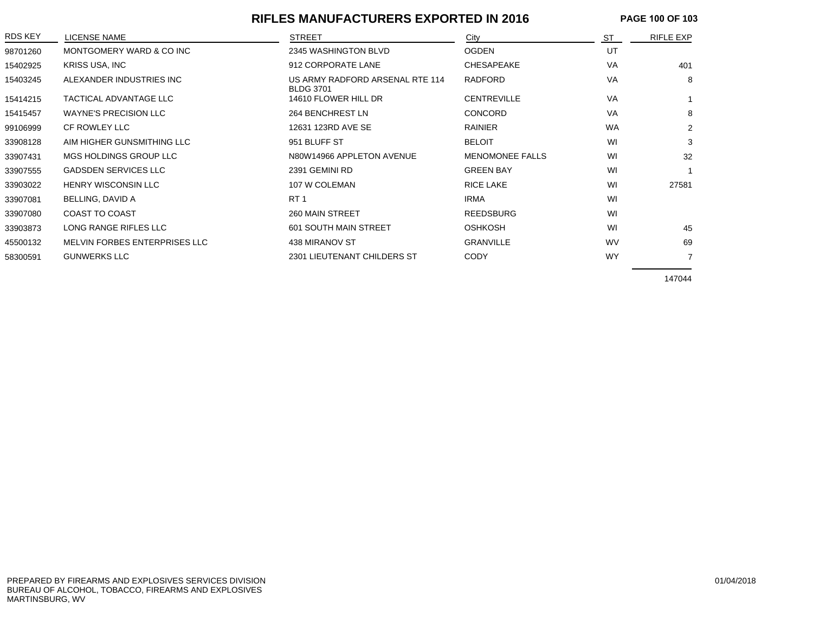#### **RIFLES MANUFACTURERS EXPORTED IN 2016 PAGE 100 OF 103**

| <b>RDS KEY</b> | LICENSE NAME                  | <b>STREET</b>                                       | City                   | ST        | <b>RIFLE EXP</b> |
|----------------|-------------------------------|-----------------------------------------------------|------------------------|-----------|------------------|
| 98701260       | MONTGOMERY WARD & CO INC      | 2345 WASHINGTON BLVD                                | <b>OGDEN</b>           | UT        |                  |
| 15402925       | <b>KRISS USA, INC</b>         | 912 CORPORATE LANE                                  | <b>CHESAPEAKE</b>      | <b>VA</b> | 401              |
| 15403245       | ALEXANDER INDUSTRIES INC      | US ARMY RADFORD ARSENAL RTE 114<br><b>BLDG 3701</b> | <b>RADFORD</b>         | <b>VA</b> | 8                |
| 15414215       | <b>TACTICAL ADVANTAGE LLC</b> | 14610 FLOWER HILL DR                                | <b>CENTREVILLE</b>     | <b>VA</b> |                  |
| 15415457       | <b>WAYNE'S PRECISION LLC</b>  | 264 BENCHREST LN                                    | <b>CONCORD</b>         | VA        | 8                |
| 99106999       | CF ROWLEY LLC                 | 12631 123RD AVE SE                                  | <b>RAINIER</b>         | <b>WA</b> | $\overline{2}$   |
| 33908128       | AIM HIGHER GUNSMITHING LLC    | 951 BLUFF ST                                        | <b>BELOIT</b>          | WI        | 3                |
| 33907431       | MGS HOLDINGS GROUP LLC        | N80W14966 APPLETON AVENUE                           | <b>MENOMONEE FALLS</b> | WI        | 32               |
| 33907555       | <b>GADSDEN SERVICES LLC</b>   | 2391 GEMINI RD                                      | <b>GREEN BAY</b>       | WI        |                  |
| 33903022       | <b>HENRY WISCONSIN LLC</b>    | 107 W COLEMAN                                       | <b>RICE LAKE</b>       | WI        | 27581            |
| 33907081       | BELLING, DAVID A              | RT <sub>1</sub>                                     | <b>IRMA</b>            | WI        |                  |
| 33907080       | <b>COAST TO COAST</b>         | <b>260 MAIN STREET</b>                              | <b>REEDSBURG</b>       | WI        |                  |
| 33903873       | LONG RANGE RIFLES LLC         | <b>601 SOUTH MAIN STREET</b>                        | <b>OSHKOSH</b>         | WI        | 45               |
| 45500132       | MELVIN FORBES ENTERPRISES LLC | 438 MIRANOV ST                                      | <b>GRANVILLE</b>       | <b>WV</b> | 69               |
| 58300591       | <b>GUNWERKS LLC</b>           | 2301 LIEUTENANT CHILDERS ST                         | <b>CODY</b>            | <b>WY</b> |                  |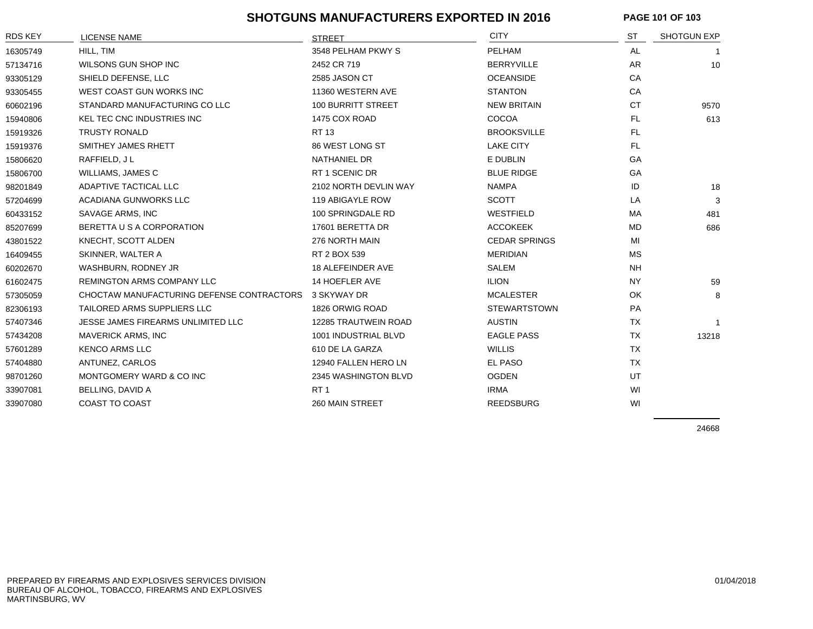#### **SHOTGUNS MANUFACTURERS EXPORTED IN 2016**

| <b>PAGE 101 OF 103</b> |  |
|------------------------|--|
|------------------------|--|

| <b>RDS KEY</b> | LICENSE NAME                              | <b>STREET</b>         | <b>CITY</b>          | ST        | <b>SHOTGUN EXP</b> |
|----------------|-------------------------------------------|-----------------------|----------------------|-----------|--------------------|
| 16305749       | HILL, TIM                                 | 3548 PELHAM PKWY S    | PELHAM               | AL        | -1                 |
| 57134716       | WILSONS GUN SHOP INC                      | 2452 CR 719           | <b>BERRYVILLE</b>    | <b>AR</b> | 10                 |
| 93305129       | SHIELD DEFENSE, LLC                       | 2585 JASON CT         | <b>OCEANSIDE</b>     | CA        |                    |
| 93305455       | WEST COAST GUN WORKS INC                  | 11360 WESTERN AVE     | <b>STANTON</b>       | CA        |                    |
| 60602196       | STANDARD MANUFACTURING CO LLC             | 100 BURRITT STREET    | <b>NEW BRITAIN</b>   | <b>CT</b> | 9570               |
| 15940806       | KEL TEC CNC INDUSTRIES INC                | 1475 COX ROAD         | COCOA                | FL.       | 613                |
| 15919326       | <b>TRUSTY RONALD</b>                      | <b>RT13</b>           | <b>BROOKSVILLE</b>   | <b>FL</b> |                    |
| 15919376       | SMITHEY JAMES RHETT                       | 86 WEST LONG ST       | <b>LAKE CITY</b>     | <b>FL</b> |                    |
| 15806620       | RAFFIELD, JL                              | <b>NATHANIEL DR</b>   | E DUBLIN             | GA        |                    |
| 15806700       | WILLIAMS, JAMES C                         | RT 1 SCENIC DR        | <b>BLUE RIDGE</b>    | GA        |                    |
| 98201849       | ADAPTIVE TACTICAL LLC                     | 2102 NORTH DEVLIN WAY | <b>NAMPA</b>         | ID        | 18                 |
| 57204699       | ACADIANA GUNWORKS LLC                     | 119 ABIGAYLE ROW      | <b>SCOTT</b>         | LA        | 3                  |
| 60433152       | SAVAGE ARMS, INC                          | 100 SPRINGDALE RD     | WESTFIELD            | MA        | 481                |
| 85207699       | BERETTA U S A CORPORATION                 | 17601 BERETTA DR      | <b>ACCOKEEK</b>      | <b>MD</b> | 686                |
| 43801522       | KNECHT, SCOTT ALDEN                       | 276 NORTH MAIN        | <b>CEDAR SPRINGS</b> | MI        |                    |
| 16409455       | SKINNER, WALTER A                         | RT 2 BOX 539          | <b>MERIDIAN</b>      | MS.       |                    |
| 60202670       | WASHBURN, RODNEY JR                       | 18 ALEFEINDER AVE     | <b>SALEM</b>         | <b>NH</b> |                    |
| 61602475       | REMINGTON ARMS COMPANY LLC                | 14 HOEFLER AVE        | <b>ILION</b>         | <b>NY</b> | 59                 |
| 57305059       | CHOCTAW MANUFACTURING DEFENSE CONTRACTORS | 3 SKYWAY DR           | <b>MCALESTER</b>     | OK.       | 8                  |
| 82306193       | TAILORED ARMS SUPPLIERS LLC               | 1826 ORWIG ROAD       | <b>STEWARTSTOWN</b>  | PA        |                    |
| 57407346       | JESSE JAMES FIREARMS UNLIMITED LLC        | 12285 TRAUTWEIN ROAD  | <b>AUSTIN</b>        | <b>TX</b> |                    |
| 57434208       | <b>MAVERICK ARMS, INC</b>                 | 1001 INDUSTRIAL BLVD  | <b>EAGLE PASS</b>    | <b>TX</b> | 13218              |
| 57601289       | <b>KENCO ARMS LLC</b>                     | 610 DE LA GARZA       | <b>WILLIS</b>        | <b>TX</b> |                    |
| 57404880       | ANTUNEZ, CARLOS                           | 12940 FALLEN HERO LN  | EL PASO              | <b>TX</b> |                    |
| 98701260       | MONTGOMERY WARD & CO INC                  | 2345 WASHINGTON BLVD  | <b>OGDEN</b>         | UT        |                    |
| 33907081       | BELLING, DAVID A                          | RT <sub>1</sub>       | <b>IRMA</b>          | WI        |                    |
| 33907080       | COAST TO COAST                            | 260 MAIN STREET       | <b>REEDSBURG</b>     | WI        |                    |
|                |                                           |                       |                      |           |                    |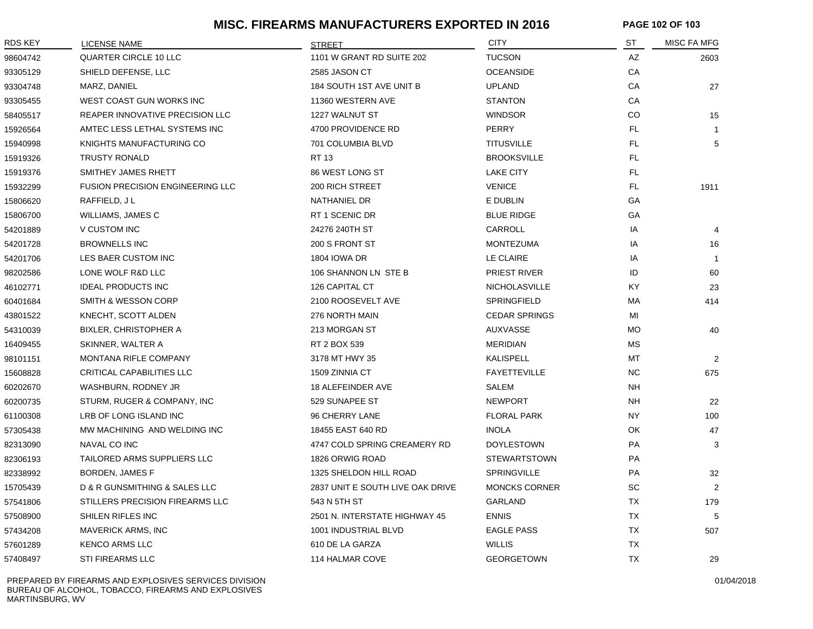#### **MISC. FIREARMS MANUFACTURERS EXPORTED IN 2016 PAGE 102 OF 103**

| RDS KEY  | <b>LICENSE NAME</b>                     | <b>STREET</b>                    | <b>CITY</b>          | ST        | MISC FA MFG    |
|----------|-----------------------------------------|----------------------------------|----------------------|-----------|----------------|
| 98604742 | QUARTER CIRCLE 10 LLC                   | 1101 W GRANT RD SUITE 202        | <b>TUCSON</b>        | AZ        | 2603           |
| 93305129 | SHIELD DEFENSE, LLC                     | 2585 JASON CT                    | <b>OCEANSIDE</b>     | СA        |                |
| 93304748 | MARZ, DANIEL                            | 184 SOUTH 1ST AVE UNIT B         | <b>UPLAND</b>        | СA        | 27             |
| 93305455 | WEST COAST GUN WORKS INC                | 11360 WESTERN AVE                | <b>STANTON</b>       | CA        |                |
| 58405517 | REAPER INNOVATIVE PRECISION LLC         | 1227 WALNUT ST                   | <b>WINDSOR</b>       | CO.       | 15             |
| 15926564 | AMTEC LESS LETHAL SYSTEMS INC           | 4700 PROVIDENCE RD               | PERRY                | FL.       | $\overline{1}$ |
| 15940998 | KNIGHTS MANUFACTURING CO                | 701 COLUMBIA BLVD                | <b>TITUSVILLE</b>    | FL.       | 5              |
| 15919326 | <b>TRUSTY RONALD</b>                    | <b>RT13</b>                      | <b>BROOKSVILLE</b>   | FL.       |                |
| 15919376 | SMITHEY JAMES RHETT                     | 86 WEST LONG ST                  | <b>LAKE CITY</b>     | FL.       |                |
| 15932299 | <b>FUSION PRECISION ENGINEERING LLC</b> | <b>200 RICH STREET</b>           | <b>VENICE</b>        | FL.       | 1911           |
| 15806620 | RAFFIELD, JL                            | NATHANIEL DR                     | E DUBLIN             | GA        |                |
| 15806700 | WILLIAMS, JAMES C                       | RT 1 SCENIC DR                   | <b>BLUE RIDGE</b>    | GA        |                |
| 54201889 | V CUSTOM INC                            | 24276 240TH ST                   | CARROLL              | IA        | $\overline{4}$ |
| 54201728 | <b>BROWNELLS INC</b>                    | 200 S FRONT ST                   | <b>MONTEZUMA</b>     | IA        | 16             |
| 54201706 | LES BAER CUSTOM INC                     | <b>1804 IOWA DR</b>              | LE CLAIRE            | IA        | $\overline{1}$ |
| 98202586 | LONE WOLF R&D LLC                       | 106 SHANNON LN STE B             | PRIEST RIVER         | ID        | 60             |
| 46102771 | <b>IDEAL PRODUCTS INC</b>               | 126 CAPITAL CT                   | <b>NICHOLASVILLE</b> | <b>KY</b> | 23             |
| 60401684 | SMITH & WESSON CORP                     | 2100 ROOSEVELT AVE               | <b>SPRINGFIELD</b>   | МA        | 414            |
| 43801522 | KNECHT, SCOTT ALDEN                     | 276 NORTH MAIN                   | <b>CEDAR SPRINGS</b> | MI        |                |
| 54310039 | <b>BIXLER, CHRISTOPHER A</b>            | 213 MORGAN ST                    | <b>AUXVASSE</b>      | <b>MO</b> | 40             |
| 16409455 | SKINNER, WALTER A                       | RT 2 BOX 539                     | <b>MERIDIAN</b>      | МS        |                |
| 98101151 | MONTANA RIFLE COMPANY                   | 3178 MT HWY 35                   | <b>KALISPELL</b>     | МT        | 2              |
| 15608828 | <b>CRITICAL CAPABILITIES LLC</b>        | 1509 ZINNIA CT                   | <b>FAYETTEVILLE</b>  | <b>NC</b> | 675            |
| 60202670 | WASHBURN, RODNEY JR                     | 18 ALEFEINDER AVE                | SALEM                | NΗ        |                |
| 60200735 | STURM, RUGER & COMPANY, INC             | 529 SUNAPEE ST                   | <b>NEWPORT</b>       | <b>NH</b> | 22             |
| 61100308 | LRB OF LONG ISLAND INC                  | 96 CHERRY LANE                   | <b>FLORAL PARK</b>   | <b>NY</b> | 100            |
| 57305438 | MW MACHINING AND WELDING INC            | 18455 EAST 640 RD                | <b>INOLA</b>         | OK        | 47             |
| 82313090 | NAVAL CO INC                            | 4747 COLD SPRING CREAMERY RD     | <b>DOYLESTOWN</b>    | PA        | 3              |
| 82306193 | TAILORED ARMS SUPPLIERS LLC             | 1826 ORWIG ROAD                  | <b>STEWARTSTOWN</b>  | PA        |                |
| 82338992 | BORDEN, JAMES F                         | 1325 SHELDON HILL ROAD           | <b>SPRINGVILLE</b>   | PA        | 32             |
| 15705439 | D & R GUNSMITHING & SALES LLC           | 2837 UNIT E SOUTH LIVE OAK DRIVE | <b>MONCKS CORNER</b> | <b>SC</b> | 2              |
| 57541806 | STILLERS PRECISION FIREARMS LLC         | 543 N 5TH ST                     | <b>GARLAND</b>       | <b>TX</b> | 179            |
| 57508900 | SHILEN RIFLES INC                       | 2501 N. INTERSTATE HIGHWAY 45    | <b>ENNIS</b>         | TX        | 5              |
| 57434208 | <b>MAVERICK ARMS, INC</b>               | 1001 INDUSTRIAL BLVD             | <b>EAGLE PASS</b>    | <b>TX</b> | 507            |
| 57601289 | <b>KENCO ARMS LLC</b>                   | 610 DE LA GARZA                  | <b>WILLIS</b>        | TX        |                |
| 57408497 | <b>STI FIREARMS LLC</b>                 | 114 HALMAR COVE                  | <b>GEORGETOWN</b>    | <b>TX</b> | 29             |